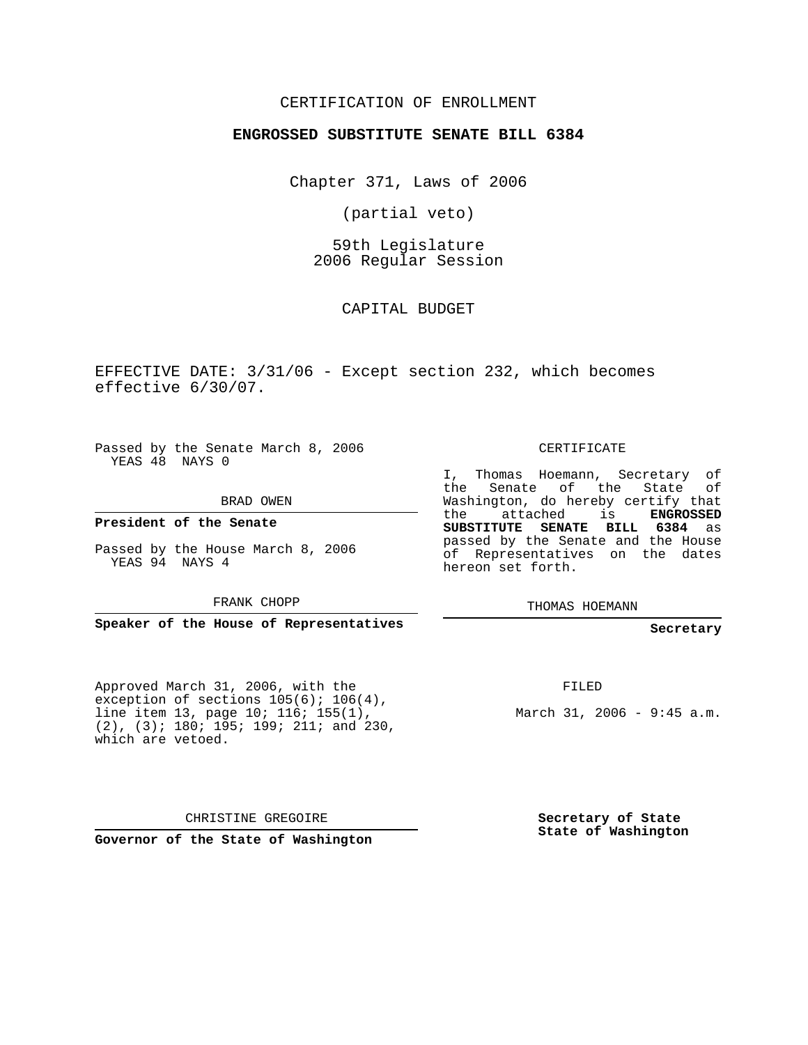#### CERTIFICATION OF ENROLLMENT

#### **ENGROSSED SUBSTITUTE SENATE BILL 6384**

Chapter 371, Laws of 2006

(partial veto)

59th Legislature 2006 Regular Session

CAPITAL BUDGET

EFFECTIVE DATE: 3/31/06 - Except section 232, which becomes effective 6/30/07.

Passed by the Senate March 8, 2006 YEAS 48 NAYS 0

BRAD OWEN

**President of the Senate**

Passed by the House March 8, 2006 YEAS 94 NAYS 4

FRANK CHOPP

**Speaker of the House of Representatives**

Approved March 31, 2006, with the exception of sections  $105(6)$ ;  $106(4)$ , line item 13, page 10; 116; 155(1), (2), (3); 180; 195; 199; 211; and 230, which are vetoed.

hereon set forth.

THOMAS HOEMANN

**Secretary**

FILED

March 31, 2006 - 9:45 a.m.

CHRISTINE GREGOIRE

**Governor of the State of Washington**

**Secretary of State State of Washington**

#### CERTIFICATE

I, Thomas Hoemann, Secretary of the Senate of the State of Washington, do hereby certify that the attached is **ENGROSSED SUBSTITUTE SENATE BILL 6384** as passed by the Senate and the House of Representatives on the dates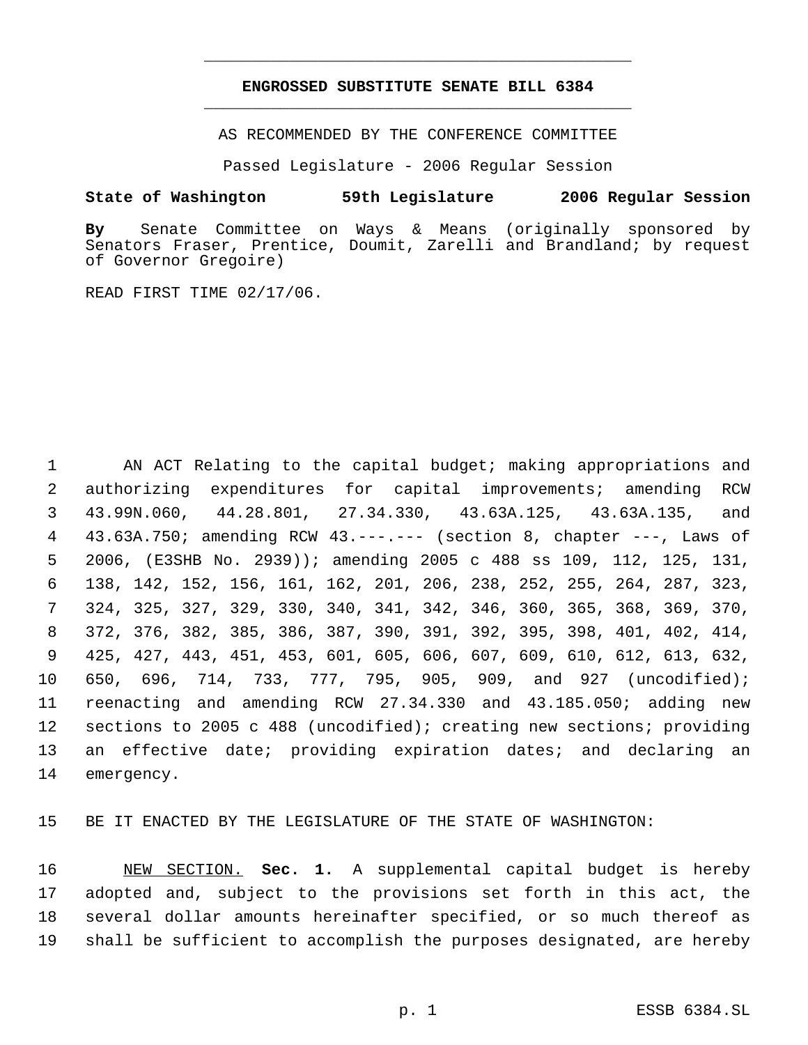### **ENGROSSED SUBSTITUTE SENATE BILL 6384** \_\_\_\_\_\_\_\_\_\_\_\_\_\_\_\_\_\_\_\_\_\_\_\_\_\_\_\_\_\_\_\_\_\_\_\_\_\_\_\_\_\_\_\_\_

\_\_\_\_\_\_\_\_\_\_\_\_\_\_\_\_\_\_\_\_\_\_\_\_\_\_\_\_\_\_\_\_\_\_\_\_\_\_\_\_\_\_\_\_\_

AS RECOMMENDED BY THE CONFERENCE COMMITTEE

Passed Legislature - 2006 Regular Session

#### **State of Washington 59th Legislature 2006 Regular Session**

**By** Senate Committee on Ways & Means (originally sponsored by Senators Fraser, Prentice, Doumit, Zarelli and Brandland; by request of Governor Gregoire)

READ FIRST TIME 02/17/06.

 AN ACT Relating to the capital budget; making appropriations and authorizing expenditures for capital improvements; amending RCW 43.99N.060, 44.28.801, 27.34.330, 43.63A.125, 43.63A.135, and 43.63A.750; amending RCW 43.---.--- (section 8, chapter ---, Laws of 2006, (E3SHB No. 2939)); amending 2005 c 488 ss 109, 112, 125, 131, 138, 142, 152, 156, 161, 162, 201, 206, 238, 252, 255, 264, 287, 323, 324, 325, 327, 329, 330, 340, 341, 342, 346, 360, 365, 368, 369, 370, 372, 376, 382, 385, 386, 387, 390, 391, 392, 395, 398, 401, 402, 414, 425, 427, 443, 451, 453, 601, 605, 606, 607, 609, 610, 612, 613, 632, 650, 696, 714, 733, 777, 795, 905, 909, and 927 (uncodified); reenacting and amending RCW 27.34.330 and 43.185.050; adding new sections to 2005 c 488 (uncodified); creating new sections; providing an effective date; providing expiration dates; and declaring an emergency.

BE IT ENACTED BY THE LEGISLATURE OF THE STATE OF WASHINGTON:

 NEW SECTION. **Sec. 1.** A supplemental capital budget is hereby adopted and, subject to the provisions set forth in this act, the several dollar amounts hereinafter specified, or so much thereof as shall be sufficient to accomplish the purposes designated, are hereby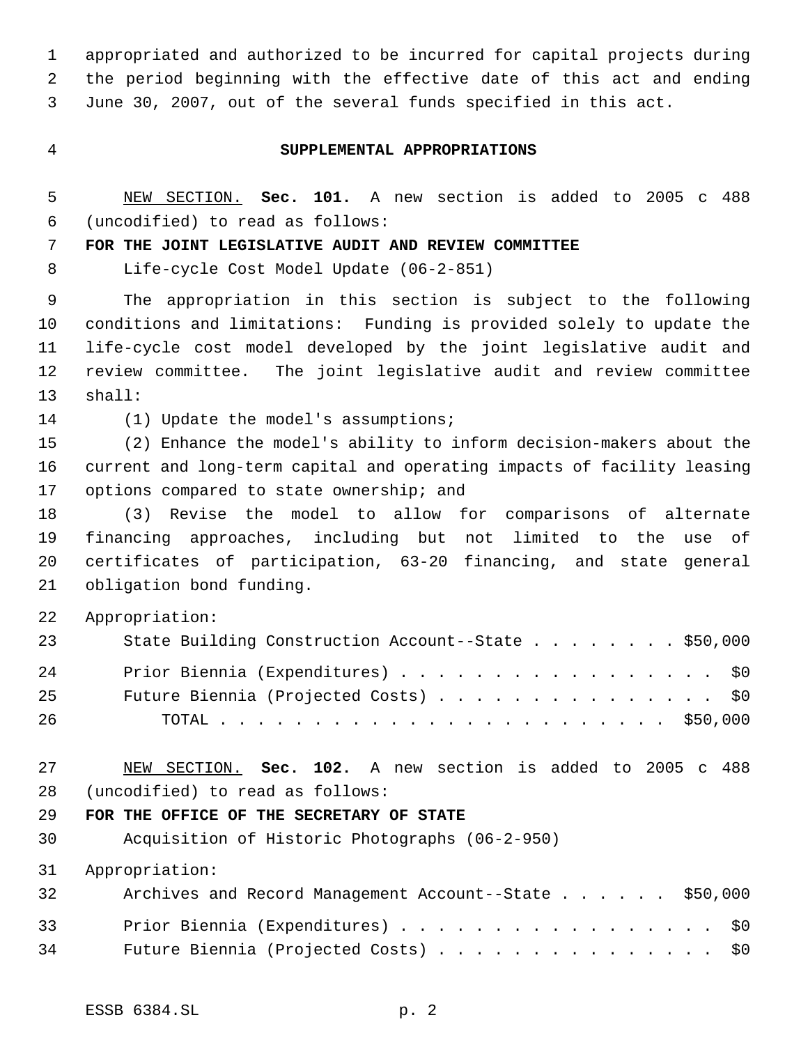appropriated and authorized to be incurred for capital projects during the period beginning with the effective date of this act and ending June 30, 2007, out of the several funds specified in this act.

#### **SUPPLEMENTAL APPROPRIATIONS**

 NEW SECTION. **Sec. 101.** A new section is added to 2005 c 488 (uncodified) to read as follows:

**FOR THE JOINT LEGISLATIVE AUDIT AND REVIEW COMMITTEE**

Life-cycle Cost Model Update (06-2-851)

 The appropriation in this section is subject to the following conditions and limitations: Funding is provided solely to update the life-cycle cost model developed by the joint legislative audit and review committee. The joint legislative audit and review committee shall:

(1) Update the model's assumptions;

 (2) Enhance the model's ability to inform decision-makers about the current and long-term capital and operating impacts of facility leasing 17 options compared to state ownership; and

 (3) Revise the model to allow for comparisons of alternate financing approaches, including but not limited to the use of certificates of participation, 63-20 financing, and state general obligation bond funding.

Appropriation:

| 23 | State Building Construction Account--State \$50,000 |
|----|-----------------------------------------------------|
| 24 | Prior Biennia (Expenditures) \$0                    |
| 25 | Future Biennia (Projected Costs) \$0                |
| 26 |                                                     |

 NEW SECTION. **Sec. 102.** A new section is added to 2005 c 488 (uncodified) to read as follows:

#### **FOR THE OFFICE OF THE SECRETARY OF STATE**

Acquisition of Historic Photographs (06-2-950)

Appropriation:

| 32 | Archives and Record Management Account--State \$50,000 |
|----|--------------------------------------------------------|
| 33 | Prior Biennia (Expenditures) \$0                       |
| 34 | Future Biennia (Projected Costs) \$0                   |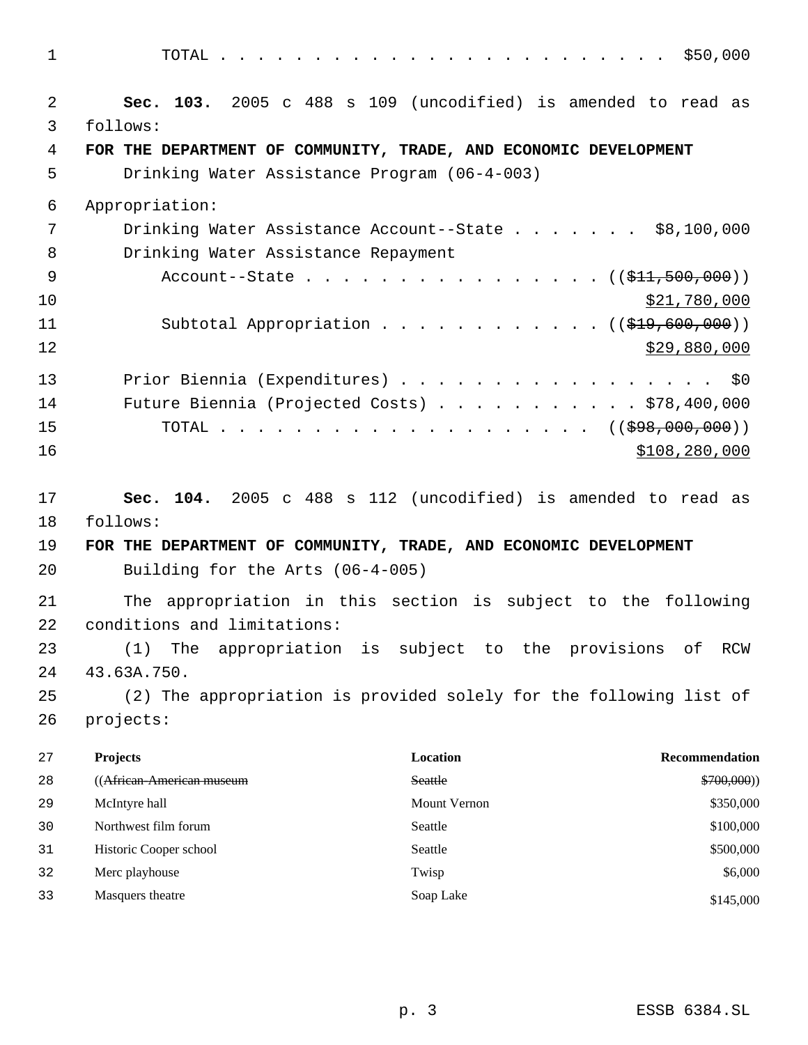TOTAL . . . . . . . . . . . . . . . . . . . . . . . . \$50,000 **Sec. 103.** 2005 c 488 s 109 (uncodified) is amended to read as follows: **FOR THE DEPARTMENT OF COMMUNITY, TRADE, AND ECONOMIC DEVELOPMENT** Drinking Water Assistance Program (06-4-003) Appropriation: 7 Drinking Water Assistance Account--State . . . . . . \$8,100,000 Drinking Water Assistance Repayment 9 Account--State . . . . . . . . . . . . . . ((<del>\$11,500,000</del>))  $\frac{10}{21}$ ,780,000 11 Subtotal Appropriation . . . . . . . . . . . ((\$19,600,000)) \$29,880,000 13 Prior Biennia (Expenditures) . . . . . . . . . . . . . . . . \$0 Future Biennia (Projected Costs) . . . . . . . . . . . \$78,400,000 15 TOTAL . . . . . . . . . . . . . . . . . . ((<del>\$98,000,000</del>)) \$108,280,000 **Sec. 104.** 2005 c 488 s 112 (uncodified) is amended to read as follows: **FOR THE DEPARTMENT OF COMMUNITY, TRADE, AND ECONOMIC DEVELOPMENT** Building for the Arts (06-4-005) The appropriation in this section is subject to the following conditions and limitations: (1) The appropriation is subject to the provisions of RCW 43.63A.750. (2) The appropriation is provided solely for the following list of projects: **Projects Location Recommendation** ((African-American museum Seattle \$700,000)) 29 McIntyre hall \$350,000 30 Northwest film forum Seattle S100,000 31 Historic Cooper school Seattle \$500,000 Seattle \$500,000 Seattle \$500,000 Seattle \$500,000 Seattle \$500,000 Seattle \$500,000 Seattle \$500,000 Seattle \$500,000 Seattle \$500,000 Seattle \$500,000 Seattle \$500,000 Seattle \$

32 Merc playhouse **1988** S6,000 Twisp **1988** Twisp **1988** S6,000

33 Masquers theatre Soap Lake \$145,000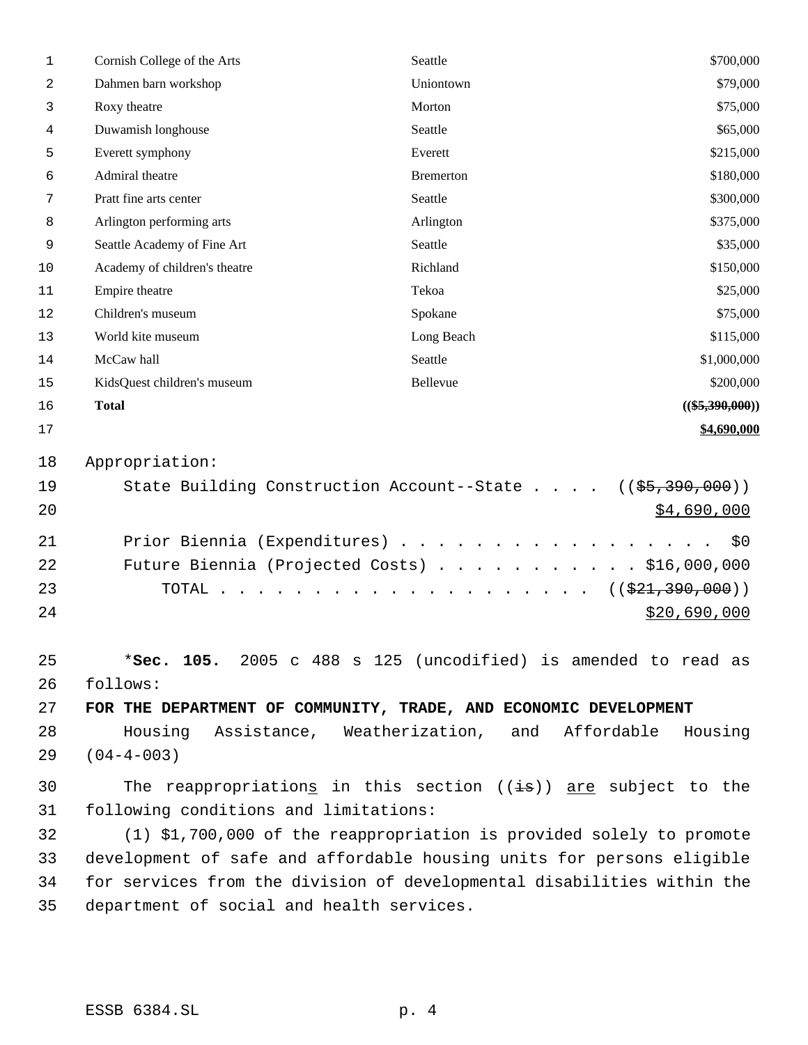| $\mathbf{1}$ | Cornish College of the Arts                                                | Seattle          | \$700,000                              |
|--------------|----------------------------------------------------------------------------|------------------|----------------------------------------|
| 2            | Dahmen barn workshop                                                       | Uniontown        | \$79,000                               |
| 3            | Roxy theatre                                                               | Morton           | \$75,000                               |
| 4            | Duwamish longhouse                                                         | Seattle          | \$65,000                               |
| 5            | Everett symphony                                                           | Everett          | \$215,000                              |
| 6            | Admiral theatre                                                            | <b>Bremerton</b> | \$180,000                              |
| 7            | Pratt fine arts center                                                     | Seattle          | \$300,000                              |
| 8            | Arlington performing arts                                                  | Arlington        | \$375,000                              |
| 9            | Seattle Academy of Fine Art                                                | Seattle          | \$35,000                               |
| 10           | Academy of children's theatre                                              | Richland         | \$150,000                              |
| 11           | Empire theatre                                                             | Tekoa            | \$25,000                               |
| 12           | Children's museum                                                          | Spokane          | \$75,000                               |
| 13           | World kite museum                                                          | Long Beach       | \$115,000                              |
| 14           | McCaw hall                                                                 | Seattle          | \$1,000,000                            |
| 15           | KidsQuest children's museum                                                | Bellevue         | \$200,000                              |
| 16           | <b>Total</b>                                                               |                  | $((\$5,390,000))$                      |
| 17           |                                                                            |                  | \$4,690,000                            |
| 18           | Appropriation:                                                             |                  |                                        |
| 19           | State Building Construction Account--State                                 |                  | $((\frac{25}{7}, \frac{390}{7}, 000))$ |
| 20           |                                                                            |                  | <u>\$4,690,000</u>                     |
|              |                                                                            |                  |                                        |
| 21           | Prior Biennia (Expenditures)                                               |                  | \$0                                    |
| 22           | Future Biennia (Projected Costs) \$16,000,000                              |                  |                                        |
| 23           |                                                                            |                  | ((\$21,390,000))                       |
| 24           |                                                                            |                  | \$20,690,000                           |
|              |                                                                            |                  |                                        |
| 25           | *Sec. 105. 2005 c 488 s 125 (uncodified) is amended to read as             |                  |                                        |
| 26           | follows:                                                                   |                  |                                        |
| 27           | FOR THE DEPARTMENT OF COMMUNITY, TRADE, AND ECONOMIC DEVELOPMENT           |                  |                                        |
| 28           | Housing Assistance, Weatherization, and Affordable Housing                 |                  |                                        |
| 29           | $(04 - 4 - 003)$                                                           |                  |                                        |
| 30           | The reappropriations in this section $((\frac{1}{18}))$ are subject to the |                  |                                        |
| 31           | following conditions and limitations:                                      |                  |                                        |
| 32           | (1) \$1,700,000 of the reappropriation is provided solely to promote       |                  |                                        |
| 33           | development of safe and affordable housing units for persons eligible      |                  |                                        |
| 34           | for services from the division of developmental disabilities within the    |                  |                                        |
| 35           | department of social and health services.                                  |                  |                                        |
|              |                                                                            |                  |                                        |
|              |                                                                            |                  |                                        |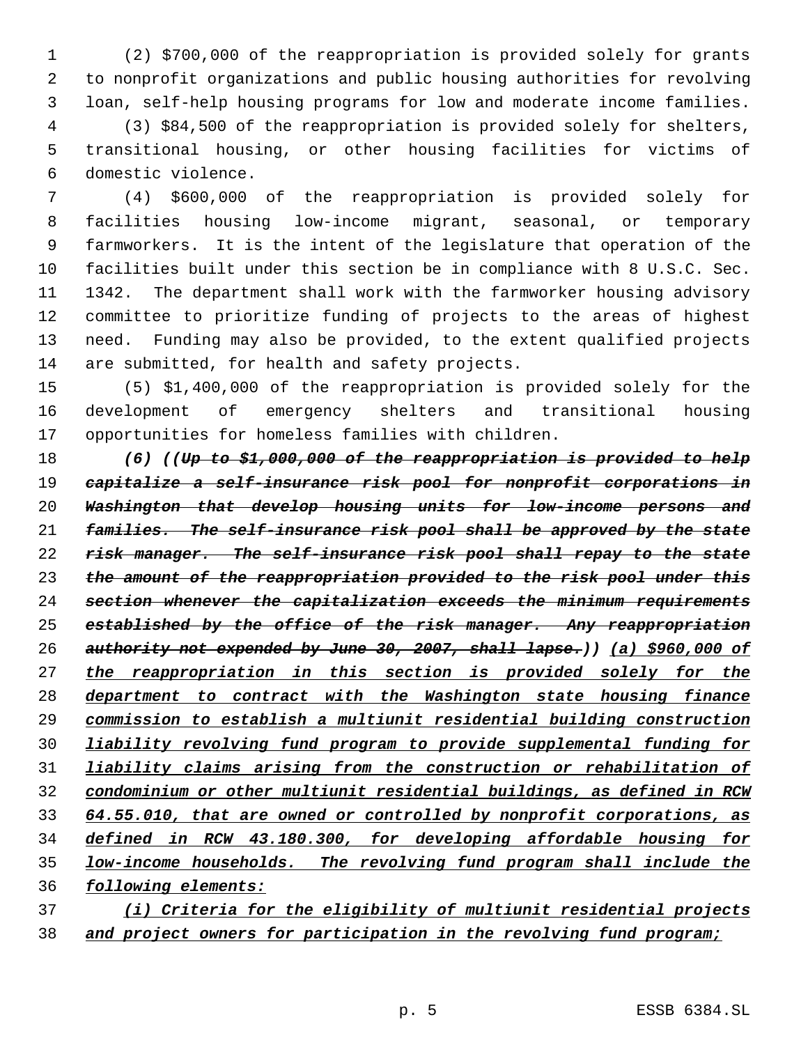(2) \$700,000 of the reappropriation is provided solely for grants to nonprofit organizations and public housing authorities for revolving loan, self-help housing programs for low and moderate income families. (3) \$84,500 of the reappropriation is provided solely for shelters, transitional housing, or other housing facilities for victims of domestic violence.

 (4) \$600,000 of the reappropriation is provided solely for facilities housing low-income migrant, seasonal, or temporary farmworkers. It is the intent of the legislature that operation of the facilities built under this section be in compliance with 8 U.S.C. Sec. 1342. The department shall work with the farmworker housing advisory committee to prioritize funding of projects to the areas of highest need. Funding may also be provided, to the extent qualified projects are submitted, for health and safety projects.

 (5) \$1,400,000 of the reappropriation is provided solely for the development of emergency shelters and transitional housing opportunities for homeless families with children.

 *(6) ((Up to \$1,000,000 of the reappropriation is provided to help capitalize a self-insurance risk pool for nonprofit corporations in Washington that develop housing units for low-income persons and families. The self-insurance risk pool shall be approved by the state risk manager. The self-insurance risk pool shall repay to the state the amount of the reappropriation provided to the risk pool under this section whenever the capitalization exceeds the minimum requirements established by the office of the risk manager. Any reappropriation authority not expended by June 30, 2007, shall lapse.)) (a) \$960,000 of the reappropriation in this section is provided solely for the department to contract with the Washington state housing finance commission to establish a multiunit residential building construction liability revolving fund program to provide supplemental funding for liability claims arising from the construction or rehabilitation of condominium or other multiunit residential buildings, as defined in RCW 64.55.010, that are owned or controlled by nonprofit corporations, as defined in RCW 43.180.300, for developing affordable housing for low-income households. The revolving fund program shall include the following elements:*

 *(i) Criteria for the eligibility of multiunit residential projects and project owners for participation in the revolving fund program;*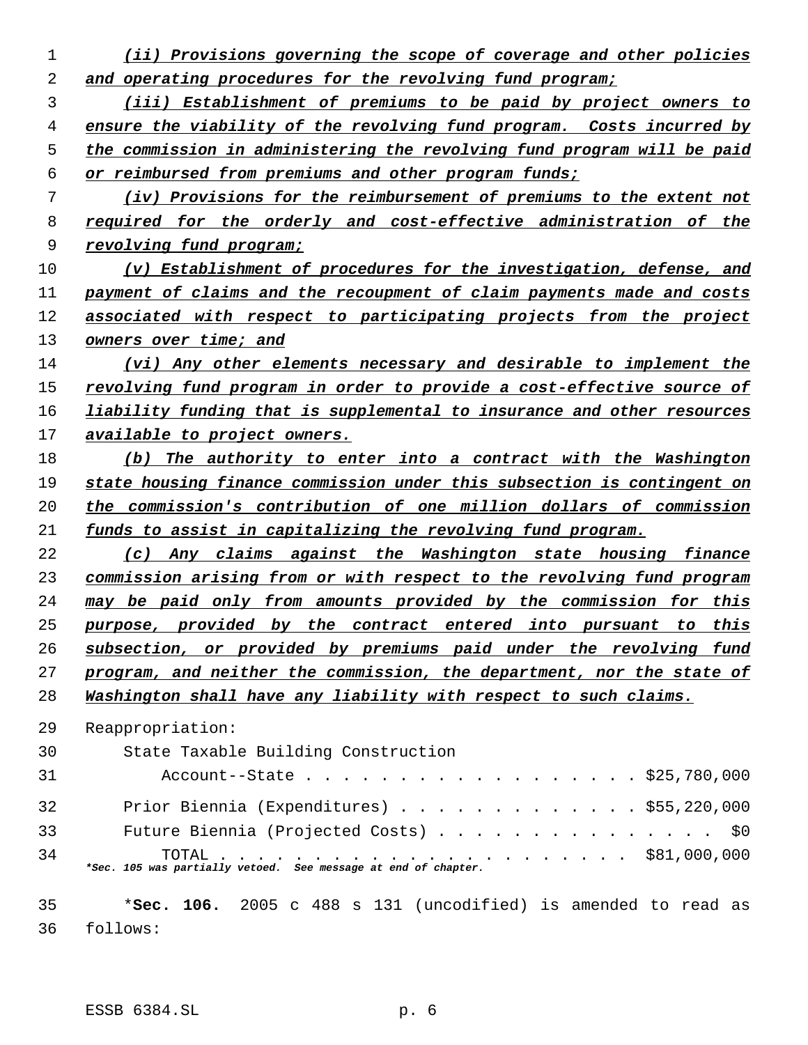*(ii) Provisions governing the scope of coverage and other policies and operating procedures for the revolving fund program; (iii) Establishment of premiums to be paid by project owners to ensure the viability of the revolving fund program. Costs incurred by the commission in administering the revolving fund program will be paid or reimbursed from premiums and other program funds; (iv) Provisions for the reimbursement of premiums to the extent not required for the orderly and cost-effective administration of the revolving fund program; (v) Establishment of procedures for the investigation, defense, and payment of claims and the recoupment of claim payments made and costs associated with respect to participating projects from the project owners over time; and (vi) Any other elements necessary and desirable to implement the revolving fund program in order to provide a cost-effective source of liability funding that is supplemental to insurance and other resources available to project owners. (b) The authority to enter into a contract with the Washington state housing finance commission under this subsection is contingent on the commission's contribution of one million dollars of commission funds to assist in capitalizing the revolving fund program. (c) Any claims against the Washington state housing finance commission arising from or with respect to the revolving fund program may be paid only from amounts provided by the commission for this purpose, provided by the contract entered into pursuant to this subsection, or provided by premiums paid under the revolving fund program, and neither the commission, the department, nor the state of Washington shall have any liability with respect to such claims.* Reappropriation: State Taxable Building Construction Account--State . . . . . . . . . . . . . . . . . . \$25,780,000 Prior Biennia (Expenditures) . . . . . . . . . . . . . \$55,220,000 Future Biennia (Projected Costs) . . . . . . . . . . . . . . . \$0 TOTAL . . . . . . . . . . . . . . . . . . . . . . \$81,000,000 *\*Sec. 105 was partially vetoed. See message at end of chapter.* \***Sec. 106.** 2005 c 488 s 131 (uncodified) is amended to read as follows: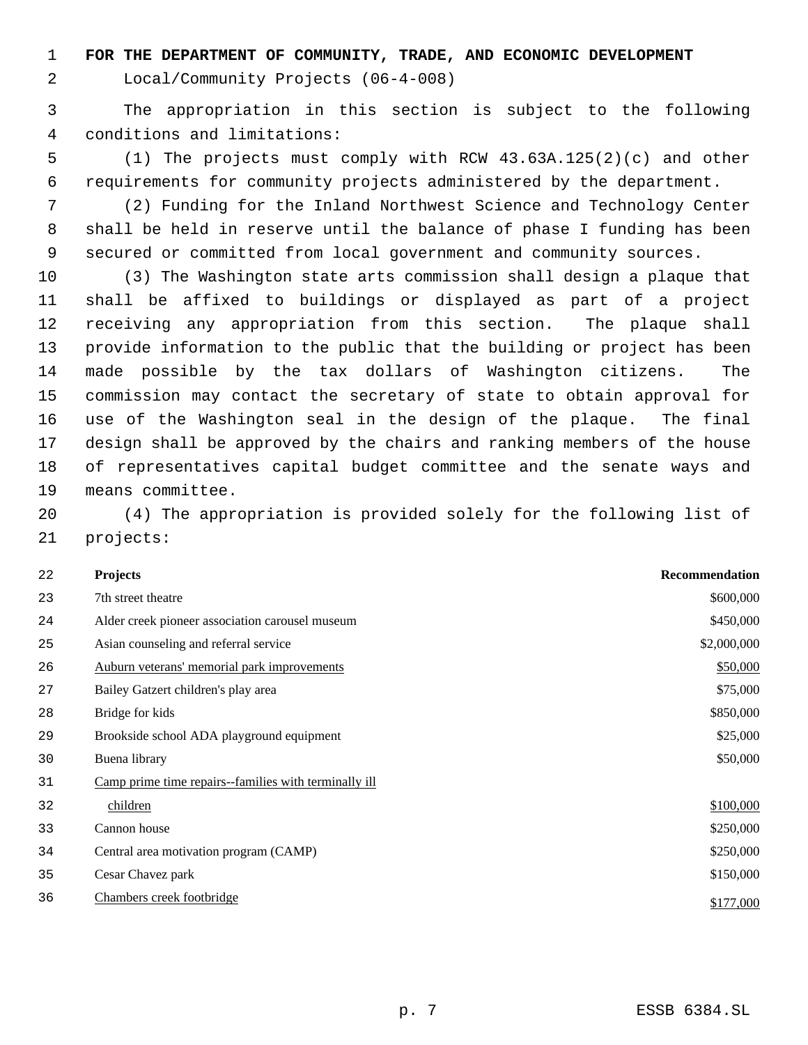**FOR THE DEPARTMENT OF COMMUNITY, TRADE, AND ECONOMIC DEVELOPMENT**

Local/Community Projects (06-4-008)

 The appropriation in this section is subject to the following conditions and limitations:

 (1) The projects must comply with RCW 43.63A.125(2)(c) and other requirements for community projects administered by the department.

 (2) Funding for the Inland Northwest Science and Technology Center shall be held in reserve until the balance of phase I funding has been secured or committed from local government and community sources.

 (3) The Washington state arts commission shall design a plaque that shall be affixed to buildings or displayed as part of a project receiving any appropriation from this section. The plaque shall provide information to the public that the building or project has been made possible by the tax dollars of Washington citizens. The commission may contact the secretary of state to obtain approval for use of the Washington seal in the design of the plaque. The final design shall be approved by the chairs and ranking members of the house of representatives capital budget committee and the senate ways and means committee.

 (4) The appropriation is provided solely for the following list of projects:

| 22 | <b>Projects</b>                                      | Recommendation |
|----|------------------------------------------------------|----------------|
| 23 | 7th street theatre                                   | \$600,000      |
| 24 | Alder creek pioneer association carousel museum      | \$450,000      |
| 25 | Asian counseling and referral service                | \$2,000,000    |
| 26 | Auburn veterans' memorial park improvements          | \$50,000       |
| 27 | Bailey Gatzert children's play area                  | \$75,000       |
| 28 | Bridge for kids                                      | \$850,000      |
| 29 | Brookside school ADA playground equipment            | \$25,000       |
| 30 | Buena library                                        | \$50,000       |
| 31 | Camp prime time repairs-families with terminally ill |                |
| 32 | children                                             | \$100,000      |
| 33 | Cannon house                                         | \$250,000      |
| 34 | Central area motivation program (CAMP)               | \$250,000      |
| 35 | Cesar Chavez park                                    | \$150,000      |
| 36 | Chambers creek footbridge                            | \$177,000      |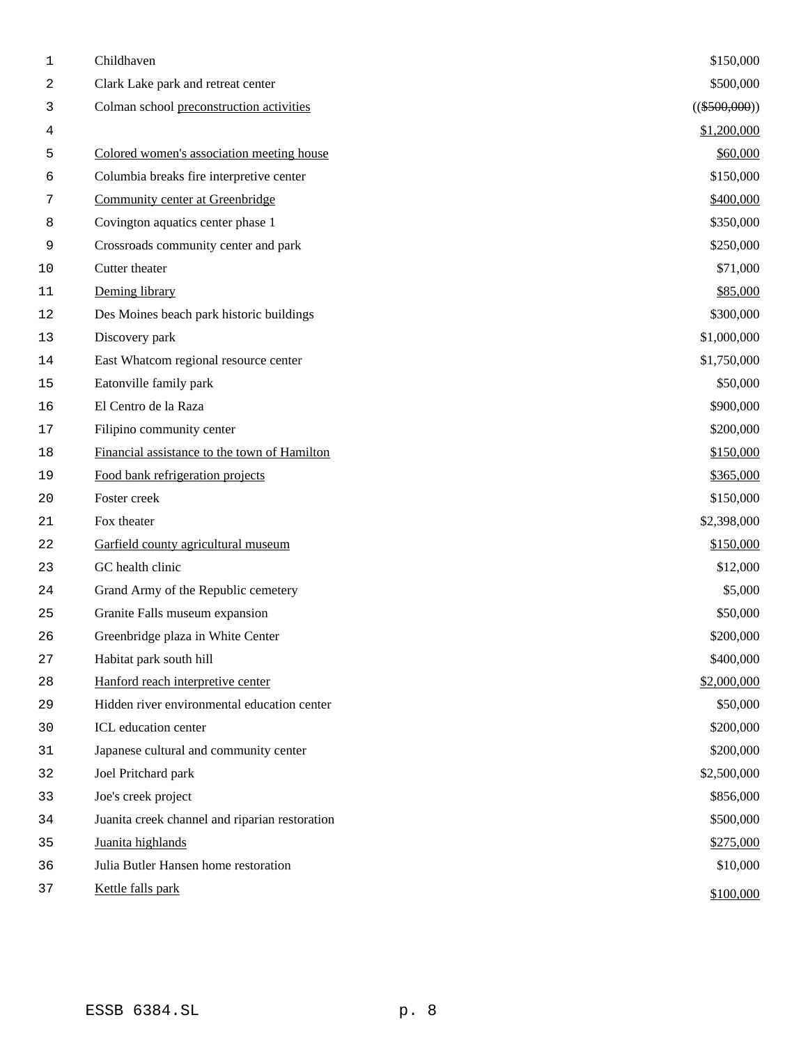| 1      | Childhaven                                     | \$150,000       |
|--------|------------------------------------------------|-----------------|
| 2      | Clark Lake park and retreat center             | \$500,000       |
| 3      | Colman school preconstruction activities       | $((\$500,000))$ |
| 4      |                                                | \$1,200,000     |
| 5      | Colored women's association meeting house      | \$60,000        |
| 6      | Columbia breaks fire interpretive center       | \$150,000       |
| 7      | Community center at Greenbridge                | \$400,000       |
| 8      | Covington aquatics center phase 1              | \$350,000       |
| 9      | Crossroads community center and park           | \$250,000       |
| 10     | Cutter theater                                 | \$71,000        |
| $11\,$ | Deming library                                 | \$85,000        |
| 12     | Des Moines beach park historic buildings       | \$300,000       |
| 13     | Discovery park                                 | \$1,000,000     |
| 14     | East Whatcom regional resource center          | \$1,750,000     |
| 15     | Eatonville family park                         | \$50,000        |
| 16     | El Centro de la Raza                           | \$900,000       |
| $17$   | Filipino community center                      | \$200,000       |
| $18\,$ | Financial assistance to the town of Hamilton   | \$150,000       |
| 19     | Food bank refrigeration projects               | \$365,000       |
| 20     | Foster creek                                   | \$150,000       |
| 21     | Fox theater                                    | \$2,398,000     |
| 22     | Garfield county agricultural museum            | \$150,000       |
| 23     | GC health clinic                               | \$12,000        |
| 24     | Grand Army of the Republic cemetery            | \$5,000         |
| 25     | Granite Falls museum expansion                 | \$50,000        |
| 26     | Greenbridge plaza in White Center              | \$200,000       |
| 27     | Habitat park south hill                        | \$400,000       |
| 28     | Hanford reach interpretive center              | \$2,000,000     |
| 29     | Hidden river environmental education center    | \$50,000        |
| 30     | ICL education center                           | \$200,000       |
| 31     | Japanese cultural and community center         | \$200,000       |
| 32     | Joel Pritchard park                            | \$2,500,000     |
| 33     | Joe's creek project                            | \$856,000       |
| 34     | Juanita creek channel and riparian restoration | \$500,000       |
| 35     | Juanita highlands                              | \$275,000       |
| 36     | Julia Butler Hansen home restoration           | \$10,000        |
| 37     | Kettle falls park                              | \$100,000       |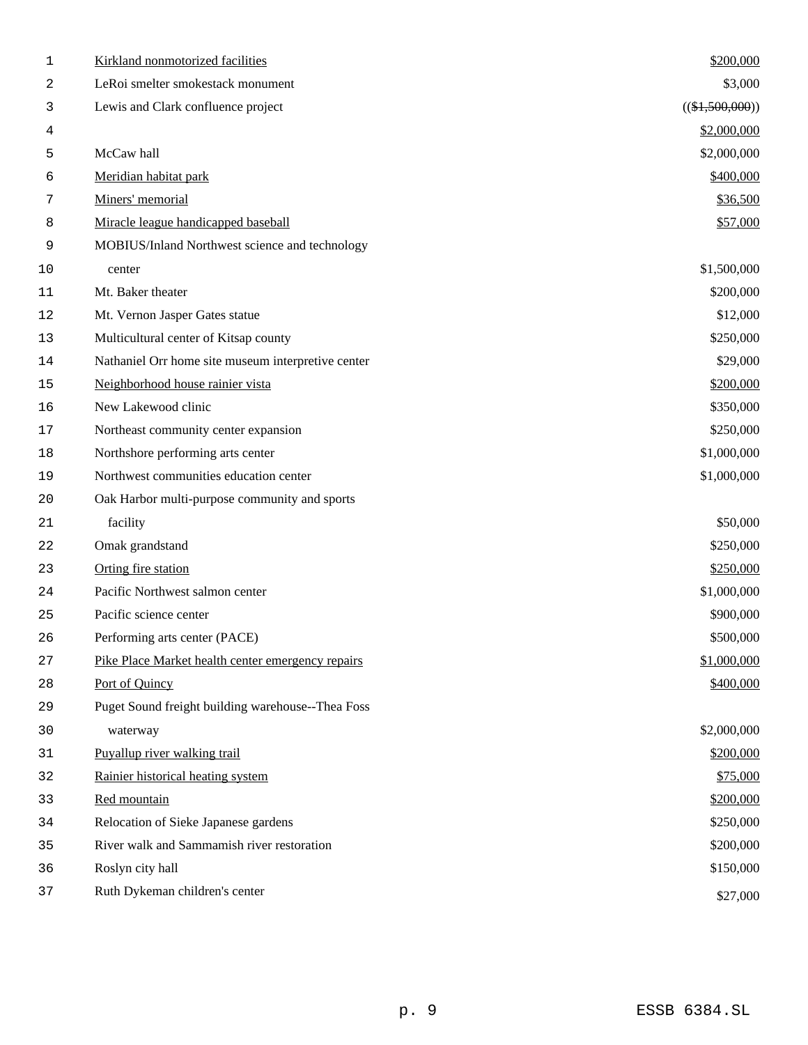| 1      | Kirkland nonmotorized facilities                   | \$200,000         |
|--------|----------------------------------------------------|-------------------|
| 2      | LeRoi smelter smokestack monument                  | \$3,000           |
| 3      | Lewis and Clark confluence project                 | $((\$1,500,000))$ |
| 4      |                                                    | \$2,000,000       |
| 5      | McCaw hall                                         | \$2,000,000       |
| 6      | Meridian habitat park                              | \$400,000         |
| 7      | Miners' memorial                                   | \$36,500          |
| 8      | Miracle league handicapped baseball                | \$57,000          |
| 9      | MOBIUS/Inland Northwest science and technology     |                   |
| $10$   | center                                             | \$1,500,000       |
| 11     | Mt. Baker theater                                  | \$200,000         |
| 12     | Mt. Vernon Jasper Gates statue                     | \$12,000          |
| 13     | Multicultural center of Kitsap county              | \$250,000         |
| 14     | Nathaniel Orr home site museum interpretive center | \$29,000          |
| 15     | Neighborhood house rainier vista                   | \$200,000         |
| 16     | New Lakewood clinic                                | \$350,000         |
| 17     | Northeast community center expansion               | \$250,000         |
| 18     | Northshore performing arts center                  | \$1,000,000       |
| 19     | Northwest communities education center             | \$1,000,000       |
| 20     | Oak Harbor multi-purpose community and sports      |                   |
| 21     | facility                                           | \$50,000          |
| 22     | Omak grandstand                                    | \$250,000         |
| 23     | Orting fire station                                | \$250,000         |
| 24     | Pacific Northwest salmon center                    | \$1,000,000       |
| 25     | Pacific science center                             | \$900,000         |
| 26     | Performing arts center (PACE)                      | \$500,000         |
| 27     | Pike Place Market health center emergency repairs  | \$1,000,000       |
| $2\,8$ | Port of Quincy                                     | \$400,000         |
| 29     | Puget Sound freight building warehouse--Thea Foss  |                   |
| 30     | waterway                                           | \$2,000,000       |
| 31     | Puyallup river walking trail                       | \$200,000         |
| 32     | Rainier historical heating system                  | \$75,000          |
| 33     | Red mountain                                       | \$200,000         |
| 34     | Relocation of Sieke Japanese gardens               | \$250,000         |
| 35     | River walk and Sammamish river restoration         | \$200,000         |
| 36     | Roslyn city hall                                   | \$150,000         |
| 37     | Ruth Dykeman children's center                     | \$27,000          |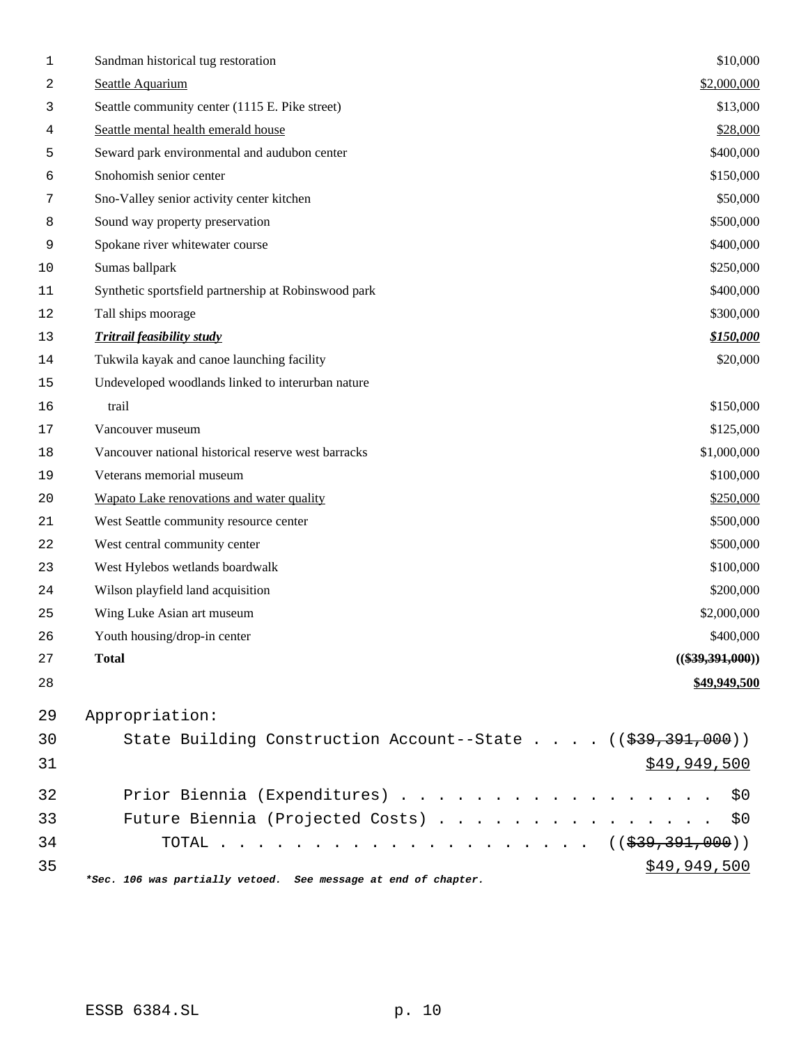| 1      | Sandman historical tug restoration                             | \$10,000           |
|--------|----------------------------------------------------------------|--------------------|
| 2      | Seattle Aquarium                                               | \$2,000,000        |
| 3      | Seattle community center (1115 E. Pike street)                 | \$13,000           |
| 4      | Seattle mental health emerald house                            | \$28,000           |
| 5      | Seward park environmental and audubon center                   | \$400,000          |
| 6      | Snohomish senior center                                        | \$150,000          |
| 7      | Sno-Valley senior activity center kitchen                      | \$50,000           |
| 8      | Sound way property preservation                                | \$500,000          |
| 9      | Spokane river whitewater course                                | \$400,000          |
| 10     | Sumas ballpark                                                 | \$250,000          |
| 11     | Synthetic sportsfield partnership at Robinswood park           | \$400,000          |
| 12     | Tall ships moorage                                             | \$300,000          |
| 13     | <b>Tritrail feasibility study</b>                              | \$150,000          |
| 14     | Tukwila kayak and canoe launching facility                     | \$20,000           |
| $15\,$ | Undeveloped woodlands linked to interurban nature              |                    |
| 16     | trail                                                          | \$150,000          |
| $17$   | Vancouver museum                                               | \$125,000          |
| 18     | Vancouver national historical reserve west barracks            | \$1,000,000        |
| 19     | Veterans memorial museum                                       | \$100,000          |
| 20     | Wapato Lake renovations and water quality                      | \$250,000          |
| 21     | West Seattle community resource center                         | \$500,000          |
| 22     | West central community center                                  | \$500,000          |
| 23     | West Hylebos wetlands boardwalk                                | \$100,000          |
| 24     | Wilson playfield land acquisition                              | \$200,000          |
| 25     | Wing Luke Asian art museum                                     | \$2,000,000        |
| 26     | Youth housing/drop-in center                                   | \$400,000          |
| 27     | <b>Total</b>                                                   | $((\$39,391,000))$ |
| 28     |                                                                | \$49,949,500       |
| 29     | Appropriation:                                                 |                    |
| 30     | State Building Construction Account--State ((\$39,391,000))    |                    |
| 31     |                                                                | \$49,949,500       |
| 32     | Prior Biennia (Expenditures)                                   | \$0                |
| 33     | Future Biennia (Projected Costs) \$0                           |                    |
| 34     | TOTAL ( $(\frac{239}{39}, \frac{391}{390})$ )                  |                    |
| 35     |                                                                | \$49,949,500       |
|        | *Sec. 106 was partially vetoed. See message at end of chapter. |                    |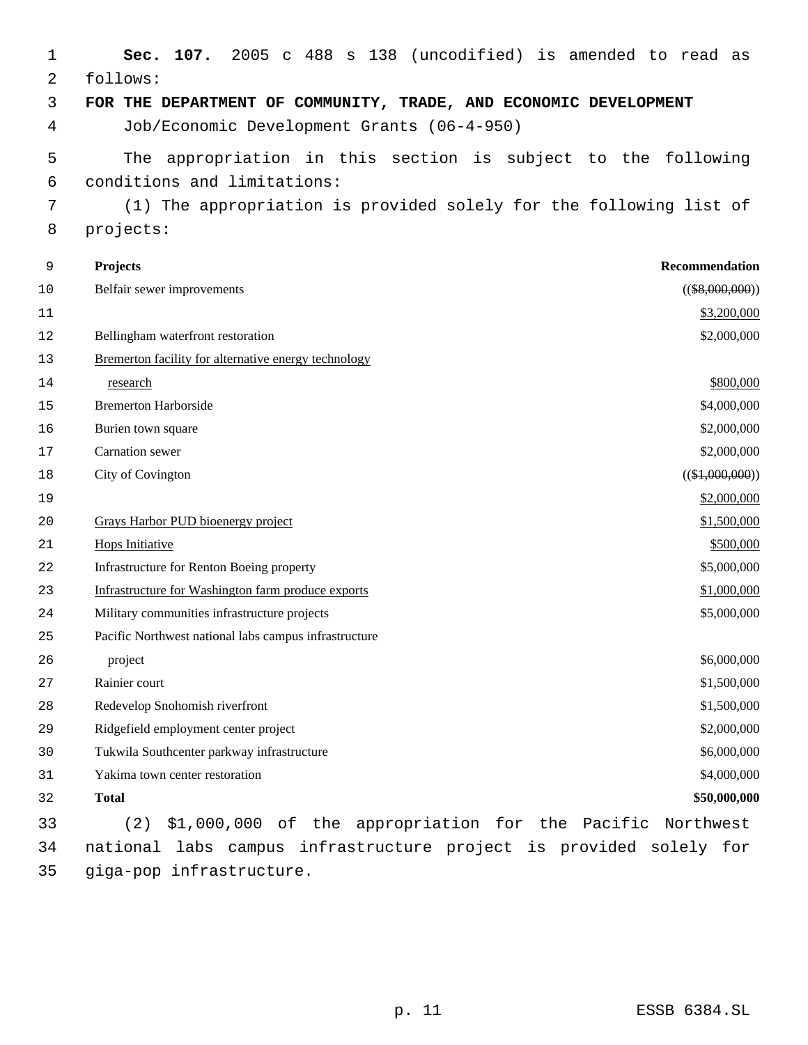| 1  | 2005 c 488 s 138 (uncodified) is amended to read as<br>107.<br>Sec. |                   |
|----|---------------------------------------------------------------------|-------------------|
| 2  | follows:                                                            |                   |
| 3  | FOR THE DEPARTMENT OF COMMUNITY, TRADE, AND ECONOMIC DEVELOPMENT    |                   |
| 4  | Job/Economic Development Grants (06-4-950)                          |                   |
| 5  | The appropriation in this section is subject to the following       |                   |
| 6  | conditions and limitations:                                         |                   |
| 7  | (1) The appropriation is provided solely for the following list of  |                   |
| 8  | projects:                                                           |                   |
| 9  | Projects                                                            | Recommendation    |
| 10 | Belfair sewer improvements                                          | $((\$8,000,000))$ |
| 11 |                                                                     | \$3,200,000       |
| 12 | Bellingham waterfront restoration                                   | \$2,000,000       |
| 13 | Bremerton facility for alternative energy technology                |                   |
| 14 | research                                                            | \$800,000         |
| 15 | <b>Bremerton Harborside</b>                                         | \$4,000,000       |
| 16 | Burien town square                                                  | \$2,000,000       |
| 17 | Carnation sewer                                                     | \$2,000,000       |
| 18 | City of Covington                                                   | $((\$1,000,000))$ |
| 19 |                                                                     | \$2,000,000       |
| 20 | Grays Harbor PUD bioenergy project                                  | \$1,500,000       |
| 21 | Hops Initiative                                                     | \$500,000         |
| 22 | Infrastructure for Renton Boeing property                           | \$5,000,000       |
| 23 | Infrastructure for Washington farm produce exports                  | \$1,000,000       |
| 24 | Military communities infrastructure projects                        | \$5,000,000       |
| 25 | Pacific Northwest national labs campus infrastructure               |                   |
| 26 | project                                                             | \$6,000,000       |
| 27 | Rainier court                                                       | \$1,500,000       |
| 28 | Redevelop Snohomish riverfront                                      | \$1,500,000       |
| 29 | Ridgefield employment center project                                | \$2,000,000       |
| 30 | Tukwila Southcenter parkway infrastructure                          | \$6,000,000       |
| 31 | Yakima town center restoration                                      | \$4,000,000       |
| 32 | <b>Total</b>                                                        | \$50,000,000      |
| 33 | (2)<br>\$1,000,000 of the appropriation for the Pacific Northwest   |                   |
| 34 | national labs campus infrastructure project is provided solely for  |                   |
| 35 | giga-pop infrastructure.                                            |                   |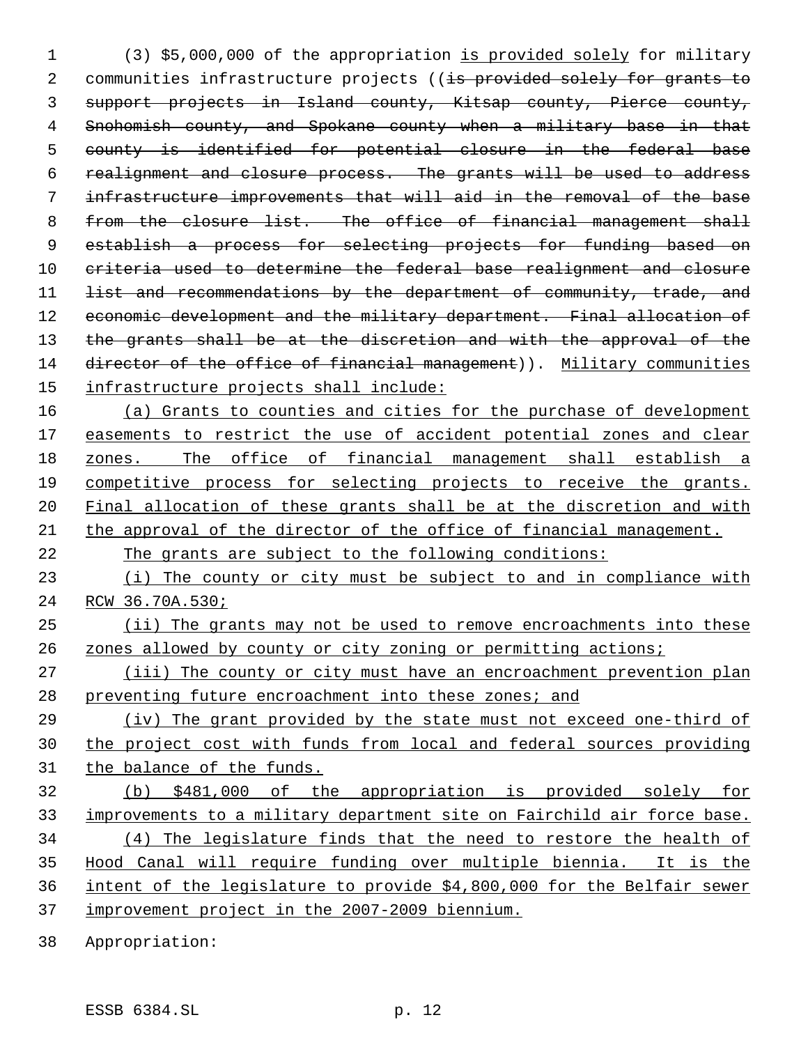(3) \$5,000,000 of the appropriation is provided solely for military 2 communities infrastructure projects ((is provided solely for grants to support projects in Island county, Kitsap county, Pierce county, 4 Snohomish county, and Spokane county when a military base in that county is identified for potential closure in the federal base realignment and closure process. The grants will be used to address infrastructure improvements that will aid in the removal of the base 8 from the closure list. The office of financial management shall 9 establish a process for selecting projects for funding based on criteria used to determine the federal base realignment and closure 11 <del>list and recommendations by the department of community, trade, and</del> 12 economic development and the military department. Final allocation of 13 the grants shall be at the discretion and with the approval of the 14 director of the office of financial management)). Military communities infrastructure projects shall include: 16 (a) Grants to counties and cities for the purchase of development 17 easements to restrict the use of accident potential zones and clear zones. The office of financial management shall establish a competitive process for selecting projects to receive the grants. Final allocation of these grants shall be at the discretion and with the approval of the director of the office of financial management. The grants are subject to the following conditions: 23 (i) The county or city must be subject to and in compliance with RCW 36.70A.530; (ii) The grants may not be used to remove encroachments into these zones allowed by county or city zoning or permitting actions; 27 (iii) The county or city must have an encroachment prevention plan 28 preventing future encroachment into these zones; and (iv) The grant provided by the state must not exceed one-third of the project cost with funds from local and federal sources providing the balance of the funds. (b) \$481,000 of the appropriation is provided solely for

 improvements to a military department site on Fairchild air force base. (4) The legislature finds that the need to restore the health of Hood Canal will require funding over multiple biennia. It is the intent of the legislature to provide \$4,800,000 for the Belfair sewer improvement project in the 2007-2009 biennium.

Appropriation: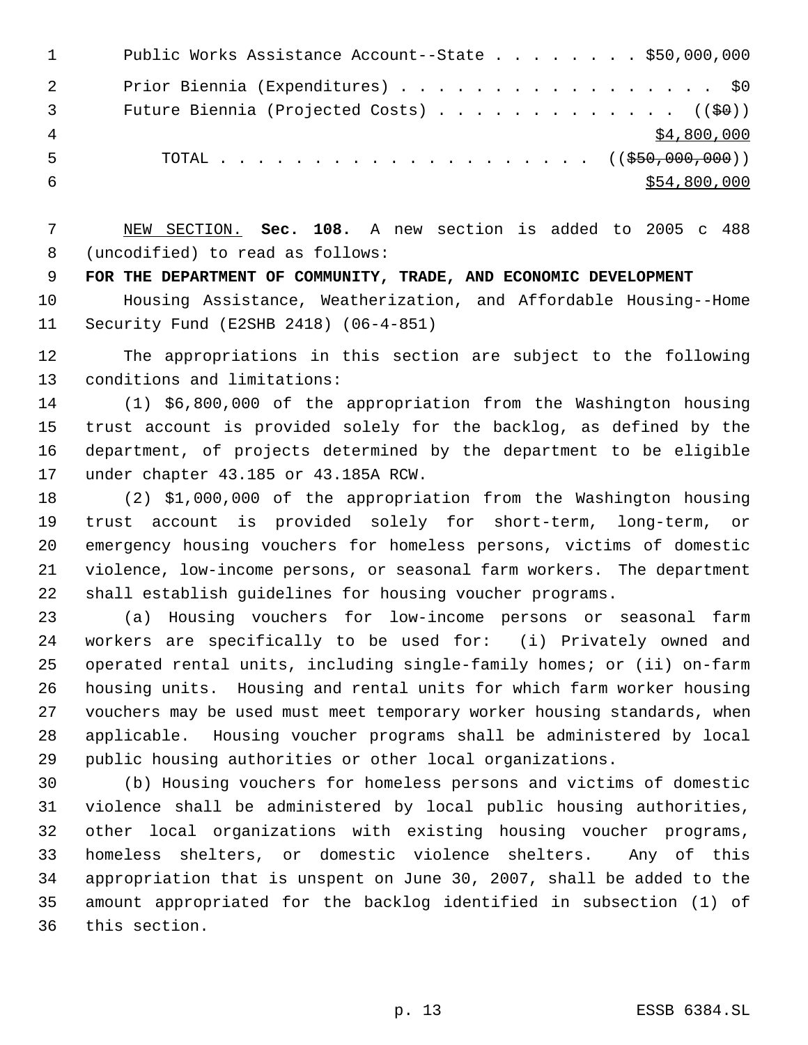|    | Public Works Assistance Account--State \$50,000,000   |
|----|-------------------------------------------------------|
| -2 | Prior Biennia (Expenditures) \$0                      |
| -3 | Future Biennia (Projected Costs) ( $(\frac{60}{9})$ ) |
|    | \$4,800,000                                           |
| .5 | TOTAL ( $(\frac{250,000,000)}{100,000,000})$          |
|    | \$54,800,000                                          |

 NEW SECTION. **Sec. 108.** A new section is added to 2005 c 488 (uncodified) to read as follows:

**FOR THE DEPARTMENT OF COMMUNITY, TRADE, AND ECONOMIC DEVELOPMENT**

 Housing Assistance, Weatherization, and Affordable Housing--Home Security Fund (E2SHB 2418) (06-4-851)

 The appropriations in this section are subject to the following conditions and limitations:

 (1) \$6,800,000 of the appropriation from the Washington housing trust account is provided solely for the backlog, as defined by the department, of projects determined by the department to be eligible under chapter 43.185 or 43.185A RCW.

 (2) \$1,000,000 of the appropriation from the Washington housing trust account is provided solely for short-term, long-term, or emergency housing vouchers for homeless persons, victims of domestic violence, low-income persons, or seasonal farm workers. The department shall establish guidelines for housing voucher programs.

 (a) Housing vouchers for low-income persons or seasonal farm workers are specifically to be used for: (i) Privately owned and operated rental units, including single-family homes; or (ii) on-farm housing units. Housing and rental units for which farm worker housing vouchers may be used must meet temporary worker housing standards, when applicable. Housing voucher programs shall be administered by local public housing authorities or other local organizations.

 (b) Housing vouchers for homeless persons and victims of domestic violence shall be administered by local public housing authorities, other local organizations with existing housing voucher programs, homeless shelters, or domestic violence shelters. Any of this appropriation that is unspent on June 30, 2007, shall be added to the amount appropriated for the backlog identified in subsection (1) of this section.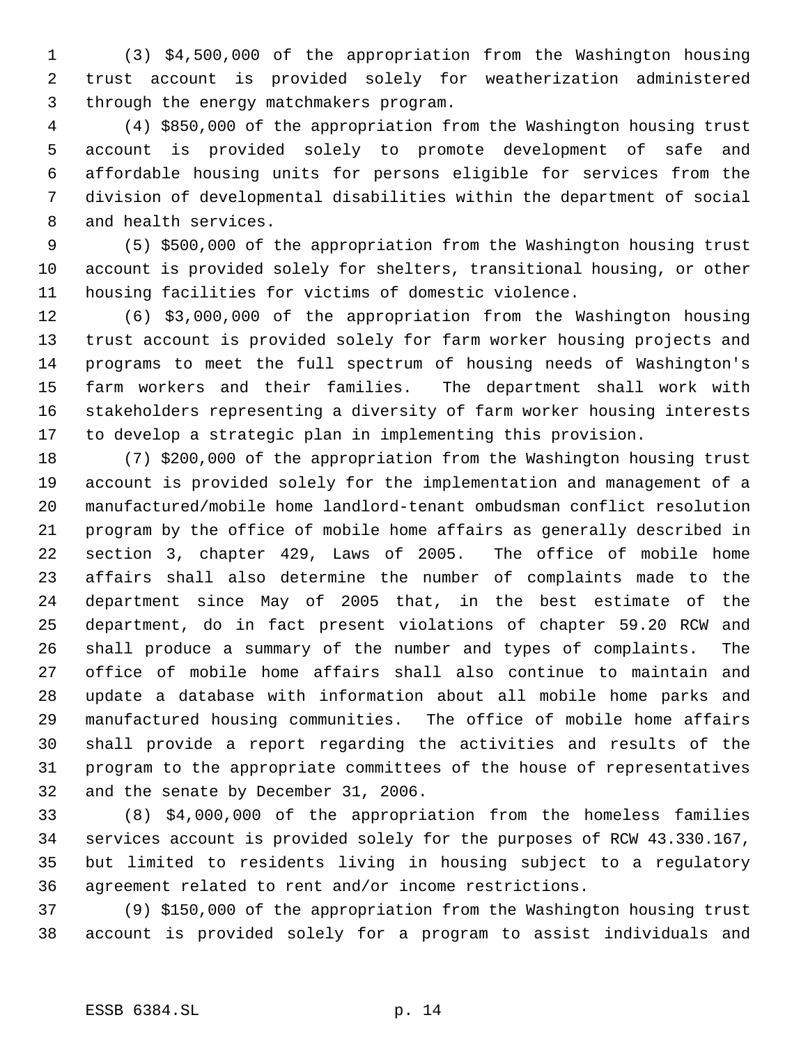(3) \$4,500,000 of the appropriation from the Washington housing trust account is provided solely for weatherization administered through the energy matchmakers program.

 (4) \$850,000 of the appropriation from the Washington housing trust account is provided solely to promote development of safe and affordable housing units for persons eligible for services from the division of developmental disabilities within the department of social and health services.

 (5) \$500,000 of the appropriation from the Washington housing trust account is provided solely for shelters, transitional housing, or other housing facilities for victims of domestic violence.

 (6) \$3,000,000 of the appropriation from the Washington housing trust account is provided solely for farm worker housing projects and programs to meet the full spectrum of housing needs of Washington's farm workers and their families. The department shall work with stakeholders representing a diversity of farm worker housing interests to develop a strategic plan in implementing this provision.

 (7) \$200,000 of the appropriation from the Washington housing trust account is provided solely for the implementation and management of a manufactured/mobile home landlord-tenant ombudsman conflict resolution program by the office of mobile home affairs as generally described in section 3, chapter 429, Laws of 2005. The office of mobile home affairs shall also determine the number of complaints made to the department since May of 2005 that, in the best estimate of the department, do in fact present violations of chapter 59.20 RCW and shall produce a summary of the number and types of complaints. The office of mobile home affairs shall also continue to maintain and update a database with information about all mobile home parks and manufactured housing communities. The office of mobile home affairs shall provide a report regarding the activities and results of the program to the appropriate committees of the house of representatives and the senate by December 31, 2006.

 (8) \$4,000,000 of the appropriation from the homeless families services account is provided solely for the purposes of RCW 43.330.167, but limited to residents living in housing subject to a regulatory agreement related to rent and/or income restrictions.

 (9) \$150,000 of the appropriation from the Washington housing trust account is provided solely for a program to assist individuals and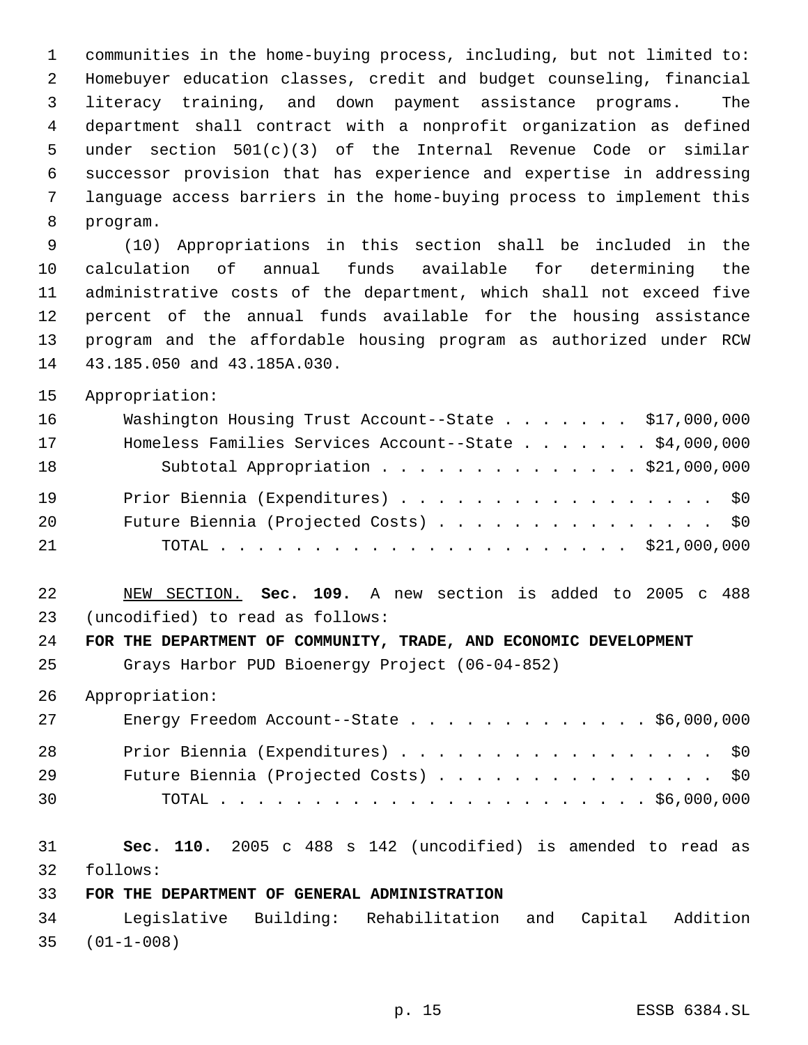communities in the home-buying process, including, but not limited to: Homebuyer education classes, credit and budget counseling, financial literacy training, and down payment assistance programs. The department shall contract with a nonprofit organization as defined under section 501(c)(3) of the Internal Revenue Code or similar successor provision that has experience and expertise in addressing language access barriers in the home-buying process to implement this program.

 (10) Appropriations in this section shall be included in the calculation of annual funds available for determining the administrative costs of the department, which shall not exceed five percent of the annual funds available for the housing assistance program and the affordable housing program as authorized under RCW 43.185.050 and 43.185A.030.

Appropriation:

| 16 | Washington Housing Trust Account--State \$17,000,000  |
|----|-------------------------------------------------------|
| 17 | Homeless Families Services Account--State \$4,000,000 |
| 18 | Subtotal Appropriation \$21,000,000                   |
| 19 | Prior Biennia (Expenditures) \$0                      |
| 20 | Future Biennia (Projected Costs) \$0                  |
| 21 |                                                       |

 NEW SECTION. **Sec. 109.** A new section is added to 2005 c 488 (uncodified) to read as follows:

**FOR THE DEPARTMENT OF COMMUNITY, TRADE, AND ECONOMIC DEVELOPMENT**

Grays Harbor PUD Bioenergy Project (06-04-852)

Appropriation:

| 27 | Energy Freedom Account--State $\ldots$ \$6,000,000 |
|----|----------------------------------------------------|
| 28 | Prior Biennia (Expenditures) \$0                   |
| 29 | Future Biennia (Projected Costs) \$0               |
| 30 |                                                    |

 **Sec. 110.** 2005 c 488 s 142 (uncodified) is amended to read as follows:

#### **FOR THE DEPARTMENT OF GENERAL ADMINISTRATION**

 Legislative Building: Rehabilitation and Capital Addition (01-1-008)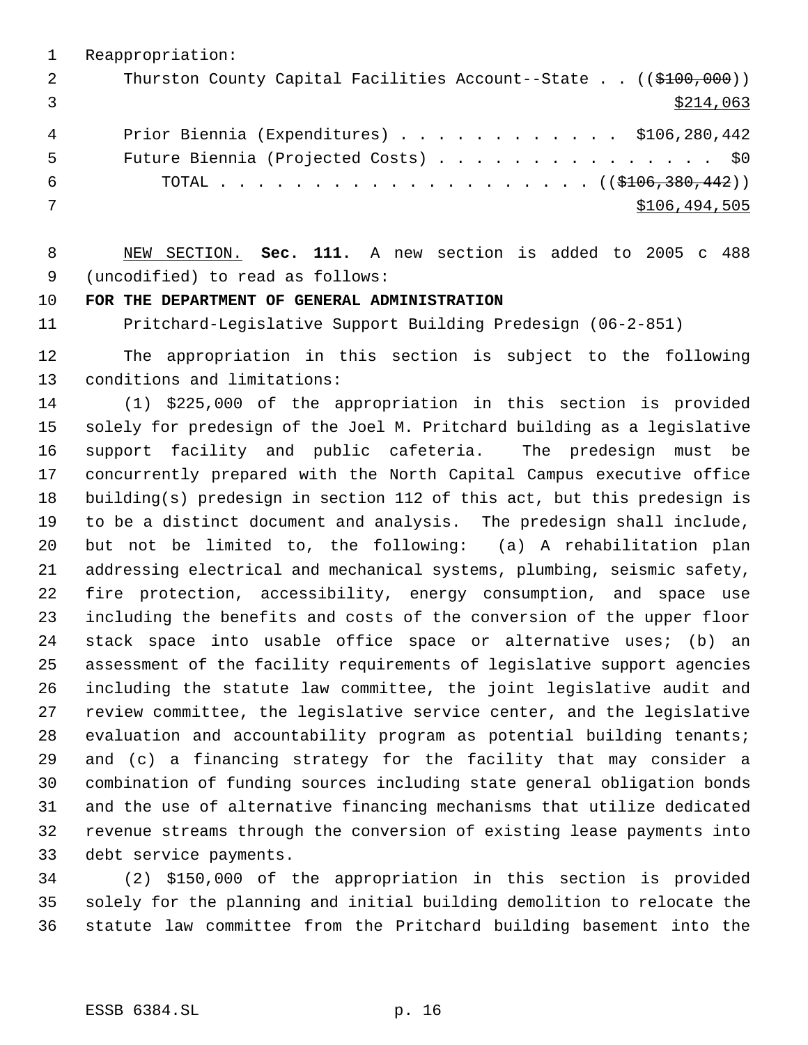Reappropriation: 2 Thurston County Capital Facilities Account--State . . ((\$100,000))  $\frac{$214,063}{ }$  Prior Biennia (Expenditures) . . . . . . . . . . . . \$106,280,442 5 Future Biennia (Projected Costs) . . . . . . . . . . . . . . \$0 6 TOTAL . . . . . . . . . . . . . . . . . . ( $(\frac{106}{300}, \frac{380}{442})$ ) \$106,494,505

 NEW SECTION. **Sec. 111.** A new section is added to 2005 c 488 (uncodified) to read as follows:

## **FOR THE DEPARTMENT OF GENERAL ADMINISTRATION**

Pritchard-Legislative Support Building Predesign (06-2-851)

 The appropriation in this section is subject to the following conditions and limitations:

 (1) \$225,000 of the appropriation in this section is provided solely for predesign of the Joel M. Pritchard building as a legislative support facility and public cafeteria. The predesign must be concurrently prepared with the North Capital Campus executive office building(s) predesign in section 112 of this act, but this predesign is to be a distinct document and analysis. The predesign shall include, but not be limited to, the following: (a) A rehabilitation plan addressing electrical and mechanical systems, plumbing, seismic safety, fire protection, accessibility, energy consumption, and space use including the benefits and costs of the conversion of the upper floor stack space into usable office space or alternative uses; (b) an assessment of the facility requirements of legislative support agencies including the statute law committee, the joint legislative audit and review committee, the legislative service center, and the legislative evaluation and accountability program as potential building tenants; and (c) a financing strategy for the facility that may consider a combination of funding sources including state general obligation bonds and the use of alternative financing mechanisms that utilize dedicated revenue streams through the conversion of existing lease payments into debt service payments.

 (2) \$150,000 of the appropriation in this section is provided solely for the planning and initial building demolition to relocate the statute law committee from the Pritchard building basement into the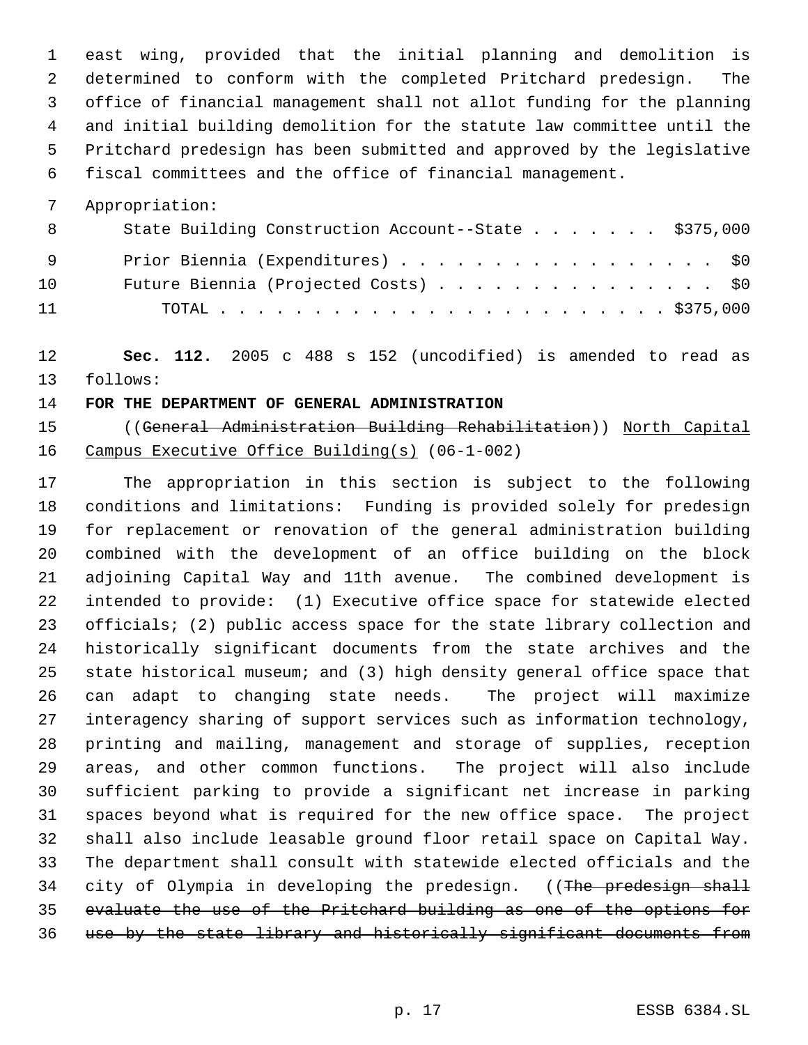east wing, provided that the initial planning and demolition is determined to conform with the completed Pritchard predesign. The office of financial management shall not allot funding for the planning and initial building demolition for the statute law committee until the Pritchard predesign has been submitted and approved by the legislative fiscal committees and the office of financial management.

Appropriation:

| 8   | State Building Construction Account--State \$375,000 |  |  |  |  |  |  |
|-----|------------------------------------------------------|--|--|--|--|--|--|
| - 9 | Prior Biennia (Expenditures) \$0                     |  |  |  |  |  |  |
| 10  | Future Biennia (Projected Costs) \$0                 |  |  |  |  |  |  |
| 11  |                                                      |  |  |  |  |  |  |

 **Sec. 112.** 2005 c 488 s 152 (uncodified) is amended to read as follows:

### **FOR THE DEPARTMENT OF GENERAL ADMINISTRATION**

 ((General Administration Building Rehabilitation)) North Capital Campus Executive Office Building(s) (06-1-002)

 The appropriation in this section is subject to the following conditions and limitations: Funding is provided solely for predesign for replacement or renovation of the general administration building combined with the development of an office building on the block adjoining Capital Way and 11th avenue. The combined development is intended to provide: (1) Executive office space for statewide elected officials; (2) public access space for the state library collection and historically significant documents from the state archives and the state historical museum; and (3) high density general office space that can adapt to changing state needs. The project will maximize interagency sharing of support services such as information technology, printing and mailing, management and storage of supplies, reception areas, and other common functions. The project will also include sufficient parking to provide a significant net increase in parking spaces beyond what is required for the new office space. The project shall also include leasable ground floor retail space on Capital Way. The department shall consult with statewide elected officials and the 34 city of Olympia in developing the predesign. ((The predesign shall evaluate the use of the Pritchard building as one of the options for use by the state library and historically significant documents from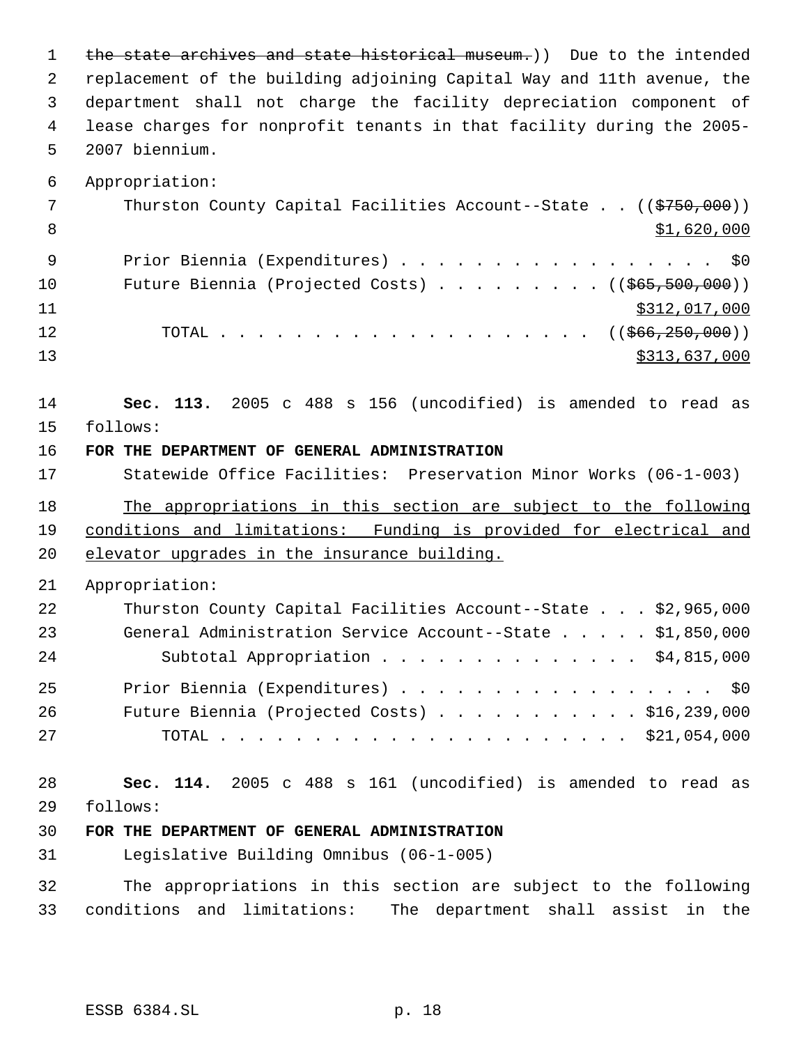1 the state archives and state historical museum.)) Due to the intended replacement of the building adjoining Capital Way and 11th avenue, the department shall not charge the facility depreciation component of lease charges for nonprofit tenants in that facility during the 2005- 2007 biennium.

7 Thurston County Capital Facilities Account--State . . ((\$750,000)) 8  $\text{S1},\text{620},\text{000}$ 9 Prior Biennia (Expenditures) . . . . . . . . . . . . . . . . \$0 10 Future Biennia (Projected Costs) . . . . . . . . ((\$65,500,000)) \$312,017,000 12 TOTAL . . . . . . . . . . . . . . . . . . ((<del>\$66,250,000</del>)) \$313,637,000

 **Sec. 113.** 2005 c 488 s 156 (uncodified) is amended to read as follows:

**FOR THE DEPARTMENT OF GENERAL ADMINISTRATION**

 Statewide Office Facilities: Preservation Minor Works (06-1-003) The appropriations in this section are subject to the following conditions and limitations: Funding is provided for electrical and

elevator upgrades in the insurance building.

#### Appropriation:

Appropriation:

| 22 | Thurston County Capital Facilities Account--State \$2,965,000 |  |
|----|---------------------------------------------------------------|--|
| 23 | General Administration Service Account--State \$1,850,000     |  |
| 24 | Subtotal Appropriation \$4,815,000                            |  |
| 25 | Prior Biennia (Expenditures) \$0                              |  |
| 26 | Future Biennia (Projected Costs) $\ldots$ \$16,239,000        |  |
| 27 |                                                               |  |

 **Sec. 114.** 2005 c 488 s 161 (uncodified) is amended to read as follows:

# **FOR THE DEPARTMENT OF GENERAL ADMINISTRATION**

Legislative Building Omnibus (06-1-005)

 The appropriations in this section are subject to the following conditions and limitations: The department shall assist in the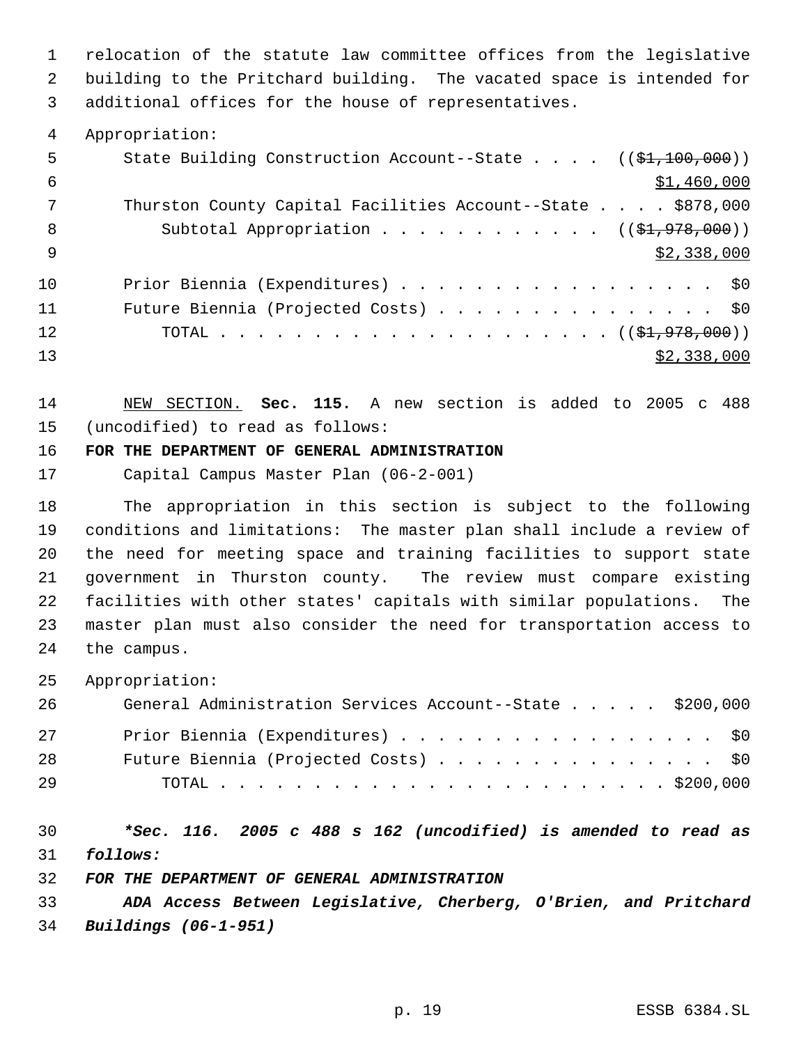relocation of the statute law committee offices from the legislative building to the Pritchard building. The vacated space is intended for additional offices for the house of representatives.

Appropriation:

| 5   | State Building Construction Account--State $((\frac{21}{100}, 000))$ |
|-----|----------------------------------------------------------------------|
| -6  | \$1,460,000                                                          |
|     | Thurston County Capital Facilities Account--State \$878,000          |
| 8   | Subtotal Appropriation $($ $($ \$1,978,000) $)$                      |
| - 9 | \$2,338,000                                                          |
| 10  | Prior Biennia (Expenditures) \$0                                     |
| 11  | Future Biennia (Projected Costs) \$0                                 |
| 12  |                                                                      |
| 13  | \$2,338,000                                                          |

 NEW SECTION. **Sec. 115.** A new section is added to 2005 c 488 (uncodified) to read as follows:

# **FOR THE DEPARTMENT OF GENERAL ADMINISTRATION**

Capital Campus Master Plan (06-2-001)

 The appropriation in this section is subject to the following conditions and limitations: The master plan shall include a review of the need for meeting space and training facilities to support state government in Thurston county. The review must compare existing facilities with other states' capitals with similar populations. The master plan must also consider the need for transportation access to the campus.

Appropriation:

| 26 | General Administration Services Account--State \$200,000 |
|----|----------------------------------------------------------|
| 27 | Prior Biennia (Expenditures) \$0                         |
| 28 | Future Biennia (Projected Costs) \$0                     |
| 29 |                                                          |

 *\*Sec. 116. 2005 c 488 s 162 (uncodified) is amended to read as follows:*

*FOR THE DEPARTMENT OF GENERAL ADMINISTRATION*

 *ADA Access Between Legislative, Cherberg, O'Brien, and Pritchard Buildings (06-1-951)*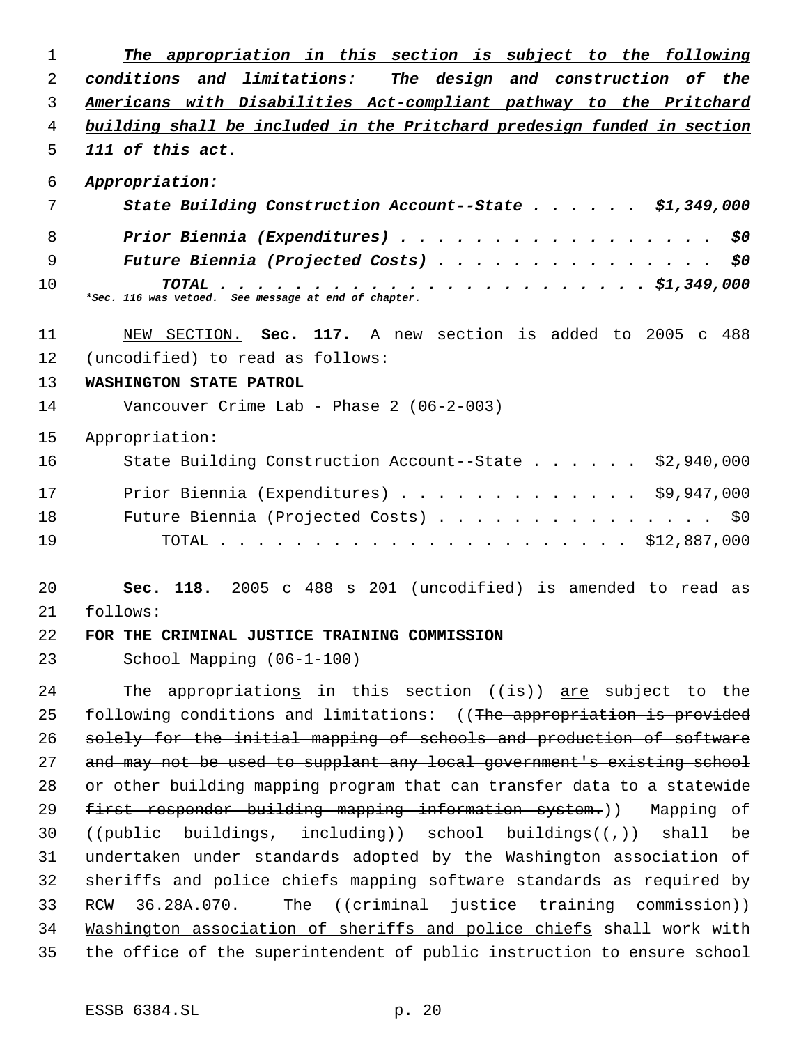| 1  | The appropriation in this section is subject to the following                          |
|----|----------------------------------------------------------------------------------------|
| 2  | conditions and limitations: The design and construction of the                         |
| 3  | Americans with Disabilities Act-compliant pathway to the Pritchard                     |
| 4  | building shall be included in the Pritchard predesign funded in section                |
| 5  | 111 of this act.                                                                       |
| 6  | Appropriation:                                                                         |
| 7  | State Building Construction Account--State \$1,349,000                                 |
| 8  | Prior Biennia (Expenditures)<br>\$0                                                    |
| 9  | \$0<br>Future Biennia (Projected Costs)                                                |
| 10 | $\cdots$ \$1,349,000<br>TOTAL.<br>*Sec. 116 was vetoed. See message at end of chapter. |
| 11 | NEW SECTION. Sec. 117. A new section is added to 2005 c 488                            |
| 12 | (uncodified) to read as follows:                                                       |
| 13 | WASHINGTON STATE PATROL                                                                |
| 14 | Vancouver Crime Lab - Phase $2(06-2-003)$                                              |
| 15 | Appropriation:                                                                         |
| 16 | \$2,940,000<br>State Building Construction Account--State                              |
| 17 | Prior Biennia (Expenditures) $\ldots$ \$9,947,000                                      |
| 18 | Future Biennia (Projected Costs)<br>\$0                                                |
| 19 | \$12,887,000                                                                           |
| 20 | 118. 2005 c 488 s 201 (uncodified) is amended to read as<br>Sec.                       |
| 21 | follows:                                                                               |
| 22 | FOR THE CRIMINAL JUSTICE TRAINING COMMISSION                                           |
| 23 | School Mapping (06-1-100)                                                              |
| 24 | The appropriations in this section $((\pm s))$ are subject to the                      |
| 25 | following conditions and limitations: ((The appropriation is provided                  |
| 26 | solely for the initial mapping of schools and production of software                   |
| 27 | and may not be used to supplant any local government's existing school                 |
| 28 | or other building mapping program that can transfer data to a statewide                |
| 29 | first responder building mapping information system.)) Mapping of                      |
| 30 | $((public - builtdings, - including))$ school buildings( $(\tau)$ ) shall be           |
| 31 | undertaken under standards adopted by the Washington association of                    |
| 32 | sheriffs and police chiefs mapping software standards as required by                   |
| 33 | RCW 36.28A.070.<br>The ((criminal justice training commission))                        |
| 34 | Mashington association of sheriffs and police chiefs shall work with                   |
| 35 | the office of the superintendent of public instruction to ensure school                |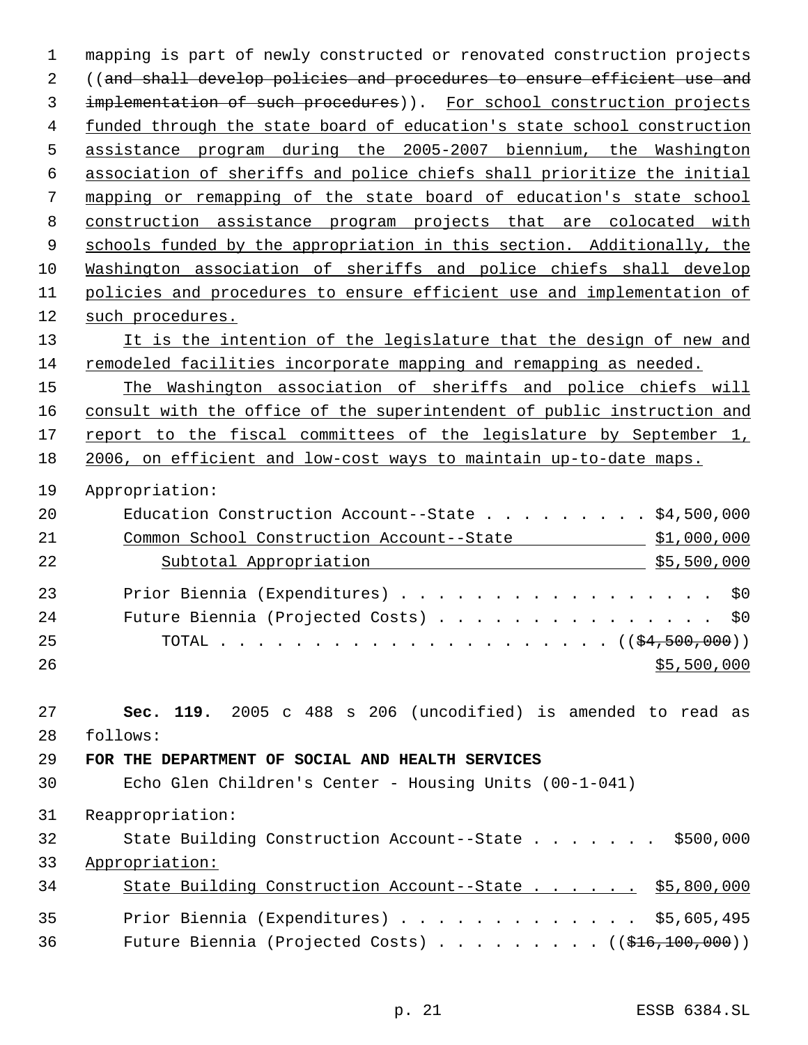mapping is part of newly constructed or renovated construction projects ((and shall develop policies and procedures to ensure efficient use and implementation of such procedures)). For school construction projects funded through the state board of education's state school construction assistance program during the 2005-2007 biennium, the Washington association of sheriffs and police chiefs shall prioritize the initial mapping or remapping of the state board of education's state school construction assistance program projects that are colocated with 9 schools funded by the appropriation in this section. Additionally, the Washington association of sheriffs and police chiefs shall develop policies and procedures to ensure efficient use and implementation of such procedures. 13 It is the intention of the legislature that the design of new and remodeled facilities incorporate mapping and remapping as needed. The Washington association of sheriffs and police chiefs will consult with the office of the superintendent of public instruction and 17 report to the fiscal committees of the legislature by September 1, 2006, on efficient and low-cost ways to maintain up-to-date maps. Appropriation: Education Construction Account--State . . . . . . . . . \$4,500,000 Common School Construction Account--State \$1,000,000 Subtotal Appropriation \$5,500,000 23 Prior Biennia (Expenditures) . . . . . . . . . . . . . . . . \$0 24 Future Biennia (Projected Costs) . . . . . . . . . . . . . . \$0 TOTAL . . . . . . . . . . . . . . . . . . . . . ((\$4,500,000))  $$5,500,000$  **Sec. 119.** 2005 c 488 s 206 (uncodified) is amended to read as follows: **FOR THE DEPARTMENT OF SOCIAL AND HEALTH SERVICES** Echo Glen Children's Center - Housing Units (00-1-041) Reappropriation: State Building Construction Account--State . . . . . . . \$500,000 Appropriation: 34 State Building Construction Account--State . . . . . \$5,800,000 Prior Biennia (Expenditures) . . . . . . . . . . . . . \$5,605,495 36 Future Biennia (Projected Costs) . . . . . . . . ((\$16,100,000))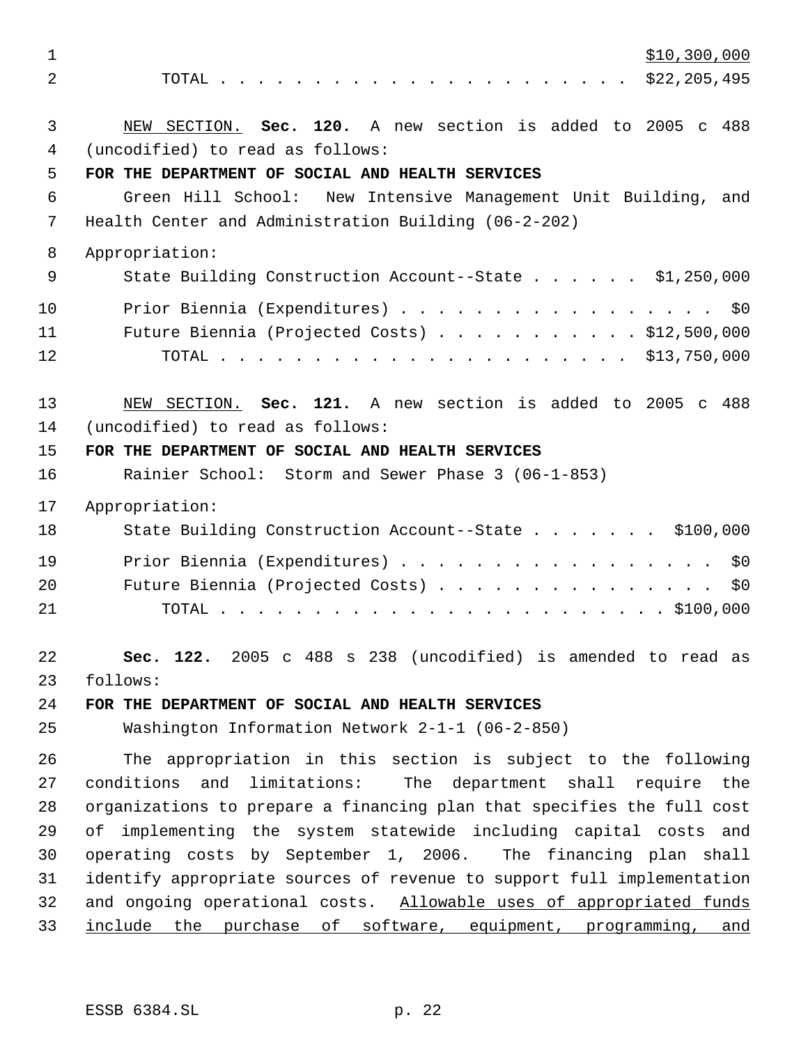$\frac{$10,300,000}{2}$  TOTAL . . . . . . . . . . . . . . . . . . . . . . \$22,205,495 NEW SECTION. **Sec. 120.** A new section is added to 2005 c 488 (uncodified) to read as follows: **FOR THE DEPARTMENT OF SOCIAL AND HEALTH SERVICES** Green Hill School: New Intensive Management Unit Building, and Health Center and Administration Building (06-2-202) Appropriation: 9 State Building Construction Account--State . . . . . \$1,250,000 10 Prior Biennia (Expenditures) . . . . . . . . . . . . . . . . \$0 Future Biennia (Projected Costs) . . . . . . . . . . . \$12,500,000 TOTAL . . . . . . . . . . . . . . . . . . . . . . \$13,750,000 NEW SECTION. **Sec. 121.** A new section is added to 2005 c 488 (uncodified) to read as follows: **FOR THE DEPARTMENT OF SOCIAL AND HEALTH SERVICES** Rainier School: Storm and Sewer Phase 3 (06-1-853) Appropriation: 18 State Building Construction Account--State . . . . . . \$100,000 Prior Biennia (Expenditures) . . . . . . . . . . . . . . . . . \$0 Future Biennia (Projected Costs) . . . . . . . . . . . . . . . \$0 TOTAL . . . . . . . . . . . . . . . . . . . . . . . . \$100,000 **Sec. 122.** 2005 c 488 s 238 (uncodified) is amended to read as follows: **FOR THE DEPARTMENT OF SOCIAL AND HEALTH SERVICES** Washington Information Network 2-1-1 (06-2-850) The appropriation in this section is subject to the following conditions and limitations: The department shall require the organizations to prepare a financing plan that specifies the full cost of implementing the system statewide including capital costs and operating costs by September 1, 2006. The financing plan shall identify appropriate sources of revenue to support full implementation and ongoing operational costs. Allowable uses of appropriated funds 33 include the purchase of software, equipment, programming, and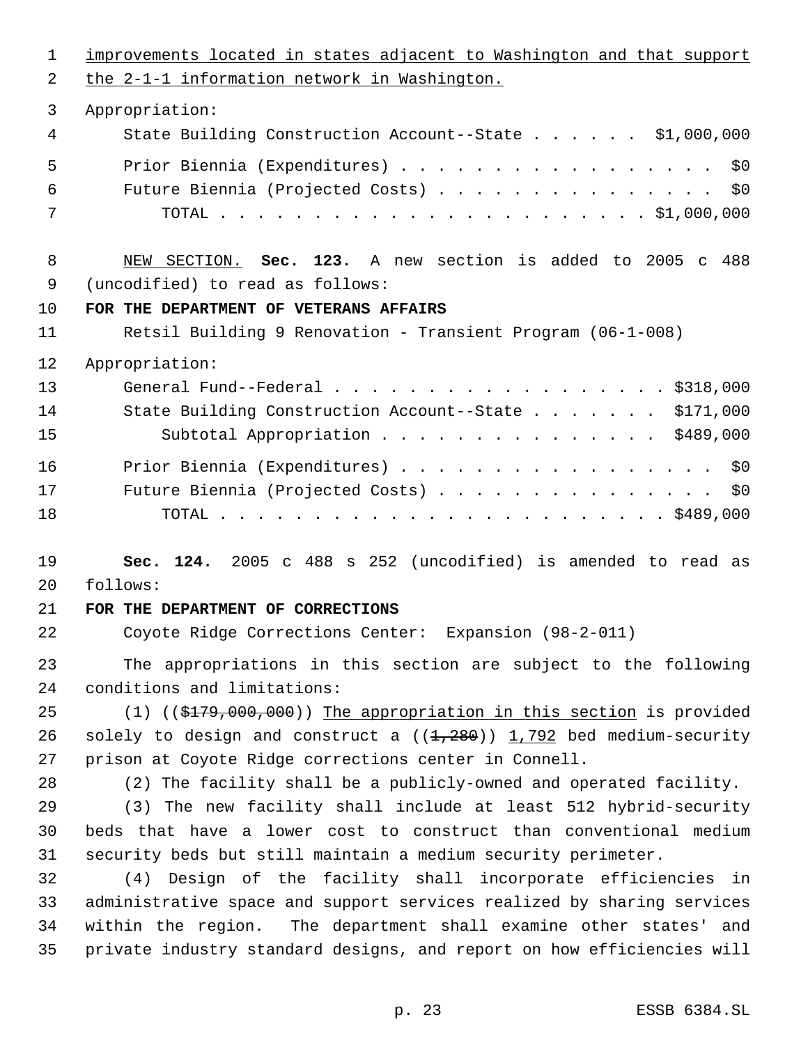improvements located in states adjacent to Washington and that support the 2-1-1 information network in Washington. Appropriation: State Building Construction Account--State . . . . . . \$1,000,000 Prior Biennia (Expenditures) . . . . . . . . . . . . . . . . . \$0 Future Biennia (Projected Costs) . . . . . . . . . . . . . . . \$0 TOTAL . . . . . . . . . . . . . . . . . . . . . . . \$1,000,000 NEW SECTION. **Sec. 123.** A new section is added to 2005 c 488 (uncodified) to read as follows: **FOR THE DEPARTMENT OF VETERANS AFFAIRS** Retsil Building 9 Renovation - Transient Program (06-1-008) Appropriation: General Fund--Federal . . . . . . . . . . . . . . . . . . \$318,000 14 State Building Construction Account--State . . . . . . \$171,000 Subtotal Appropriation . . . . . . . . . . . . . . . \$489,000 Prior Biennia (Expenditures) . . . . . . . . . . . . . . . . . \$0 Future Biennia (Projected Costs) . . . . . . . . . . . . . . . \$0 TOTAL . . . . . . . . . . . . . . . . . . . . . . . . \$489,000 **Sec. 124.** 2005 c 488 s 252 (uncodified) is amended to read as follows: **FOR THE DEPARTMENT OF CORRECTIONS** Coyote Ridge Corrections Center: Expansion (98-2-011) The appropriations in this section are subject to the following conditions and limitations: 25 (1) ((\$179,000,000)) The appropriation in this section is provided 26 solely to design and construct a  $((1,280))$  1,792 bed medium-security prison at Coyote Ridge corrections center in Connell. (2) The facility shall be a publicly-owned and operated facility. (3) The new facility shall include at least 512 hybrid-security beds that have a lower cost to construct than conventional medium security beds but still maintain a medium security perimeter. (4) Design of the facility shall incorporate efficiencies in administrative space and support services realized by sharing services within the region. The department shall examine other states' and private industry standard designs, and report on how efficiencies will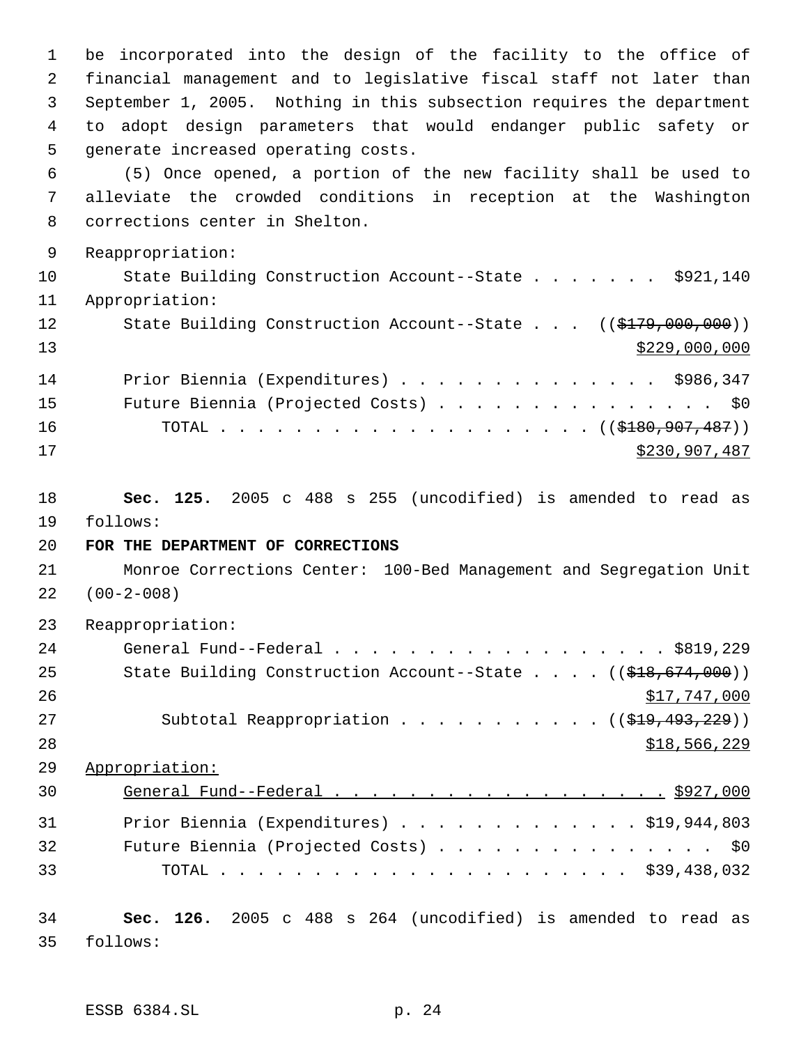be incorporated into the design of the facility to the office of financial management and to legislative fiscal staff not later than September 1, 2005. Nothing in this subsection requires the department to adopt design parameters that would endanger public safety or generate increased operating costs. (5) Once opened, a portion of the new facility shall be used to alleviate the crowded conditions in reception at the Washington corrections center in Shelton. Reappropriation: 10 State Building Construction Account--State . . . . . . \$921,140 Appropriation: 12 State Building Construction Account--State . . . ((\$179,000,000))  $\frac{$229,000,000}{2}$  Prior Biennia (Expenditures) . . . . . . . . . . . . . . \$986,347 15 Future Biennia (Projected Costs) . . . . . . . . . . . . . . \$0 16 TOTAL . . . . . . . . . . . . . . . . . ((<del>\$180,907,487</del>)) \$230,907,487 **Sec. 125.** 2005 c 488 s 255 (uncodified) is amended to read as follows: **FOR THE DEPARTMENT OF CORRECTIONS** Monroe Corrections Center: 100-Bed Management and Segregation Unit (00-2-008) Reappropriation: General Fund--Federal . . . . . . . . . . . . . . . . . . \$819,229 25 State Building Construction Account--State . . . . ((\$18,674,000))  $\frac{$17,747,000}{9}$ 27 Subtotal Reappropriation . . . . . . . . . . ((\$19,493,229)) \$18,566,229 Appropriation: 30 General Fund--Federal . . . . . . . . . . . . . . . . . . \$927,000 Prior Biennia (Expenditures) . . . . . . . . . . . . . \$19,944,803 Future Biennia (Projected Costs) . . . . . . . . . . . . . . . \$0 TOTAL . . . . . . . . . . . . . . . . . . . . . . \$39,438,032 **Sec. 126.** 2005 c 488 s 264 (uncodified) is amended to read as follows:

ESSB 6384.SL p. 24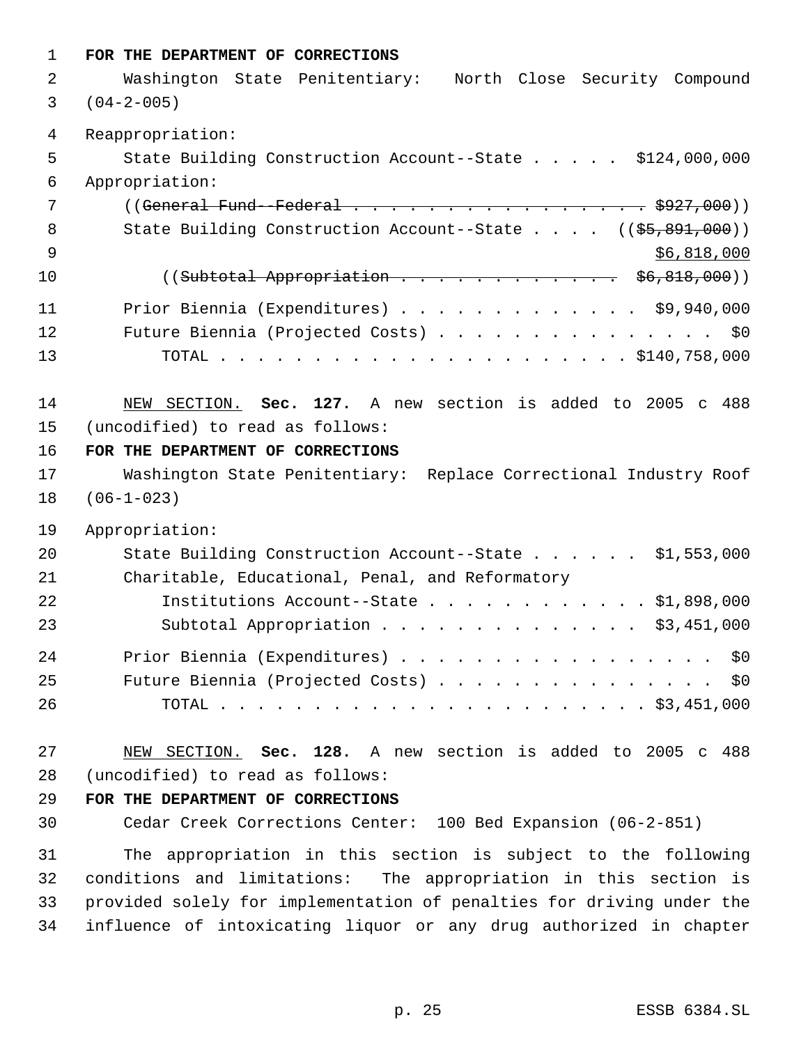| $\mathbf{1}$   | FOR THE DEPARTMENT OF CORRECTIONS                                       |
|----------------|-------------------------------------------------------------------------|
| 2              | Washington State Penitentiary: North Close Security Compound            |
| 3              | $(04 - 2 - 005)$                                                        |
| $\overline{4}$ | Reappropriation:                                                        |
| 5              | State Building Construction Account--State \$124,000,000                |
| 6              | Appropriation:                                                          |
| 7              | ((General Fund--Federal \$927,000))                                     |
| 8              | State Building Construction Account--State $($ $($ \$5,891,000))        |
| 9              | \$6,818,000                                                             |
| 10             | $((Subtotal Approximation \dots \dots \dots \dots \dots \ 56,818,000))$ |
| 11             | Prior Biennia (Expenditures) \$9,940,000                                |
| 12             | Future Biennia (Projected Costs) \$0                                    |
| 13             |                                                                         |
| 14             | NEW SECTION. Sec. 127. A new section is added to 2005 c 488             |
| 15             | (uncodified) to read as follows:                                        |
| 16             | FOR THE DEPARTMENT OF CORRECTIONS                                       |
| 17             | Washington State Penitentiary: Replace Correctional Industry Roof       |
| 18             | $(06-1-023)$                                                            |
| 19             | Appropriation:                                                          |
| 20             | State Building Construction Account--State \$1,553,000                  |
| 21             | Charitable, Educational, Penal, and Reformatory                         |
| 22             | Institutions Account--State \$1,898,000                                 |
| 23             | Subtotal Appropriation \$3,451,000                                      |
| 24             | Prior Biennia (Expenditures) \$0                                        |
| 25             | Future Biennia (Projected Costs) \$0                                    |
| 26             |                                                                         |
| 27             | NEW SECTION. Sec. 128. A new section is added to 2005 c 488             |
| 28             | (uncodified) to read as follows:                                        |
| 29             | FOR THE DEPARTMENT OF CORRECTIONS                                       |
| 30             | Cedar Creek Corrections Center: 100 Bed Expansion (06-2-851)            |
| 31             | The appropriation in this section is subject to the following           |
| 32             | conditions and limitations: The appropriation in this section is        |
| 33             | provided solely for implementation of penalties for driving under the   |
| 34             | influence of intoxicating liquor or any drug authorized in chapter      |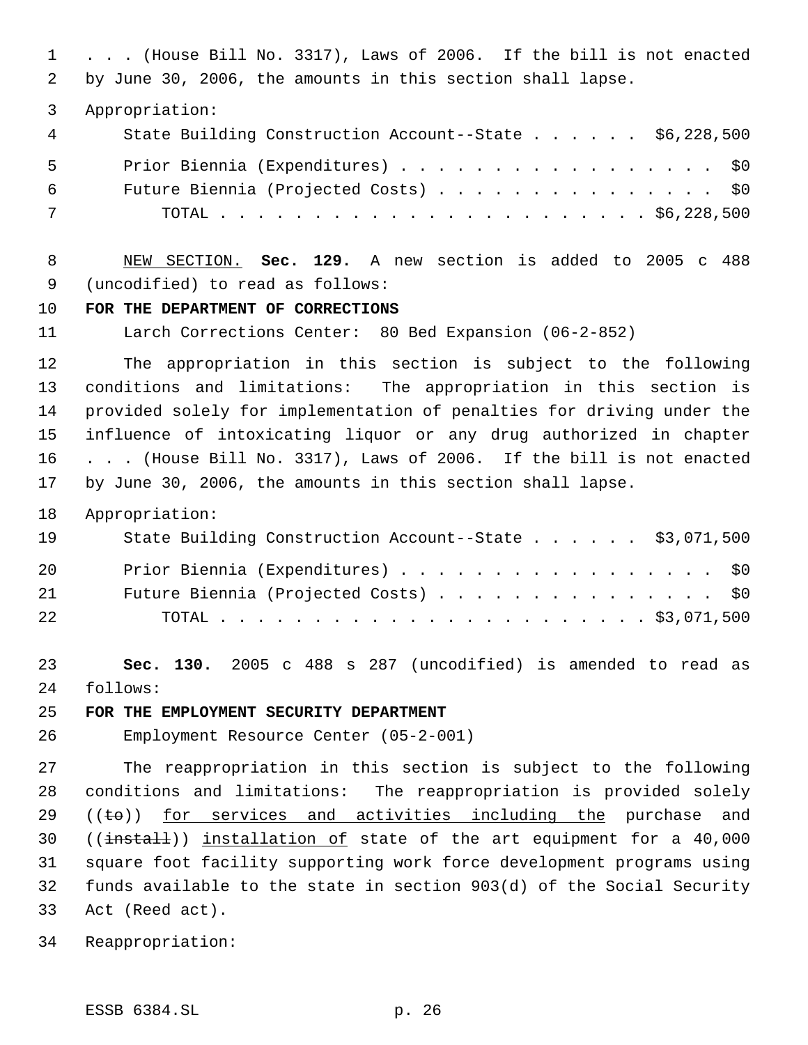. . . (House Bill No. 3317), Laws of 2006. If the bill is not enacted by June 30, 2006, the amounts in this section shall lapse.

Appropriation:

| 4 | State Building Construction Account--State \$6,228,500 |
|---|--------------------------------------------------------|
| 5 | Prior Biennia (Expenditures) \$0                       |
| 6 | Future Biennia (Projected Costs) \$0                   |
| 7 |                                                        |

 NEW SECTION. **Sec. 129.** A new section is added to 2005 c 488 (uncodified) to read as follows:

### **FOR THE DEPARTMENT OF CORRECTIONS**

Larch Corrections Center: 80 Bed Expansion (06-2-852)

 The appropriation in this section is subject to the following conditions and limitations: The appropriation in this section is provided solely for implementation of penalties for driving under the influence of intoxicating liquor or any drug authorized in chapter . . . (House Bill No. 3317), Laws of 2006. If the bill is not enacted by June 30, 2006, the amounts in this section shall lapse.

Appropriation:

| 19 | State Building Construction Account--State \$3,071,500 |
|----|--------------------------------------------------------|
| 20 | Prior Biennia (Expenditures) \$0                       |
| 21 | Future Biennia (Projected Costs) \$0                   |
| 22 |                                                        |

 **Sec. 130.** 2005 c 488 s 287 (uncodified) is amended to read as follows:

### **FOR THE EMPLOYMENT SECURITY DEPARTMENT**

Employment Resource Center (05-2-001)

 The reappropriation in this section is subject to the following conditions and limitations: The reappropriation is provided solely ((to)) for services and activities including the purchase and 30 ((install)) installation of state of the art equipment for a 40,000 square foot facility supporting work force development programs using funds available to the state in section 903(d) of the Social Security Act (Reed act).

Reappropriation: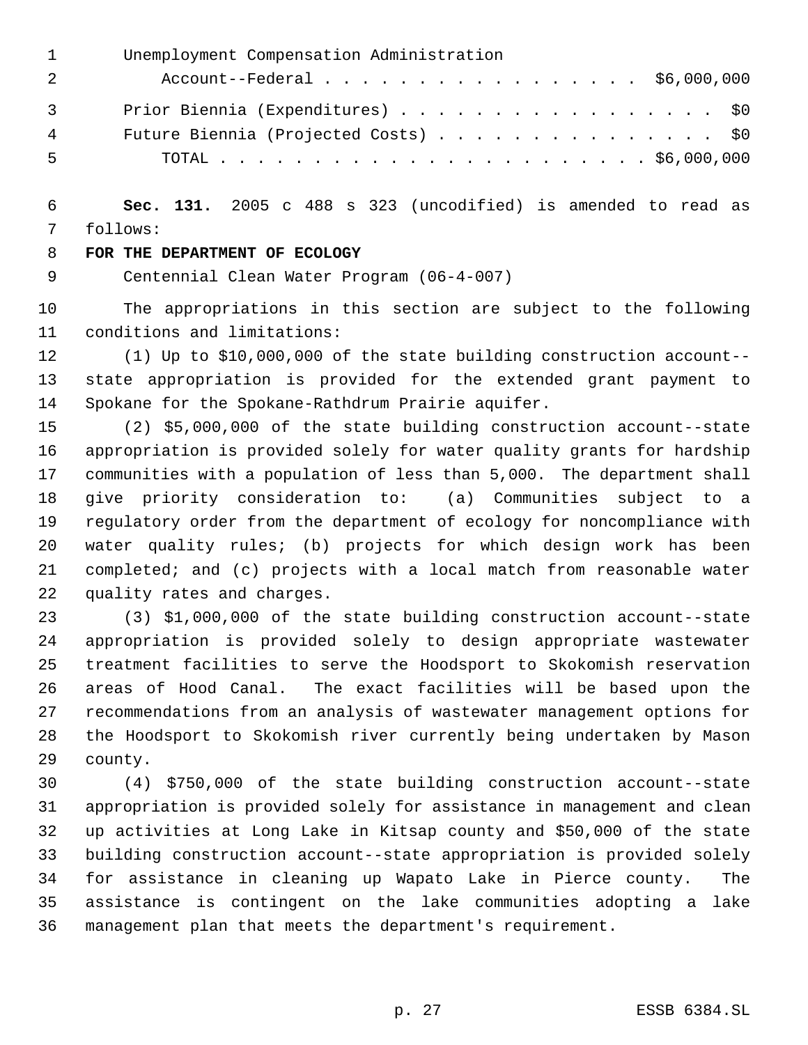|                | Unemployment Compensation Administration |
|----------------|------------------------------------------|
|                | Account--Federal \$6,000,000             |
| $\overline{3}$ | Prior Biennia (Expenditures) \$0         |
| 4              | Future Biennia (Projected Costs) \$0     |
| 5              |                                          |

 **Sec. 131.** 2005 c 488 s 323 (uncodified) is amended to read as follows:

### **FOR THE DEPARTMENT OF ECOLOGY**

Centennial Clean Water Program (06-4-007)

 The appropriations in this section are subject to the following conditions and limitations:

 (1) Up to \$10,000,000 of the state building construction account-- state appropriation is provided for the extended grant payment to Spokane for the Spokane-Rathdrum Prairie aquifer.

 (2) \$5,000,000 of the state building construction account--state appropriation is provided solely for water quality grants for hardship communities with a population of less than 5,000. The department shall give priority consideration to: (a) Communities subject to a regulatory order from the department of ecology for noncompliance with water quality rules; (b) projects for which design work has been completed; and (c) projects with a local match from reasonable water quality rates and charges.

 (3) \$1,000,000 of the state building construction account--state appropriation is provided solely to design appropriate wastewater treatment facilities to serve the Hoodsport to Skokomish reservation areas of Hood Canal. The exact facilities will be based upon the recommendations from an analysis of wastewater management options for the Hoodsport to Skokomish river currently being undertaken by Mason county.

 (4) \$750,000 of the state building construction account--state appropriation is provided solely for assistance in management and clean up activities at Long Lake in Kitsap county and \$50,000 of the state building construction account--state appropriation is provided solely for assistance in cleaning up Wapato Lake in Pierce county. The assistance is contingent on the lake communities adopting a lake management plan that meets the department's requirement.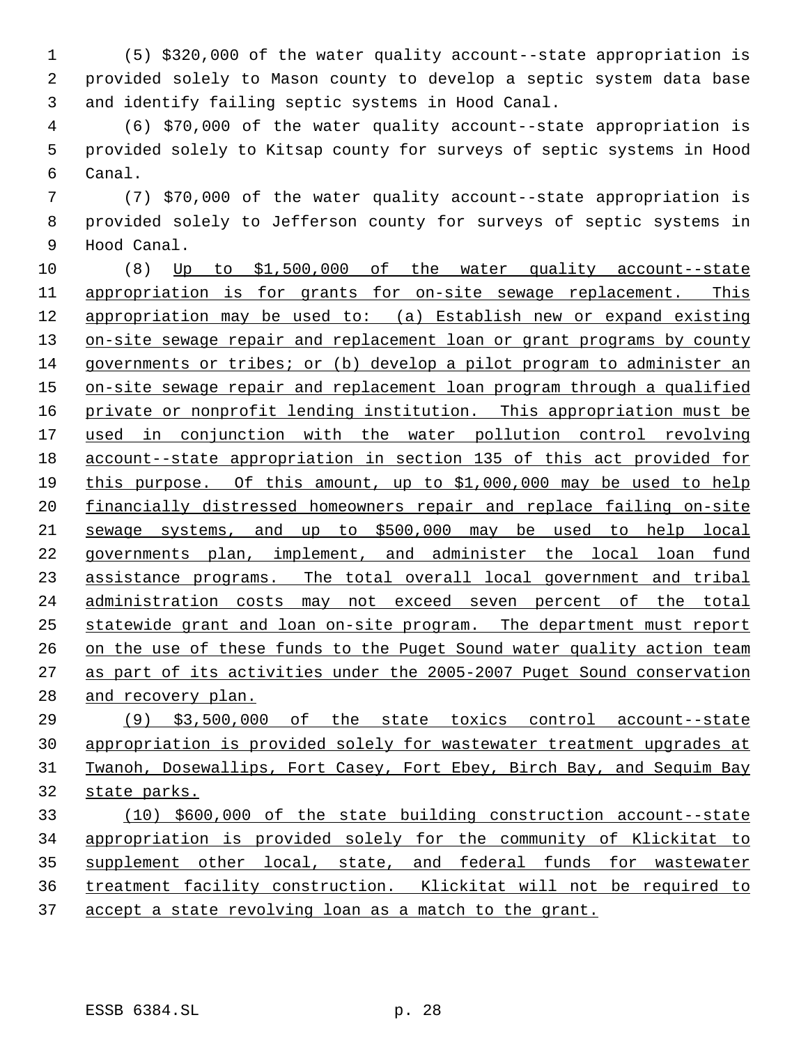(5) \$320,000 of the water quality account--state appropriation is provided solely to Mason county to develop a septic system data base and identify failing septic systems in Hood Canal.

 (6) \$70,000 of the water quality account--state appropriation is provided solely to Kitsap county for surveys of septic systems in Hood Canal.

 (7) \$70,000 of the water quality account--state appropriation is provided solely to Jefferson county for surveys of septic systems in Hood Canal.

 (8) Up to \$1,500,000 of the water quality account--state appropriation is for grants for on-site sewage replacement. This appropriation may be used to: (a) Establish new or expand existing 13 on-site sewage repair and replacement loan or grant programs by county governments or tribes; or (b) develop a pilot program to administer an 15 on-site sewage repair and replacement loan program through a qualified private or nonprofit lending institution. This appropriation must be used in conjunction with the water pollution control revolving account--state appropriation in section 135 of this act provided for this purpose. Of this amount, up to \$1,000,000 may be used to help financially distressed homeowners repair and replace failing on-site sewage systems, and up to \$500,000 may be used to help local governments plan, implement, and administer the local loan fund assistance programs. The total overall local government and tribal administration costs may not exceed seven percent of the total statewide grant and loan on-site program. The department must report on the use of these funds to the Puget Sound water quality action team as part of its activities under the 2005-2007 Puget Sound conservation 28 and recovery plan.

 (9) \$3,500,000 of the state toxics control account--state appropriation is provided solely for wastewater treatment upgrades at Twanoh, Dosewallips, Fort Casey, Fort Ebey, Birch Bay, and Sequim Bay state parks.

 (10) \$600,000 of the state building construction account--state appropriation is provided solely for the community of Klickitat to supplement other local, state, and federal funds for wastewater treatment facility construction. Klickitat will not be required to accept a state revolving loan as a match to the grant.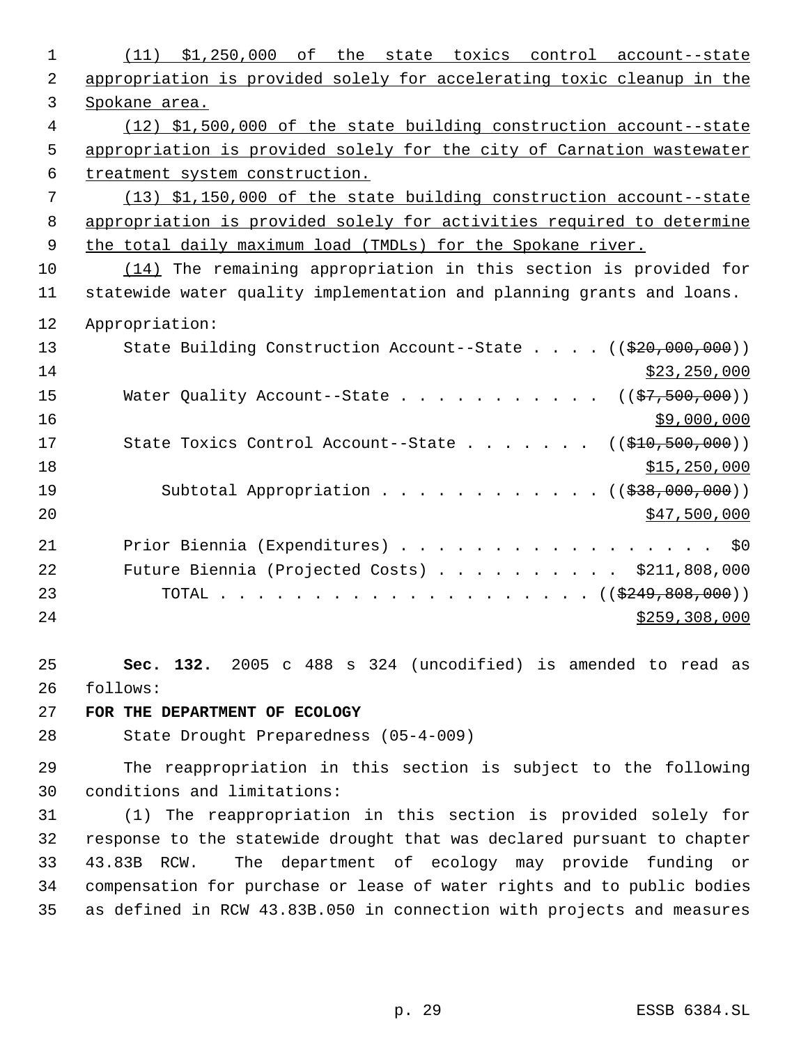| 1  | $(11)$ \$1,250,000<br>$\circ$ f<br>the state toxics control account--state |
|----|----------------------------------------------------------------------------|
| 2  | appropriation is provided solely for accelerating toxic cleanup in the     |
| 3  | Spokane area.                                                              |
| 4  | (12) \$1,500,000 of the state building construction account--state         |
| 5  | appropriation is provided solely for the city of Carnation wastewater      |
| 6  | treatment system construction.                                             |
| 7  | (13) \$1,150,000 of the state building construction account--state         |
| 8  | appropriation is provided solely for activities required to determine      |
| 9  | the total daily maximum load (TMDLs) for the Spokane river.                |
| 10 | $(14)$ The remaining appropriation in this section is provided for         |
| 11 | statewide water quality implementation and planning grants and loans.      |
| 12 | Appropriation:                                                             |
| 13 | State Building Construction Account--State $((\frac{20}{720}, 000, 000))$  |
| 14 | \$23, 250, 000                                                             |
| 15 | Water Quality Account--State<br>$((\frac{27}{27}, 500, 000))$              |
| 16 | \$9,000,000                                                                |
| 17 | State Toxics Control Account--State<br>((\$10,500,000))                    |
| 18 | \$15,250,000                                                               |
| 19 | Subtotal Appropriation $($ $($ $\frac{238}{100},000,000)$                  |
| 20 | \$47,500,000                                                               |
| 21 | Prior Biennia (Expenditures)<br>\$0                                        |
| 22 | Future Biennia (Projected Costs) \$211,808,000                             |
| 23 |                                                                            |
| 24 | \$259,308,000                                                              |
|    |                                                                            |
| 25 | Sec. 132. 2005 c 488 s 324 (uncodified) is amended to read as              |
| 26 | follows:                                                                   |
| 27 | FOR THE DEPARTMENT OF ECOLOGY                                              |
| 28 | State Drought Preparedness (05-4-009)                                      |
| 29 | The reappropriation in this section is subject to the following            |
| 30 | conditions and limitations:                                                |
| 31 | (1) The reappropriation in this section is provided solely for             |
| 32 | response to the statewide drought that was declared pursuant to chapter    |
| 33 | The department of ecology may provide funding or<br>43.83B RCW.            |
| 34 | compensation for purchase or lease of water rights and to public bodies    |
| 35 | as defined in RCW 43.83B.050 in connection with projects and measures      |
|    |                                                                            |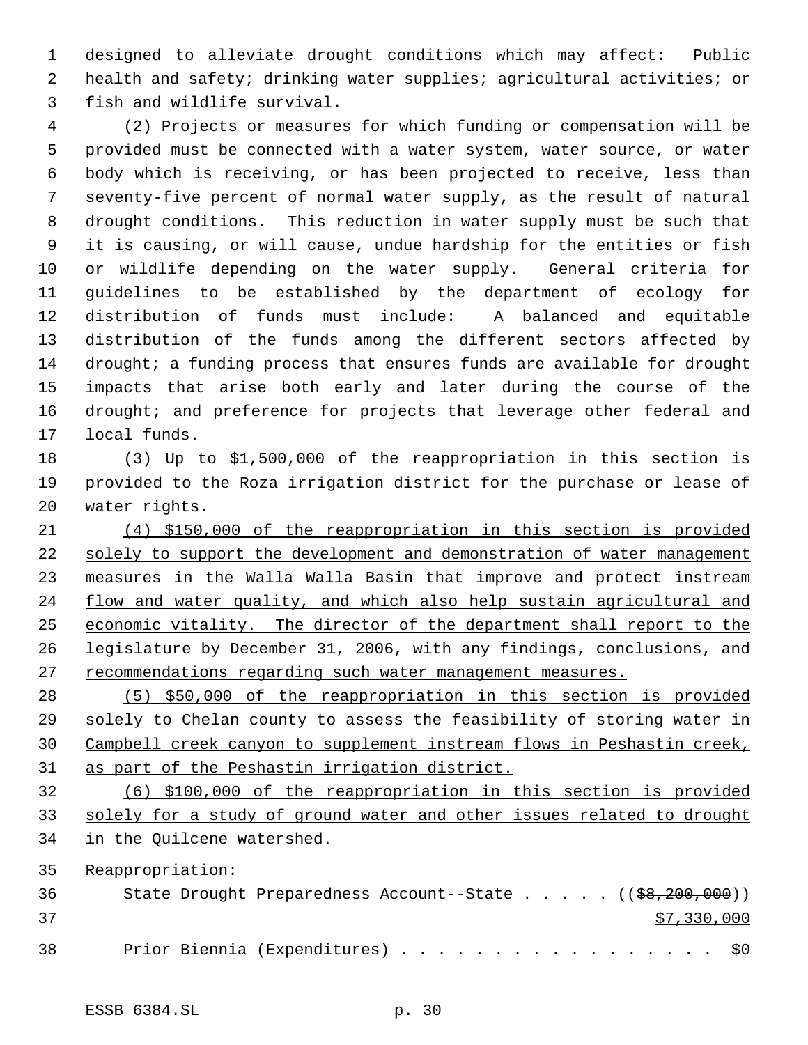designed to alleviate drought conditions which may affect: Public health and safety; drinking water supplies; agricultural activities; or fish and wildlife survival.

 (2) Projects or measures for which funding or compensation will be provided must be connected with a water system, water source, or water body which is receiving, or has been projected to receive, less than seventy-five percent of normal water supply, as the result of natural drought conditions. This reduction in water supply must be such that it is causing, or will cause, undue hardship for the entities or fish or wildlife depending on the water supply. General criteria for guidelines to be established by the department of ecology for distribution of funds must include: A balanced and equitable distribution of the funds among the different sectors affected by 14 drought; a funding process that ensures funds are available for drought impacts that arise both early and later during the course of the 16 drought; and preference for projects that leverage other federal and local funds.

 (3) Up to \$1,500,000 of the reappropriation in this section is provided to the Roza irrigation district for the purchase or lease of water rights.

 (4) \$150,000 of the reappropriation in this section is provided solely to support the development and demonstration of water management measures in the Walla Walla Basin that improve and protect instream 24 flow and water quality, and which also help sustain agricultural and 25 economic vitality. The director of the department shall report to the legislature by December 31, 2006, with any findings, conclusions, and 27 recommendations regarding such water management measures.

 (5) \$50,000 of the reappropriation in this section is provided solely to Chelan county to assess the feasibility of storing water in Campbell creek canyon to supplement instream flows in Peshastin creek, as part of the Peshastin irrigation district.

 (6) \$100,000 of the reappropriation in this section is provided solely for a study of ground water and other issues related to drought in the Quilcene watershed.

Reappropriation:

| 36 |  | State Drought Preparedness Account--State $($ $($ \$8,200,000)) |  |  |  |  |  |  |             |
|----|--|-----------------------------------------------------------------|--|--|--|--|--|--|-------------|
| 37 |  |                                                                 |  |  |  |  |  |  | \$7,330,000 |
| 38 |  | Prior Biennia (Expenditures) \$0                                |  |  |  |  |  |  |             |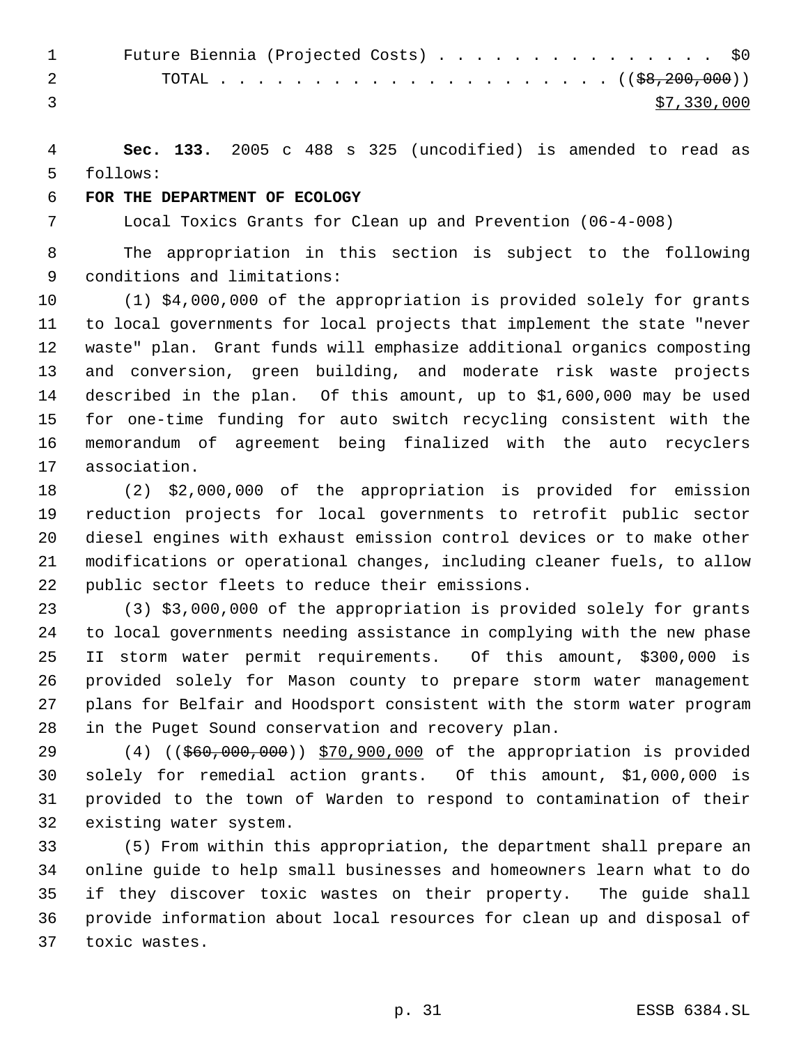| $\mathbf{1}$ | Future Biennia (Projected Costs) \$0                                                                                                                                                                                                                                                                                               |
|--------------|------------------------------------------------------------------------------------------------------------------------------------------------------------------------------------------------------------------------------------------------------------------------------------------------------------------------------------|
|              | $\overline{a}$ and $\overline{a}$ and $\overline{a}$ and $\overline{a}$ and $\overline{a}$ and $\overline{a}$ and $\overline{a}$ and $\overline{a}$ and $\overline{a}$ and $\overline{a}$ and $\overline{a}$ and $\overline{a}$ and $\overline{a}$ and $\overline{a}$ and $\overline{a}$ and $\overline{a}$ and $\overline{a}$ and |
|              | \$7,330,000                                                                                                                                                                                                                                                                                                                        |

 **Sec. 133.** 2005 c 488 s 325 (uncodified) is amended to read as follows:

#### **FOR THE DEPARTMENT OF ECOLOGY**

Local Toxics Grants for Clean up and Prevention (06-4-008)

 The appropriation in this section is subject to the following conditions and limitations:

 (1) \$4,000,000 of the appropriation is provided solely for grants to local governments for local projects that implement the state "never waste" plan. Grant funds will emphasize additional organics composting and conversion, green building, and moderate risk waste projects described in the plan. Of this amount, up to \$1,600,000 may be used for one-time funding for auto switch recycling consistent with the memorandum of agreement being finalized with the auto recyclers association.

 (2) \$2,000,000 of the appropriation is provided for emission reduction projects for local governments to retrofit public sector diesel engines with exhaust emission control devices or to make other modifications or operational changes, including cleaner fuels, to allow public sector fleets to reduce their emissions.

 (3) \$3,000,000 of the appropriation is provided solely for grants to local governments needing assistance in complying with the new phase II storm water permit requirements. Of this amount, \$300,000 is provided solely for Mason county to prepare storm water management plans for Belfair and Hoodsport consistent with the storm water program in the Puget Sound conservation and recovery plan.

29 (4) ((\$60,000,000)) \$70,900,000 of the appropriation is provided solely for remedial action grants. Of this amount, \$1,000,000 is provided to the town of Warden to respond to contamination of their existing water system.

 (5) From within this appropriation, the department shall prepare an online guide to help small businesses and homeowners learn what to do if they discover toxic wastes on their property. The guide shall provide information about local resources for clean up and disposal of toxic wastes.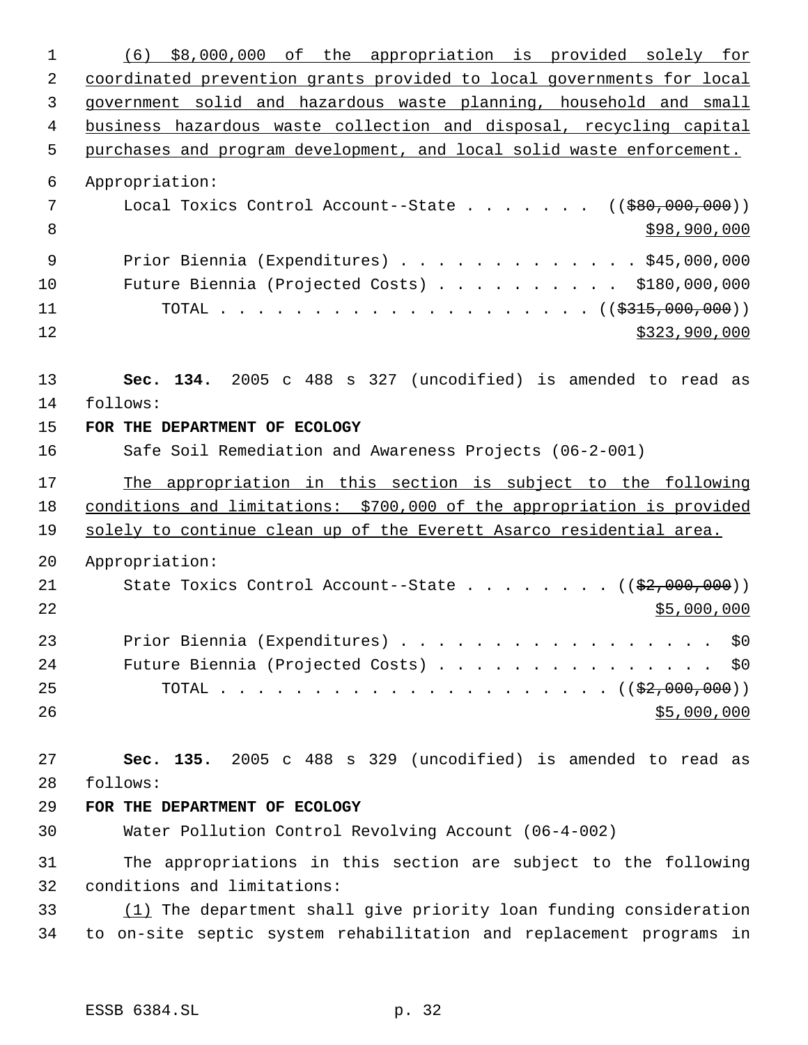| $\mathbf 1$    | \$8,000,000 of the appropriation is provided solely for<br>(6)         |
|----------------|------------------------------------------------------------------------|
| 2              | coordinated prevention grants provided to local governments for local  |
| 3              | government solid and hazardous waste planning, household and small     |
| 4              | business hazardous waste collection and disposal, recycling capital    |
| 5              | purchases and program development, and local solid waste enforcement.  |
| 6              | Appropriation:                                                         |
| 7              | Local Toxics Control Account--State ( $(\frac{280,000,000)}$ )         |
| 8              | \$98,900,000                                                           |
| $\overline{9}$ | Prior Biennia (Expenditures) \$45,000,000                              |
| 10             | Future Biennia (Projected Costs) \$180,000,000                         |
| 11             | TOTAL ( $(\frac{2315}{600}, 000)$ )                                    |
| 12             | \$323,900,000                                                          |
| 13             | Sec. 134. 2005 c 488 s 327 (uncodified) is amended to read as          |
| 14             | follows:                                                               |
| 15             | FOR THE DEPARTMENT OF ECOLOGY                                          |
| 16             | Safe Soil Remediation and Awareness Projects (06-2-001)                |
| 17             | The appropriation in this section is subject to the following          |
| 18             | conditions and limitations: \$700,000 of the appropriation is provided |
| 19             | solely to continue clean up of the Everett Asarco residential area.    |
| 20             |                                                                        |
|                | Appropriation:                                                         |
| 21             | State Toxics Control Account--State $($ $($ \$2,000,000) $)$           |
| 22             | \$5,000,000                                                            |
|                |                                                                        |
|                | Prior Biennia (Expenditures) \$0                                       |
| 24             | Future Biennia (Projected Costs) \$0                                   |
| 25             |                                                                        |
| 26             | \$5,000,000                                                            |
| 27             | Sec. 135. 2005 c 488 s 329 (uncodified) is amended to read as          |
| 28             | follows:                                                               |
| 29             | FOR THE DEPARTMENT OF ECOLOGY                                          |
| 23<br>30       | Water Pollution Control Revolving Account (06-4-002)                   |
| 31             | The appropriations in this section are subject to the following        |
| 32             | conditions and limitations:                                            |
| 33             | (1) The department shall give priority loan funding consideration      |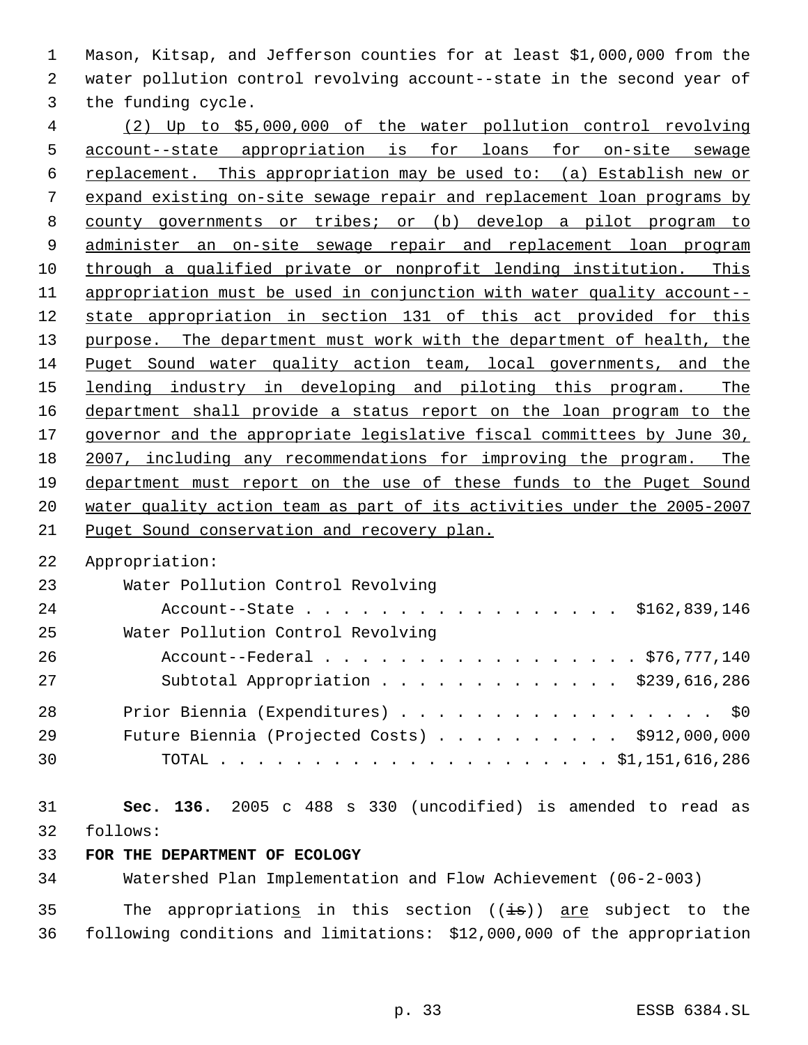Mason, Kitsap, and Jefferson counties for at least \$1,000,000 from the water pollution control revolving account--state in the second year of the funding cycle.

 (2) Up to \$5,000,000 of the water pollution control revolving account--state appropriation is for loans for on-site sewage replacement. This appropriation may be used to: (a) Establish new or expand existing on-site sewage repair and replacement loan programs by county governments or tribes; or (b) develop a pilot program to administer an on-site sewage repair and replacement loan program through a qualified private or nonprofit lending institution. This appropriation must be used in conjunction with water quality account-- state appropriation in section 131 of this act provided for this 13 purpose. The department must work with the department of health, the Puget Sound water quality action team, local governments, and the 15 lending industry in developing and piloting this program. The department shall provide a status report on the loan program to the 17 governor and the appropriate legislative fiscal committees by June 30, 2007, including any recommendations for improving the program. The department must report on the use of these funds to the Puget Sound water quality action team as part of its activities under the 2005-2007 Puget Sound conservation and recovery plan.

Appropriation:

| 23 | Water Pollution Control Revolving                       |
|----|---------------------------------------------------------|
| 24 | Account--State \$162,839,146                            |
| 25 | Water Pollution Control Revolving                       |
| 26 | Account--Federal \$76,777,140                           |
| 27 | Subtotal Appropriation \$239,616,286                    |
| 28 | Prior Biennia (Expenditures) \$0                        |
| 29 | Future Biennia (Projected Costs) $\ldots$ \$912,000,000 |
| 30 |                                                         |

 **Sec. 136.** 2005 c 488 s 330 (uncodified) is amended to read as follows:

# **FOR THE DEPARTMENT OF ECOLOGY**

Watershed Plan Implementation and Flow Achievement (06-2-003)

35 The appropriations in this section  $((\frac{1}{18}))$  are subject to the following conditions and limitations: \$12,000,000 of the appropriation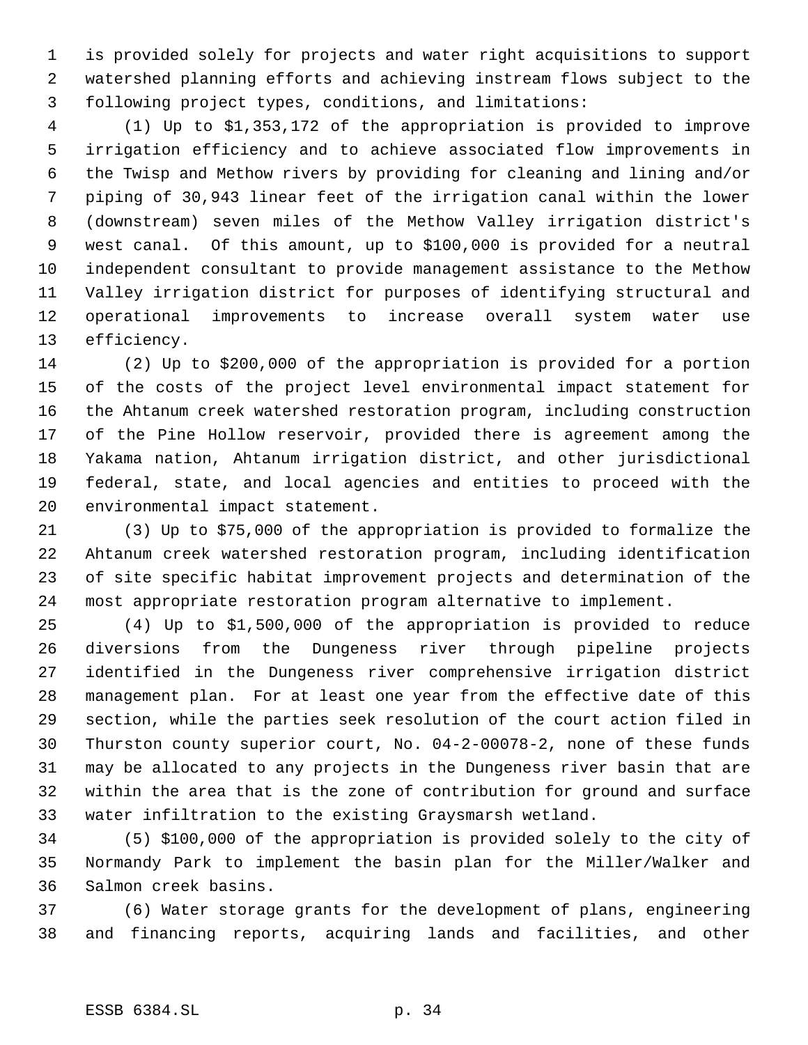is provided solely for projects and water right acquisitions to support watershed planning efforts and achieving instream flows subject to the following project types, conditions, and limitations:

 (1) Up to \$1,353,172 of the appropriation is provided to improve irrigation efficiency and to achieve associated flow improvements in the Twisp and Methow rivers by providing for cleaning and lining and/or piping of 30,943 linear feet of the irrigation canal within the lower (downstream) seven miles of the Methow Valley irrigation district's west canal. Of this amount, up to \$100,000 is provided for a neutral independent consultant to provide management assistance to the Methow Valley irrigation district for purposes of identifying structural and operational improvements to increase overall system water use efficiency.

 (2) Up to \$200,000 of the appropriation is provided for a portion of the costs of the project level environmental impact statement for the Ahtanum creek watershed restoration program, including construction of the Pine Hollow reservoir, provided there is agreement among the Yakama nation, Ahtanum irrigation district, and other jurisdictional federal, state, and local agencies and entities to proceed with the environmental impact statement.

 (3) Up to \$75,000 of the appropriation is provided to formalize the Ahtanum creek watershed restoration program, including identification of site specific habitat improvement projects and determination of the most appropriate restoration program alternative to implement.

 (4) Up to \$1,500,000 of the appropriation is provided to reduce diversions from the Dungeness river through pipeline projects identified in the Dungeness river comprehensive irrigation district management plan. For at least one year from the effective date of this section, while the parties seek resolution of the court action filed in Thurston county superior court, No. 04-2-00078-2, none of these funds may be allocated to any projects in the Dungeness river basin that are within the area that is the zone of contribution for ground and surface water infiltration to the existing Graysmarsh wetland.

 (5) \$100,000 of the appropriation is provided solely to the city of Normandy Park to implement the basin plan for the Miller/Walker and Salmon creek basins.

 (6) Water storage grants for the development of plans, engineering and financing reports, acquiring lands and facilities, and other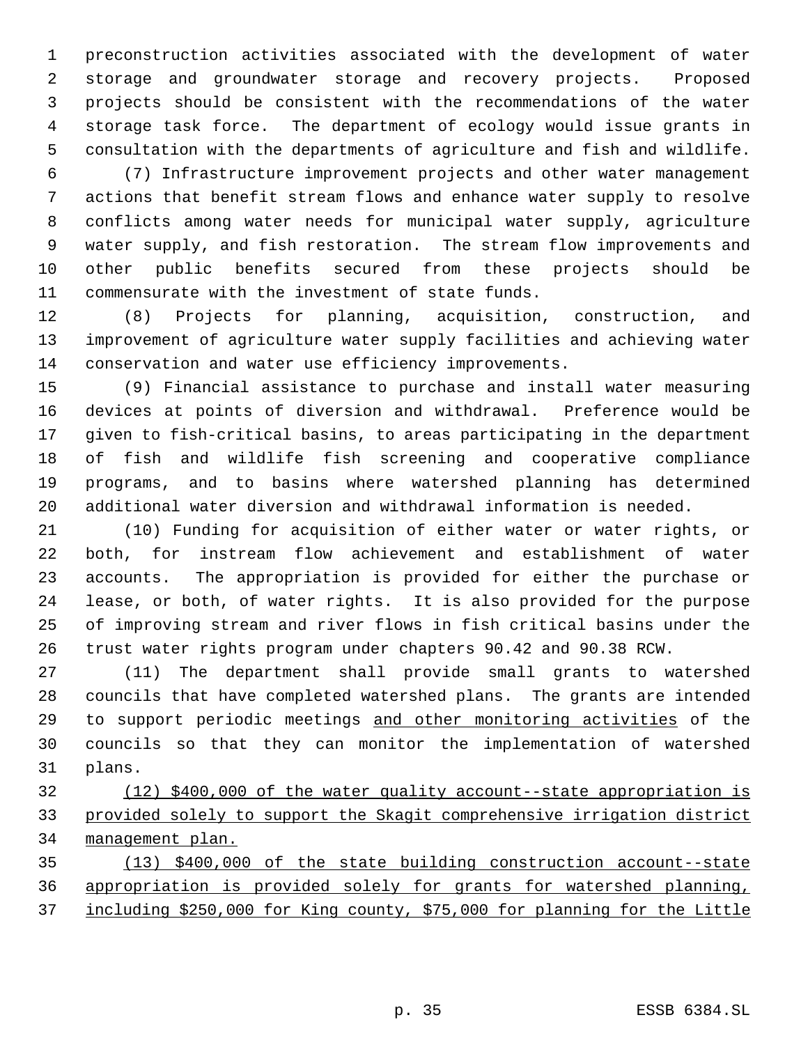preconstruction activities associated with the development of water storage and groundwater storage and recovery projects. Proposed projects should be consistent with the recommendations of the water storage task force. The department of ecology would issue grants in consultation with the departments of agriculture and fish and wildlife.

 (7) Infrastructure improvement projects and other water management actions that benefit stream flows and enhance water supply to resolve conflicts among water needs for municipal water supply, agriculture water supply, and fish restoration. The stream flow improvements and other public benefits secured from these projects should be commensurate with the investment of state funds.

 (8) Projects for planning, acquisition, construction, and improvement of agriculture water supply facilities and achieving water conservation and water use efficiency improvements.

 (9) Financial assistance to purchase and install water measuring devices at points of diversion and withdrawal. Preference would be given to fish-critical basins, to areas participating in the department of fish and wildlife fish screening and cooperative compliance programs, and to basins where watershed planning has determined additional water diversion and withdrawal information is needed.

 (10) Funding for acquisition of either water or water rights, or both, for instream flow achievement and establishment of water accounts. The appropriation is provided for either the purchase or lease, or both, of water rights. It is also provided for the purpose of improving stream and river flows in fish critical basins under the trust water rights program under chapters 90.42 and 90.38 RCW.

 (11) The department shall provide small grants to watershed councils that have completed watershed plans. The grants are intended 29 to support periodic meetings and other monitoring activities of the councils so that they can monitor the implementation of watershed plans.

 (12) \$400,000 of the water quality account--state appropriation is provided solely to support the Skagit comprehensive irrigation district management plan.

 (13) \$400,000 of the state building construction account--state appropriation is provided solely for grants for watershed planning, including \$250,000 for King county, \$75,000 for planning for the Little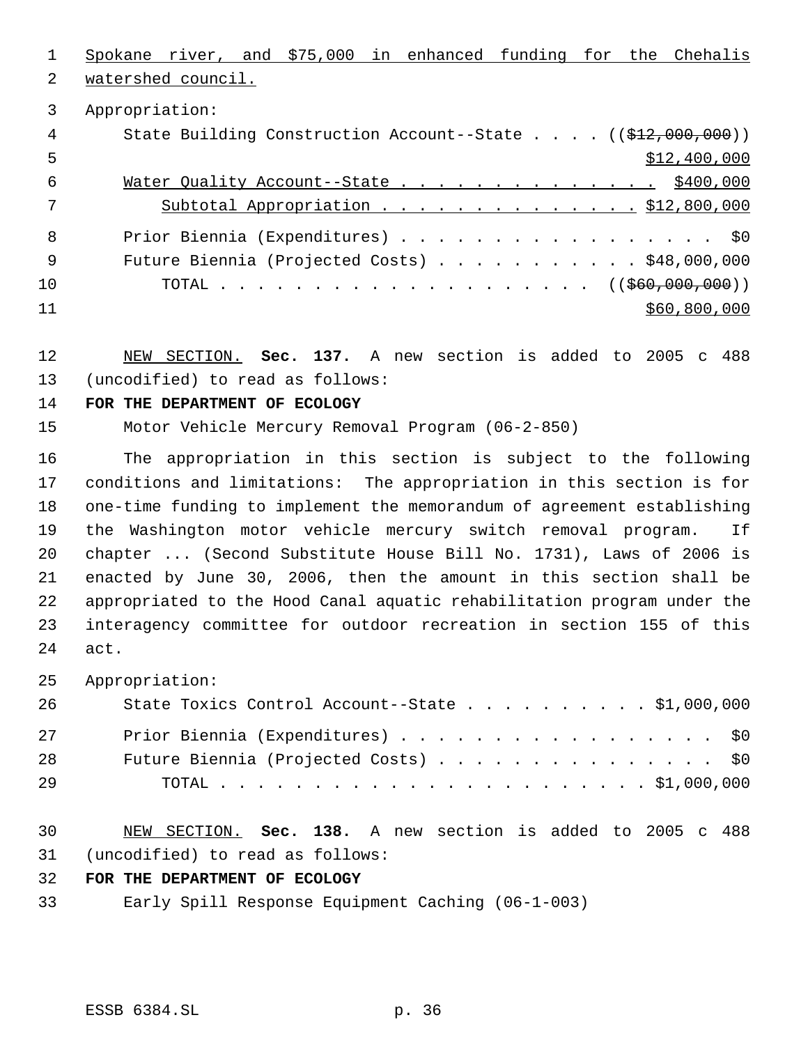Spokane river, and \$75,000 in enhanced funding for the Chehalis watershed council. Appropriation: 4 State Building Construction Account--State . . . . ((\$12,000,000))  $5 - 5$   $5 - 400,000$  Water Quality Account--State . . . . . . . . . . . . . . \$400,000 7 Subtotal Appropriation . . . . . . . . . . . . . \$12,800,000 Prior Biennia (Expenditures) . . . . . . . . . . . . . . . . . \$0 Future Biennia (Projected Costs) . . . . . . . . . . . \$48,000,000 10 TOTAL . . . . . . . . . . . . . . . . . . ((<del>\$60,000,000</del>)) \$60,800,000

 NEW SECTION. **Sec. 137.** A new section is added to 2005 c 488 (uncodified) to read as follows:

## **FOR THE DEPARTMENT OF ECOLOGY**

Motor Vehicle Mercury Removal Program (06-2-850)

 The appropriation in this section is subject to the following conditions and limitations: The appropriation in this section is for one-time funding to implement the memorandum of agreement establishing the Washington motor vehicle mercury switch removal program. If chapter ... (Second Substitute House Bill No. 1731), Laws of 2006 is enacted by June 30, 2006, then the amount in this section shall be appropriated to the Hood Canal aquatic rehabilitation program under the interagency committee for outdoor recreation in section 155 of this act.

Appropriation:

| 26 | State Toxics Control Account--State $\ldots$ \$1,000,000 |
|----|----------------------------------------------------------|
| 27 | Prior Biennia (Expenditures) \$0                         |
| 28 | Future Biennia (Projected Costs) \$0                     |
| 29 |                                                          |

 NEW SECTION. **Sec. 138.** A new section is added to 2005 c 488 (uncodified) to read as follows:

# **FOR THE DEPARTMENT OF ECOLOGY**

Early Spill Response Equipment Caching (06-1-003)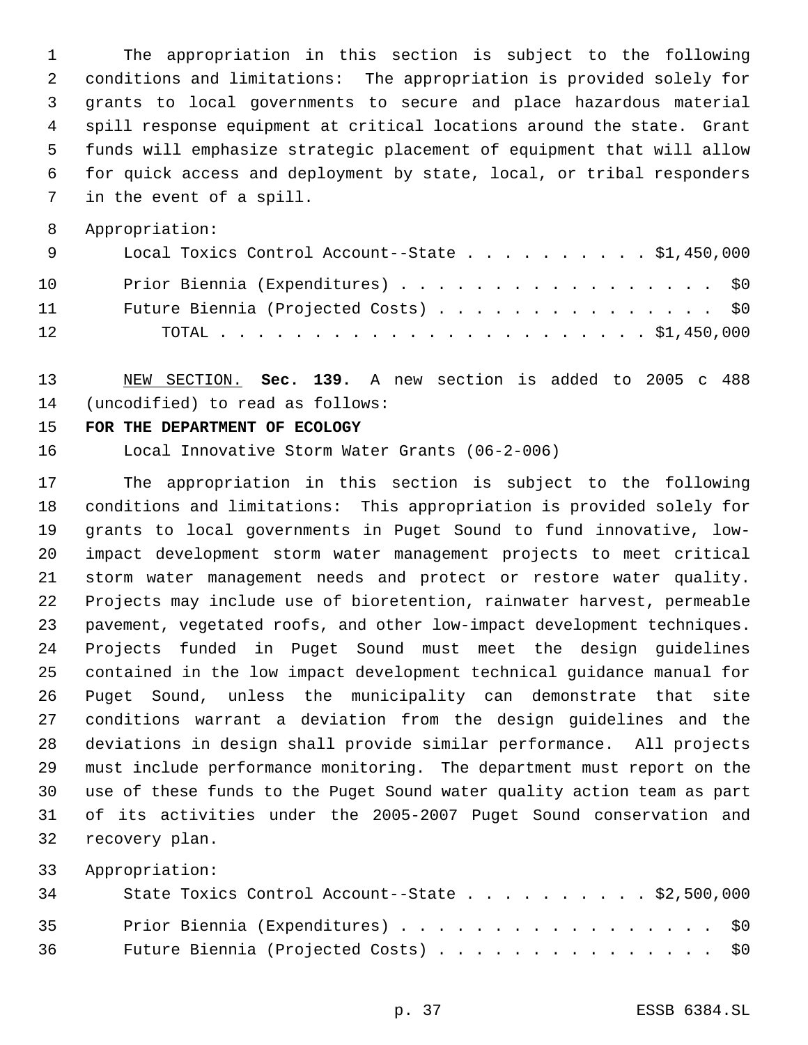The appropriation in this section is subject to the following conditions and limitations: The appropriation is provided solely for grants to local governments to secure and place hazardous material spill response equipment at critical locations around the state. Grant funds will emphasize strategic placement of equipment that will allow for quick access and deployment by state, local, or tribal responders in the event of a spill.

Appropriation:

| a se este en la proporci | Local Toxics Control Account--State \$1,450,000 |
|--------------------------|-------------------------------------------------|
| 10                       | Prior Biennia (Expenditures) \$0                |
| 11                       | Future Biennia (Projected Costs) \$0            |
| 12                       |                                                 |

 NEW SECTION. **Sec. 139.** A new section is added to 2005 c 488 (uncodified) to read as follows:

## **FOR THE DEPARTMENT OF ECOLOGY**

Local Innovative Storm Water Grants (06-2-006)

 The appropriation in this section is subject to the following conditions and limitations: This appropriation is provided solely for grants to local governments in Puget Sound to fund innovative, low- impact development storm water management projects to meet critical storm water management needs and protect or restore water quality. Projects may include use of bioretention, rainwater harvest, permeable pavement, vegetated roofs, and other low-impact development techniques. Projects funded in Puget Sound must meet the design guidelines contained in the low impact development technical guidance manual for Puget Sound, unless the municipality can demonstrate that site conditions warrant a deviation from the design guidelines and the deviations in design shall provide similar performance. All projects must include performance monitoring. The department must report on the use of these funds to the Puget Sound water quality action team as part of its activities under the 2005-2007 Puget Sound conservation and recovery plan.

| 34   | State Toxics Control Account--State \$2,500,000 |
|------|-------------------------------------------------|
| 35   | Prior Biennia (Expenditures) \$0                |
| 36 — | Future Biennia (Projected Costs) \$0            |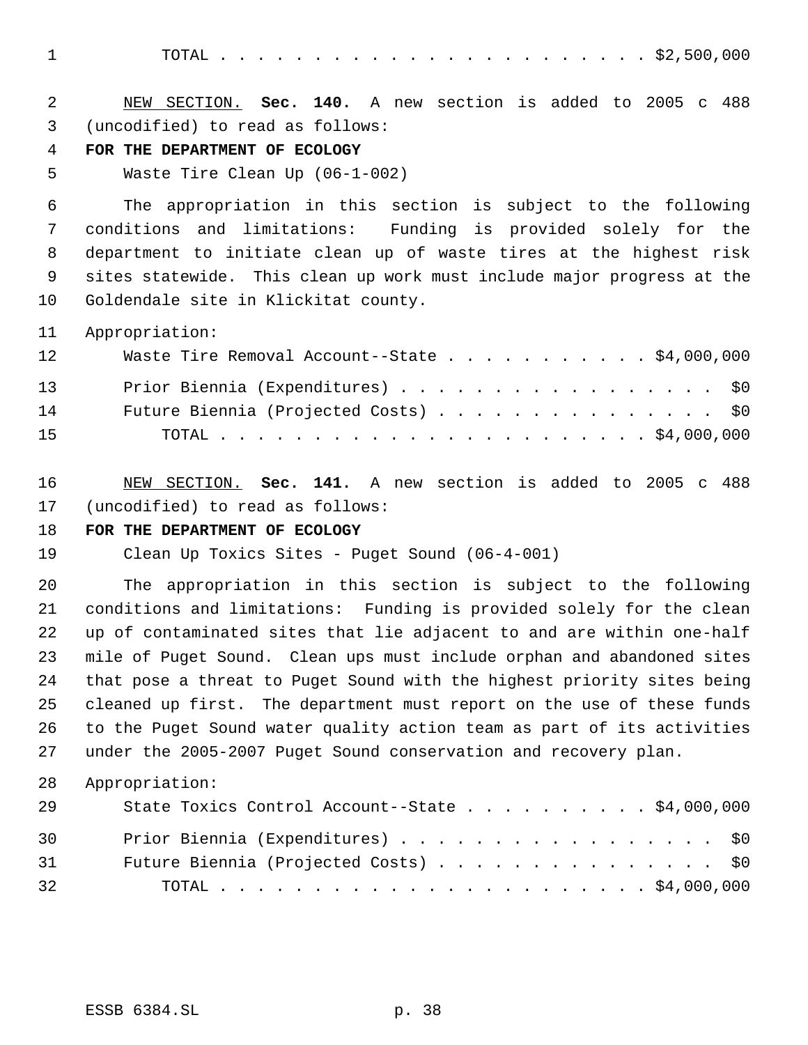TOTAL . . . . . . . . . . . . . . . . . . . . . . . \$2,500,000

| 2<br>3<br>4<br>5 | NEW SECTION. Sec. 140. A new section is added to 2005 c 488<br>(uncodified) to read as follows:<br>FOR THE DEPARTMENT OF ECOLOGY<br>Waste Tire Clean Up (06-1-002) |
|------------------|--------------------------------------------------------------------------------------------------------------------------------------------------------------------|
| 6                | The appropriation in this section is subject to the following                                                                                                      |
| 7                | and limitations: Funding is provided solely for the<br>conditions                                                                                                  |
| 8                | department to initiate clean up of waste tires at the highest risk                                                                                                 |
| 9                | sites statewide. This clean up work must include major progress at the                                                                                             |
| 10               | Goldendale site in Klickitat county.                                                                                                                               |
| 11               | Appropriation:                                                                                                                                                     |
| 12               | Waste Tire Removal Account--State \$4,000,000                                                                                                                      |
| 13               | Prior Biennia (Expenditures)<br>\$0                                                                                                                                |
| 14               | Future Biennia (Projected Costs)<br>\$0                                                                                                                            |
| 15               |                                                                                                                                                                    |
| 16<br>17         | NEW SECTION. Sec. 141. A new section is added to 2005 c 488<br>(uncodified) to read as follows:                                                                    |
| 18               | FOR THE DEPARTMENT OF ECOLOGY                                                                                                                                      |
| 19               | Clean Up Toxics Sites - Puget Sound (06-4-001)                                                                                                                     |
| 20               | The appropriation in this section is subject to the following                                                                                                      |
| 21               | conditions and limitations: Funding is provided solely for the clean                                                                                               |
| 22               | up of contaminated sites that lie adjacent to and are within one-half                                                                                              |
| 23               | mile of Puget Sound. Clean ups must include orphan and abandoned sites                                                                                             |
| 24               | that pose a threat to Puget Sound with the highest priority sites being                                                                                            |
| 25               | cleaned up first. The department must report on the use of these funds                                                                                             |
| 26               | to the Puget Sound water quality action team as part of its activities                                                                                             |
| 27               | under the 2005-2007 Puget Sound conservation and recovery plan.                                                                                                    |
| 28               | Appropriation:                                                                                                                                                     |
| 29               | State Toxics Control Account--State \$4,000,000                                                                                                                    |
| 30               | Prior Biennia (Expenditures)<br>\$0                                                                                                                                |
| 31               | Future Biennia (Projected Costs)<br>\$0                                                                                                                            |
| 32               |                                                                                                                                                                    |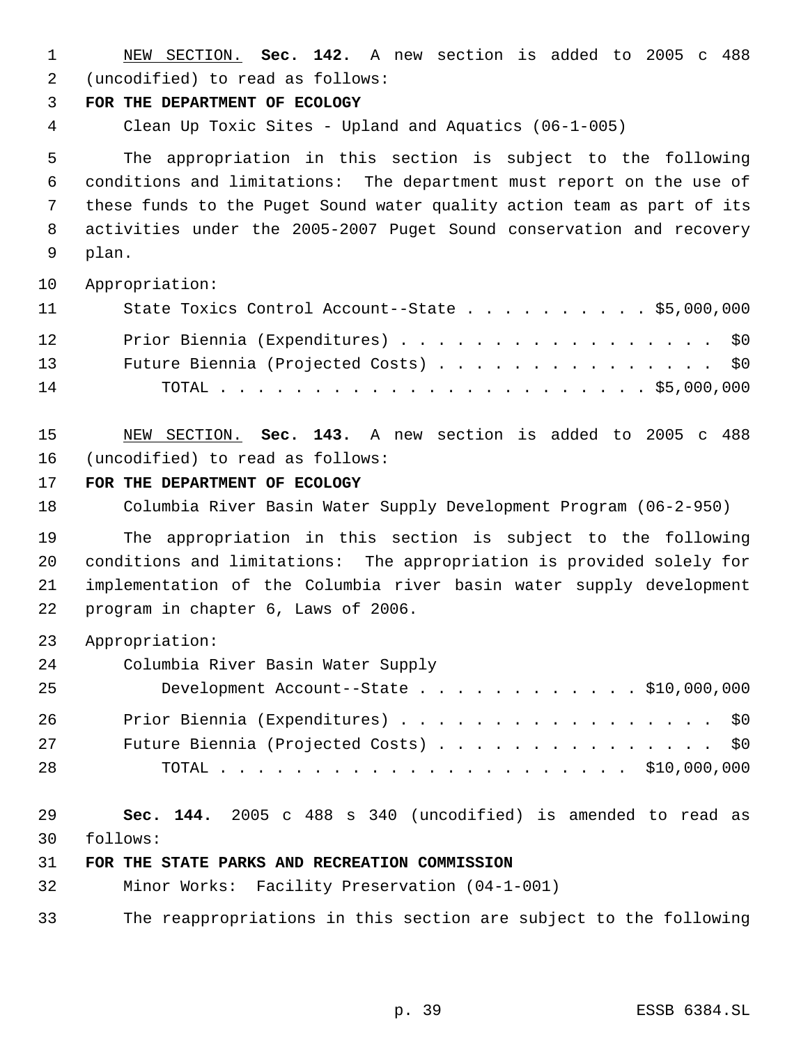| $\mathbf 1$                      | NEW SECTION. Sec. 142. A new section is added to 2005 c 488                                                                                                                      |
|----------------------------------|----------------------------------------------------------------------------------------------------------------------------------------------------------------------------------|
| 2                                | (uncodified) to read as follows:                                                                                                                                                 |
| 3                                | FOR THE DEPARTMENT OF ECOLOGY                                                                                                                                                    |
| 4                                | Clean Up Toxic Sites - Upland and Aquatics (06-1-005)                                                                                                                            |
| 5                                | The appropriation in this section is subject to the following                                                                                                                    |
| 6                                | conditions and limitations: The department must report on the use of                                                                                                             |
| 7                                | these funds to the Puget Sound water quality action team as part of its                                                                                                          |
| 8                                | activities under the 2005-2007 Puget Sound conservation and recovery                                                                                                             |
| 9                                | plan.                                                                                                                                                                            |
| 10                               | Appropriation:                                                                                                                                                                   |
| 11                               | State Toxics Control Account--State $\ldots$ \$5,000,000                                                                                                                         |
| 12<br>13<br>14                   | Prior Biennia (Expenditures)<br>\$0<br>Future Biennia (Projected Costs)<br>\$0\$                                                                                                 |
| 15                               | NEW SECTION. Sec. 143. A new section is added to 2005 c 488                                                                                                                      |
| 16                               | (uncodified) to read as follows:                                                                                                                                                 |
| 17                               | FOR THE DEPARTMENT OF ECOLOGY                                                                                                                                                    |
| 18                               | Columbia River Basin Water Supply Development Program (06-2-950)                                                                                                                 |
| 19                               | The appropriation in this section is subject to the following                                                                                                                    |
| 20                               | conditions and limitations: The appropriation is provided solely for                                                                                                             |
| 21                               | implementation of the Columbia river basin water supply development                                                                                                              |
| 22                               | program in chapter 6, Laws of 2006.                                                                                                                                              |
| 23<br>24<br>25<br>26<br>27<br>28 | Appropriation:<br>Columbia River Basin Water Supply<br>Development Account--State \$10,000,000<br>Prior Biennia (Expenditures)<br>\$0<br>Future Biennia (Projected Costs)<br>\$0 |
| 29                               | Sec. 144. 2005 c 488 s 340 (uncodified) is amended to read as                                                                                                                    |
| 30                               | follows:                                                                                                                                                                         |
| 31                               | FOR THE STATE PARKS AND RECREATION COMMISSION                                                                                                                                    |
| 32                               | Minor Works: Facility Preservation (04-1-001)                                                                                                                                    |
| 33                               | The reappropriations in this section are subject to the following                                                                                                                |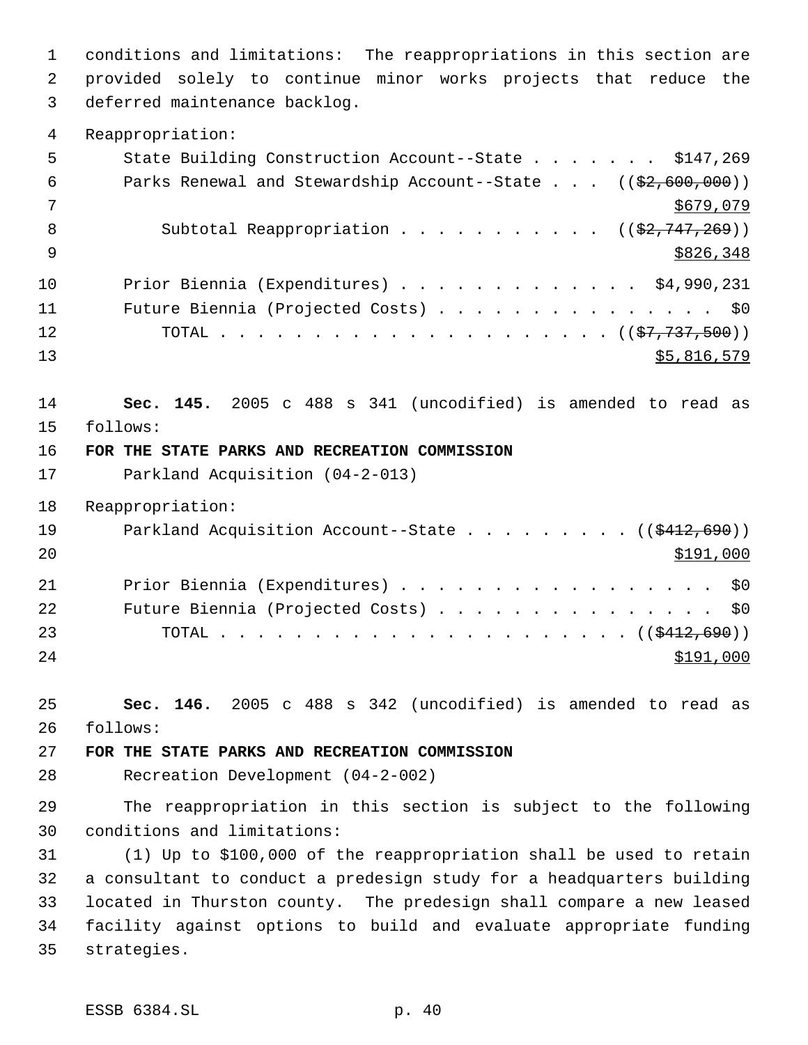conditions and limitations: The reappropriations in this section are provided solely to continue minor works projects that reduce the deferred maintenance backlog. Reappropriation: 5 State Building Construction Account--State . . . . . . \$147,269 6 Parks Renewal and Stewardship Account--State . . . ((\$2,600,000)) \$679,079 8 Subtotal Reappropriation . . . . . . . . . . ((\$2,747,269))  $9 \frac{$826,348}{ }$  Prior Biennia (Expenditures) . . . . . . . . . . . . . \$4,990,231 Future Biennia (Projected Costs) . . . . . . . . . . . . . . . \$0 TOTAL . . . . . . . . . . . . . . . . . . . . . ((\$7,737,500)) \$5,816,579 **Sec. 145.** 2005 c 488 s 341 (uncodified) is amended to read as follows: **FOR THE STATE PARKS AND RECREATION COMMISSION** Parkland Acquisition (04-2-013) Reappropriation: 19 Parkland Acquisition Account--State . . . . . . . . ((\$412,690)) Prior Biennia (Expenditures) . . . . . . . . . . . . . . . . . \$0 Future Biennia (Projected Costs) . . . . . . . . . . . . . . . \$0 TOTAL . . . . . . . . . . . . . . . . . . . . . . ((\$412,690))  $\frac{$191,000}{}$  **Sec. 146.** 2005 c 488 s 342 (uncodified) is amended to read as follows: **FOR THE STATE PARKS AND RECREATION COMMISSION** Recreation Development (04-2-002) The reappropriation in this section is subject to the following conditions and limitations: (1) Up to \$100,000 of the reappropriation shall be used to retain a consultant to conduct a predesign study for a headquarters building located in Thurston county. The predesign shall compare a new leased facility against options to build and evaluate appropriate funding

strategies.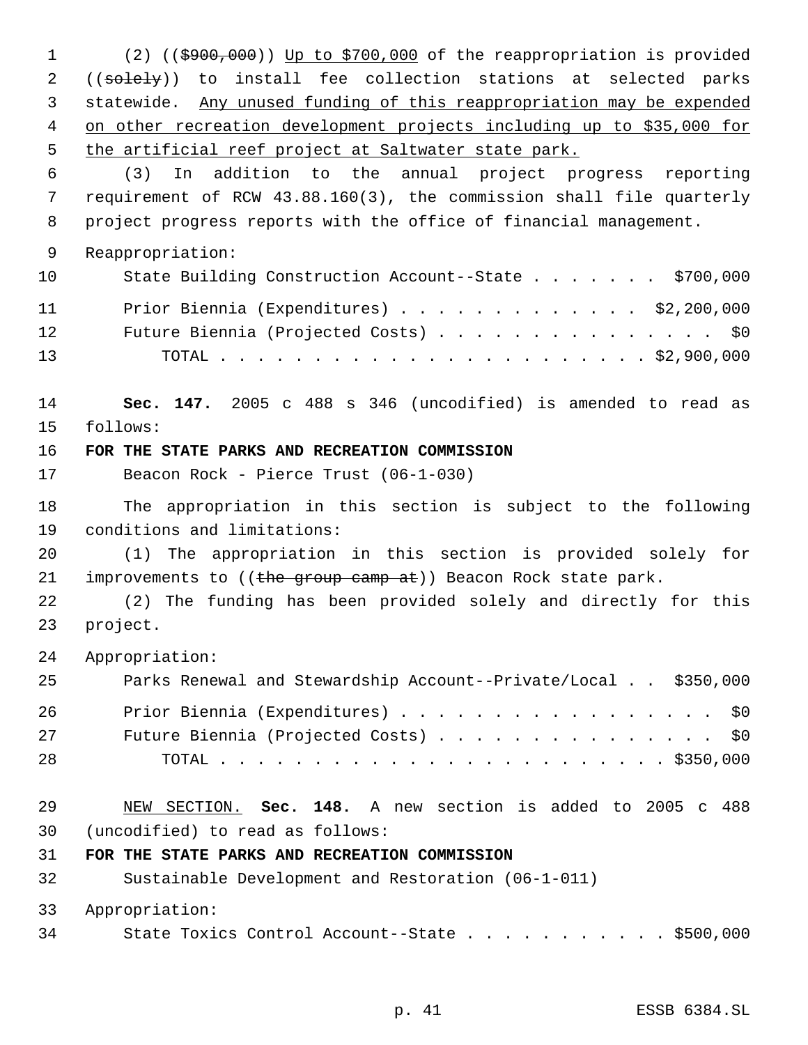(2) ((\$900,000)) Up to \$700,000 of the reappropriation is provided 2 ((solely)) to install fee collection stations at selected parks statewide. Any unused funding of this reappropriation may be expended on other recreation development projects including up to \$35,000 for the artificial reef project at Saltwater state park. (3) In addition to the annual project progress reporting requirement of RCW 43.88.160(3), the commission shall file quarterly project progress reports with the office of financial management. Reappropriation: 10 State Building Construction Account--State . . . . . . \$700,000 Prior Biennia (Expenditures) . . . . . . . . . . . . . \$2,200,000 Future Biennia (Projected Costs) . . . . . . . . . . . . . . . \$0 TOTAL . . . . . . . . . . . . . . . . . . . . . . . \$2,900,000 **Sec. 147.** 2005 c 488 s 346 (uncodified) is amended to read as follows: **FOR THE STATE PARKS AND RECREATION COMMISSION** Beacon Rock - Pierce Trust (06-1-030) The appropriation in this section is subject to the following conditions and limitations: (1) The appropriation in this section is provided solely for 21 improvements to  $((the group came at))$  Beacon Rock state park. (2) The funding has been provided solely and directly for this project. Appropriation: Parks Renewal and Stewardship Account--Private/Local . . \$350,000 Prior Biennia (Expenditures) . . . . . . . . . . . . . . . . . \$0 Future Biennia (Projected Costs) . . . . . . . . . . . . . . . \$0 TOTAL . . . . . . . . . . . . . . . . . . . . . . . . \$350,000 NEW SECTION. **Sec. 148.** A new section is added to 2005 c 488 (uncodified) to read as follows: **FOR THE STATE PARKS AND RECREATION COMMISSION** Sustainable Development and Restoration (06-1-011) Appropriation: State Toxics Control Account--State . . . . . . . . . . . \$500,000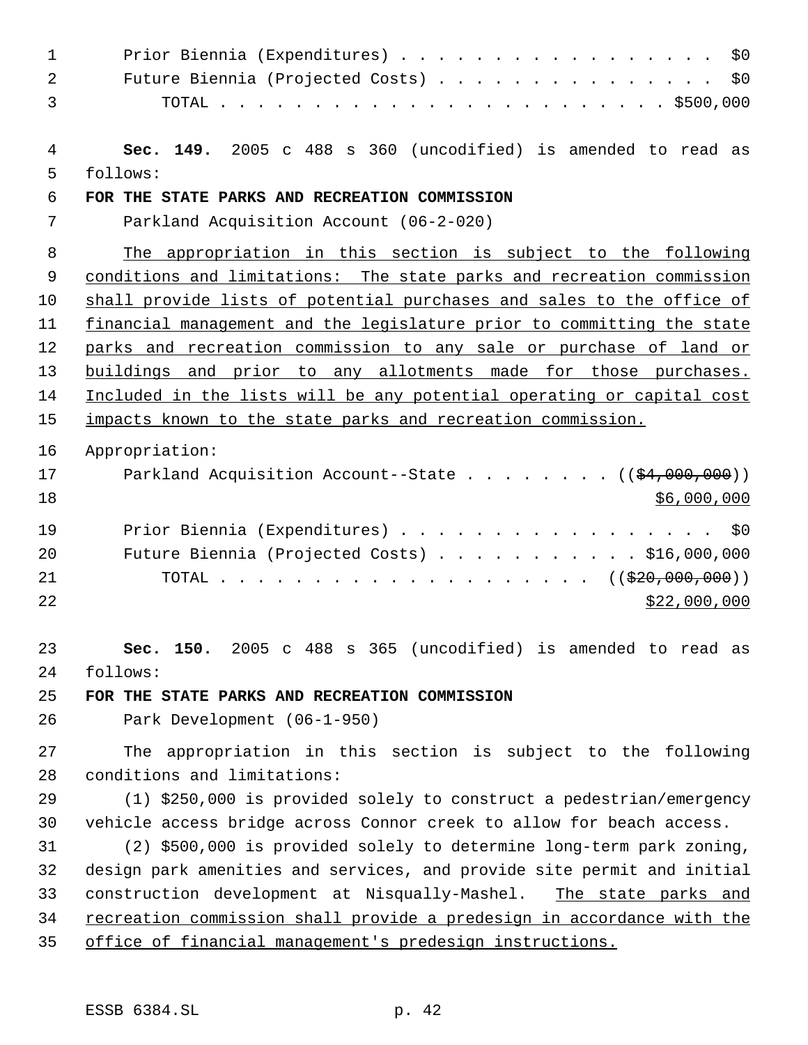| $\mathbf 1$    | Prior Biennia (Expenditures)<br>\$0                                     |
|----------------|-------------------------------------------------------------------------|
| $\overline{2}$ | Future Biennia (Projected Costs) \$0                                    |
| 3              |                                                                         |
| 4              | Sec. 149. 2005 c 488 s 360 (uncodified) is amended to read as           |
| 5              | follows:                                                                |
| $\epsilon$     | FOR THE STATE PARKS AND RECREATION COMMISSION                           |
| 7              | Parkland Acquisition Account (06-2-020)                                 |
| 8              | The appropriation in this section is subject to the following           |
| 9              | conditions and limitations: The state parks and recreation commission   |
| 10             | shall provide lists of potential purchases and sales to the office of   |
| 11             | financial management and the legislature prior to committing the state  |
| 12             | parks and recreation commission to any sale or purchase of land or      |
| 13             | buildings and prior to any allotments made for those purchases.         |
| 14             | Included in the lists will be any potential operating or capital cost   |
| 15             | impacts known to the state parks and recreation commission.             |
| 16             | Appropriation:                                                          |
| 17             | Parkland Acquisition Account--State ( $(\frac{24,000,000}{2})$ )        |
| 18             | \$6,000,000                                                             |
| 19             | Prior Biennia (Expenditures) \$0                                        |
| 20             | Future Biennia (Projected Costs) \$16,000,000                           |
| 21             |                                                                         |
| 22             | \$22,000,000                                                            |
| 23             | Sec. 150. 2005 c 488 s 365 (uncodified) is amended to read as           |
| 24             | follows:                                                                |
| 25             | FOR THE STATE PARKS AND RECREATION COMMISSION                           |
| 26             | Park Development (06-1-950)                                             |
| 27             | The appropriation in this section is subject to the following           |
| 28             | conditions and limitations:                                             |
| 29             | (1) \$250,000 is provided solely to construct a pedestrian/emergency    |
| 30             | vehicle access bridge across Connor creek to allow for beach access.    |
| 31             | (2) \$500,000 is provided solely to determine long-term park zoning,    |
| 32             | design park amenities and services, and provide site permit and initial |
| 33             | construction development at Nisqually-Mashel. The state parks and       |
| 34             | recreation commission shall provide a predesign in accordance with the  |
| 35             | office of financial management's predesign instructions.                |
|                |                                                                         |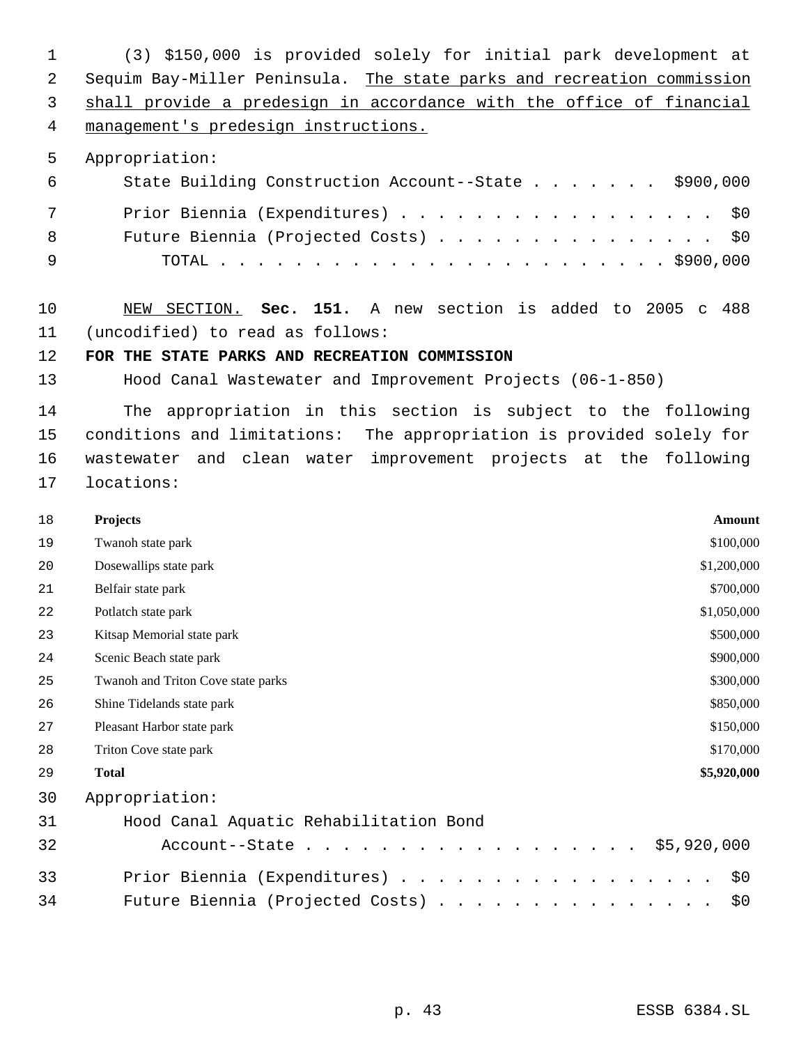(3) \$150,000 is provided solely for initial park development at Sequim Bay-Miller Peninsula. The state parks and recreation commission shall provide a predesign in accordance with the office of financial management's predesign instructions. Appropriation: State Building Construction Account--State . . . . . . . \$900,000 7 Prior Biennia (Expenditures) . . . . . . . . . . . . . . . . \$0 Future Biennia (Projected Costs) . . . . . . . . . . . . . . . \$0 TOTAL . . . . . . . . . . . . . . . . . . . . . . . . \$900,000 NEW SECTION. **Sec. 151.** A new section is added to 2005 c 488 (uncodified) to read as follows: **FOR THE STATE PARKS AND RECREATION COMMISSION** Hood Canal Wastewater and Improvement Projects (06-1-850) The appropriation in this section is subject to the following conditions and limitations: The appropriation is provided solely for wastewater and clean water improvement projects at the following locations: **Projects Amount** 19 Twanoh state park \$100,000 20 Dosewallips state park \$1,200,000  $\frac{1}{2}$ 21 Belfair state park \$700,000 22 Potlatch state park \$1,050,000 Potlatch state park \$1,050,000 Potlatch state park \$1,050,000 Potlatch state park Kitsap Memorial state park \$500,000 24 Scenic Beach state park \$900,000 Twanoh and Triton Cove state parks \$300,000 26 Shine Tidelands state park \$850,000 Pleasant Harbor state park \$150,000 28 Triton Cove state park \$170,000 **Total \$5,920,000** Appropriation: Hood Canal Aquatic Rehabilitation Bond Account--State . . . . . . . . . . . . . . . . . . \$5,920,000 33 Prior Biennia (Expenditures) . . . . . . . . . . . . . . . . \$0 Future Biennia (Projected Costs) . . . . . . . . . . . . . . . \$0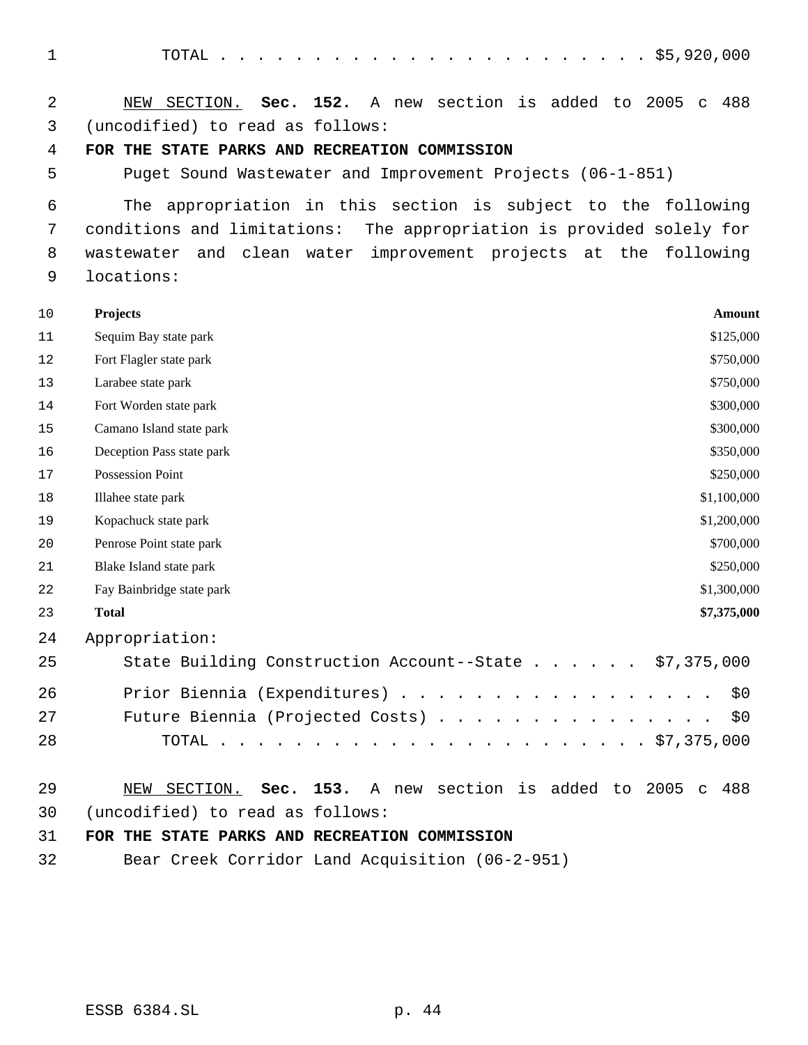TOTAL . . . . . . . . . . . . . . . . . . . . . . . \$5,920,000 NEW SECTION. **Sec. 152.** A new section is added to 2005 c 488 (uncodified) to read as follows: **FOR THE STATE PARKS AND RECREATION COMMISSION** Puget Sound Wastewater and Improvement Projects (06-1-851) The appropriation in this section is subject to the following conditions and limitations: The appropriation is provided solely for wastewater and clean water improvement projects at the following locations: **Projects Amount** 11 Sequim Bay state park \$125,000 12 Fort Flagler state park \$750,000 13 Larabee state park \$750,000 14 Fort Worden state park \$300,000 15 Camano Island state park \$300,000 16 Deception Pass state park \$350,000 17 Possession Point \$250,000 18 Illahee state park \$1,100,000 Kopachuck state park \$1,200,000 20 Penrose Point state park \$700,000 21 Blake Island state park \$250,000 22 Fay Bainbridge state park  $$1,300,000$  **Total \$7,375,000** Appropriation: State Building Construction Account--State . . . . . . \$7,375,000 Prior Biennia (Expenditures) . . . . . . . . . . . . . . . . . \$0 27 Future Biennia (Projected Costs) . . . . . . . . . . . . . . \$0 TOTAL . . . . . . . . . . . . . . . . . . . . . . . \$7,375,000 NEW SECTION. **Sec. 153.** A new section is added to 2005 c 488 (uncodified) to read as follows: **FOR THE STATE PARKS AND RECREATION COMMISSION** Bear Creek Corridor Land Acquisition (06-2-951)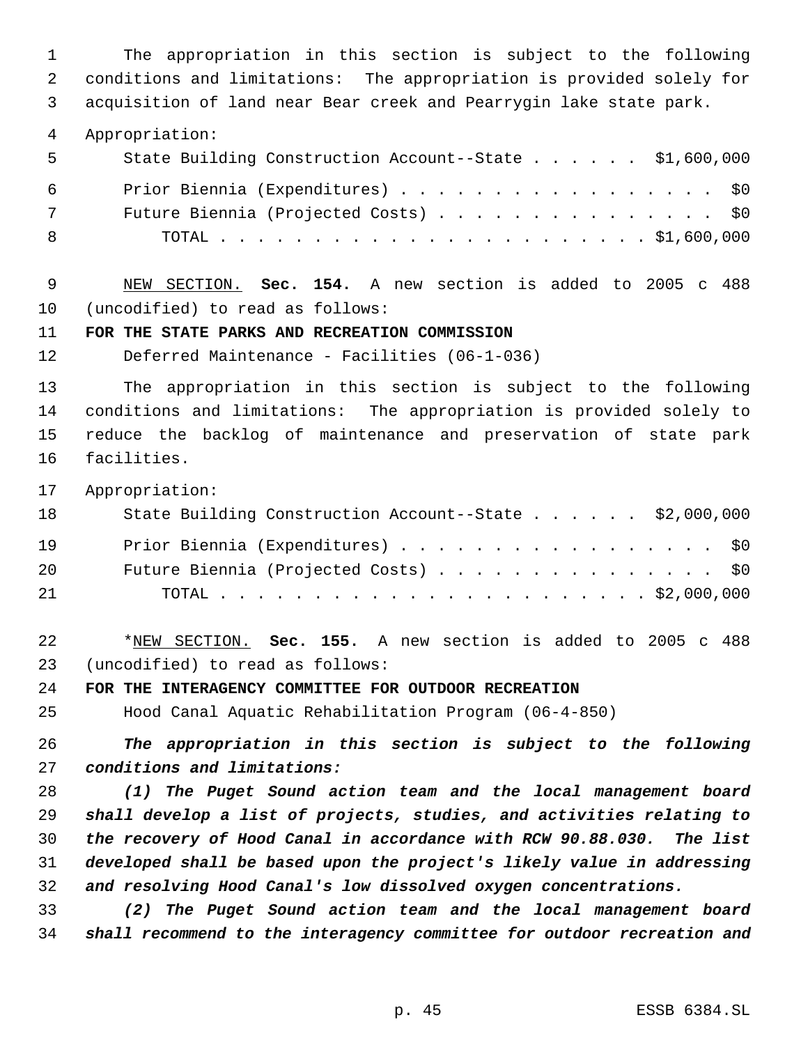The appropriation in this section is subject to the following conditions and limitations: The appropriation is provided solely for acquisition of land near Bear creek and Pearrygin lake state park.

Appropriation:

| - 5 | State Building Construction Account--State \$1,600,000 |
|-----|--------------------------------------------------------|
| 6   | Prior Biennia (Expenditures) \$0                       |
| 7   | Future Biennia (Projected Costs) \$0                   |
| - 8 |                                                        |

 NEW SECTION. **Sec. 154.** A new section is added to 2005 c 488 (uncodified) to read as follows:

**FOR THE STATE PARKS AND RECREATION COMMISSION**

Deferred Maintenance - Facilities (06-1-036)

 The appropriation in this section is subject to the following conditions and limitations: The appropriation is provided solely to reduce the backlog of maintenance and preservation of state park facilities.

Appropriation:

| 18 | State Building Construction Account--State \$2,000,000 |
|----|--------------------------------------------------------|
| 19 | Prior Biennia (Expenditures) \$0                       |
| 20 | Future Biennia (Projected Costs) \$0                   |
| 21 |                                                        |

 \*NEW SECTION. **Sec. 155.** A new section is added to 2005 c 488 (uncodified) to read as follows:

**FOR THE INTERAGENCY COMMITTEE FOR OUTDOOR RECREATION**

Hood Canal Aquatic Rehabilitation Program (06-4-850)

 *The appropriation in this section is subject to the following conditions and limitations:*

 *(1) The Puget Sound action team and the local management board shall develop a list of projects, studies, and activities relating to the recovery of Hood Canal in accordance with RCW 90.88.030. The list developed shall be based upon the project's likely value in addressing and resolving Hood Canal's low dissolved oxygen concentrations.*

 *(2) The Puget Sound action team and the local management board shall recommend to the interagency committee for outdoor recreation and*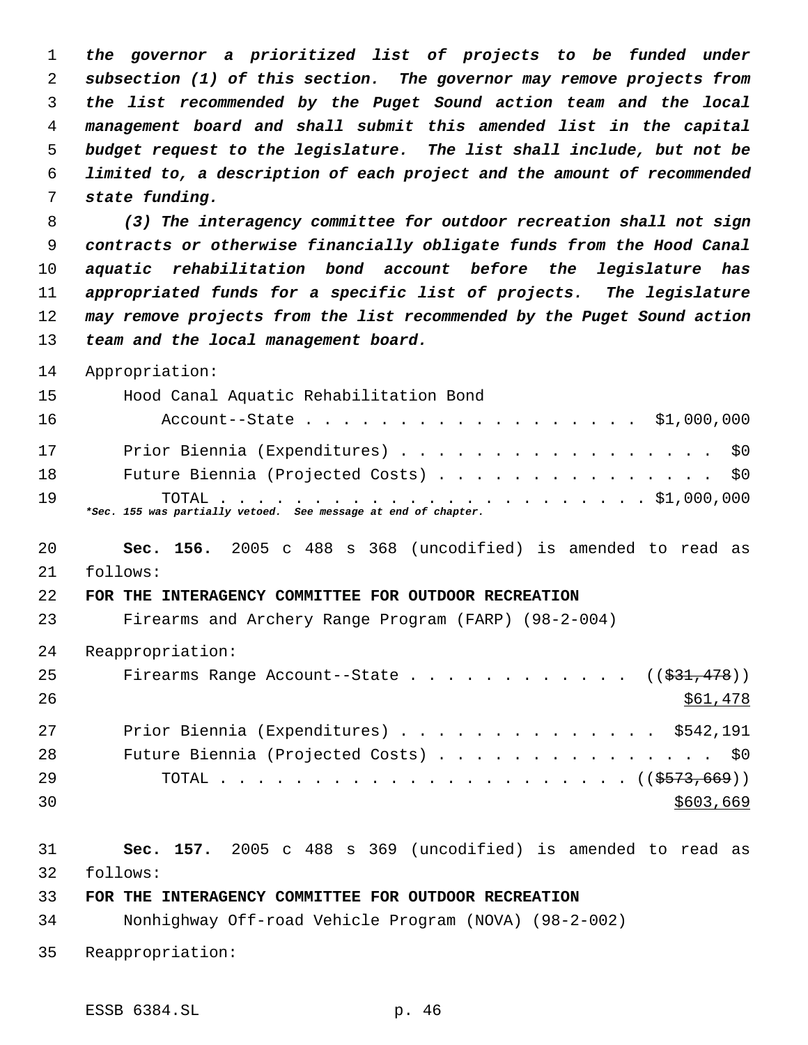*the governor a prioritized list of projects to be funded under subsection (1) of this section. The governor may remove projects from the list recommended by the Puget Sound action team and the local management board and shall submit this amended list in the capital budget request to the legislature. The list shall include, but not be limited to, a description of each project and the amount of recommended state funding.*

 *(3) The interagency committee for outdoor recreation shall not sign contracts or otherwise financially obligate funds from the Hood Canal aquatic rehabilitation bond account before the legislature has appropriated funds for a specific list of projects. The legislature may remove projects from the list recommended by the Puget Sound action team and the local management board.*

Appropriation:

| 15 | Hood Canal Aquatic Rehabilitation Bond                         |
|----|----------------------------------------------------------------|
| 16 | Account--State \$1,000,000                                     |
| 17 | Prior Biennia (Expenditures) \$0                               |
| 18 | Future Biennia (Projected Costs) \$0                           |
| 19 | *Sec. 155 was partially vetoed. See message at end of chapter. |

 **Sec. 156.** 2005 c 488 s 368 (uncodified) is amended to read as follows:

## **FOR THE INTERAGENCY COMMITTEE FOR OUTDOOR RECREATION**

Firearms and Archery Range Program (FARP) (98-2-004)

Reappropriation:

| 25  | Firearms Range Account--State ( $(\frac{231}{1478})$ ) |           |
|-----|--------------------------------------------------------|-----------|
| 26  |                                                        | \$61,478  |
| 2.7 | Prior Biennia (Expenditures) \$542,191                 |           |
| 28  | Future Biennia (Projected Costs) \$0                   |           |
| -29 |                                                        |           |
| 30  |                                                        | \$603,669 |

 **Sec. 157.** 2005 c 488 s 369 (uncodified) is amended to read as follows:

## **FOR THE INTERAGENCY COMMITTEE FOR OUTDOOR RECREATION**

Nonhighway Off-road Vehicle Program (NOVA) (98-2-002)

Reappropriation: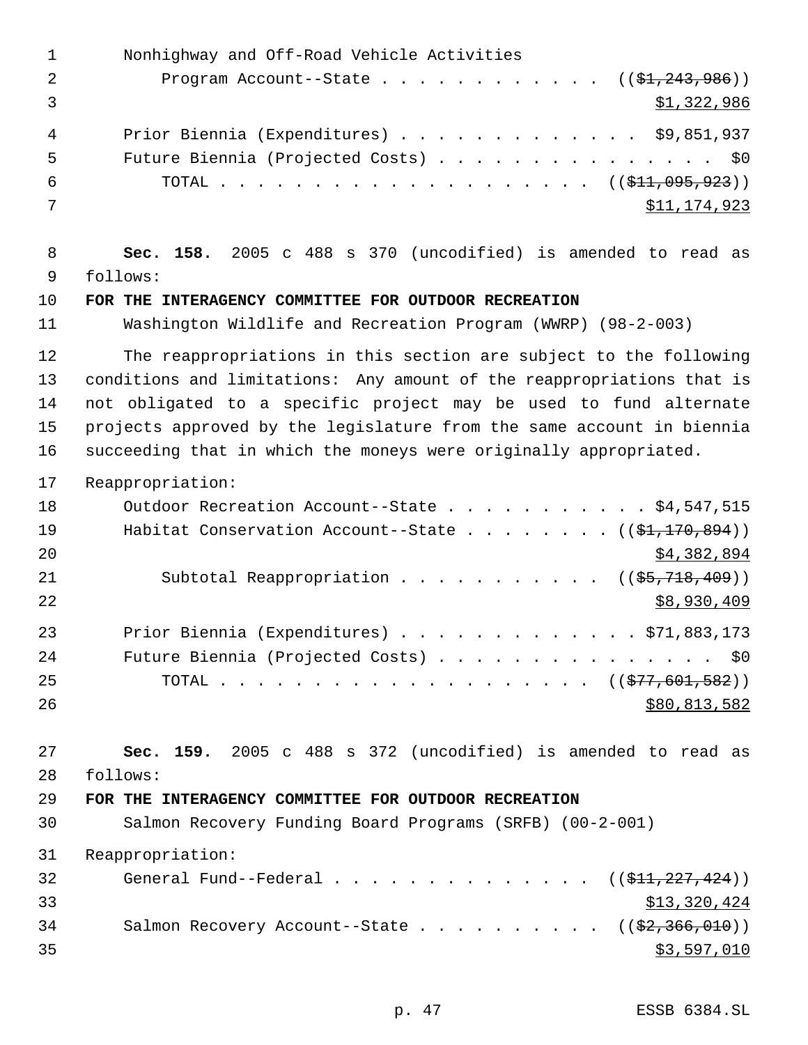Nonhighway and Off-Road Vehicle Activities 2 Program Account--State . . . . . . . . . . . ((\$1,243,986))  $3 \quad$  \$1,322,986 Prior Biennia (Expenditures) . . . . . . . . . . . . . \$9,851,937 Future Biennia (Projected Costs) . . . . . . . . . . . . . . . \$0 6 TOTAL . . . . . . . . . . . . . . . . . . ( $(\frac{11}{211}, 095, 923)$ ) \$11,174,923 **Sec. 158.** 2005 c 488 s 370 (uncodified) is amended to read as follows: **FOR THE INTERAGENCY COMMITTEE FOR OUTDOOR RECREATION** Washington Wildlife and Recreation Program (WWRP) (98-2-003) The reappropriations in this section are subject to the following conditions and limitations: Any amount of the reappropriations that is not obligated to a specific project may be used to fund alternate projects approved by the legislature from the same account in biennia succeeding that in which the moneys were originally appropriated. Reappropriation: 18 Outdoor Recreation Account--State . . . . . . . . . . \$4,547,515 19 Habitat Conservation Account--State . . . . . . . ((\$1,170,894)) \$4,382,894 21 Subtotal Reappropriation . . . . . . . . . . ((\$5,718,409)) \$8,930,409 Prior Biennia (Expenditures) . . . . . . . . . . . . . \$71,883,173 24 Future Biennia (Projected Costs) . . . . . . . . . . . . . . \$0 25 TOTAL . . . . . . . . . . . . . . . . . . ((\$77,601,582)) 26 \$80,813,582 **Sec. 159.** 2005 c 488 s 372 (uncodified) is amended to read as follows: **FOR THE INTERAGENCY COMMITTEE FOR OUTDOOR RECREATION** Salmon Recovery Funding Board Programs (SRFB) (00-2-001) Reappropriation: 32 General Fund--Federal . . . . . . . . . . . . . ((\$11,227,424)) \$13,320,424 34 Salmon Recovery Account--State . . . . . . . . . ((\$2,366,010))  $3597,010$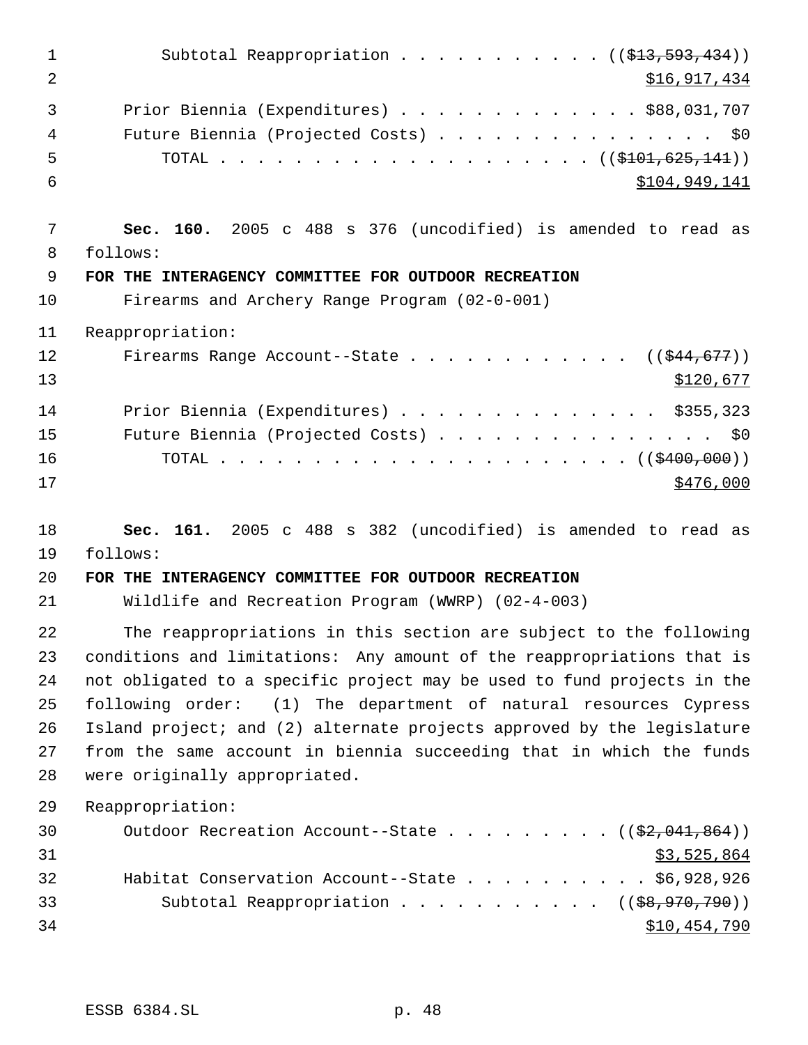| 1              | Subtotal Reappropriation ( $(\frac{1}{213}, 593, 434)$ )                |
|----------------|-------------------------------------------------------------------------|
| $\overline{2}$ | \$16,917,434                                                            |
| 3              | Prior Biennia (Expenditures) \$88,031,707                               |
| $\overline{4}$ | Future Biennia (Projected Costs) \$0                                    |
| 5              |                                                                         |
| 6              | \$104,949,141                                                           |
| 7              | Sec. 160. 2005 c 488 s 376 (uncodified) is amended to read as           |
| 8              | follows:                                                                |
| 9              | FOR THE INTERAGENCY COMMITTEE FOR OUTDOOR RECREATION                    |
| 10             | Firearms and Archery Range Program (02-0-001)                           |
| 11             | Reappropriation:                                                        |
| 12             | Firearms Range Account--State ( $(\frac{244}{677})$ )                   |
| 13             | \$120,677                                                               |
| 14             | Prior Biennia (Expenditures) \$355,323                                  |
| 15             | Future Biennia (Projected Costs) \$0                                    |
| 16             |                                                                         |
| 17             | \$476,000                                                               |
| 18             | Sec. 161. 2005 c 488 s 382 (uncodified) is amended to read as           |
| 19             | follows:                                                                |
| 20             | FOR THE INTERAGENCY COMMITTEE FOR OUTDOOR RECREATION                    |
| 21             | Wildlife and Recreation Program (WWRP) (02-4-003)                       |
| 22             | The reappropriations in this section are subject to the following       |
| 23             | conditions and limitations: Any amount of the reappropriations that is  |
| 24             | not obligated to a specific project may be used to fund projects in the |
| 25             | following order: (1) The department of natural resources Cypress        |
| 26             | Island project; and (2) alternate projects approved by the legislature  |
| 27             | from the same account in biennia succeeding that in which the funds     |
| 28             | were originally appropriated.                                           |
| 29             | Reappropriation:                                                        |
| 30             | Outdoor Recreation Account--State ( $(\frac{2}{2}, 041, 864)$ )         |
| 31             | \$3,525,864                                                             |
| 32             | Habitat Conservation Account--State \$6,928,926                         |
| 33             | Subtotal Reappropriation ( $(\frac{28}{970}, \frac{790}{100})$ )        |
| 34             | <u>\$10,454,790</u>                                                     |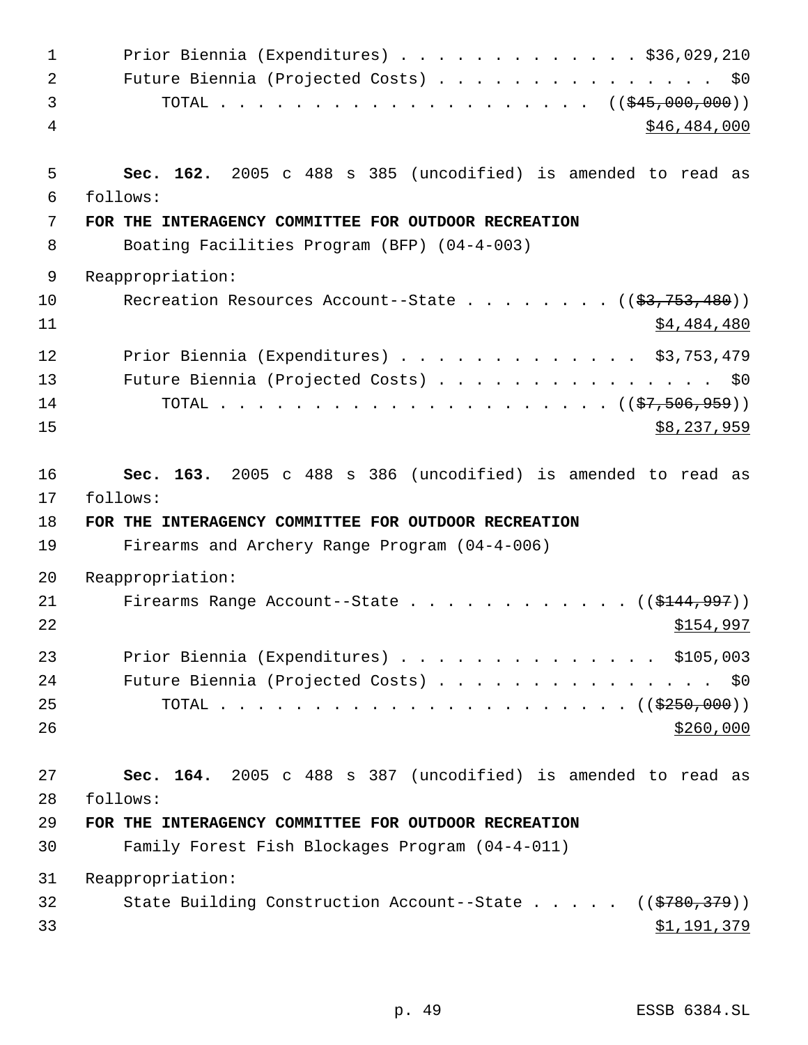| $\mathbf{1}$ | Prior Biennia (Expenditures) \$36,029,210                                                           |
|--------------|-----------------------------------------------------------------------------------------------------|
| 2            | Future Biennia (Projected Costs) \$0                                                                |
| 3            | TOTAL ( $(\frac{245,000,000)}{100,000,000)})$                                                       |
| 4            | \$46,484,000                                                                                        |
| 5            | Sec. 162. 2005 c 488 s 385 (uncodified) is amended to read as                                       |
| 6<br>7       | follows:                                                                                            |
| 8            | FOR THE INTERAGENCY COMMITTEE FOR OUTDOOR RECREATION<br>Boating Facilities Program (BFP) (04-4-003) |
|              |                                                                                                     |
| 9            | Reappropriation:                                                                                    |
| 10<br>11     | Recreation Resources Account--State ( $(\frac{2}{3}, 753, 480)$ )<br>\$4,484,480                    |
| 12           | Prior Biennia (Expenditures) \$3,753,479                                                            |
| 13           | Future Biennia (Projected Costs) \$0                                                                |
| 14           |                                                                                                     |
| 15           | \$8,237,959                                                                                         |
| 16           | Sec. 163. 2005 c 488 s 386 (uncodified) is amended to read as                                       |
|              |                                                                                                     |
| 17           | follows:                                                                                            |
| 18           | FOR THE INTERAGENCY COMMITTEE FOR OUTDOOR RECREATION                                                |
| 19           | Firearms and Archery Range Program (04-4-006)                                                       |
| 20           | Reappropriation:                                                                                    |
| 21<br>22     | Firearms Range Account--State ( $(\frac{1444,997}{)$<br>\$154,997                                   |
| 23           | Prior Biennia (Expenditures) \$105,003                                                              |
| 24           | Future Biennia (Projected Costs) \$0                                                                |
| 25           |                                                                                                     |
| 26           | \$260,000                                                                                           |
| 27           | Sec. 164. 2005 c 488 s 387 (uncodified) is amended to read as                                       |
| 28           | follows:                                                                                            |
| 29           | FOR THE INTERAGENCY COMMITTEE FOR OUTDOOR RECREATION                                                |
| 30           | Family Forest Fish Blockages Program (04-4-011)                                                     |
| 31           | Reappropriation:                                                                                    |
| 32           | State Building Construction Account--State $($ $($ $\frac{2780}{379})$                              |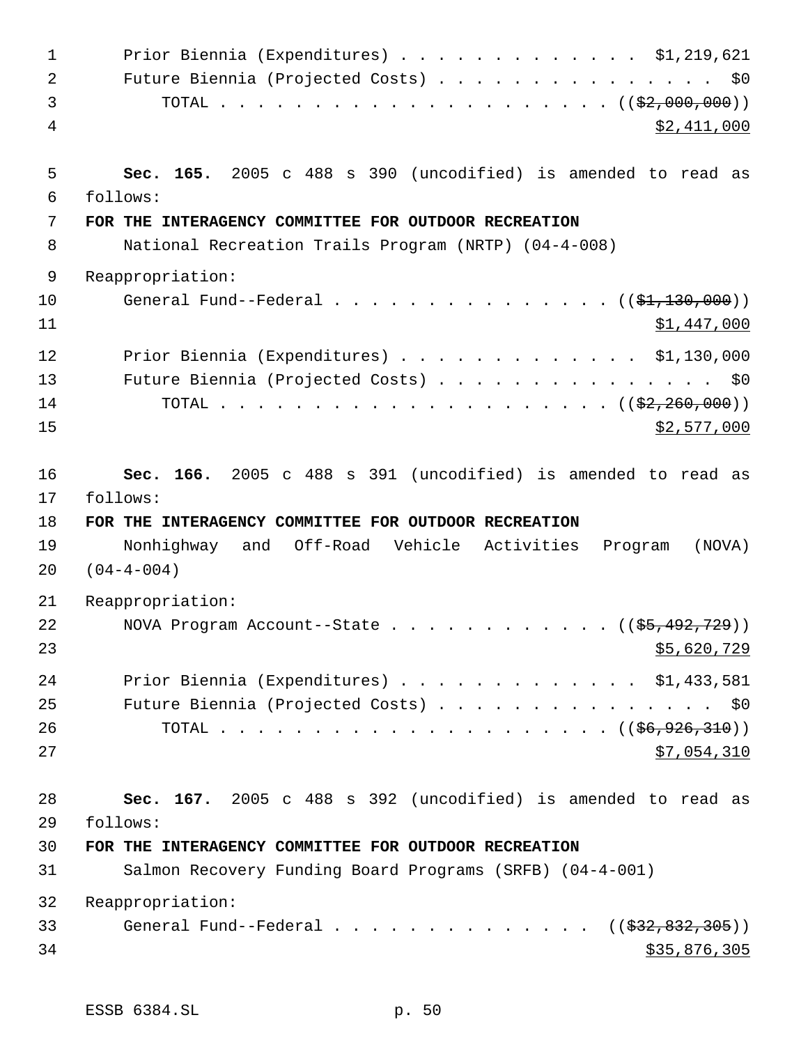| $\mathbf{1}$ | Prior Biennia (Expenditures) \$1,219,621                         |
|--------------|------------------------------------------------------------------|
| 2            | Future Biennia (Projected Costs) \$0                             |
| 3            |                                                                  |
| 4            | \$2,411,000                                                      |
| 5            | Sec. 165. 2005 c 488 s 390 (uncodified) is amended to read as    |
| 6            | follows:                                                         |
| 7            | FOR THE INTERAGENCY COMMITTEE FOR OUTDOOR RECREATION             |
| 8            | National Recreation Trails Program (NRTP) (04-4-008)             |
| 9            | Reappropriation:                                                 |
| 10<br>11     | General Fund--Federal ( $(\frac{21}{130},000)$ )<br>\$1,447,000  |
| 12           | Prior Biennia (Expenditures) $\ldots$ \$1,130,000                |
| 13           | Future Biennia (Projected Costs) \$0                             |
| 14           |                                                                  |
| 15           | \$2,577,000                                                      |
| 16           | Sec. 166. 2005 c 488 s 391 (uncodified) is amended to read as    |
| 17           | follows:                                                         |
|              |                                                                  |
| 18           | FOR THE INTERAGENCY COMMITTEE FOR OUTDOOR RECREATION             |
| 19           | Nonhighway and Off-Road Vehicle Activities Program<br>(NOVA)     |
| 20           | $(04 - 4 - 004)$                                                 |
| 21           | Reappropriation:                                                 |
| 22           | NOVA Program Account--State $($ $($ \$5,492,729 $)$ )            |
| 23           | \$5,620,729                                                      |
| 24           |                                                                  |
| 25           | Prior Biennia (Expenditures) \$1,433,581                         |
| 26           | Future Biennia (Projected Costs) \$0                             |
| 27           | \$7,054,310                                                      |
|              |                                                                  |
| 28           | Sec. 167. 2005 c 488 s 392 (uncodified) is amended to read as    |
| 29<br>30     | follows:<br>FOR THE INTERAGENCY COMMITTEE FOR OUTDOOR RECREATION |
| 31           | Salmon Recovery Funding Board Programs (SRFB) (04-4-001)         |
| 32           | Reappropriation:                                                 |
| 33           | General Fund--Federal ( $(\frac{232}{832}, \frac{832}{130})$ )   |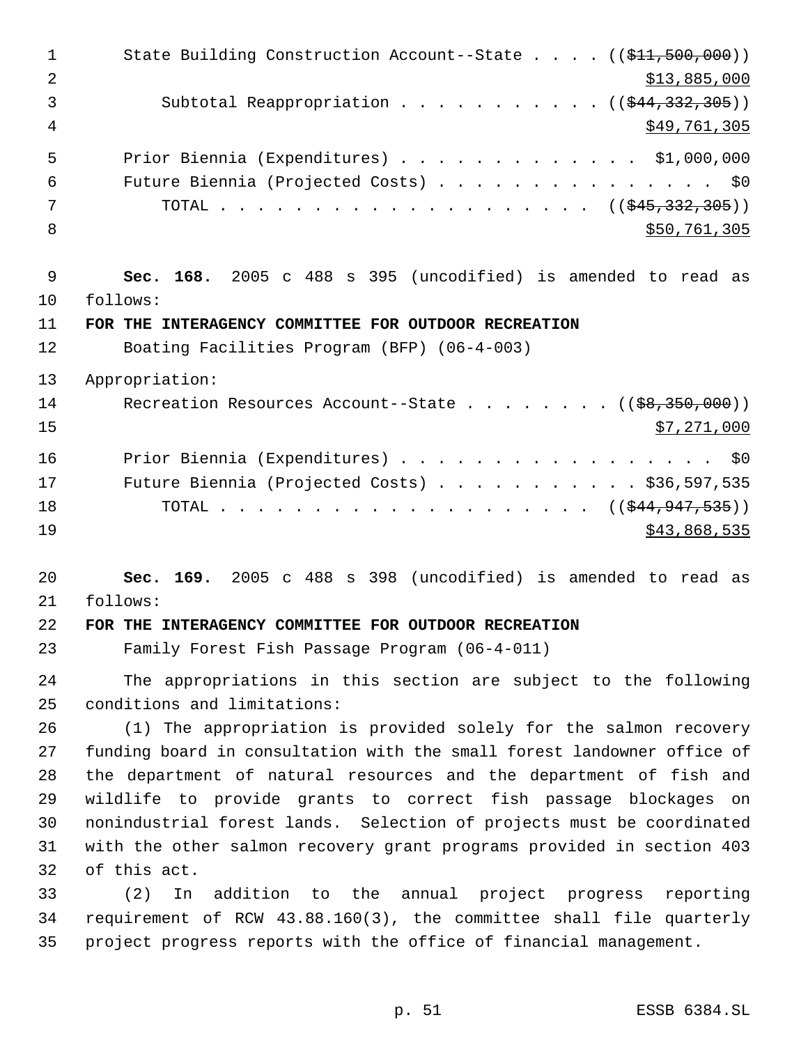1 State Building Construction Account--State . . . . ((\$11,500,000))  $2 \times 13,885,000$ 3 Subtotal Reappropriation . . . . . . . . . . ((\$44,332,305)) \$49,761,305 Prior Biennia (Expenditures) . . . . . . . . . . . . . \$1,000,000 Future Biennia (Projected Costs) . . . . . . . . . . . . . . . \$0 TOTAL . . . . . . . . . . . . . . . . . . . . ((\$45,332,305)) 8 \$50,761,305 **Sec. 168.** 2005 c 488 s 395 (uncodified) is amended to read as follows: **FOR THE INTERAGENCY COMMITTEE FOR OUTDOOR RECREATION** Boating Facilities Program (BFP) (06-4-003) Appropriation: 14 Recreation Resources Account--State . . . . . . . ((\$8,350,000)) \$7,271,000 16 Prior Biennia (Expenditures) . . . . . . . . . . . . . . . . \$0 Future Biennia (Projected Costs) . . . . . . . . . . . \$36,597,535 18 TOTAL . . . . . . . . . . . . . . . . . . ((\$<del>44,947,535</del>)) \$43,868,535 **Sec. 169.** 2005 c 488 s 398 (uncodified) is amended to read as follows: **FOR THE INTERAGENCY COMMITTEE FOR OUTDOOR RECREATION** Family Forest Fish Passage Program (06-4-011) The appropriations in this section are subject to the following conditions and limitations: (1) The appropriation is provided solely for the salmon recovery funding board in consultation with the small forest landowner office of the department of natural resources and the department of fish and wildlife to provide grants to correct fish passage blockages on nonindustrial forest lands. Selection of projects must be coordinated with the other salmon recovery grant programs provided in section 403 of this act. (2) In addition to the annual project progress reporting

 requirement of RCW 43.88.160(3), the committee shall file quarterly project progress reports with the office of financial management.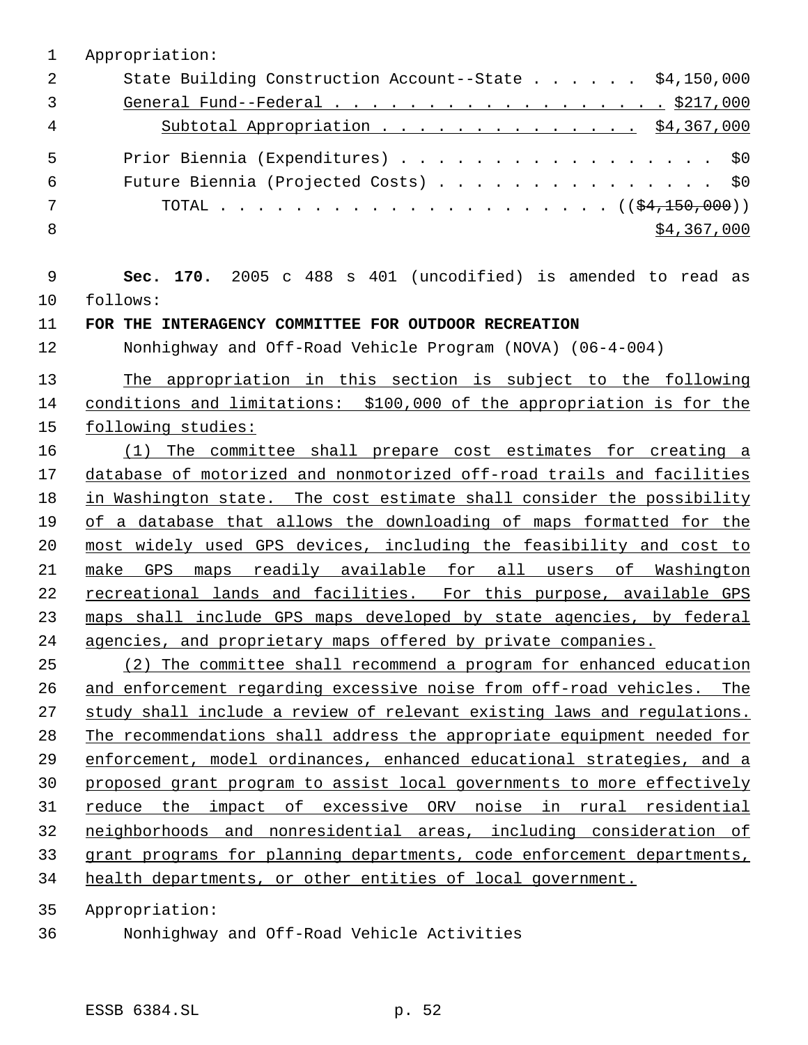Appropriation: 2 State Building Construction Account--State . . . . . \$4,150,000 General Fund--Federal . . . . . . . . . . . . . . . . . . \$217,000 4 Subtotal Appropriation . . . . . . . . . . . . . . \$4,367,000 5 Prior Biennia (Expenditures) . . . . . . . . . . . . . . . . \$0 Future Biennia (Projected Costs) . . . . . . . . . . . . . . . \$0 TOTAL . . . . . . . . . . . . . . . . . . . . . ((\$4,150,000))  $\frac{1}{2}$  \$4,367,000 **Sec. 170.** 2005 c 488 s 401 (uncodified) is amended to read as follows: **FOR THE INTERAGENCY COMMITTEE FOR OUTDOOR RECREATION** Nonhighway and Off-Road Vehicle Program (NOVA) (06-4-004) The appropriation in this section is subject to the following conditions and limitations: \$100,000 of the appropriation is for the following studies: (1) The committee shall prepare cost estimates for creating a database of motorized and nonmotorized off-road trails and facilities in Washington state. The cost estimate shall consider the possibility 19 of a database that allows the downloading of maps formatted for the most widely used GPS devices, including the feasibility and cost to make GPS maps readily available for all users of Washington recreational lands and facilities. For this purpose, available GPS maps shall include GPS maps developed by state agencies, by federal agencies, and proprietary maps offered by private companies. (2) The committee shall recommend a program for enhanced education and enforcement regarding excessive noise from off-road vehicles. The study shall include a review of relevant existing laws and regulations. The recommendations shall address the appropriate equipment needed for enforcement, model ordinances, enhanced educational strategies, and a proposed grant program to assist local governments to more effectively reduce the impact of excessive ORV noise in rural residential neighborhoods and nonresidential areas, including consideration of grant programs for planning departments, code enforcement departments, health departments, or other entities of local government.

Appropriation:

Nonhighway and Off-Road Vehicle Activities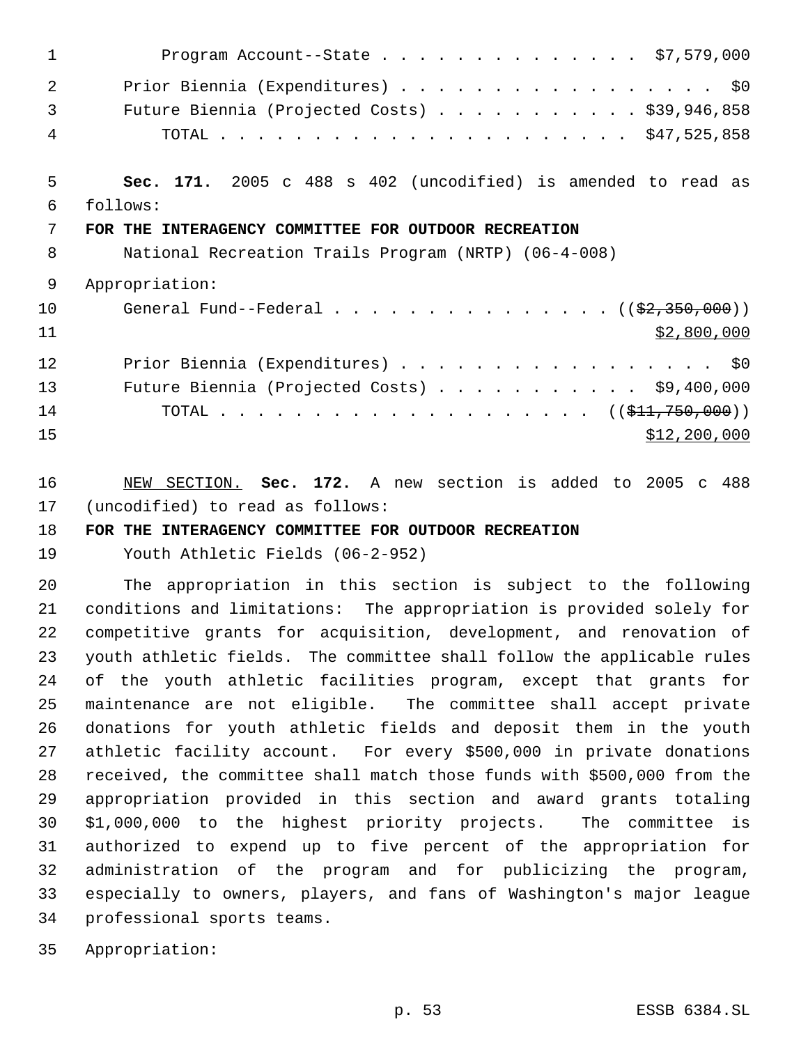| $\mathbf 1$ | Program Account--State \$7,579,000                            |
|-------------|---------------------------------------------------------------|
| 2           | Prior Biennia (Expenditures) \$0                              |
| 3           | Future Biennia (Projected Costs) \$39,946,858                 |
| 4           |                                                               |
| 5           | Sec. 171. 2005 c 488 s 402 (uncodified) is amended to read as |
| 6           | follows:                                                      |
| 7           | FOR THE INTERAGENCY COMMITTEE FOR OUTDOOR RECREATION          |
| 8           | National Recreation Trails Program (NRTP) (06-4-008)          |
| 9           | Appropriation:                                                |
| 10          | General Fund--Federal $($ $(\frac{2}{2}, \frac{350}{200})$    |
| 11          | \$2,800,000                                                   |
| 12          | Prior Biennia (Expenditures) \$0                              |
| 13          | Future Biennia (Projected Costs) \$9,400,000                  |
| 14          | TOTAL ( $(\frac{1}{211}, 750, 000)$ )                         |
| 15          | \$12,200,000                                                  |

 NEW SECTION. **Sec. 172.** A new section is added to 2005 c 488 (uncodified) to read as follows:

# **FOR THE INTERAGENCY COMMITTEE FOR OUTDOOR RECREATION**

Youth Athletic Fields (06-2-952)

 The appropriation in this section is subject to the following conditions and limitations: The appropriation is provided solely for competitive grants for acquisition, development, and renovation of youth athletic fields. The committee shall follow the applicable rules of the youth athletic facilities program, except that grants for maintenance are not eligible. The committee shall accept private donations for youth athletic fields and deposit them in the youth athletic facility account. For every \$500,000 in private donations received, the committee shall match those funds with \$500,000 from the appropriation provided in this section and award grants totaling \$1,000,000 to the highest priority projects. The committee is authorized to expend up to five percent of the appropriation for administration of the program and for publicizing the program, especially to owners, players, and fans of Washington's major league professional sports teams.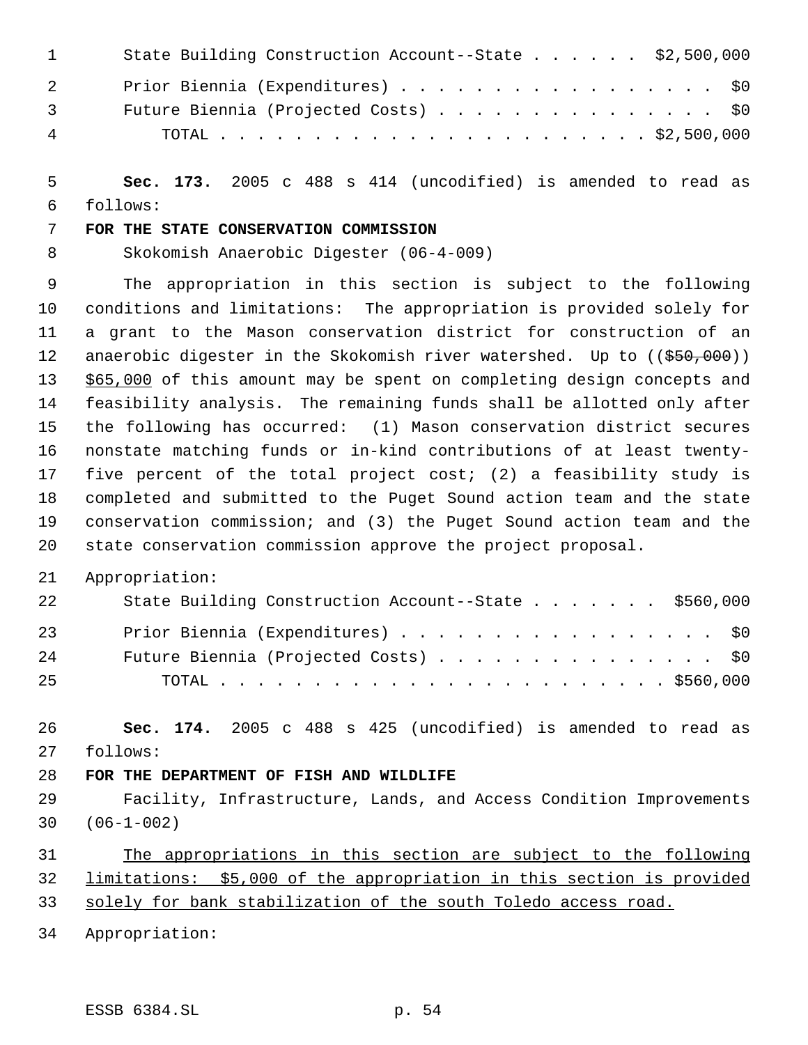| $\mathbf{1}$   | State Building Construction Account--State \$2,500,000 |
|----------------|--------------------------------------------------------|
| 2              | Prior Biennia (Expenditures) \$0                       |
| $\overline{3}$ | Future Biennia (Projected Costs) \$0                   |
| 4              |                                                        |

 **Sec. 173.** 2005 c 488 s 414 (uncodified) is amended to read as follows:

## **FOR THE STATE CONSERVATION COMMISSION**

Skokomish Anaerobic Digester (06-4-009)

 The appropriation in this section is subject to the following conditions and limitations: The appropriation is provided solely for a grant to the Mason conservation district for construction of an 12 anaerobic digester in the Skokomish river watershed. Up to ((\$50,000)) 13 \$65,000 of this amount may be spent on completing design concepts and feasibility analysis. The remaining funds shall be allotted only after the following has occurred: (1) Mason conservation district secures nonstate matching funds or in-kind contributions of at least twenty- five percent of the total project cost; (2) a feasibility study is completed and submitted to the Puget Sound action team and the state conservation commission; and (3) the Puget Sound action team and the state conservation commission approve the project proposal.

Appropriation:

| 22 | State Building Construction Account--State \$560,000 |
|----|------------------------------------------------------|
| 23 | Prior Biennia (Expenditures) \$0                     |
| 24 | Future Biennia (Projected Costs) \$0                 |
| 25 |                                                      |

 **Sec. 174.** 2005 c 488 s 425 (uncodified) is amended to read as follows:

## **FOR THE DEPARTMENT OF FISH AND WILDLIFE**

 Facility, Infrastructure, Lands, and Access Condition Improvements (06-1-002)

# The appropriations in this section are subject to the following limitations: \$5,000 of the appropriation in this section is provided

solely for bank stabilization of the south Toledo access road.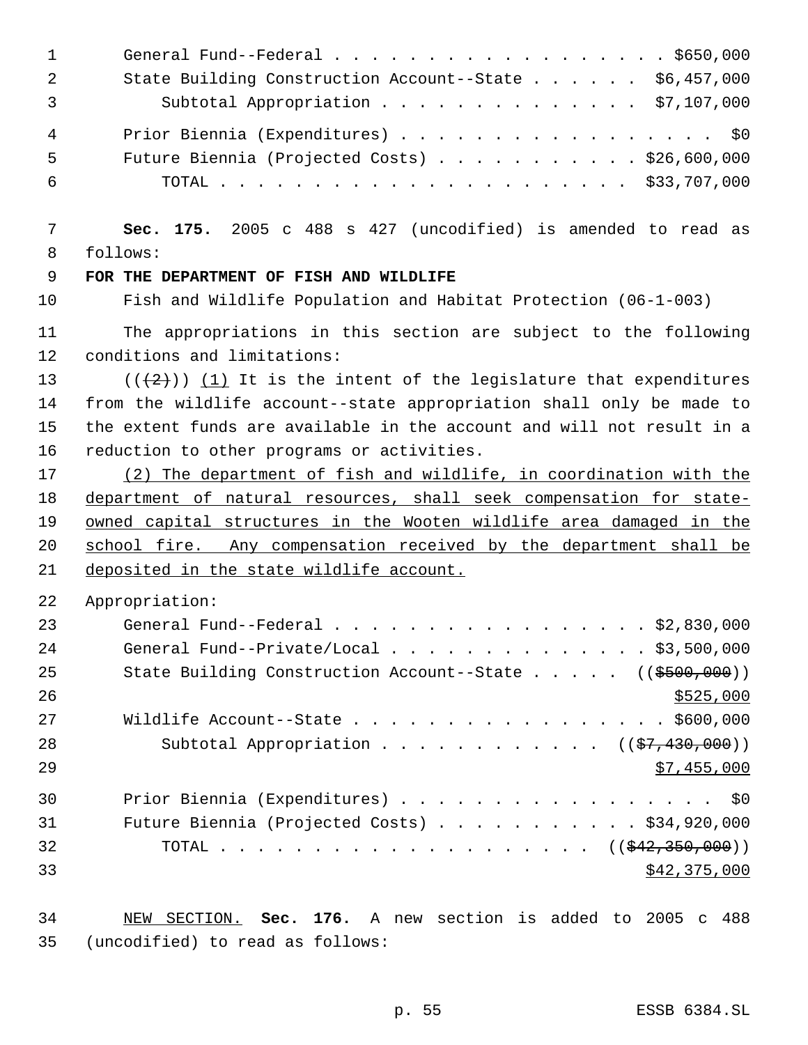| $\mathbf{1}$<br>$\overline{2}$<br>3 | General Fund--Federal \$650,000<br>State Building Construction Account--State \$6,457,000<br>Subtotal Appropriation \$7,107,000 |
|-------------------------------------|---------------------------------------------------------------------------------------------------------------------------------|
| 4<br>5<br>6                         | Prior Biennia (Expenditures) \$0<br>Future Biennia (Projected Costs) \$26,600,000                                               |
| 7<br>8                              | Sec. 175. 2005 c 488 s 427 (uncodified) is amended to read as<br>follows:                                                       |
| 9                                   | FOR THE DEPARTMENT OF FISH AND WILDLIFE                                                                                         |
| 10                                  | Fish and Wildlife Population and Habitat Protection (06-1-003)                                                                  |
| 11<br>12                            | The appropriations in this section are subject to the following<br>conditions and limitations:                                  |
| 13                                  | $((+2))$ (1) It is the intent of the legislature that expenditures                                                              |
| 14                                  | from the wildlife account--state appropriation shall only be made to                                                            |
| 15                                  | the extent funds are available in the account and will not result in a                                                          |
| 16                                  | reduction to other programs or activities.                                                                                      |
| 17                                  | (2) The department of fish and wildlife, in coordination with the                                                               |
| 18                                  | department of natural resources, shall seek compensation for state-                                                             |
| 19                                  | owned capital structures in the Wooten wildlife area damaged in the                                                             |
| 20                                  | school fire. Any compensation received by the department shall be                                                               |
| 21                                  | deposited in the state wildlife account.                                                                                        |
| 22                                  | Appropriation:                                                                                                                  |
| 23                                  | General Fund--Federal \$2,830,000                                                                                               |
| 24                                  | General Fund--Private/Local \$3,500,000                                                                                         |
| 25                                  | State Building Construction Account--State $($ $($ $\frac{2500}{100})$                                                          |
| 26                                  | \$525,000                                                                                                                       |
| 27                                  | Wildlife Account--State \$600,000                                                                                               |
| 28                                  | Subtotal Appropriation $($ $($ $\frac{27}{430},000)$                                                                            |
| 29                                  | \$7,455,000                                                                                                                     |
| 30                                  | Prior Biennia (Expenditures) \$0                                                                                                |
| 31                                  | Future Biennia (Projected Costs) \$34,920,000                                                                                   |
| 32                                  | TOTAL ( $(\frac{242,350,000}{s})$ )                                                                                             |
| 33                                  | \$42,375,000                                                                                                                    |
|                                     |                                                                                                                                 |

 NEW SECTION. **Sec. 176.** A new section is added to 2005 c 488 (uncodified) to read as follows: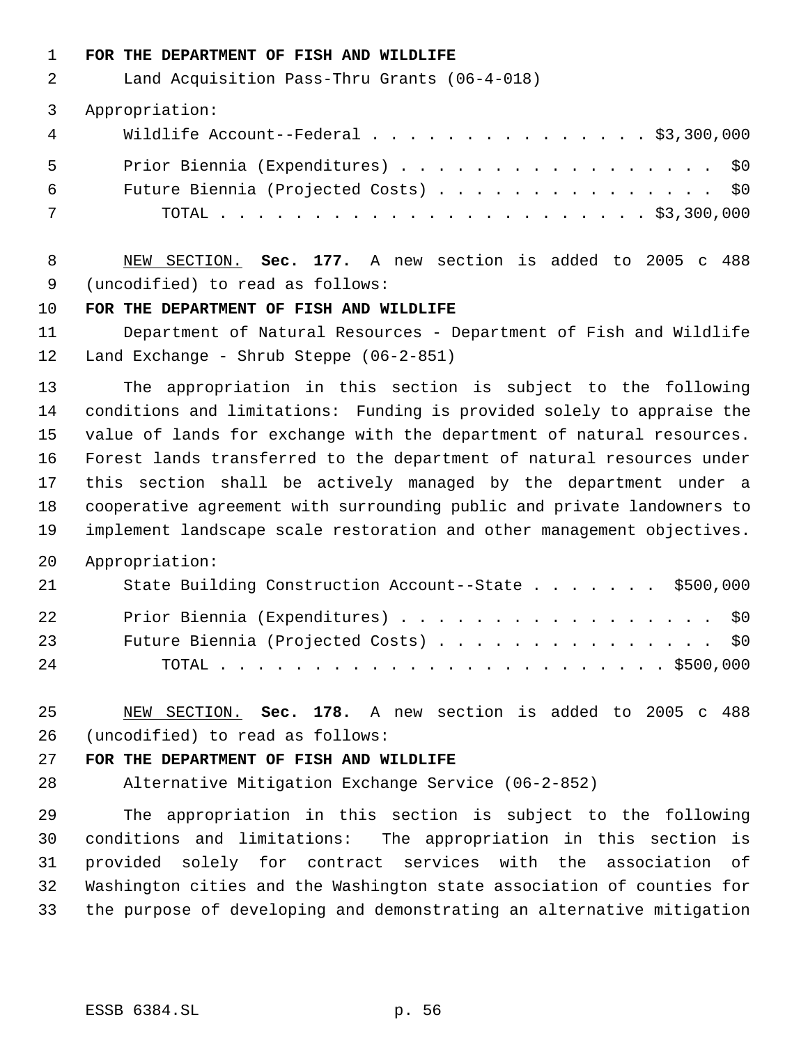**FOR THE DEPARTMENT OF FISH AND WILDLIFE**

Land Acquisition Pass-Thru Grants (06-4-018)

Appropriation:

|       | 4 Wildlife Account--Federal \$3,300,000 |
|-------|-----------------------------------------|
| 5 - 5 | Prior Biennia (Expenditures) \$0        |
| 6 —   | Future Biennia (Projected Costs) \$0    |
| 7     |                                         |

 NEW SECTION. **Sec. 177.** A new section is added to 2005 c 488 (uncodified) to read as follows:

## **FOR THE DEPARTMENT OF FISH AND WILDLIFE**

 Department of Natural Resources - Department of Fish and Wildlife Land Exchange - Shrub Steppe (06-2-851)

 The appropriation in this section is subject to the following conditions and limitations: Funding is provided solely to appraise the value of lands for exchange with the department of natural resources. Forest lands transferred to the department of natural resources under this section shall be actively managed by the department under a cooperative agreement with surrounding public and private landowners to implement landscape scale restoration and other management objectives.

Appropriation:

| 21 | State Building Construction Account--State \$500,000 |
|----|------------------------------------------------------|
| 22 | Prior Biennia (Expenditures) \$0                     |
| 23 | Future Biennia (Projected Costs) \$0                 |
| 24 |                                                      |

 NEW SECTION. **Sec. 178.** A new section is added to 2005 c 488 (uncodified) to read as follows:

## **FOR THE DEPARTMENT OF FISH AND WILDLIFE**

Alternative Mitigation Exchange Service (06-2-852)

 The appropriation in this section is subject to the following conditions and limitations: The appropriation in this section is provided solely for contract services with the association of Washington cities and the Washington state association of counties for the purpose of developing and demonstrating an alternative mitigation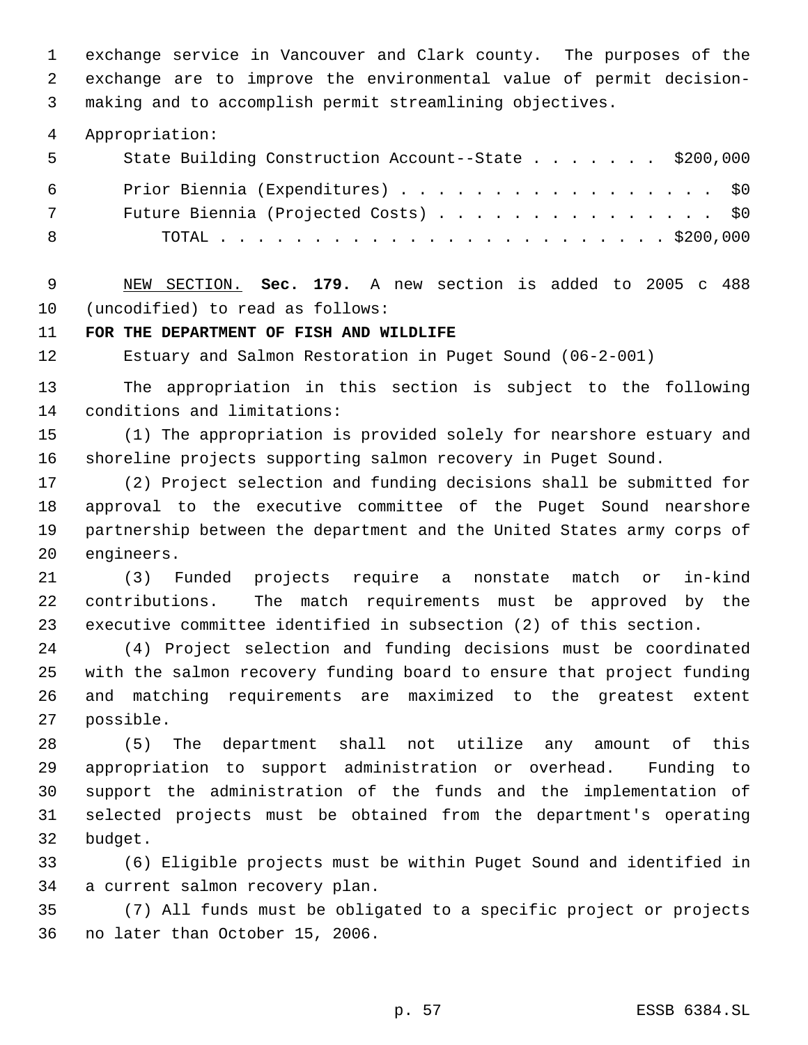exchange service in Vancouver and Clark county. The purposes of the exchange are to improve the environmental value of permit decision- making and to accomplish permit streamlining objectives.

Appropriation:

| 5   | State Building Construction Account--State \$200,000 |
|-----|------------------------------------------------------|
| 6   | Prior Biennia (Expenditures) \$0                     |
| 7   | Future Biennia (Projected Costs) \$0                 |
| - 8 |                                                      |

 NEW SECTION. **Sec. 179.** A new section is added to 2005 c 488 (uncodified) to read as follows:

**FOR THE DEPARTMENT OF FISH AND WILDLIFE**

Estuary and Salmon Restoration in Puget Sound (06-2-001)

 The appropriation in this section is subject to the following conditions and limitations:

 (1) The appropriation is provided solely for nearshore estuary and shoreline projects supporting salmon recovery in Puget Sound.

 (2) Project selection and funding decisions shall be submitted for approval to the executive committee of the Puget Sound nearshore partnership between the department and the United States army corps of engineers.

 (3) Funded projects require a nonstate match or in-kind contributions. The match requirements must be approved by the executive committee identified in subsection (2) of this section.

 (4) Project selection and funding decisions must be coordinated with the salmon recovery funding board to ensure that project funding and matching requirements are maximized to the greatest extent possible.

 (5) The department shall not utilize any amount of this appropriation to support administration or overhead. Funding to support the administration of the funds and the implementation of selected projects must be obtained from the department's operating budget.

 (6) Eligible projects must be within Puget Sound and identified in a current salmon recovery plan.

 (7) All funds must be obligated to a specific project or projects no later than October 15, 2006.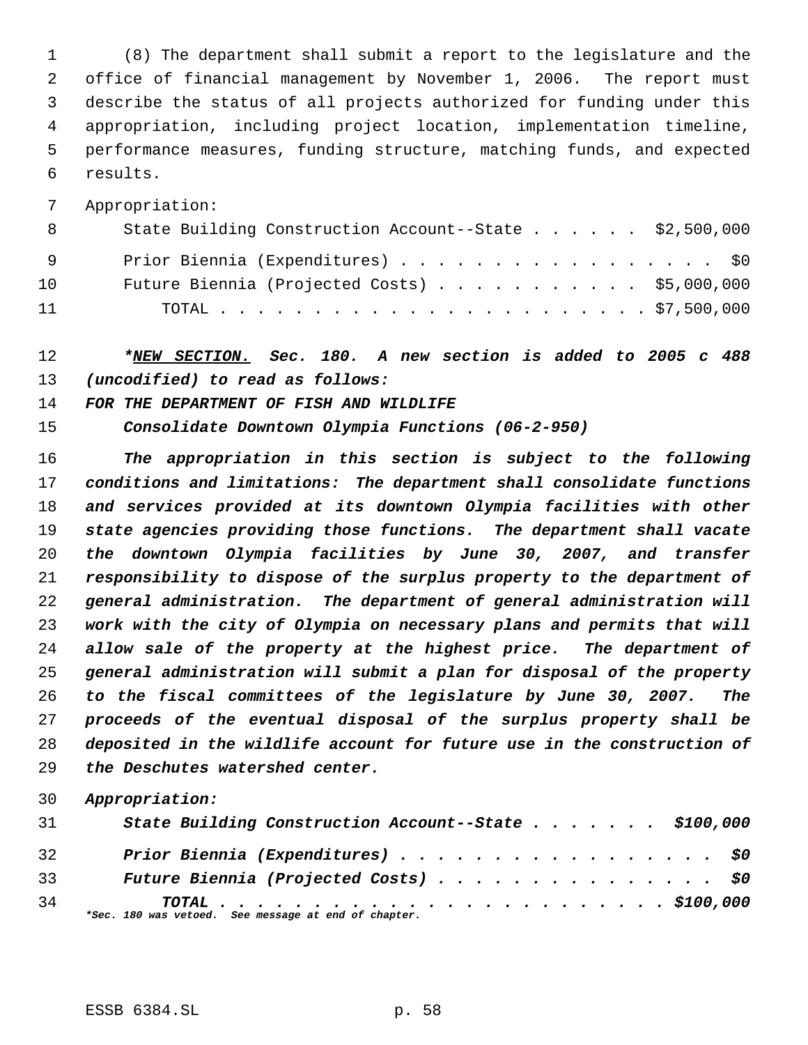(8) The department shall submit a report to the legislature and the office of financial management by November 1, 2006. The report must describe the status of all projects authorized for funding under this appropriation, including project location, implementation timeline, performance measures, funding structure, matching funds, and expected results.

Appropriation:

| - 8 | State Building Construction Account--State $\ldots$ \$2,500,000 |
|-----|-----------------------------------------------------------------|
| - 9 | Prior Biennia (Expenditures) \$0                                |
| 10  | Future Biennia (Projected Costs) \$5,000,000                    |
| 11  |                                                                 |

 *\*NEW SECTION. Sec. 180. A new section is added to 2005 c 488 (uncodified) to read as follows:*

*FOR THE DEPARTMENT OF FISH AND WILDLIFE*

*Consolidate Downtown Olympia Functions (06-2-950)*

 *The appropriation in this section is subject to the following conditions and limitations: The department shall consolidate functions and services provided at its downtown Olympia facilities with other state agencies providing those functions. The department shall vacate the downtown Olympia facilities by June 30, 2007, and transfer responsibility to dispose of the surplus property to the department of general administration. The department of general administration will work with the city of Olympia on necessary plans and permits that will allow sale of the property at the highest price. The department of general administration will submit a plan for disposal of the property to the fiscal committees of the legislature by June 30, 2007. The proceeds of the eventual disposal of the surplus property shall be deposited in the wildlife account for future use in the construction of the Deschutes watershed center.*

| 31 | State Building Construction Account--State \$100,000 |
|----|------------------------------------------------------|
| 32 | Prior Biennia (Expenditures) \$0                     |
| 33 | Future Biennia (Projected Costs) \$0                 |
| 34 | *Sec. 180 was vetoed. See message at end of chapter. |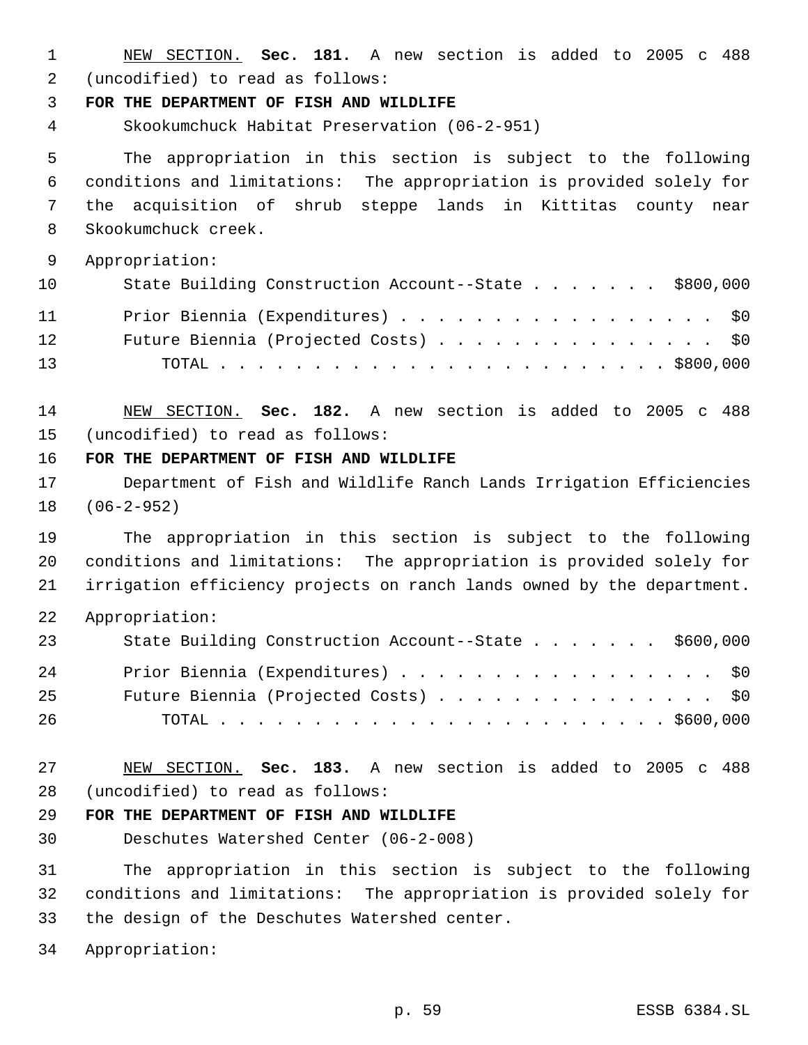NEW SECTION. **Sec. 181.** A new section is added to 2005 c 488 (uncodified) to read as follows:

**FOR THE DEPARTMENT OF FISH AND WILDLIFE**

Skookumchuck Habitat Preservation (06-2-951)

 The appropriation in this section is subject to the following conditions and limitations: The appropriation is provided solely for the acquisition of shrub steppe lands in Kittitas county near Skookumchuck creek.

Appropriation:

| 10              | State Building Construction Account--State \$800,000 |
|-----------------|------------------------------------------------------|
| 11              | Prior Biennia (Expenditures) \$0                     |
| 12 <sub>1</sub> | Future Biennia (Projected Costs) \$0                 |
| 13              |                                                      |

 NEW SECTION. **Sec. 182.** A new section is added to 2005 c 488 (uncodified) to read as follows:

**FOR THE DEPARTMENT OF FISH AND WILDLIFE**

 Department of Fish and Wildlife Ranch Lands Irrigation Efficiencies (06-2-952)

 The appropriation in this section is subject to the following conditions and limitations: The appropriation is provided solely for irrigation efficiency projects on ranch lands owned by the department.

Appropriation:

| 23 | State Building Construction Account--State \$600,000 |
|----|------------------------------------------------------|
| 24 | Prior Biennia (Expenditures) \$0                     |
| 25 | Future Biennia (Projected Costs) \$0                 |
| 26 |                                                      |

 NEW SECTION. **Sec. 183.** A new section is added to 2005 c 488 (uncodified) to read as follows:

#### **FOR THE DEPARTMENT OF FISH AND WILDLIFE**

Deschutes Watershed Center (06-2-008)

 The appropriation in this section is subject to the following conditions and limitations: The appropriation is provided solely for the design of the Deschutes Watershed center.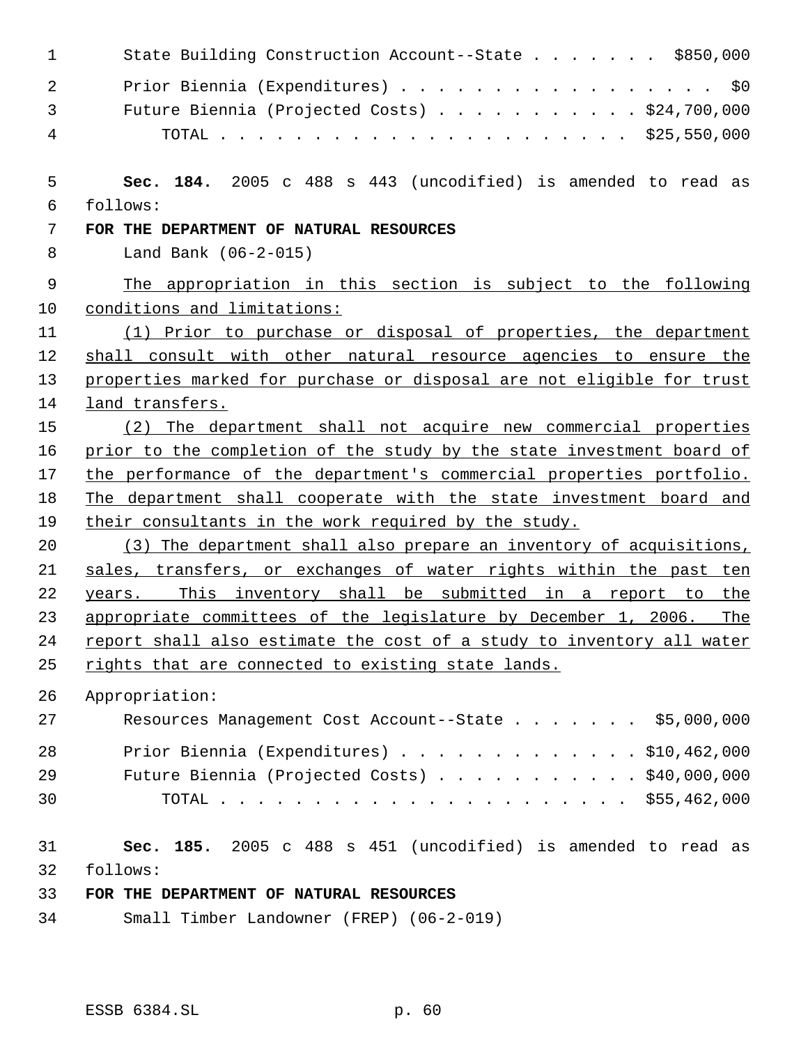| $\mathbf{1}$   | State Building Construction Account--State \$850,000                  |
|----------------|-----------------------------------------------------------------------|
| $\overline{2}$ | Prior Biennia (Expenditures) \$0                                      |
| 3              | Future Biennia (Projected Costs) $\ldots$ \$24,700,000                |
| 4              |                                                                       |
| 5              | Sec. 184. 2005 c 488 s 443 (uncodified) is amended to read as         |
| 6              | follows:                                                              |
| 7              | FOR THE DEPARTMENT OF NATURAL RESOURCES                               |
| 8              | Land Bank (06-2-015)                                                  |
| $\mathsf 9$    | The appropriation in this section is subject to the following         |
| 10             | conditions and limitations:                                           |
| 11             | (1) Prior to purchase or disposal of properties, the department       |
| 12             | shall consult with other natural resource agencies to ensure the      |
| 13             | properties marked for purchase or disposal are not eligible for trust |
| 14             | land transfers.                                                       |
| 15             | (2) The department shall not acquire new commercial properties        |
| 16             | prior to the completion of the study by the state investment board of |
| 17             | the performance of the department's commercial properties portfolio.  |
| 18             | The department shall cooperate with the state investment board and    |
| 19             | their consultants in the work required by the study.                  |
| 20             | (3) The department shall also prepare an inventory of acquisitions,   |
| 21             | sales, transfers, or exchanges of water rights within the past ten    |
| 22             | years. This inventory shall be submitted in a report to the           |
| 23             | appropriate committees of the legislature by December 1, 2006.<br>The |
| 24             | report shall also estimate the cost of a study to inventory all water |
| 25             | rights that are connected to existing state lands.                    |
| 26             | Appropriation:                                                        |
| 27             | Resources Management Cost Account--State \$5,000,000                  |
| 28             | Prior Biennia (Expenditures) \$10,462,000                             |
| 29             | Future Biennia (Projected Costs) $\ldots$ \$40,000,000                |
| 30             |                                                                       |
| 31             | Sec. 185. 2005 c 488 s 451 (uncodified) is amended to read as         |
| 32             | follows:                                                              |
| 33             | FOR THE DEPARTMENT OF NATURAL RESOURCES                               |
| 34             | Small Timber Landowner (FREP) (06-2-019)                              |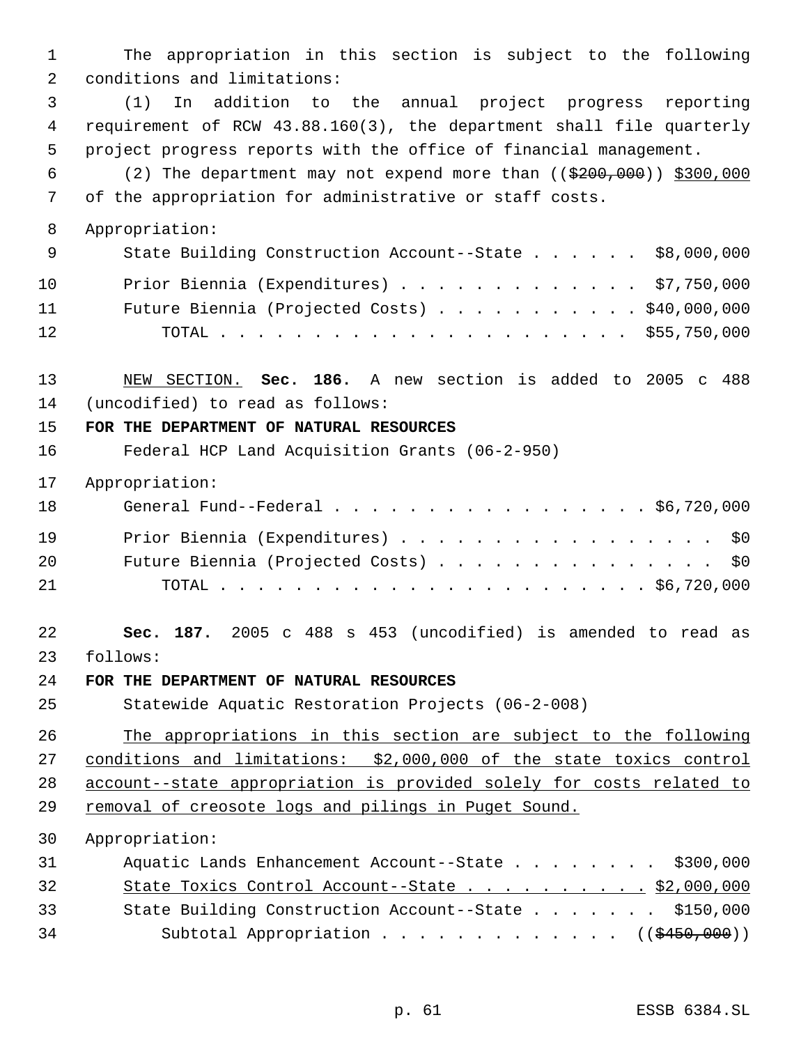The appropriation in this section is subject to the following conditions and limitations: (1) In addition to the annual project progress reporting requirement of RCW 43.88.160(3), the department shall file quarterly project progress reports with the office of financial management. 6 (2) The department may not expend more than  $($   $(*200,000)$   $*300,000$  of the appropriation for administrative or staff costs. Appropriation: 9 State Building Construction Account--State . . . . . \$8,000,000 Prior Biennia (Expenditures) . . . . . . . . . . . . . \$7,750,000 Future Biennia (Projected Costs) . . . . . . . . . . . \$40,000,000 TOTAL . . . . . . . . . . . . . . . . . . . . . . \$55,750,000 NEW SECTION. **Sec. 186.** A new section is added to 2005 c 488 (uncodified) to read as follows: **FOR THE DEPARTMENT OF NATURAL RESOURCES** Federal HCP Land Acquisition Grants (06-2-950) Appropriation: General Fund--Federal . . . . . . . . . . . . . . . . . \$6,720,000 Prior Biennia (Expenditures) . . . . . . . . . . . . . . . . . \$0 20 Future Biennia (Projected Costs) . . . . . . . . . . . . . . \$0 TOTAL . . . . . . . . . . . . . . . . . . . . . . . \$6,720,000 **Sec. 187.** 2005 c 488 s 453 (uncodified) is amended to read as follows: **FOR THE DEPARTMENT OF NATURAL RESOURCES** Statewide Aquatic Restoration Projects (06-2-008) The appropriations in this section are subject to the following conditions and limitations: \$2,000,000 of the state toxics control account--state appropriation is provided solely for costs related to 29 removal of creosote logs and pilings in Puget Sound. Appropriation: 31 Aquatic Lands Enhancement Account--State . . . . . . . \$300,000 State Toxics Control Account--State . . . . . . . . . . \$2,000,000 33 State Building Construction Account--State . . . . . . \$150,000 34 Subtotal Appropriation . . . . . . . . . . . . ((\$450,000))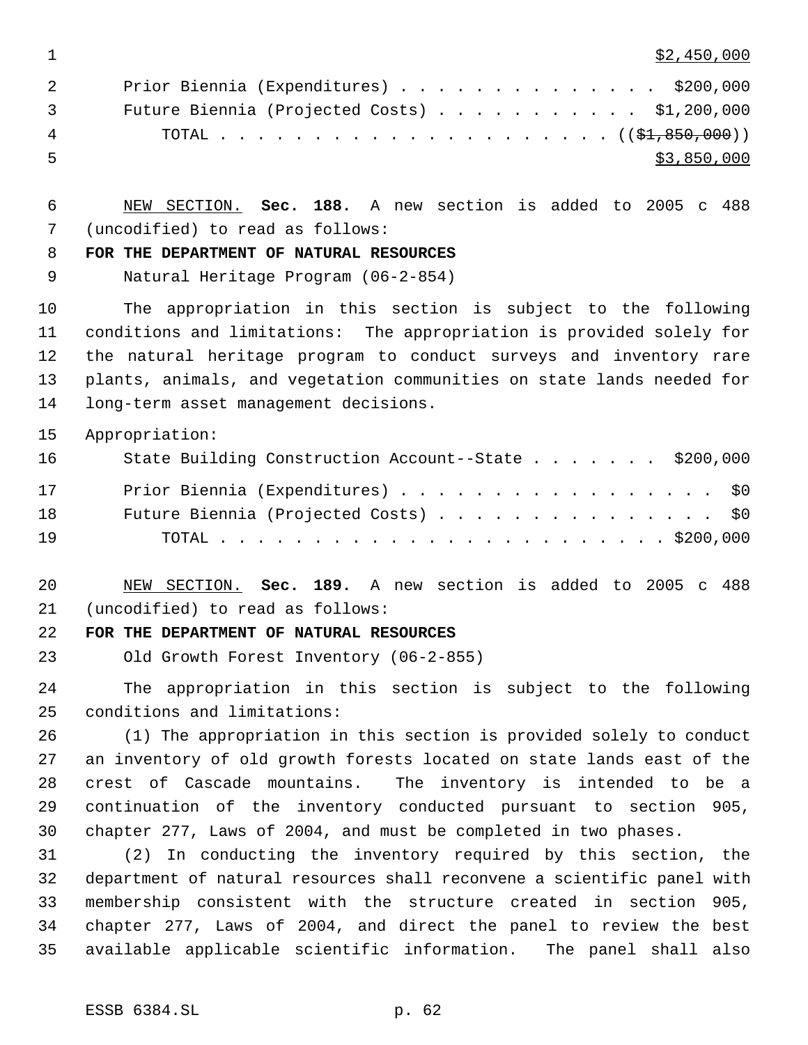$1 \quad$  \$2,450,000

|     | Prior Biennia (Expenditures) \$200,000<br>$\overline{2}$                |
|-----|-------------------------------------------------------------------------|
|     | Future Biennia (Projected Costs) $\ldots$ \$1,200,000<br>$\overline{3}$ |
| 4   |                                                                         |
| - 5 | \$3,850,000                                                             |

 NEW SECTION. **Sec. 188.** A new section is added to 2005 c 488 (uncodified) to read as follows:

## **FOR THE DEPARTMENT OF NATURAL RESOURCES**

Natural Heritage Program (06-2-854)

 The appropriation in this section is subject to the following conditions and limitations: The appropriation is provided solely for the natural heritage program to conduct surveys and inventory rare plants, animals, and vegetation communities on state lands needed for long-term asset management decisions.

Appropriation:

| 16 | State Building Construction Account--State \$200,000 |
|----|------------------------------------------------------|
| 17 | Prior Biennia (Expenditures) \$0                     |
| 18 | Future Biennia (Projected Costs) \$0                 |
| 19 |                                                      |

 NEW SECTION. **Sec. 189.** A new section is added to 2005 c 488 (uncodified) to read as follows:

## **FOR THE DEPARTMENT OF NATURAL RESOURCES**

Old Growth Forest Inventory (06-2-855)

 The appropriation in this section is subject to the following conditions and limitations:

 (1) The appropriation in this section is provided solely to conduct an inventory of old growth forests located on state lands east of the crest of Cascade mountains. The inventory is intended to be a continuation of the inventory conducted pursuant to section 905, chapter 277, Laws of 2004, and must be completed in two phases.

 (2) In conducting the inventory required by this section, the department of natural resources shall reconvene a scientific panel with membership consistent with the structure created in section 905, chapter 277, Laws of 2004, and direct the panel to review the best available applicable scientific information. The panel shall also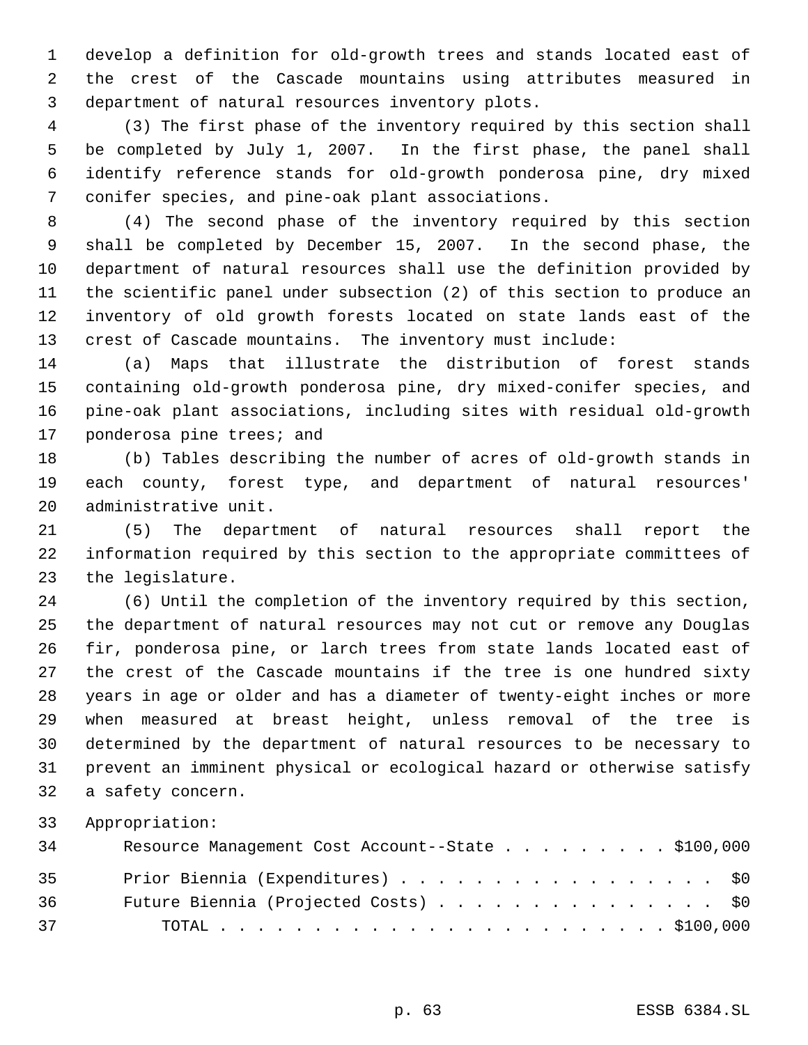develop a definition for old-growth trees and stands located east of the crest of the Cascade mountains using attributes measured in department of natural resources inventory plots.

 (3) The first phase of the inventory required by this section shall be completed by July 1, 2007. In the first phase, the panel shall identify reference stands for old-growth ponderosa pine, dry mixed conifer species, and pine-oak plant associations.

 (4) The second phase of the inventory required by this section shall be completed by December 15, 2007. In the second phase, the department of natural resources shall use the definition provided by the scientific panel under subsection (2) of this section to produce an inventory of old growth forests located on state lands east of the crest of Cascade mountains. The inventory must include:

 (a) Maps that illustrate the distribution of forest stands containing old-growth ponderosa pine, dry mixed-conifer species, and pine-oak plant associations, including sites with residual old-growth ponderosa pine trees; and

 (b) Tables describing the number of acres of old-growth stands in each county, forest type, and department of natural resources' administrative unit.

 (5) The department of natural resources shall report the information required by this section to the appropriate committees of the legislature.

 (6) Until the completion of the inventory required by this section, the department of natural resources may not cut or remove any Douglas fir, ponderosa pine, or larch trees from state lands located east of the crest of the Cascade mountains if the tree is one hundred sixty years in age or older and has a diameter of twenty-eight inches or more when measured at breast height, unless removal of the tree is determined by the department of natural resources to be necessary to prevent an imminent physical or ecological hazard or otherwise satisfy a safety concern.

| 34 | Resource Management Cost Account--State \$100,000 |
|----|---------------------------------------------------|
| 35 | Prior Biennia (Expenditures) \$0                  |
| 36 | Future Biennia (Projected Costs) \$0              |
| 37 |                                                   |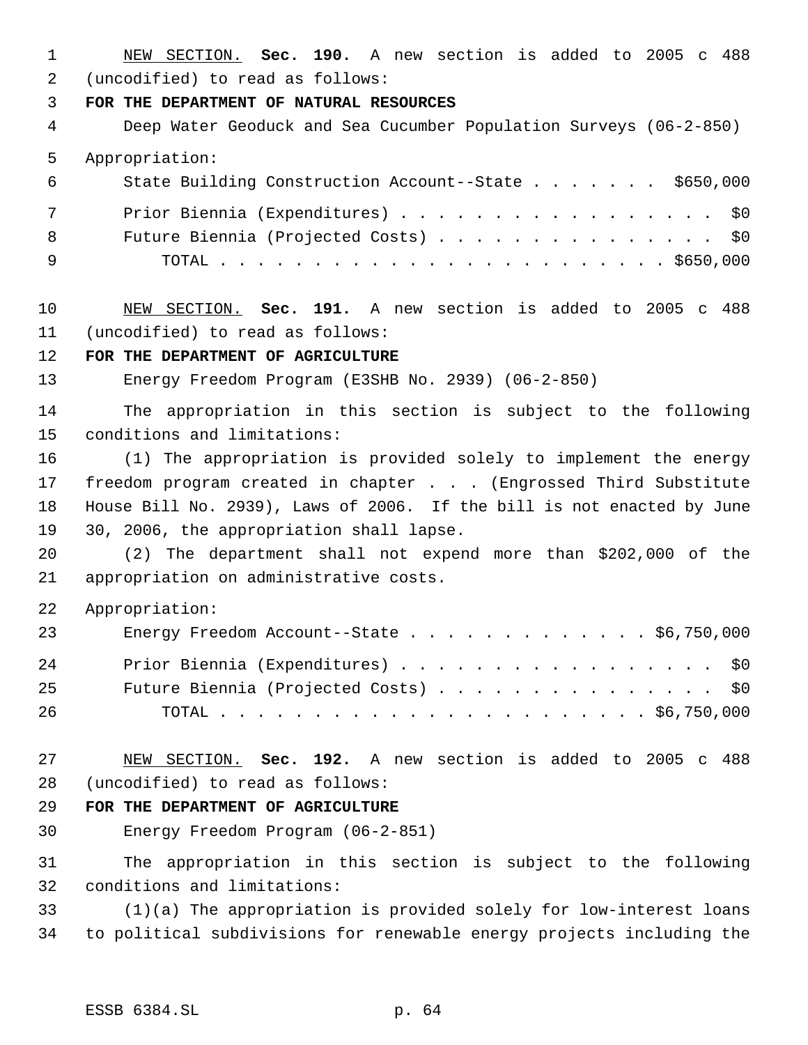NEW SECTION. **Sec. 190.** A new section is added to 2005 c 488 (uncodified) to read as follows:

**FOR THE DEPARTMENT OF NATURAL RESOURCES**

 Deep Water Geoduck and Sea Cucumber Population Surveys (06-2-850) Appropriation: State Building Construction Account--State . . . . . . . \$650,000 7 Prior Biennia (Expenditures) . . . . . . . . . . . . . . . . \$0 Future Biennia (Projected Costs) . . . . . . . . . . . . . . . \$0

- TOTAL . . . . . . . . . . . . . . . . . . . . . . . . \$650,000
- NEW SECTION. **Sec. 191.** A new section is added to 2005 c 488 (uncodified) to read as follows:

## **FOR THE DEPARTMENT OF AGRICULTURE**

Energy Freedom Program (E3SHB No. 2939) (06-2-850)

 The appropriation in this section is subject to the following conditions and limitations:

 (1) The appropriation is provided solely to implement the energy freedom program created in chapter . . . (Engrossed Third Substitute House Bill No. 2939), Laws of 2006. If the bill is not enacted by June 30, 2006, the appropriation shall lapse.

 (2) The department shall not expend more than \$202,000 of the appropriation on administrative costs.

Appropriation:

| 23 | Energy Freedom Account--State $\ldots$ \$6,750,000 |
|----|----------------------------------------------------|
| 24 | Prior Biennia (Expenditures) \$0                   |
| 25 | Future Biennia (Projected Costs) \$0               |
| 26 |                                                    |

 NEW SECTION. **Sec. 192.** A new section is added to 2005 c 488 (uncodified) to read as follows:

#### **FOR THE DEPARTMENT OF AGRICULTURE**

Energy Freedom Program (06-2-851)

 The appropriation in this section is subject to the following conditions and limitations:

 (1)(a) The appropriation is provided solely for low-interest loans to political subdivisions for renewable energy projects including the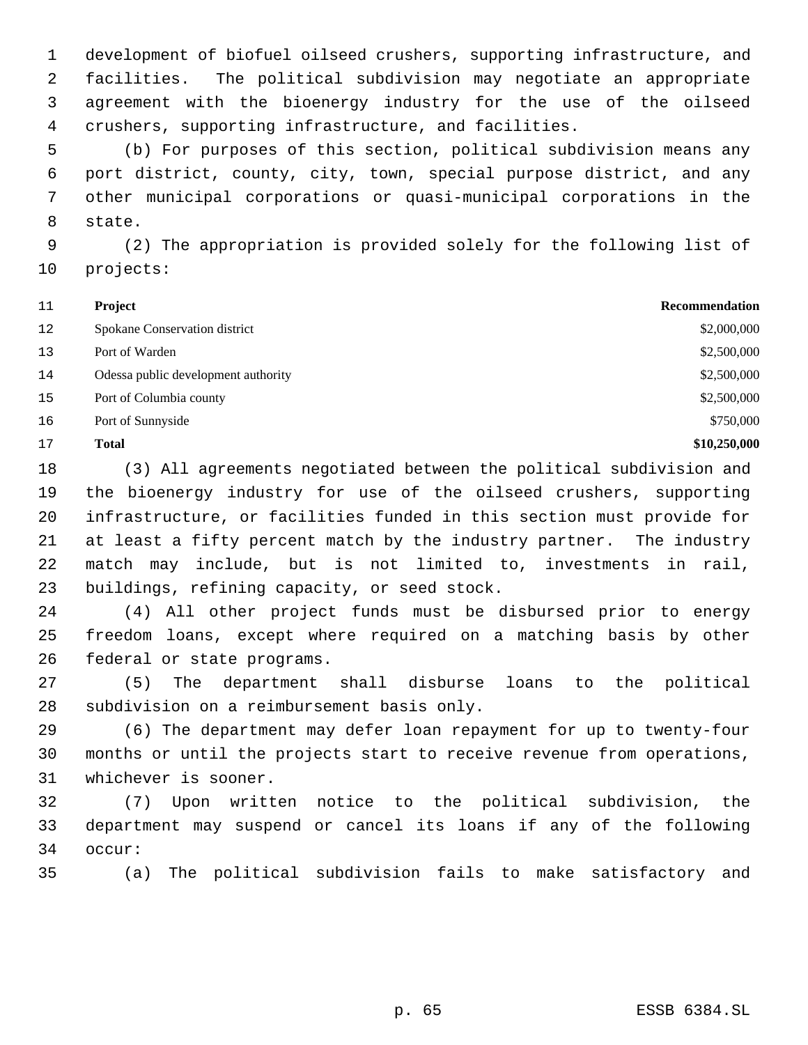development of biofuel oilseed crushers, supporting infrastructure, and facilities. The political subdivision may negotiate an appropriate agreement with the bioenergy industry for the use of the oilseed crushers, supporting infrastructure, and facilities.

 (b) For purposes of this section, political subdivision means any port district, county, city, town, special purpose district, and any other municipal corporations or quasi-municipal corporations in the state.

 (2) The appropriation is provided solely for the following list of projects:

| 11 | <b>Project</b>                      | Recommendation |
|----|-------------------------------------|----------------|
| 12 | Spokane Conservation district       | \$2,000,000    |
| 13 | Port of Warden                      | \$2,500,000    |
| 14 | Odessa public development authority | \$2,500,000    |
| 15 | Port of Columbia county             | \$2,500,000    |
| 16 | Port of Sunnyside                   | \$750,000      |
| 17 | <b>Total</b>                        | \$10,250,000   |

 (3) All agreements negotiated between the political subdivision and the bioenergy industry for use of the oilseed crushers, supporting infrastructure, or facilities funded in this section must provide for at least a fifty percent match by the industry partner. The industry match may include, but is not limited to, investments in rail, buildings, refining capacity, or seed stock.

 (4) All other project funds must be disbursed prior to energy freedom loans, except where required on a matching basis by other federal or state programs.

 (5) The department shall disburse loans to the political subdivision on a reimbursement basis only.

 (6) The department may defer loan repayment for up to twenty-four months or until the projects start to receive revenue from operations, whichever is sooner.

 (7) Upon written notice to the political subdivision, the department may suspend or cancel its loans if any of the following occur:

(a) The political subdivision fails to make satisfactory and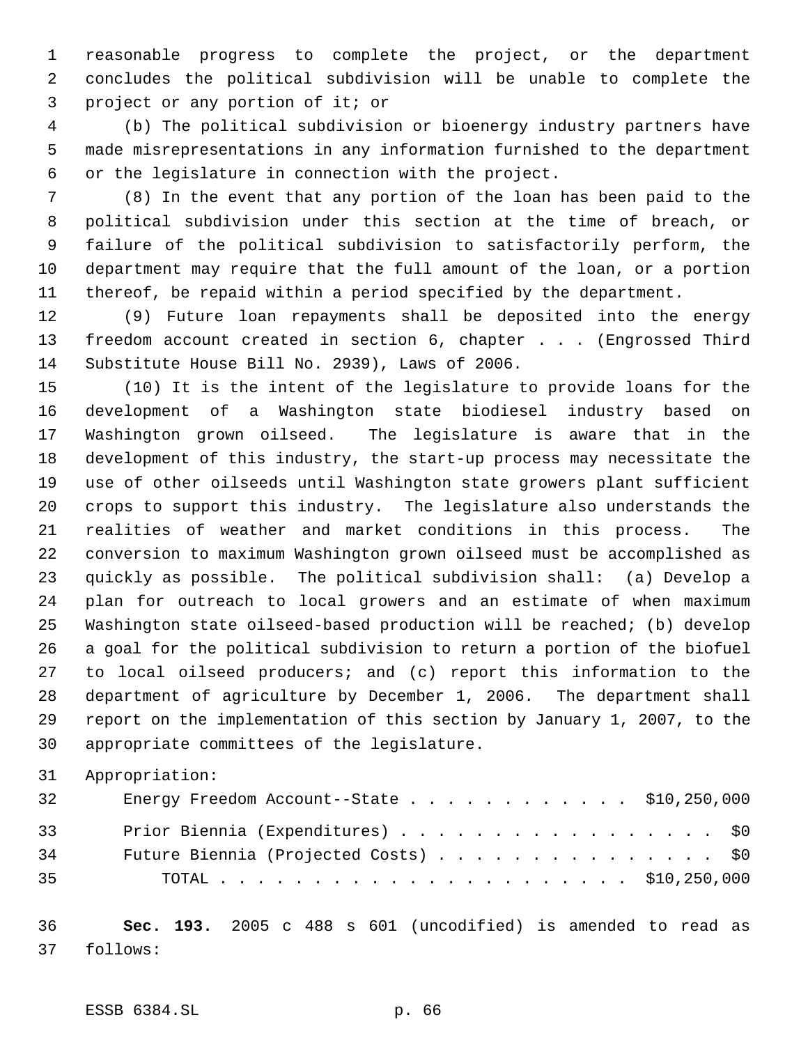reasonable progress to complete the project, or the department concludes the political subdivision will be unable to complete the project or any portion of it; or

 (b) The political subdivision or bioenergy industry partners have made misrepresentations in any information furnished to the department or the legislature in connection with the project.

 (8) In the event that any portion of the loan has been paid to the political subdivision under this section at the time of breach, or failure of the political subdivision to satisfactorily perform, the department may require that the full amount of the loan, or a portion thereof, be repaid within a period specified by the department.

 (9) Future loan repayments shall be deposited into the energy freedom account created in section 6, chapter . . . (Engrossed Third Substitute House Bill No. 2939), Laws of 2006.

 (10) It is the intent of the legislature to provide loans for the development of a Washington state biodiesel industry based on Washington grown oilseed. The legislature is aware that in the development of this industry, the start-up process may necessitate the use of other oilseeds until Washington state growers plant sufficient crops to support this industry. The legislature also understands the realities of weather and market conditions in this process. The conversion to maximum Washington grown oilseed must be accomplished as quickly as possible. The political subdivision shall: (a) Develop a plan for outreach to local growers and an estimate of when maximum Washington state oilseed-based production will be reached; (b) develop a goal for the political subdivision to return a portion of the biofuel to local oilseed producers; and (c) report this information to the department of agriculture by December 1, 2006. The department shall report on the implementation of this section by January 1, 2007, to the appropriate committees of the legislature.

```
31 Appropriation:
```

| 32 | Energy Freedom Account--State $\ldots$ \$10,250,000 |  |
|----|-----------------------------------------------------|--|
| 33 | Prior Biennia (Expenditures) \$0                    |  |
| 34 | Future Biennia (Projected Costs) \$0                |  |
| 35 |                                                     |  |

 **Sec. 193.** 2005 c 488 s 601 (uncodified) is amended to read as follows: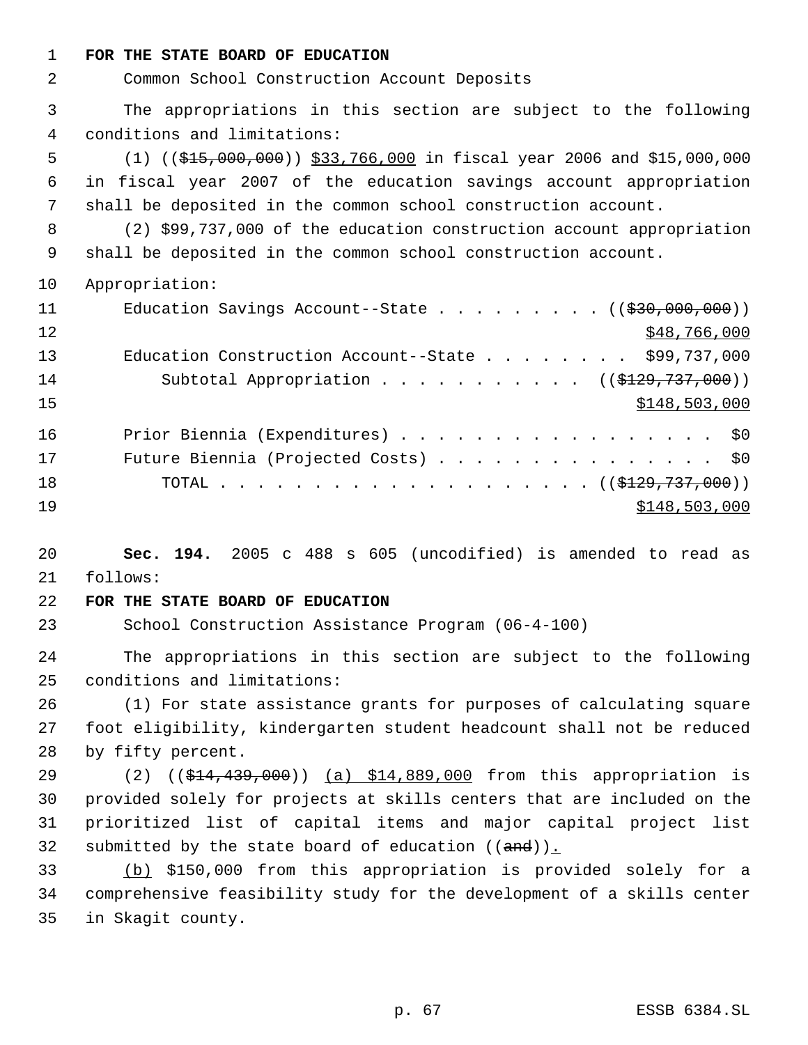**FOR THE STATE BOARD OF EDUCATION**

Common School Construction Account Deposits

 The appropriations in this section are subject to the following conditions and limitations:

 (1) ((\$15,000,000)) \$33,766,000 in fiscal year 2006 and \$15,000,000 in fiscal year 2007 of the education savings account appropriation shall be deposited in the common school construction account.

 (2) \$99,737,000 of the education construction account appropriation shall be deposited in the common school construction account.

Appropriation:

| 11 | Education Savings Account--State $($ $($ $\frac{200}{1000}, 000, 000) )$ |
|----|--------------------------------------------------------------------------|
| 12 | \$48,766,000                                                             |
| 13 | Education Construction Account--State \$99,737,000                       |
| 14 | Subtotal Appropriation ( $(\frac{129}{737}, 000)$ )                      |
| 15 | \$148,503,000                                                            |
| 16 | Prior Biennia (Expenditures) \$0                                         |
| 17 | Future Biennia (Projected Costs) \$0                                     |
| 18 | TOTAL ( $(\frac{1229}{737}, 000)$ )                                      |
| 19 | \$148,503,000                                                            |

 **Sec. 194.** 2005 c 488 s 605 (uncodified) is amended to read as follows:

## **FOR THE STATE BOARD OF EDUCATION**

School Construction Assistance Program (06-4-100)

 The appropriations in this section are subject to the following conditions and limitations:

 (1) For state assistance grants for purposes of calculating square foot eligibility, kindergarten student headcount shall not be reduced by fifty percent.

29 (2) ((\$14,439,000)) (a) \$14,889,000 from this appropriation is provided solely for projects at skills centers that are included on the prioritized list of capital items and major capital project list 32 submitted by the state board of education  $((and))_{\text{L}}$ 

 (b) \$150,000 from this appropriation is provided solely for a comprehensive feasibility study for the development of a skills center in Skagit county.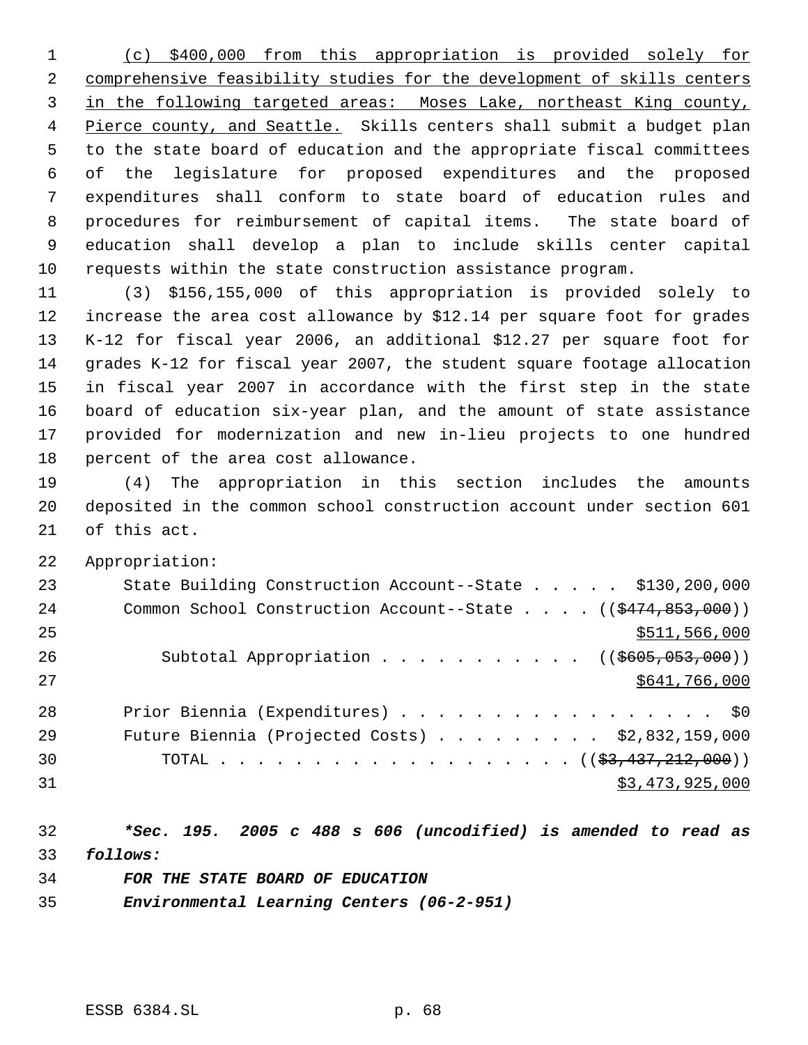(c) \$400,000 from this appropriation is provided solely for comprehensive feasibility studies for the development of skills centers in the following targeted areas: Moses Lake, northeast King county, 4 Pierce county, and Seattle. Skills centers shall submit a budget plan to the state board of education and the appropriate fiscal committees of the legislature for proposed expenditures and the proposed expenditures shall conform to state board of education rules and procedures for reimbursement of capital items. The state board of education shall develop a plan to include skills center capital requests within the state construction assistance program.

 (3) \$156,155,000 of this appropriation is provided solely to increase the area cost allowance by \$12.14 per square foot for grades K-12 for fiscal year 2006, an additional \$12.27 per square foot for grades K-12 for fiscal year 2007, the student square footage allocation in fiscal year 2007 in accordance with the first step in the state board of education six-year plan, and the amount of state assistance provided for modernization and new in-lieu projects to one hundred percent of the area cost allowance.

 (4) The appropriation in this section includes the amounts deposited in the common school construction account under section 601 of this act.

Appropriation:

| 23 | State Building Construction Account--State \$130,200,000                      |
|----|-------------------------------------------------------------------------------|
| 24 | Common School Construction Account--State $($ $($ $\frac{2474}{853},000)$ $)$ |
| 25 | \$511,566,000                                                                 |
| 26 | Subtotal Appropriation ( $(\frac{2605}{0.053}, 000)$ )                        |
| 27 | \$641,766,000                                                                 |
| 28 | Prior Biennia (Expenditures) \$0                                              |
| 29 | Future Biennia (Projected Costs) $\ldots$ \$2,832,159,000                     |
| 30 | TOTAL $($ $(\frac{27}{27}, \frac{437}{212}, \frac{212}{200})$                 |
| 31 | \$3,473,925,000                                                               |

 *\*Sec. 195. 2005 c 488 s 606 (uncodified) is amended to read as follows:*

*FOR THE STATE BOARD OF EDUCATION*

*Environmental Learning Centers (06-2-951)*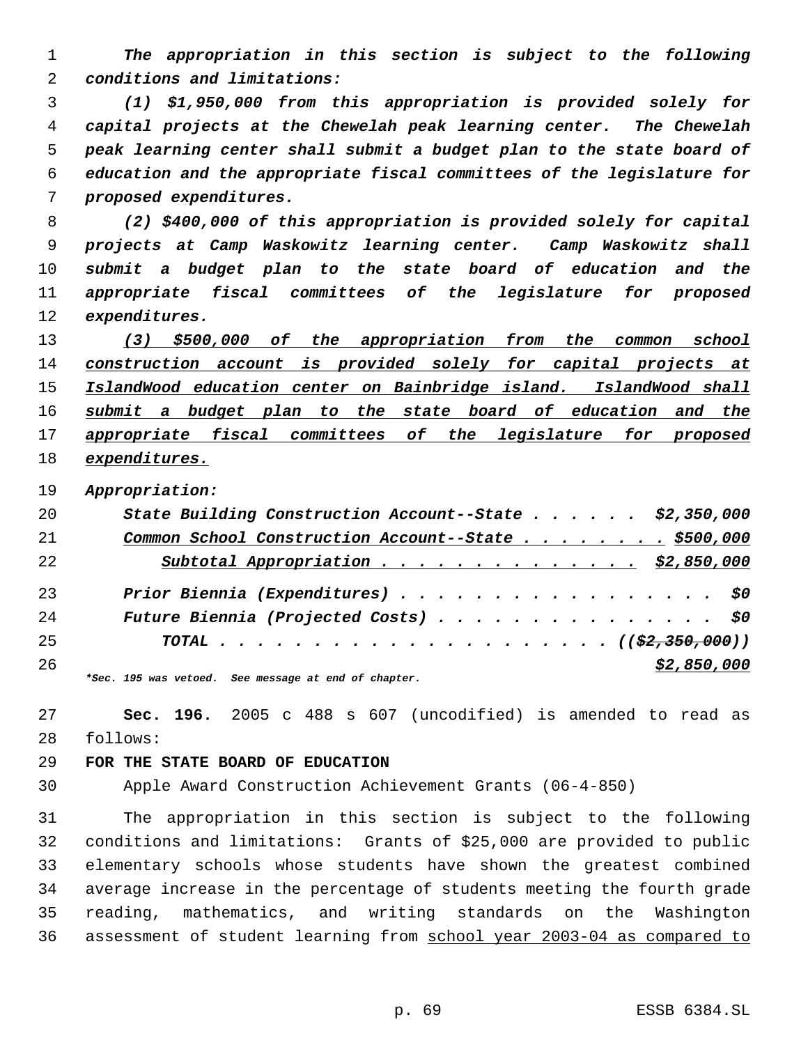*The appropriation in this section is subject to the following conditions and limitations:*

 *(1) \$1,950,000 from this appropriation is provided solely for capital projects at the Chewelah peak learning center. The Chewelah peak learning center shall submit a budget plan to the state board of education and the appropriate fiscal committees of the legislature for proposed expenditures.*

 *(2) \$400,000 of this appropriation is provided solely for capital projects at Camp Waskowitz learning center. Camp Waskowitz shall submit a budget plan to the state board of education and the appropriate fiscal committees of the legislature for proposed expenditures.*

 *(3) \$500,000 of the appropriation from the common school construction account is provided solely for capital projects at IslandWood education center on Bainbridge island. IslandWood shall submit a budget plan to the state board of education and the appropriate fiscal committees of the legislature for proposed expenditures.*

*Appropriation:*

| 20 | State Building Construction Account--State \$2,350,000              |
|----|---------------------------------------------------------------------|
| 21 | Common School Construction Account--State \$500,000                 |
| 22 | Subtotal Appropriation \$2,850,000                                  |
| 23 | Prior Biennia (Expenditures) \$0                                    |
| 24 | Future Biennia (Projected Costs) \$0                                |
| 25 |                                                                     |
| 26 | \$2,850,000<br>*Sec. 195 was vetoed. See message at end of chapter. |

 **Sec. 196.** 2005 c 488 s 607 (uncodified) is amended to read as follows:

# **FOR THE STATE BOARD OF EDUCATION**

Apple Award Construction Achievement Grants (06-4-850)

 The appropriation in this section is subject to the following conditions and limitations: Grants of \$25,000 are provided to public elementary schools whose students have shown the greatest combined average increase in the percentage of students meeting the fourth grade reading, mathematics, and writing standards on the Washington assessment of student learning from school year 2003-04 as compared to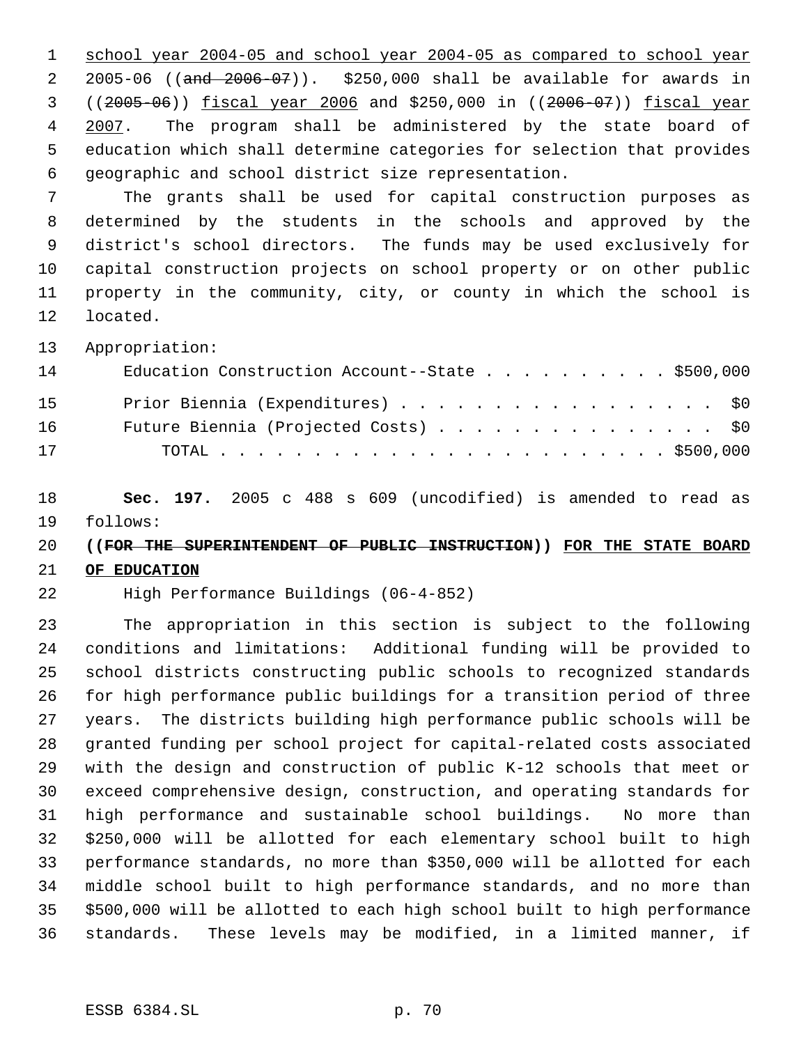school year 2004-05 and school year 2004-05 as compared to school year 2005-06 ((and 2006-07)). \$250,000 shall be available for awards in ((2005-06)) fiscal year 2006 and \$250,000 in ((2006-07)) fiscal year 4 2007. The program shall be administered by the state board of education which shall determine categories for selection that provides geographic and school district size representation.

 The grants shall be used for capital construction purposes as determined by the students in the schools and approved by the district's school directors. The funds may be used exclusively for capital construction projects on school property or on other public property in the community, city, or county in which the school is located.

Appropriation:

| 14 | Education Construction Account--State \$500,000 |
|----|-------------------------------------------------|
| 15 | Prior Biennia (Expenditures) \$0                |
| 16 | Future Biennia (Projected Costs) \$0            |
| 17 |                                                 |

 **Sec. 197.** 2005 c 488 s 609 (uncodified) is amended to read as follows:

## **((FOR THE SUPERINTENDENT OF PUBLIC INSTRUCTION)) FOR THE STATE BOARD**

## **OF EDUCATION**

High Performance Buildings (06-4-852)

 The appropriation in this section is subject to the following conditions and limitations: Additional funding will be provided to school districts constructing public schools to recognized standards for high performance public buildings for a transition period of three years. The districts building high performance public schools will be granted funding per school project for capital-related costs associated with the design and construction of public K-12 schools that meet or exceed comprehensive design, construction, and operating standards for high performance and sustainable school buildings. No more than \$250,000 will be allotted for each elementary school built to high performance standards, no more than \$350,000 will be allotted for each middle school built to high performance standards, and no more than \$500,000 will be allotted to each high school built to high performance standards. These levels may be modified, in a limited manner, if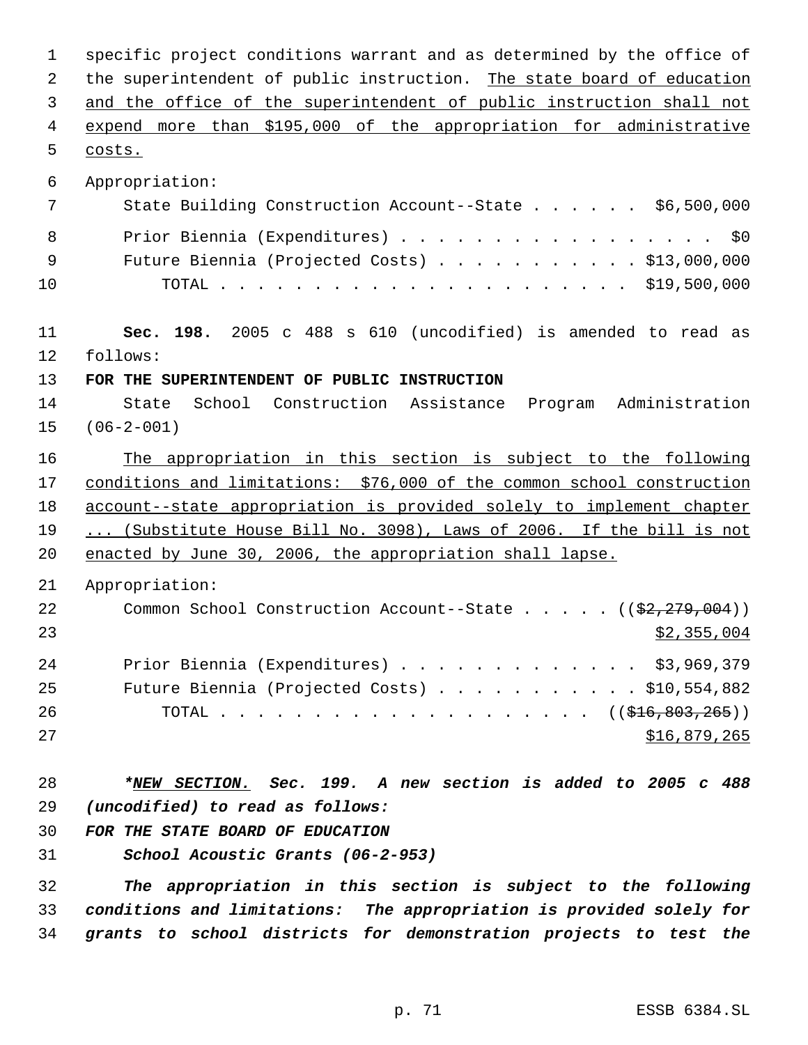specific project conditions warrant and as determined by the office of 2 the superintendent of public instruction. The state board of education and the office of the superintendent of public instruction shall not expend more than \$195,000 of the appropriation for administrative costs. Appropriation: State Building Construction Account--State . . . . . . \$6,500,000 8 Prior Biennia (Expenditures) . . . . . . . . . . . . . . . . \$0 Future Biennia (Projected Costs) . . . . . . . . . . . \$13,000,000 TOTAL . . . . . . . . . . . . . . . . . . . . . . \$19,500,000 **Sec. 198.** 2005 c 488 s 610 (uncodified) is amended to read as follows: **FOR THE SUPERINTENDENT OF PUBLIC INSTRUCTION** State School Construction Assistance Program Administration (06-2-001) The appropriation in this section is subject to the following conditions and limitations: \$76,000 of the common school construction 18 account--state appropriation is provided solely to implement chapter ... (Substitute House Bill No. 3098), Laws of 2006. If the bill is not 20 enacted by June 30, 2006, the appropriation shall lapse. Appropriation: 22 Common School Construction Account--State . . . . . ((\$2,279,004)) \$2,355,004 Prior Biennia (Expenditures) . . . . . . . . . . . . . \$3,969,379 Future Biennia (Projected Costs) . . . . . . . . . . . \$10,554,882 26 TOTAL . . . . . . . . . . . . . . . . . . ((\$<del>16,803,265</del>)) 27 \$16,879,265 *\*NEW SECTION. Sec. 199. A new section is added to 2005 c 488 (uncodified) to read as follows: FOR THE STATE BOARD OF EDUCATION School Acoustic Grants (06-2-953) The appropriation in this section is subject to the following conditions and limitations: The appropriation is provided solely for*

*grants to school districts for demonstration projects to test the*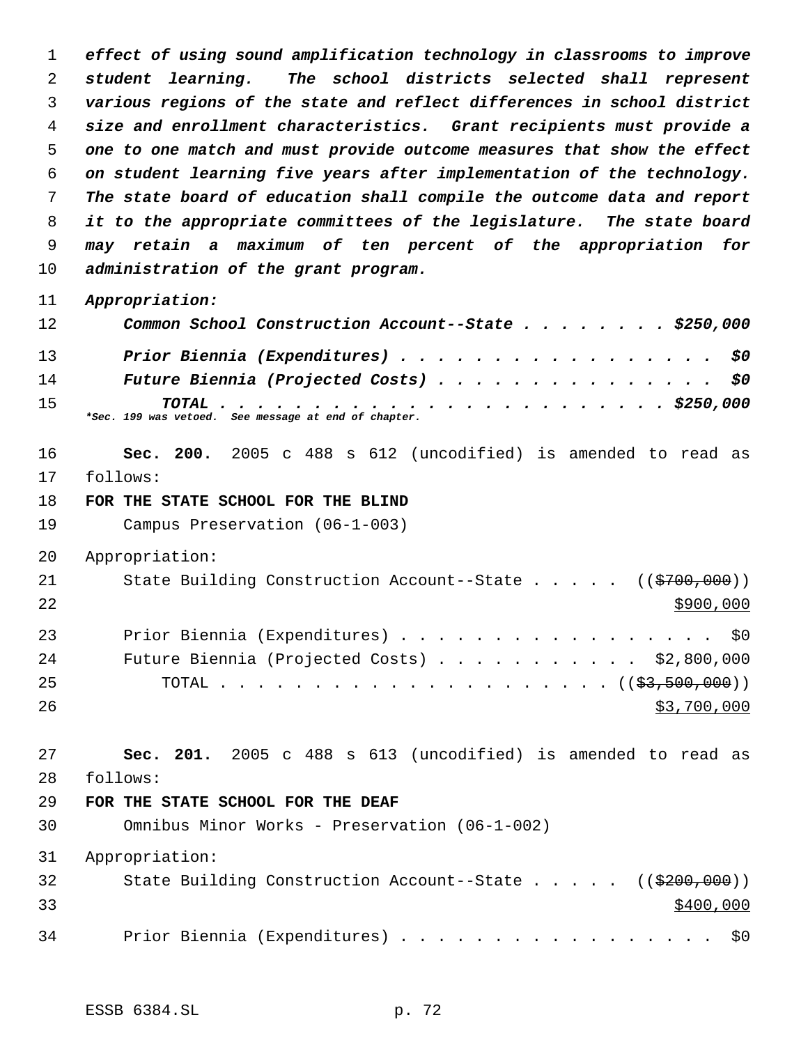*effect of using sound amplification technology in classrooms to improve student learning. The school districts selected shall represent various regions of the state and reflect differences in school district size and enrollment characteristics. Grant recipients must provide a one to one match and must provide outcome measures that show the effect on student learning five years after implementation of the technology. The state board of education shall compile the outcome data and report it to the appropriate committees of the legislature. The state board may retain a maximum of ten percent of the appropriation for administration of the grant program.*

*Appropriation:*

| 12 | Common School Construction Account--State \$250,000  |
|----|------------------------------------------------------|
| 13 | Prior Biennia (Expenditures) \$0                     |
| 14 | Future Biennia (Projected Costs) \$0                 |
| 15 | *Sec. 199 was vetoed. See message at end of chapter. |

 **Sec. 200.** 2005 c 488 s 612 (uncodified) is amended to read as follows:

**FOR THE STATE SCHOOL FOR THE BLIND**

Campus Preservation (06-1-003)

Appropriation:

21 State Building Construction Account--State . . . . ((\$700,000)) Prior Biennia (Expenditures) . . . . . . . . . . . . . . . . . \$0 Future Biennia (Projected Costs) . . . . . . . . . . . \$2,800,000 TOTAL . . . . . . . . . . . . . . . . . . . . . ((\$3,500,000))

 $$3,700,000$ 

 **Sec. 201.** 2005 c 488 s 613 (uncodified) is amended to read as follows:

#### **FOR THE STATE SCHOOL FOR THE DEAF**

Omnibus Minor Works - Preservation (06-1-002)

Appropriation:

| 32 | State Building Construction Account--State $($ $($ $\frac{200}{700})$ |           |
|----|-----------------------------------------------------------------------|-----------|
| 33 |                                                                       | \$400,000 |
| 34 | Prior Biennia (Expenditures) \$0                                      |           |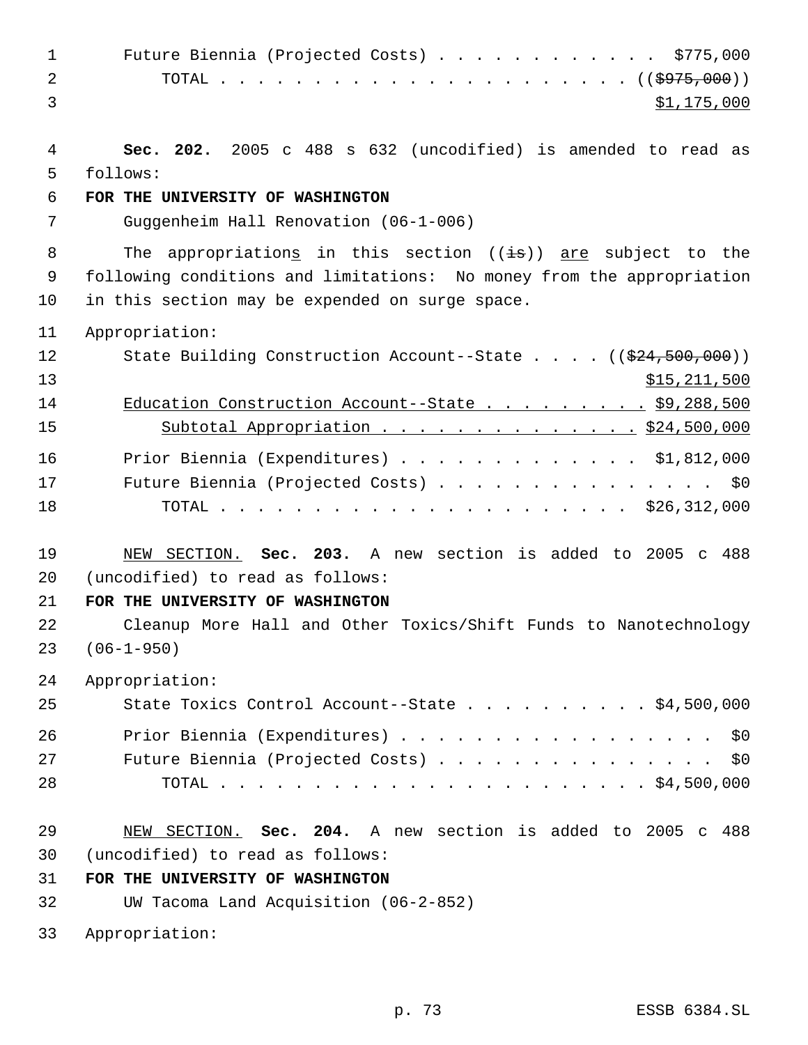| $\mathbf{1}$ | Future Biennia (Projected Costs) \$775,000                                         |
|--------------|------------------------------------------------------------------------------------|
| 2            |                                                                                    |
| 3            | \$1,175,000                                                                        |
|              |                                                                                    |
| 4            | Sec. 202. 2005 c 488 s 632 (uncodified) is amended to read as                      |
| 5            | follows:                                                                           |
| 6            | FOR THE UNIVERSITY OF WASHINGTON                                                   |
| 7            | Guggenheim Hall Renovation (06-1-006)                                              |
|              |                                                                                    |
| 8            | The appropriations in this section $((\pm s))$ are subject to the                  |
| 9            | following conditions and limitations: No money from the appropriation              |
| 10           | in this section may be expended on surge space.                                    |
| 11           | Appropriation:                                                                     |
| 12           | State Building Construction Account--State $($ $($ $\frac{24}{524}, 500, 000)$ $)$ |
| 13           | \$15, 211, 500                                                                     |
| 14           | Education Construction Account--State \$9,288,500                                  |
| 15           | Subtotal Appropriation \$24,500,000                                                |
|              |                                                                                    |
| 16           | Prior Biennia (Expenditures) \$1,812,000                                           |
| 17           | Future Biennia (Projected Costs) \$0                                               |
| 18           |                                                                                    |
|              |                                                                                    |
| 19           | NEW SECTION. Sec. 203. A new section is added to 2005 c 488                        |
| 20           | (uncodified) to read as follows:                                                   |
| 21           | FOR THE UNIVERSITY OF WASHINGTON                                                   |
| 22           | Cleanup More Hall and Other Toxics/Shift Funds to Nanotechnology                   |
| 23           | $(06 - 1 - 950)$                                                                   |
| 24           | Appropriation:                                                                     |
| 25           | State Toxics Control Account--State \$4,500,000                                    |
| 26           | Prior Biennia (Expenditures) \$0                                                   |
| 27           | Future Biennia (Projected Costs) \$0                                               |
| 28           |                                                                                    |
|              |                                                                                    |
| 29           | NEW SECTION. Sec. 204. A new section is added to 2005 c 488                        |
| 30           | (uncodified) to read as follows:                                                   |
| 31           | FOR THE UNIVERSITY OF WASHINGTON                                                   |
| 32           | UW Tacoma Land Acquisition (06-2-852)                                              |
|              |                                                                                    |
| 33           | Appropriation:                                                                     |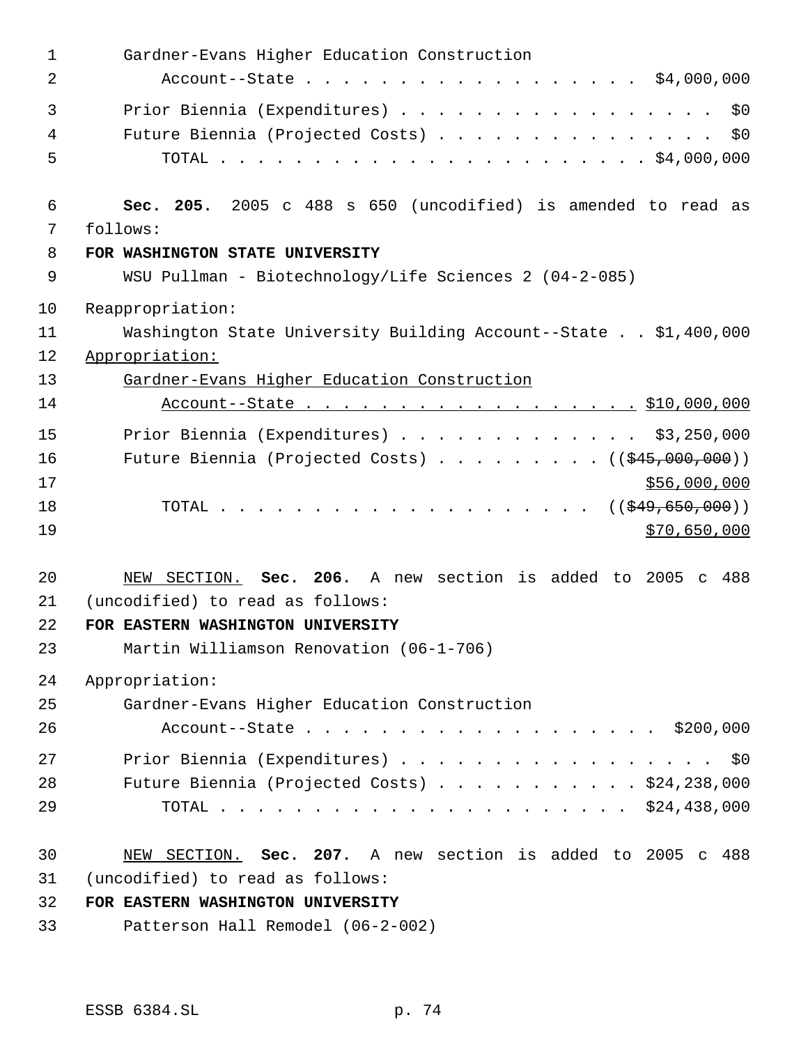| $\mathbf 1$ | Gardner-Evans Higher Education Construction                       |
|-------------|-------------------------------------------------------------------|
| 2           | Account--State \$4,000,000                                        |
| 3           | Prior Biennia (Expenditures)<br>\$0                               |
| 4           | Future Biennia (Projected Costs)<br>\$0                           |
| 5           |                                                                   |
| 6           | Sec. 205. 2005 c 488 s 650 (uncodified) is amended to read as     |
| 7           | follows:                                                          |
| 8           | FOR WASHINGTON STATE UNIVERSITY                                   |
| 9           | WSU Pullman - Biotechnology/Life Sciences 2 (04-2-085)            |
| 10          | Reappropriation:                                                  |
| 11          | Washington State University Building Account--State \$1,400,000   |
| 12          | Appropriation:                                                    |
| 13          | Gardner-Evans Higher Education Construction                       |
| 14          | Account--State \$10,000,000                                       |
| 15          | Prior Biennia (Expenditures) \$3,250,000                          |
| 16          | Future Biennia (Projected Costs) $($ $($ $\frac{245}{000},000)$ ) |
| 17          | \$56,000,000                                                      |
| 18          |                                                                   |
| 19          | \$70,650,000                                                      |
| 20          | NEW SECTION. Sec. 206. A new section is added to 2005 c 488       |
| 21          | (uncodified) to read as follows:                                  |
| 22          | FOR EASTERN WASHINGTON UNIVERSITY                                 |
| 23          | Martin Williamson Renovation (06-1-706)                           |
| 24          | Appropriation:                                                    |
| 25          | Gardner-Evans Higher Education Construction                       |
| 26          | Account--State \$200,000                                          |
| 27          | Prior Biennia (Expenditures) \$0                                  |
| 28          | Future Biennia (Projected Costs) $\ldots$ \$24,238,000            |
| 29          |                                                                   |
| 30          | NEW SECTION. Sec. 207. A new section is added to 2005 c 488       |
| 31          | (uncodified) to read as follows:                                  |
| 32          | FOR EASTERN WASHINGTON UNIVERSITY                                 |
| 33          | Patterson Hall Remodel (06-2-002)                                 |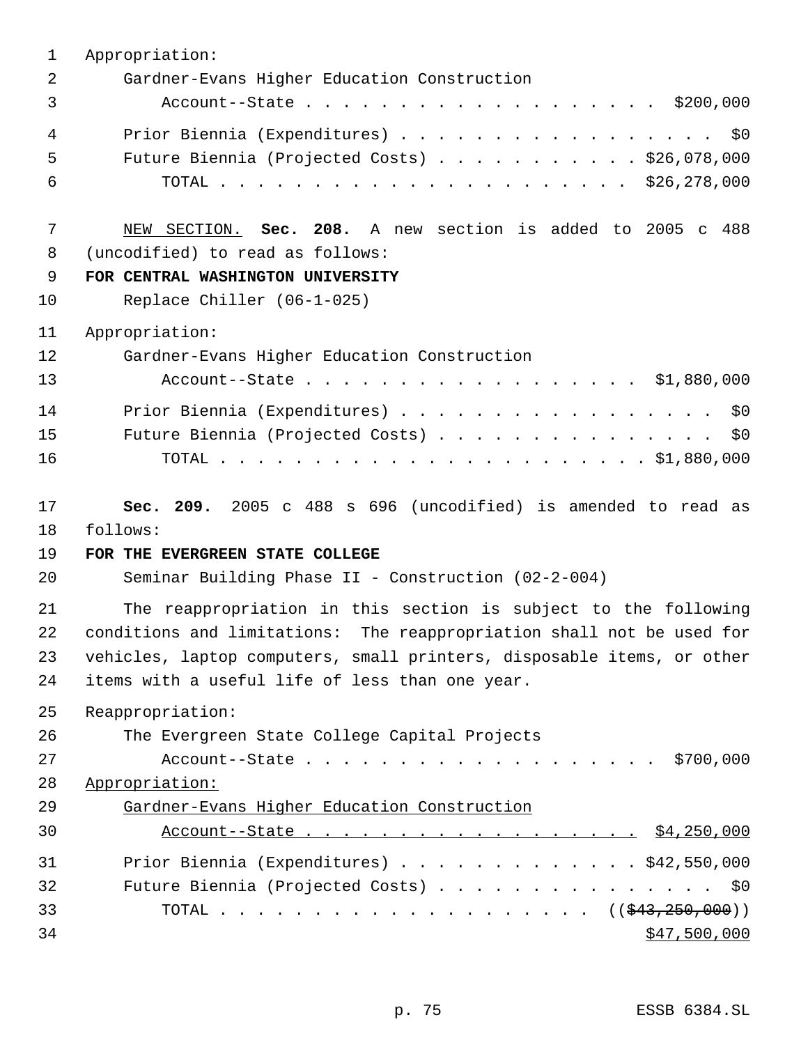| 1  | Appropriation:                                                         |
|----|------------------------------------------------------------------------|
| 2  | Gardner-Evans Higher Education Construction                            |
| 3  | Account--State \$200,000                                               |
| 4  | Prior Biennia (Expenditures)<br>\$0                                    |
| 5  | Future Biennia (Projected Costs) $\ldots$ \$26,078,000                 |
| 6  |                                                                        |
| 7  | NEW SECTION. Sec. 208. A new section is added to 2005 c 488            |
| 8  | (uncodified) to read as follows:                                       |
| 9  | FOR CENTRAL WASHINGTON UNIVERSITY                                      |
| 10 | Replace Chiller (06-1-025)                                             |
| 11 | Appropriation:                                                         |
| 12 | Gardner-Evans Higher Education Construction                            |
| 13 | Account--State \$1,880,000                                             |
| 14 | Prior Biennia (Expenditures)<br>\$0\$                                  |
| 15 | Future Biennia (Projected Costs)<br>\$0\$                              |
| 16 |                                                                        |
| 17 | Sec. 209. 2005 c 488 s 696 (uncodified) is amended to read as          |
| 18 | follows:                                                               |
| 19 | FOR THE EVERGREEN STATE COLLEGE                                        |
| 20 | Seminar Building Phase II - Construction (02-2-004)                    |
| 21 | The reappropriation in this section is subject to the following        |
| 22 | conditions and limitations: The reappropriation shall not be used for  |
| 23 | vehicles, laptop computers, small printers, disposable items, or other |
| 24 | items with a useful life of less than one year.                        |
| 25 | Reappropriation:                                                       |
| 26 | The Evergreen State College Capital Projects                           |
| 27 | Account--State \$700,000                                               |
| 28 | Appropriation:                                                         |
| 29 | Gardner-Evans Higher Education Construction                            |
| 30 |                                                                        |
| 31 | Prior Biennia (Expenditures) \$42,550,000                              |
| 32 | Future Biennia (Projected Costs) \$0                                   |
| 33 |                                                                        |
| 34 | \$47,500,000                                                           |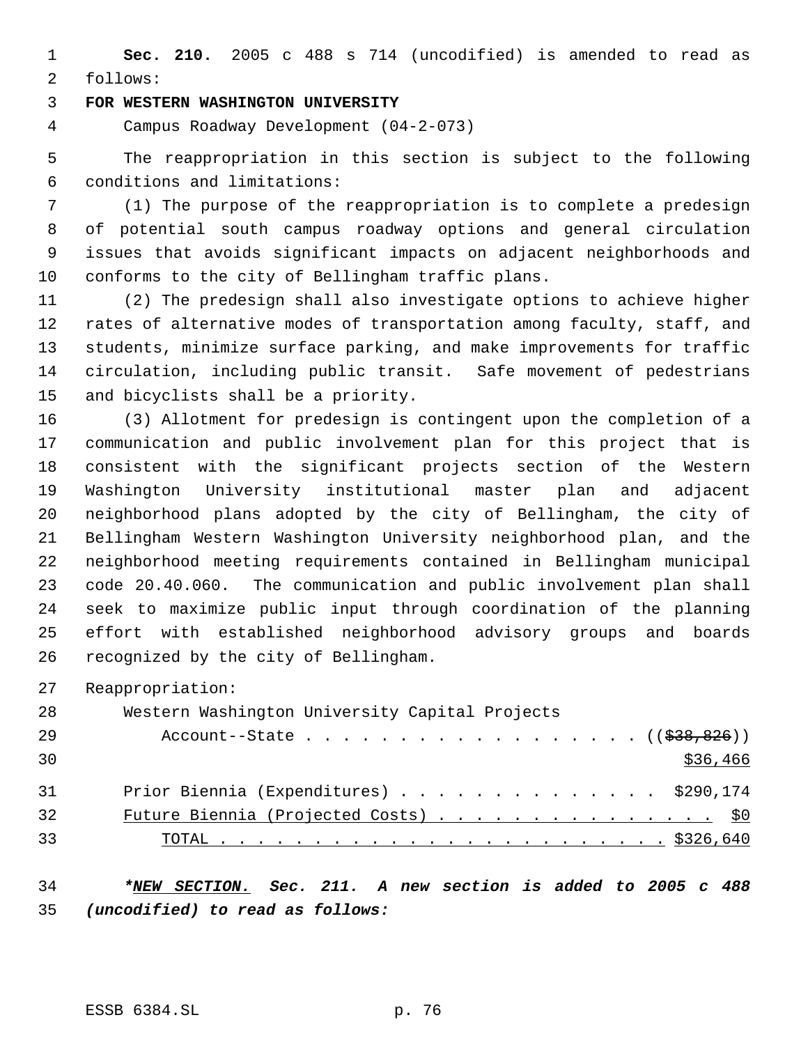**Sec. 210.** 2005 c 488 s 714 (uncodified) is amended to read as follows:

#### **FOR WESTERN WASHINGTON UNIVERSITY**

Campus Roadway Development (04-2-073)

 The reappropriation in this section is subject to the following conditions and limitations:

 (1) The purpose of the reappropriation is to complete a predesign of potential south campus roadway options and general circulation issues that avoids significant impacts on adjacent neighborhoods and conforms to the city of Bellingham traffic plans.

 (2) The predesign shall also investigate options to achieve higher rates of alternative modes of transportation among faculty, staff, and students, minimize surface parking, and make improvements for traffic circulation, including public transit. Safe movement of pedestrians and bicyclists shall be a priority.

 (3) Allotment for predesign is contingent upon the completion of a communication and public involvement plan for this project that is consistent with the significant projects section of the Western Washington University institutional master plan and adjacent neighborhood plans adopted by the city of Bellingham, the city of Bellingham Western Washington University neighborhood plan, and the neighborhood meeting requirements contained in Bellingham municipal code 20.40.060. The communication and public involvement plan shall seek to maximize public input through coordination of the planning effort with established neighborhood advisory groups and boards recognized by the city of Bellingham.

Reappropriation:

| 28 | Western Washington University Capital Projects |
|----|------------------------------------------------|
| 29 | Account--State $($ $(\frac{283}{638}, 826))$   |
| 30 | \$36,466                                       |
| 31 | Prior Biennia (Expenditures) \$290,174         |
| 32 | Future Biennia (Projected Costs) \$0           |
| 33 |                                                |

 *\*NEW SECTION. Sec. 211. A new section is added to 2005 c 488 (uncodified) to read as follows:*

ESSB 6384.SL p. 76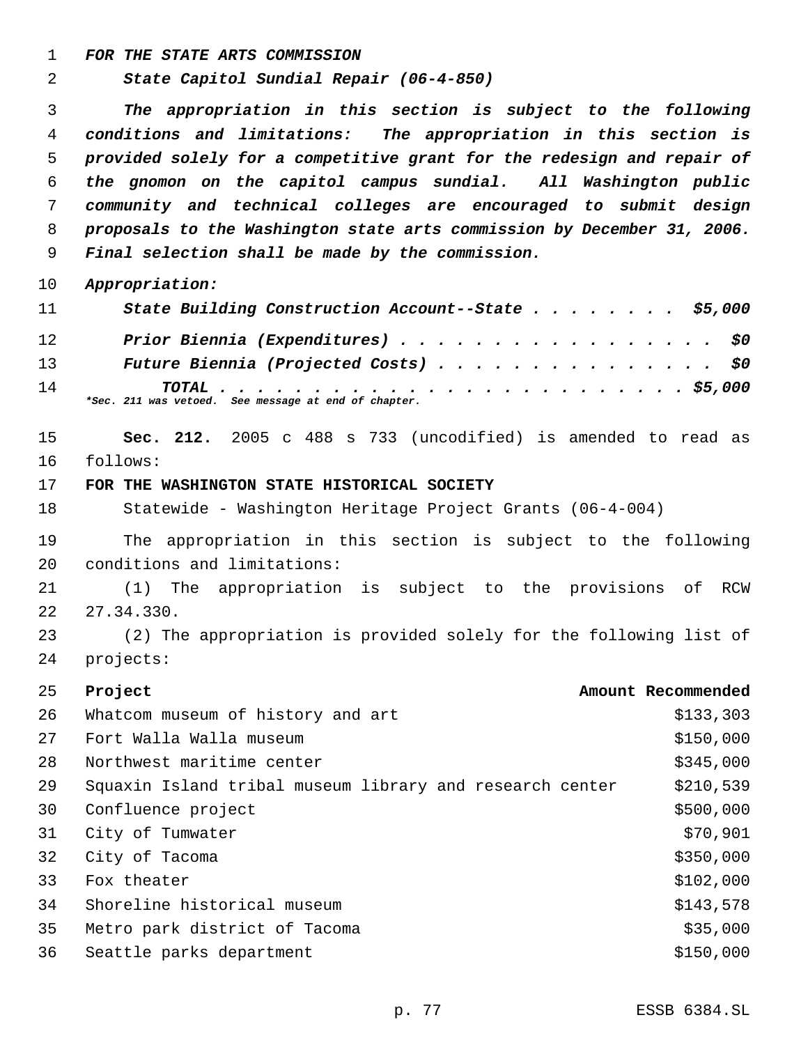*FOR THE STATE ARTS COMMISSION*

*State Capitol Sundial Repair (06-4-850)*

 *The appropriation in this section is subject to the following conditions and limitations: The appropriation in this section is provided solely for a competitive grant for the redesign and repair of the gnomon on the capitol campus sundial. All Washington public community and technical colleges are encouraged to submit design proposals to the Washington state arts commission by December 31, 2006. Final selection shall be made by the commission.*

*Appropriation:*

| 11              | State Building Construction Account--State \$5,000   |
|-----------------|------------------------------------------------------|
| 12 <sup>°</sup> | Prior Biennia (Expenditures) \$0                     |
| 13              | Future Biennia (Projected Costs) \$0                 |
| 14              | *Sec. 211 was vetoed. See message at end of chapter. |

 **Sec. 212.** 2005 c 488 s 733 (uncodified) is amended to read as follows:

#### **FOR THE WASHINGTON STATE HISTORICAL SOCIETY**

Statewide - Washington Heritage Project Grants (06-4-004)

 The appropriation in this section is subject to the following conditions and limitations:

 (1) The appropriation is subject to the provisions of RCW 27.34.330.

 (2) The appropriation is provided solely for the following list of projects:

| 25 | Project                                                  | Amount Recommended |
|----|----------------------------------------------------------|--------------------|
| 26 | Whatcom museum of history and art                        | \$133,303          |
| 27 | Fort Walla Walla museum                                  | \$150,000          |
| 28 | Northwest maritime center                                | \$345,000          |
| 29 | Squaxin Island tribal museum library and research center | \$210,539          |
| 30 | Confluence project                                       | \$500,000          |
| 31 | City of Tumwater                                         | \$70,901           |
| 32 | City of Tacoma                                           | \$350,000          |
| 33 | Fox theater                                              | \$102,000          |
| 34 | Shoreline historical museum                              | \$143,578          |
| 35 | Metro park district of Tacoma                            | \$35,000           |
| 36 | Seattle parks department                                 | \$150,000          |
|    |                                                          |                    |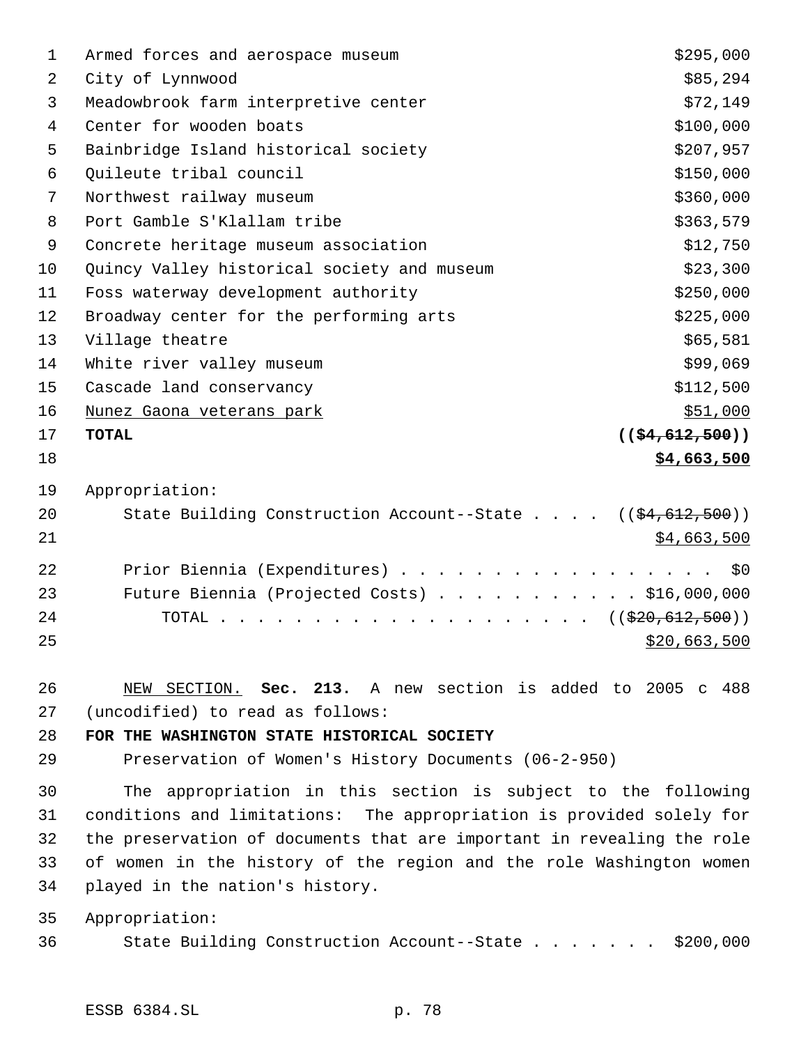| 1  | Armed forces and aerospace museum                                              | \$295,000                  |
|----|--------------------------------------------------------------------------------|----------------------------|
| 2  | City of Lynnwood                                                               | \$85,294                   |
| 3  | Meadowbrook farm interpretive center                                           | \$72,149                   |
| 4  | Center for wooden boats                                                        | \$100,000                  |
| 5  | Bainbridge Island historical society                                           | \$207,957                  |
| 6  | Quileute tribal council                                                        | \$150,000                  |
| 7  | Northwest railway museum                                                       | \$360,000                  |
| 8  | Port Gamble S'Klallam tribe                                                    | \$363,579                  |
| 9  | Concrete heritage museum association                                           | \$12,750                   |
| 10 | Quincy Valley historical society and museum                                    | \$23,300                   |
| 11 | Foss waterway development authority                                            | \$250,000                  |
| 12 | Broadway center for the performing arts                                        | \$225,000                  |
| 13 | Village theatre                                                                | \$65,581                   |
| 14 | White river valley museum                                                      | \$99,069                   |
| 15 | Cascade land conservancy                                                       | \$112,500                  |
| 16 | Nunez Gaona veterans park                                                      | \$51,000                   |
| 17 | <b>TOTAL</b>                                                                   | $((\frac{154}{612}, 500))$ |
| 18 |                                                                                | \$4,663,500                |
| 19 | Appropriation:                                                                 |                            |
| 20 | State Building Construction Account--State $($ $($ $\frac{64}{612}$ , $500)$ ) |                            |
| 21 |                                                                                | \$4,663,500                |
| 22 | Prior Biennia (Expenditures)                                                   | \$0                        |
| 23 | Future Biennia (Projected Costs) \$16,000,000                                  |                            |
| 24 | TOTAL ( $(\frac{220}{620}, \frac{612}{500})$ )                                 |                            |
| 25 |                                                                                | \$20,663,500               |
| 26 | NEW SECTION. Sec. 213. A new section is added to                               | 2005 c 488                 |
| 27 | (uncodified) to read as follows:                                               |                            |

**FOR THE WASHINGTON STATE HISTORICAL SOCIETY**

Preservation of Women's History Documents (06-2-950)

 The appropriation in this section is subject to the following conditions and limitations: The appropriation is provided solely for the preservation of documents that are important in revealing the role of women in the history of the region and the role Washington women played in the nation's history.

Appropriation:

State Building Construction Account--State . . . . . . . \$200,000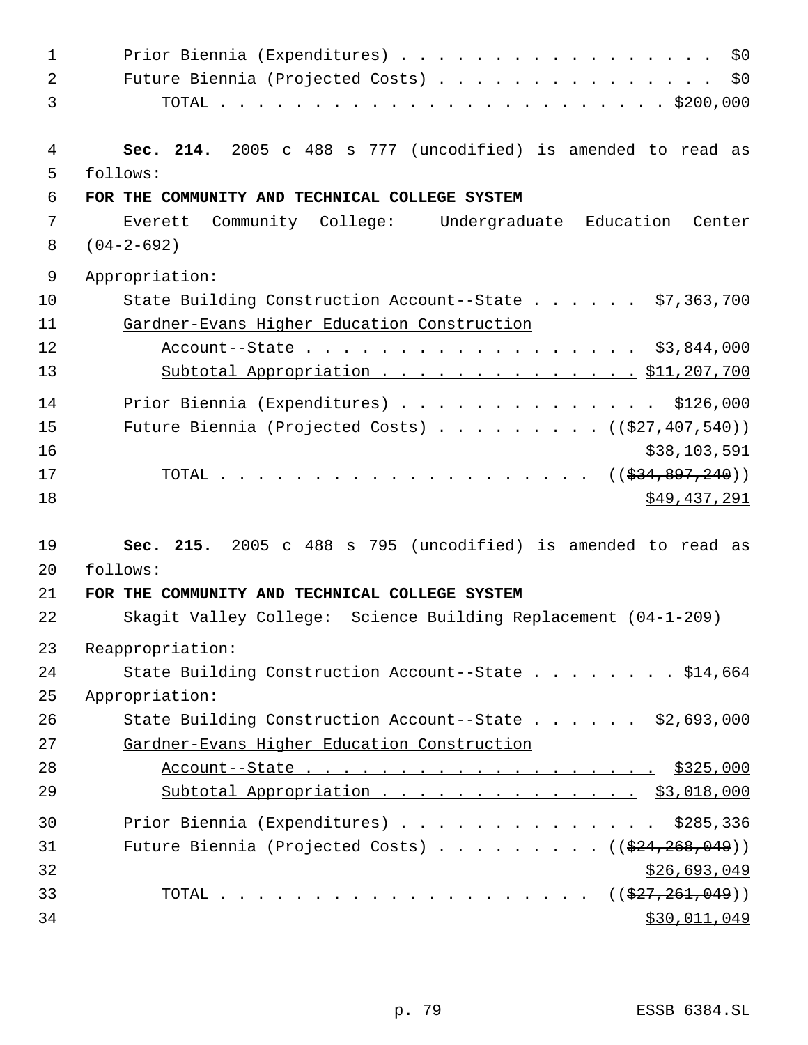| $\mathbf{1}$ | Prior Biennia (Expenditures)<br>\$0\$                                                            |
|--------------|--------------------------------------------------------------------------------------------------|
| 2            | Future Biennia (Projected Costs) \$0                                                             |
| 3            |                                                                                                  |
|              |                                                                                                  |
| 4            | Sec. 214. 2005 c 488 s 777 (uncodified) is amended to read as                                    |
| 5            | follows:                                                                                         |
| 6            | FOR THE COMMUNITY AND TECHNICAL COLLEGE SYSTEM                                                   |
| 7            | Community College: Undergraduate Education<br>Everett<br>Center                                  |
| 8            | $(04 - 2 - 692)$                                                                                 |
| 9            | Appropriation:                                                                                   |
| 10           | State Building Construction Account--State $\ldots$ \$7,363,700                                  |
| 11           | Gardner-Evans Higher Education Construction                                                      |
| 12           | Account--State \$3,844,000                                                                       |
| 13           | Subtotal Appropriation \$11,207,700                                                              |
| 14           | Prior Biennia (Expenditures) \$126,000                                                           |
| 15           | Future Biennia (Projected Costs) ( $(\frac{277}{407}, \frac{407}{540})$ )                        |
| 16           | \$38,103,591                                                                                     |
| 17           | TOTAL ( $(\frac{234}{634}, \frac{897}{240})$ )                                                   |
| 18           | \$49,437,291                                                                                     |
|              |                                                                                                  |
| 19           | Sec. 215. 2005 c 488 s 795 (uncodified) is amended to read as                                    |
| 20           | follows:                                                                                         |
| 21           | FOR THE COMMUNITY AND TECHNICAL COLLEGE SYSTEM                                                   |
| 22           | Skagit Valley College: Science Building Replacement (04-1-209)                                   |
| 23           | Reappropriation:                                                                                 |
| 24           | State Building Construction Account--State \$14,664                                              |
| 25           | Appropriation:                                                                                   |
| 26           | State Building Construction Account--State \$2,693,000                                           |
| 27           | Gardner-Evans Higher Education Construction                                                      |
| 28           | Account--State \$325,000                                                                         |
| 29           | Subtotal Appropriation $\cdots$ $\cdots$ $\cdots$ $\cdots$ $\cdots$ $\ddot{\ddot{S}}$ , 018, 000 |
| 30           | Prior Biennia (Expenditures) \$285,336                                                           |
| 31           | Future Biennia (Projected Costs) ( $(\frac{224}{268}, 268, 049)$ )                               |
| 32           | \$26,693,049                                                                                     |
| 33           |                                                                                                  |
| 34           | \$30,011,049                                                                                     |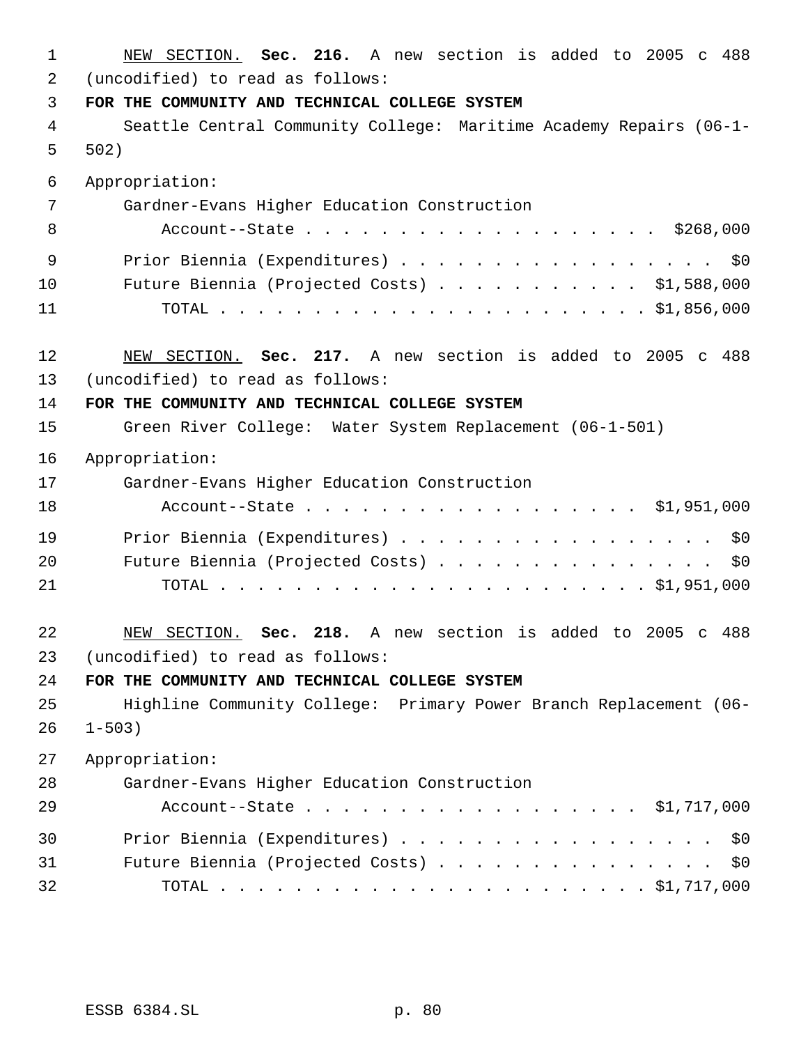| 1        | NEW SECTION. Sec. 216. A new section is added to 2005 c 488                        |
|----------|------------------------------------------------------------------------------------|
| 2        | (uncodified) to read as follows:                                                   |
| 3        | FOR THE COMMUNITY AND TECHNICAL COLLEGE SYSTEM                                     |
| 4        | Seattle Central Community College: Maritime Academy Repairs (06-1-                 |
| 5        | 502)                                                                               |
| 6        | Appropriation:                                                                     |
| 7        | Gardner-Evans Higher Education Construction                                        |
| 8        | Account--State \$268,000                                                           |
| 9        | Prior Biennia (Expenditures)<br>\$0                                                |
| 10       | Future Biennia (Projected Costs) $\ldots$ \$1,588,000                              |
| 11       |                                                                                    |
|          |                                                                                    |
| 12<br>13 | NEW SECTION. Sec. 217. A new section is added to 2005 c 488                        |
| 14       | (uncodified) to read as follows:<br>FOR THE COMMUNITY AND TECHNICAL COLLEGE SYSTEM |
| 15       | Green River College: Water System Replacement (06-1-501)                           |
|          |                                                                                    |
| 16       | Appropriation:                                                                     |
| 17       | Gardner-Evans Higher Education Construction                                        |
| 18       | Account--State \$1,951,000                                                         |
| 19       | Prior Biennia (Expenditures)<br>\$0                                                |
| 20       | Future Biennia (Projected Costs)<br>\$0                                            |
| 21       | TOTAL.                                                                             |
| 22       | Sec. 218. A new section is added to 2005 c 488<br>NEW SECTION.                     |
| 23       | (uncodified) to read as follows:                                                   |
| 24       | FOR THE COMMUNITY AND TECHNICAL COLLEGE SYSTEM                                     |
| 25       | Highline Community College: Primary Power Branch Replacement (06-                  |
| 26       | $1 - 503$ )                                                                        |
| 27       | Appropriation:                                                                     |
| 28       | Gardner-Evans Higher Education Construction                                        |
| 29       | Account--State \$1,717,000                                                         |
| 30       | Prior Biennia (Expenditures)<br>\$0                                                |
| 31       | Future Biennia (Projected Costs)<br>\$0                                            |
| 32       |                                                                                    |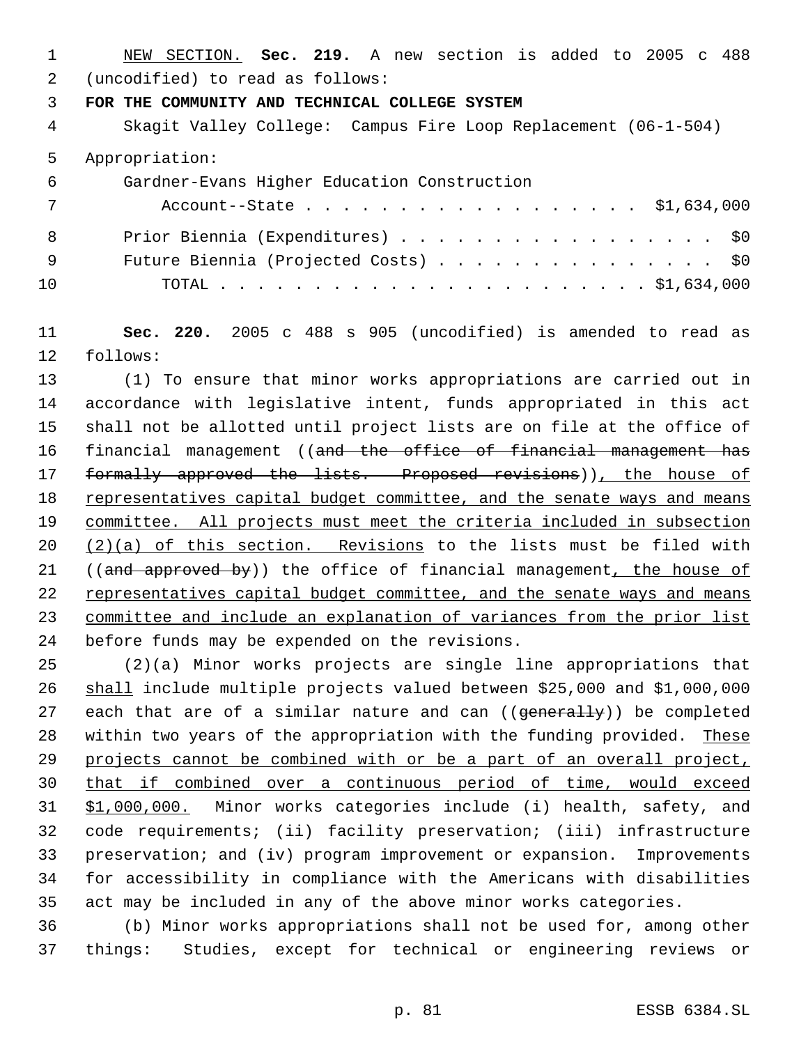NEW SECTION. **Sec. 219.** A new section is added to 2005 c 488 (uncodified) to read as follows:

**FOR THE COMMUNITY AND TECHNICAL COLLEGE SYSTEM**

 Skagit Valley College: Campus Fire Loop Replacement (06-1-504) Appropriation: Gardner-Evans Higher Education Construction

| 7   | Account--State \$1,634,000           |
|-----|--------------------------------------|
| 8   | Prior Biennia (Expenditures) \$0     |
| - 9 | Future Biennia (Projected Costs) \$0 |
| 10  |                                      |

 **Sec. 220.** 2005 c 488 s 905 (uncodified) is amended to read as follows:

 (1) To ensure that minor works appropriations are carried out in accordance with legislative intent, funds appropriated in this act shall not be allotted until project lists are on file at the office of 16 financial management ((and the office of financial management has 17 formally approved the lists. Proposed revisions)), the house of 18 representatives capital budget committee, and the senate ways and means committee. All projects must meet the criteria included in subsection  $(2)(a)$  of this section. Revisions to the lists must be filed with 21 ((and approved by)) the office of financial management, the house of 22 representatives capital budget committee, and the senate ways and means committee and include an explanation of variances from the prior list before funds may be expended on the revisions.

 (2)(a) Minor works projects are single line appropriations that shall include multiple projects valued between \$25,000 and \$1,000,000 27 each that are of a similar nature and can ((generally)) be completed 28 within two years of the appropriation with the funding provided. These projects cannot be combined with or be a part of an overall project, that if combined over a continuous period of time, would exceed 31 \$1,000,000. Minor works categories include (i) health, safety, and code requirements; (ii) facility preservation; (iii) infrastructure preservation; and (iv) program improvement or expansion. Improvements for accessibility in compliance with the Americans with disabilities act may be included in any of the above minor works categories.

 (b) Minor works appropriations shall not be used for, among other things: Studies, except for technical or engineering reviews or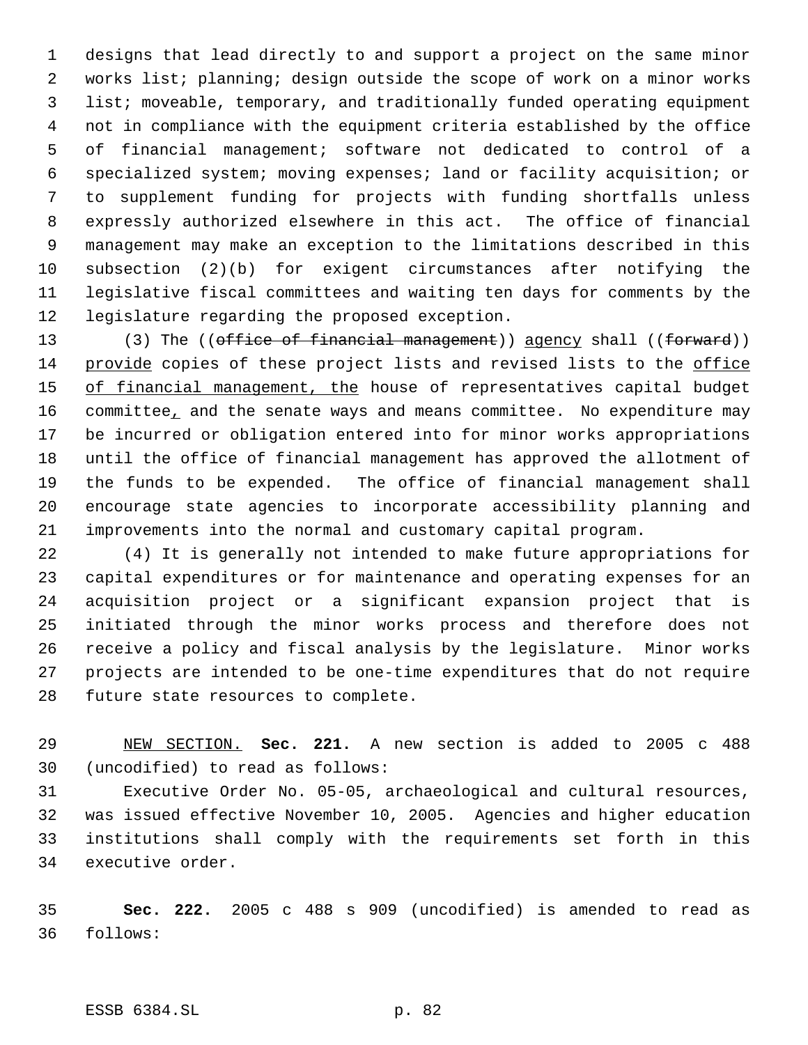designs that lead directly to and support a project on the same minor works list; planning; design outside the scope of work on a minor works list; moveable, temporary, and traditionally funded operating equipment not in compliance with the equipment criteria established by the office of financial management; software not dedicated to control of a specialized system; moving expenses; land or facility acquisition; or to supplement funding for projects with funding shortfalls unless expressly authorized elsewhere in this act. The office of financial management may make an exception to the limitations described in this subsection (2)(b) for exigent circumstances after notifying the legislative fiscal committees and waiting ten days for comments by the legislature regarding the proposed exception.

13 (3) The ((office of financial management)) agency shall ((forward)) provide copies of these project lists and revised lists to the office 15 of financial management, the house of representatives capital budget 16 committee, and the senate ways and means committee. No expenditure may be incurred or obligation entered into for minor works appropriations until the office of financial management has approved the allotment of the funds to be expended. The office of financial management shall encourage state agencies to incorporate accessibility planning and improvements into the normal and customary capital program.

 (4) It is generally not intended to make future appropriations for capital expenditures or for maintenance and operating expenses for an acquisition project or a significant expansion project that is initiated through the minor works process and therefore does not receive a policy and fiscal analysis by the legislature. Minor works projects are intended to be one-time expenditures that do not require future state resources to complete.

 NEW SECTION. **Sec. 221.** A new section is added to 2005 c 488 (uncodified) to read as follows:

 Executive Order No. 05-05, archaeological and cultural resources, was issued effective November 10, 2005. Agencies and higher education institutions shall comply with the requirements set forth in this executive order.

 **Sec. 222.** 2005 c 488 s 909 (uncodified) is amended to read as follows: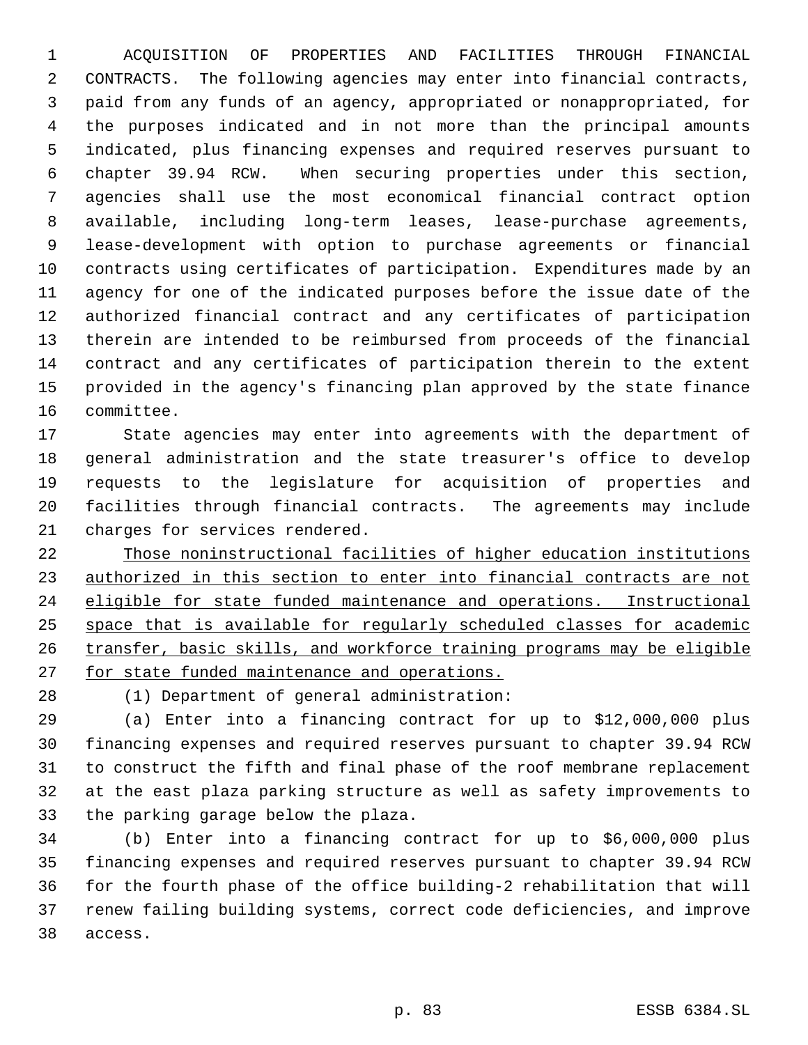ACQUISITION OF PROPERTIES AND FACILITIES THROUGH FINANCIAL CONTRACTS. The following agencies may enter into financial contracts, paid from any funds of an agency, appropriated or nonappropriated, for the purposes indicated and in not more than the principal amounts indicated, plus financing expenses and required reserves pursuant to chapter 39.94 RCW. When securing properties under this section, agencies shall use the most economical financial contract option available, including long-term leases, lease-purchase agreements, lease-development with option to purchase agreements or financial contracts using certificates of participation. Expenditures made by an agency for one of the indicated purposes before the issue date of the authorized financial contract and any certificates of participation therein are intended to be reimbursed from proceeds of the financial contract and any certificates of participation therein to the extent provided in the agency's financing plan approved by the state finance committee.

 State agencies may enter into agreements with the department of general administration and the state treasurer's office to develop requests to the legislature for acquisition of properties and facilities through financial contracts. The agreements may include charges for services rendered.

 Those noninstructional facilities of higher education institutions 23 authorized in this section to enter into financial contracts are not eligible for state funded maintenance and operations. Instructional space that is available for regularly scheduled classes for academic transfer, basic skills, and workforce training programs may be eligible 27 for state funded maintenance and operations.

(1) Department of general administration:

 (a) Enter into a financing contract for up to \$12,000,000 plus financing expenses and required reserves pursuant to chapter 39.94 RCW to construct the fifth and final phase of the roof membrane replacement at the east plaza parking structure as well as safety improvements to the parking garage below the plaza.

 (b) Enter into a financing contract for up to \$6,000,000 plus financing expenses and required reserves pursuant to chapter 39.94 RCW for the fourth phase of the office building-2 rehabilitation that will renew failing building systems, correct code deficiencies, and improve access.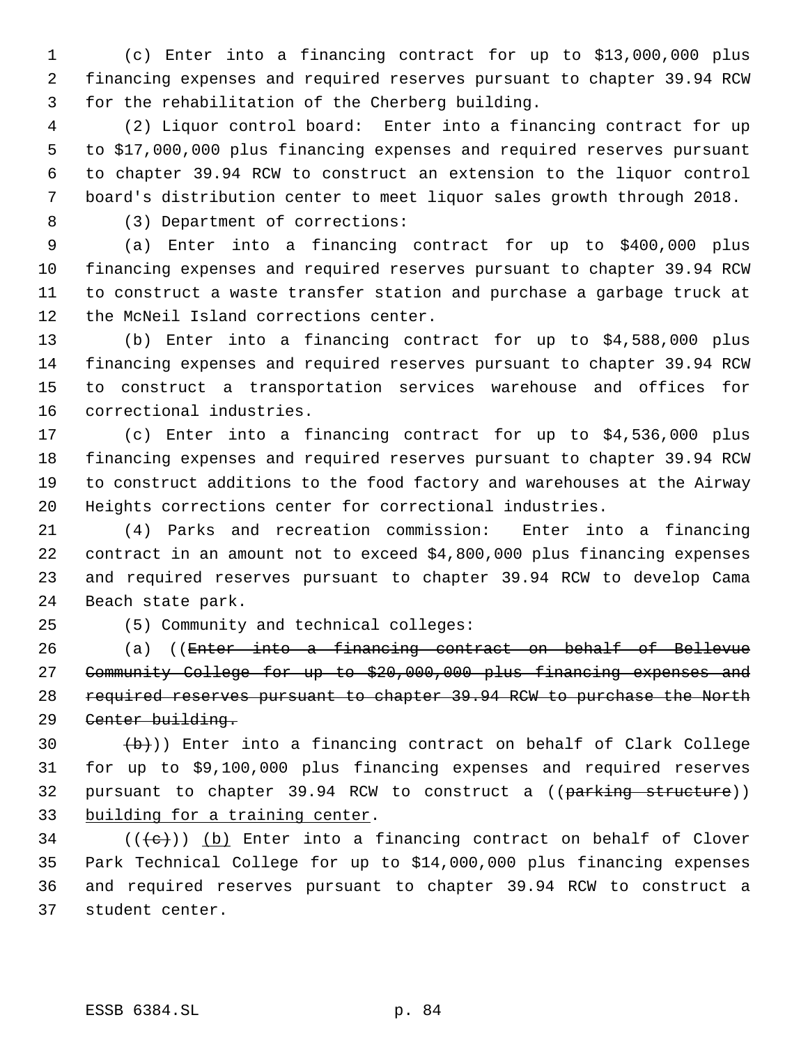(c) Enter into a financing contract for up to \$13,000,000 plus financing expenses and required reserves pursuant to chapter 39.94 RCW for the rehabilitation of the Cherberg building.

 (2) Liquor control board: Enter into a financing contract for up to \$17,000,000 plus financing expenses and required reserves pursuant to chapter 39.94 RCW to construct an extension to the liquor control board's distribution center to meet liquor sales growth through 2018.

(3) Department of corrections:

 (a) Enter into a financing contract for up to \$400,000 plus financing expenses and required reserves pursuant to chapter 39.94 RCW to construct a waste transfer station and purchase a garbage truck at the McNeil Island corrections center.

 (b) Enter into a financing contract for up to \$4,588,000 plus financing expenses and required reserves pursuant to chapter 39.94 RCW to construct a transportation services warehouse and offices for correctional industries.

 (c) Enter into a financing contract for up to \$4,536,000 plus financing expenses and required reserves pursuant to chapter 39.94 RCW to construct additions to the food factory and warehouses at the Airway Heights corrections center for correctional industries.

 (4) Parks and recreation commission: Enter into a financing contract in an amount not to exceed \$4,800,000 plus financing expenses and required reserves pursuant to chapter 39.94 RCW to develop Cama Beach state park.

(5) Community and technical colleges:

 (a) ((Enter into a financing contract on behalf of Bellevue Community College for up to \$20,000,000 plus financing expenses and required reserves pursuant to chapter 39.94 RCW to purchase the North 29 Center building.

 $\left(\frac{b}{b}\right)$ ) Enter into a financing contract on behalf of Clark College for up to \$9,100,000 plus financing expenses and required reserves 32 pursuant to chapter 39.94 RCW to construct a ((parking structure)) building for a training center.

 (( $\left(\frac{1}{10}\right)$ ) (b) Enter into a financing contract on behalf of Clover Park Technical College for up to \$14,000,000 plus financing expenses and required reserves pursuant to chapter 39.94 RCW to construct a student center.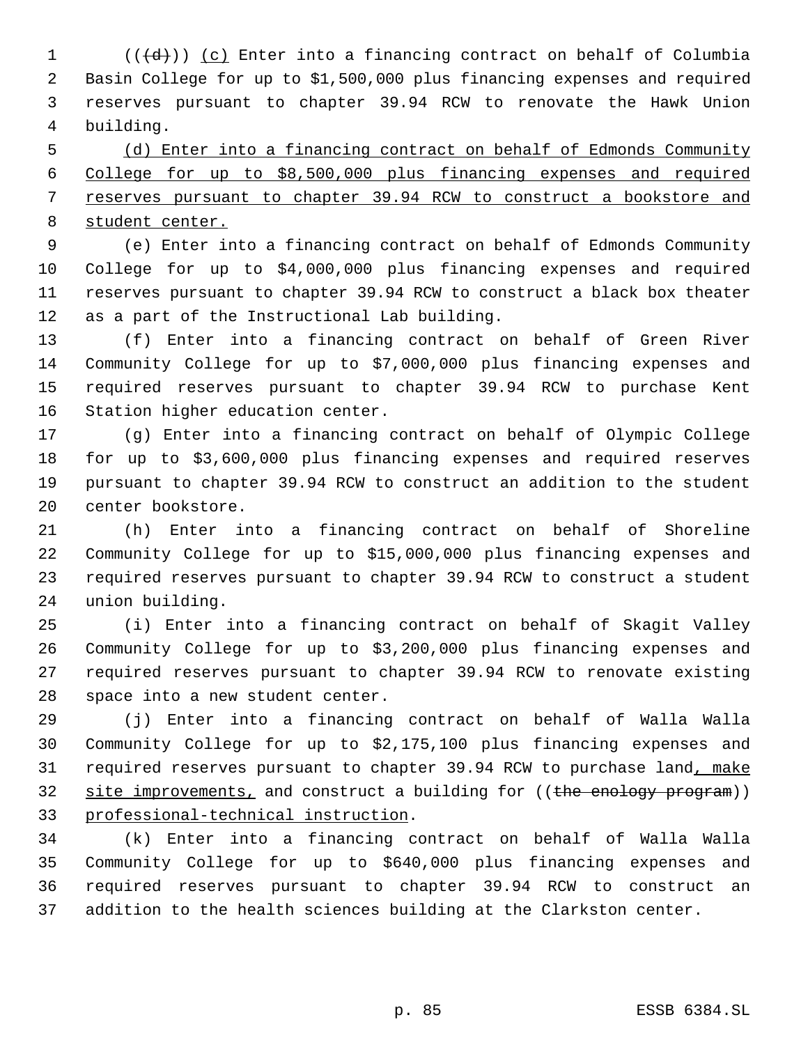$((\{d\}))(c)$  Enter into a financing contract on behalf of Columbia Basin College for up to \$1,500,000 plus financing expenses and required reserves pursuant to chapter 39.94 RCW to renovate the Hawk Union building.

 (d) Enter into a financing contract on behalf of Edmonds Community College for up to \$8,500,000 plus financing expenses and required reserves pursuant to chapter 39.94 RCW to construct a bookstore and student center.

 (e) Enter into a financing contract on behalf of Edmonds Community College for up to \$4,000,000 plus financing expenses and required reserves pursuant to chapter 39.94 RCW to construct a black box theater as a part of the Instructional Lab building.

 (f) Enter into a financing contract on behalf of Green River Community College for up to \$7,000,000 plus financing expenses and required reserves pursuant to chapter 39.94 RCW to purchase Kent Station higher education center.

 (g) Enter into a financing contract on behalf of Olympic College for up to \$3,600,000 plus financing expenses and required reserves pursuant to chapter 39.94 RCW to construct an addition to the student center bookstore.

 (h) Enter into a financing contract on behalf of Shoreline Community College for up to \$15,000,000 plus financing expenses and required reserves pursuant to chapter 39.94 RCW to construct a student union building.

 (i) Enter into a financing contract on behalf of Skagit Valley Community College for up to \$3,200,000 plus financing expenses and required reserves pursuant to chapter 39.94 RCW to renovate existing space into a new student center.

 (j) Enter into a financing contract on behalf of Walla Walla Community College for up to \$2,175,100 plus financing expenses and 31 required reserves pursuant to chapter 39.94 RCW to purchase land, make 32 site improvements, and construct a building for ((the enology program)) professional-technical instruction.

 (k) Enter into a financing contract on behalf of Walla Walla Community College for up to \$640,000 plus financing expenses and required reserves pursuant to chapter 39.94 RCW to construct an addition to the health sciences building at the Clarkston center.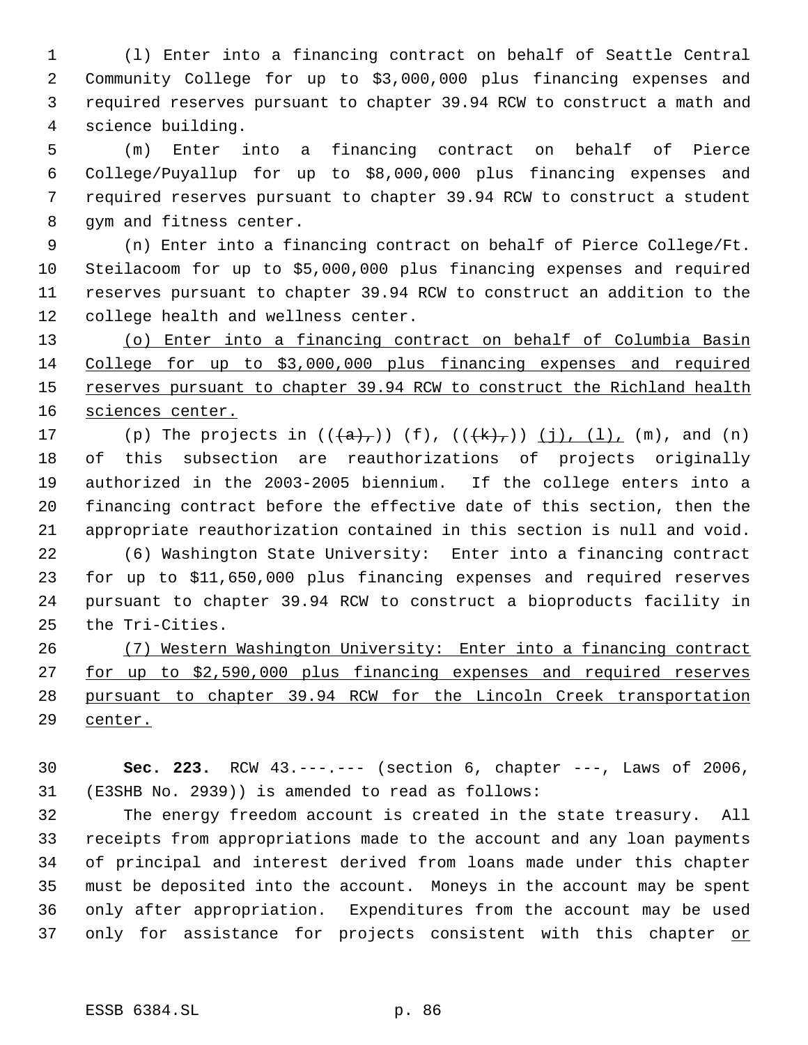(l) Enter into a financing contract on behalf of Seattle Central Community College for up to \$3,000,000 plus financing expenses and required reserves pursuant to chapter 39.94 RCW to construct a math and science building.

 (m) Enter into a financing contract on behalf of Pierce College/Puyallup for up to \$8,000,000 plus financing expenses and required reserves pursuant to chapter 39.94 RCW to construct a student gym and fitness center.

 (n) Enter into a financing contract on behalf of Pierce College/Ft. Steilacoom for up to \$5,000,000 plus financing expenses and required reserves pursuant to chapter 39.94 RCW to construct an addition to the college health and wellness center.

 (o) Enter into a financing contract on behalf of Columbia Basin College for up to \$3,000,000 plus financing expenses and required 15 reserves pursuant to chapter 39.94 RCW to construct the Richland health 16 sciences center.

17 (p) The projects in  $((a, b)^{-})$  (f),  $((k, b)^{-})$  (j), (l), (m), and (n) of this subsection are reauthorizations of projects originally authorized in the 2003-2005 biennium. If the college enters into a financing contract before the effective date of this section, then the appropriate reauthorization contained in this section is null and void.

 (6) Washington State University: Enter into a financing contract for up to \$11,650,000 plus financing expenses and required reserves pursuant to chapter 39.94 RCW to construct a bioproducts facility in the Tri-Cities.

 (7) Western Washington University: Enter into a financing contract for up to \$2,590,000 plus financing expenses and required reserves pursuant to chapter 39.94 RCW for the Lincoln Creek transportation center.

 **Sec. 223.** RCW 43.---.--- (section 6, chapter ---, Laws of 2006, (E3SHB No. 2939)) is amended to read as follows:

 The energy freedom account is created in the state treasury. All receipts from appropriations made to the account and any loan payments of principal and interest derived from loans made under this chapter must be deposited into the account. Moneys in the account may be spent only after appropriation. Expenditures from the account may be used 37 only for assistance for projects consistent with this chapter or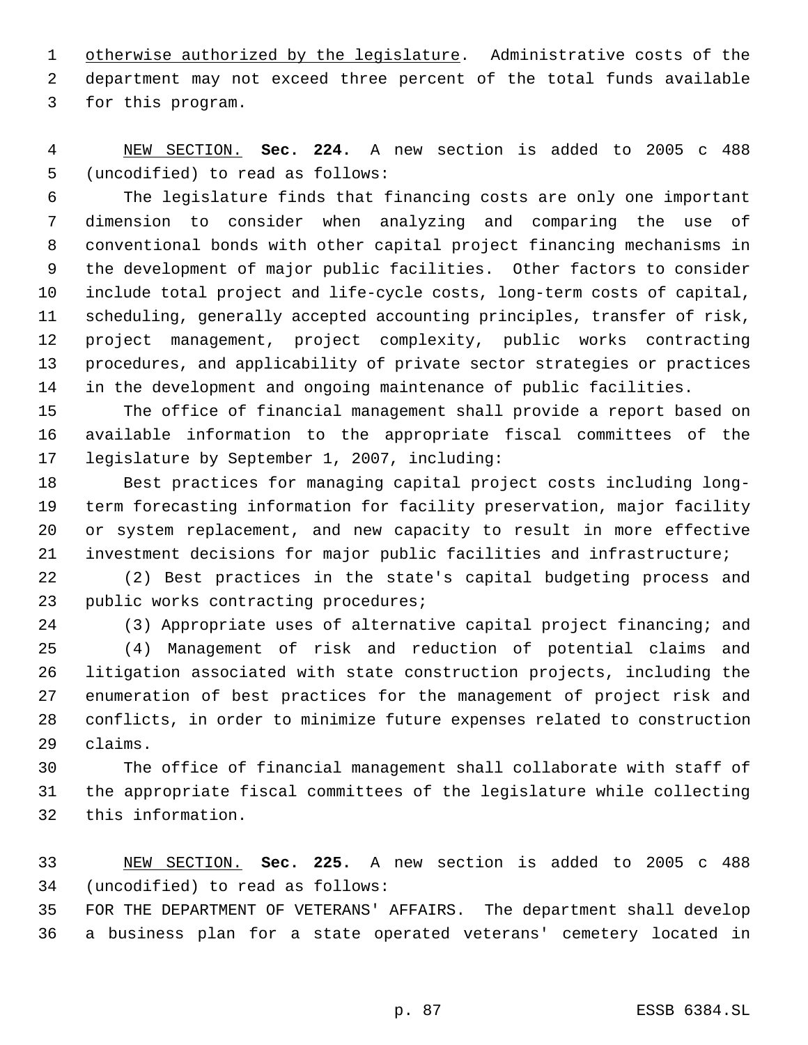1 otherwise authorized by the legislature. Administrative costs of the department may not exceed three percent of the total funds available for this program.

 NEW SECTION. **Sec. 224.** A new section is added to 2005 c 488 (uncodified) to read as follows:

 The legislature finds that financing costs are only one important dimension to consider when analyzing and comparing the use of conventional bonds with other capital project financing mechanisms in the development of major public facilities. Other factors to consider include total project and life-cycle costs, long-term costs of capital, scheduling, generally accepted accounting principles, transfer of risk, project management, project complexity, public works contracting procedures, and applicability of private sector strategies or practices in the development and ongoing maintenance of public facilities.

 The office of financial management shall provide a report based on available information to the appropriate fiscal committees of the legislature by September 1, 2007, including:

 Best practices for managing capital project costs including long- term forecasting information for facility preservation, major facility or system replacement, and new capacity to result in more effective investment decisions for major public facilities and infrastructure;

 (2) Best practices in the state's capital budgeting process and public works contracting procedures;

 (3) Appropriate uses of alternative capital project financing; and (4) Management of risk and reduction of potential claims and litigation associated with state construction projects, including the enumeration of best practices for the management of project risk and

 conflicts, in order to minimize future expenses related to construction claims.

 The office of financial management shall collaborate with staff of the appropriate fiscal committees of the legislature while collecting this information.

 NEW SECTION. **Sec. 225.** A new section is added to 2005 c 488 (uncodified) to read as follows:

 FOR THE DEPARTMENT OF VETERANS' AFFAIRS. The department shall develop a business plan for a state operated veterans' cemetery located in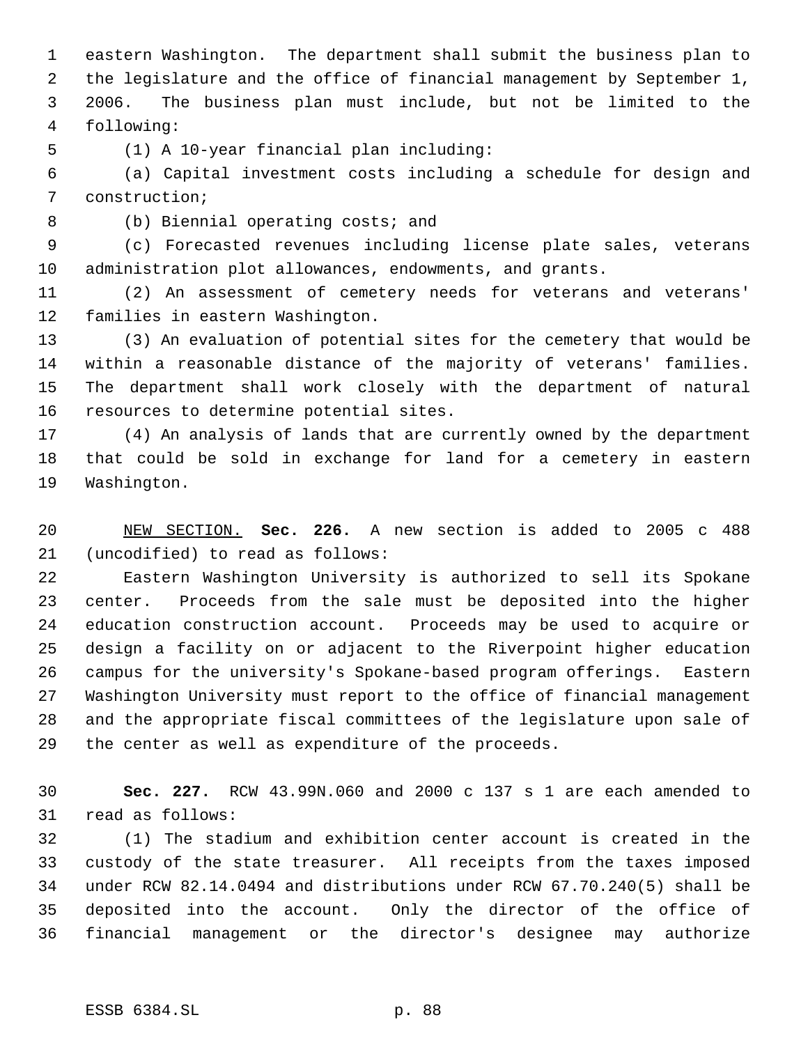eastern Washington. The department shall submit the business plan to the legislature and the office of financial management by September 1, 2006. The business plan must include, but not be limited to the following:

(1) A 10-year financial plan including:

 (a) Capital investment costs including a schedule for design and construction;

(b) Biennial operating costs; and

 (c) Forecasted revenues including license plate sales, veterans administration plot allowances, endowments, and grants.

 (2) An assessment of cemetery needs for veterans and veterans' families in eastern Washington.

 (3) An evaluation of potential sites for the cemetery that would be within a reasonable distance of the majority of veterans' families. The department shall work closely with the department of natural resources to determine potential sites.

 (4) An analysis of lands that are currently owned by the department that could be sold in exchange for land for a cemetery in eastern Washington.

 NEW SECTION. **Sec. 226.** A new section is added to 2005 c 488 (uncodified) to read as follows:

 Eastern Washington University is authorized to sell its Spokane center. Proceeds from the sale must be deposited into the higher education construction account. Proceeds may be used to acquire or design a facility on or adjacent to the Riverpoint higher education campus for the university's Spokane-based program offerings. Eastern Washington University must report to the office of financial management and the appropriate fiscal committees of the legislature upon sale of the center as well as expenditure of the proceeds.

 **Sec. 227.** RCW 43.99N.060 and 2000 c 137 s 1 are each amended to read as follows:

 (1) The stadium and exhibition center account is created in the custody of the state treasurer. All receipts from the taxes imposed under RCW 82.14.0494 and distributions under RCW 67.70.240(5) shall be deposited into the account. Only the director of the office of financial management or the director's designee may authorize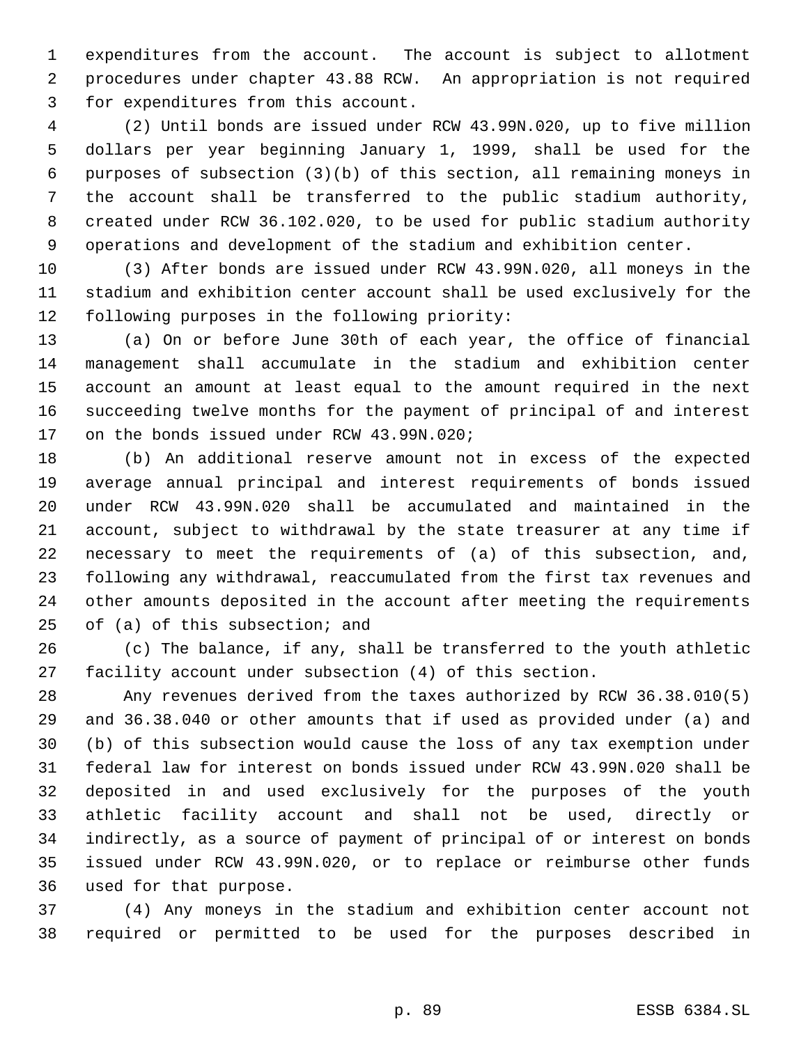expenditures from the account. The account is subject to allotment procedures under chapter 43.88 RCW. An appropriation is not required for expenditures from this account.

 (2) Until bonds are issued under RCW 43.99N.020, up to five million dollars per year beginning January 1, 1999, shall be used for the purposes of subsection (3)(b) of this section, all remaining moneys in the account shall be transferred to the public stadium authority, created under RCW 36.102.020, to be used for public stadium authority operations and development of the stadium and exhibition center.

 (3) After bonds are issued under RCW 43.99N.020, all moneys in the stadium and exhibition center account shall be used exclusively for the following purposes in the following priority:

 (a) On or before June 30th of each year, the office of financial management shall accumulate in the stadium and exhibition center account an amount at least equal to the amount required in the next succeeding twelve months for the payment of principal of and interest 17 on the bonds issued under RCW 43.99N.020;

 (b) An additional reserve amount not in excess of the expected average annual principal and interest requirements of bonds issued under RCW 43.99N.020 shall be accumulated and maintained in the account, subject to withdrawal by the state treasurer at any time if necessary to meet the requirements of (a) of this subsection, and, following any withdrawal, reaccumulated from the first tax revenues and other amounts deposited in the account after meeting the requirements of (a) of this subsection; and

 (c) The balance, if any, shall be transferred to the youth athletic facility account under subsection (4) of this section.

 Any revenues derived from the taxes authorized by RCW 36.38.010(5) and 36.38.040 or other amounts that if used as provided under (a) and (b) of this subsection would cause the loss of any tax exemption under federal law for interest on bonds issued under RCW 43.99N.020 shall be deposited in and used exclusively for the purposes of the youth athletic facility account and shall not be used, directly or indirectly, as a source of payment of principal of or interest on bonds issued under RCW 43.99N.020, or to replace or reimburse other funds used for that purpose.

 (4) Any moneys in the stadium and exhibition center account not required or permitted to be used for the purposes described in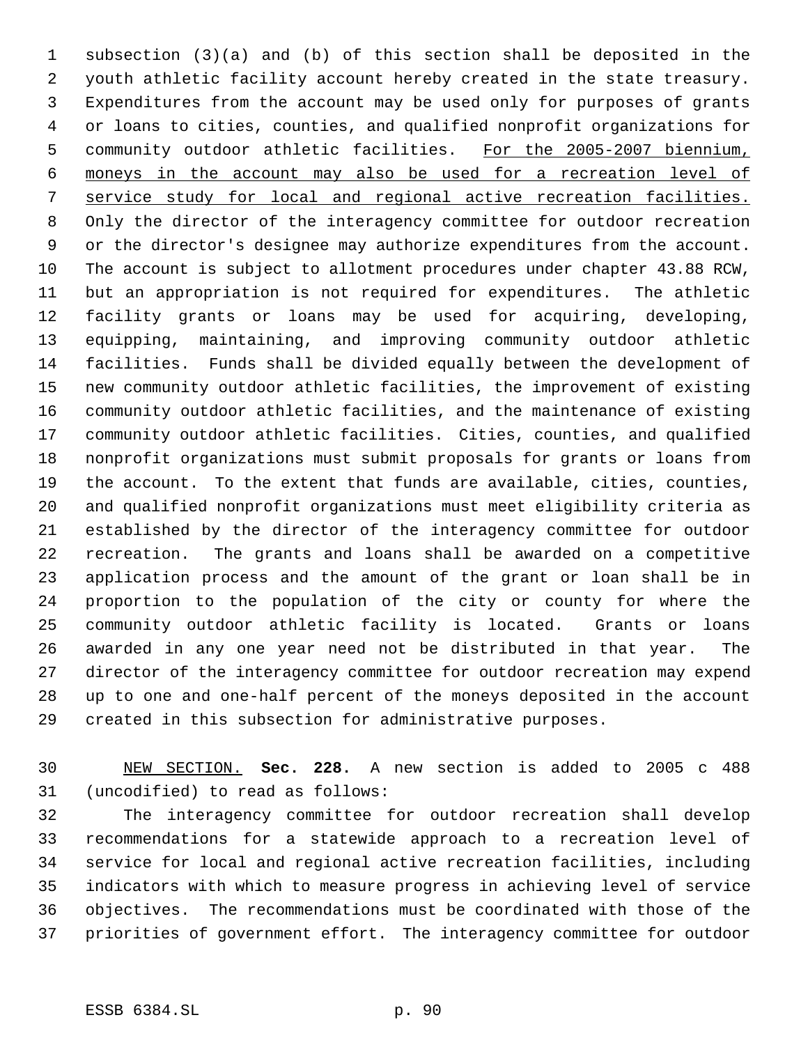subsection (3)(a) and (b) of this section shall be deposited in the youth athletic facility account hereby created in the state treasury. Expenditures from the account may be used only for purposes of grants or loans to cities, counties, and qualified nonprofit organizations for community outdoor athletic facilities. For the 2005-2007 biennium, moneys in the account may also be used for a recreation level of service study for local and regional active recreation facilities. Only the director of the interagency committee for outdoor recreation or the director's designee may authorize expenditures from the account. The account is subject to allotment procedures under chapter 43.88 RCW, but an appropriation is not required for expenditures. The athletic facility grants or loans may be used for acquiring, developing, equipping, maintaining, and improving community outdoor athletic facilities. Funds shall be divided equally between the development of new community outdoor athletic facilities, the improvement of existing community outdoor athletic facilities, and the maintenance of existing community outdoor athletic facilities. Cities, counties, and qualified nonprofit organizations must submit proposals for grants or loans from the account. To the extent that funds are available, cities, counties, and qualified nonprofit organizations must meet eligibility criteria as established by the director of the interagency committee for outdoor recreation. The grants and loans shall be awarded on a competitive application process and the amount of the grant or loan shall be in proportion to the population of the city or county for where the community outdoor athletic facility is located. Grants or loans awarded in any one year need not be distributed in that year. The director of the interagency committee for outdoor recreation may expend up to one and one-half percent of the moneys deposited in the account created in this subsection for administrative purposes.

 NEW SECTION. **Sec. 228.** A new section is added to 2005 c 488 (uncodified) to read as follows:

 The interagency committee for outdoor recreation shall develop recommendations for a statewide approach to a recreation level of service for local and regional active recreation facilities, including indicators with which to measure progress in achieving level of service objectives. The recommendations must be coordinated with those of the priorities of government effort. The interagency committee for outdoor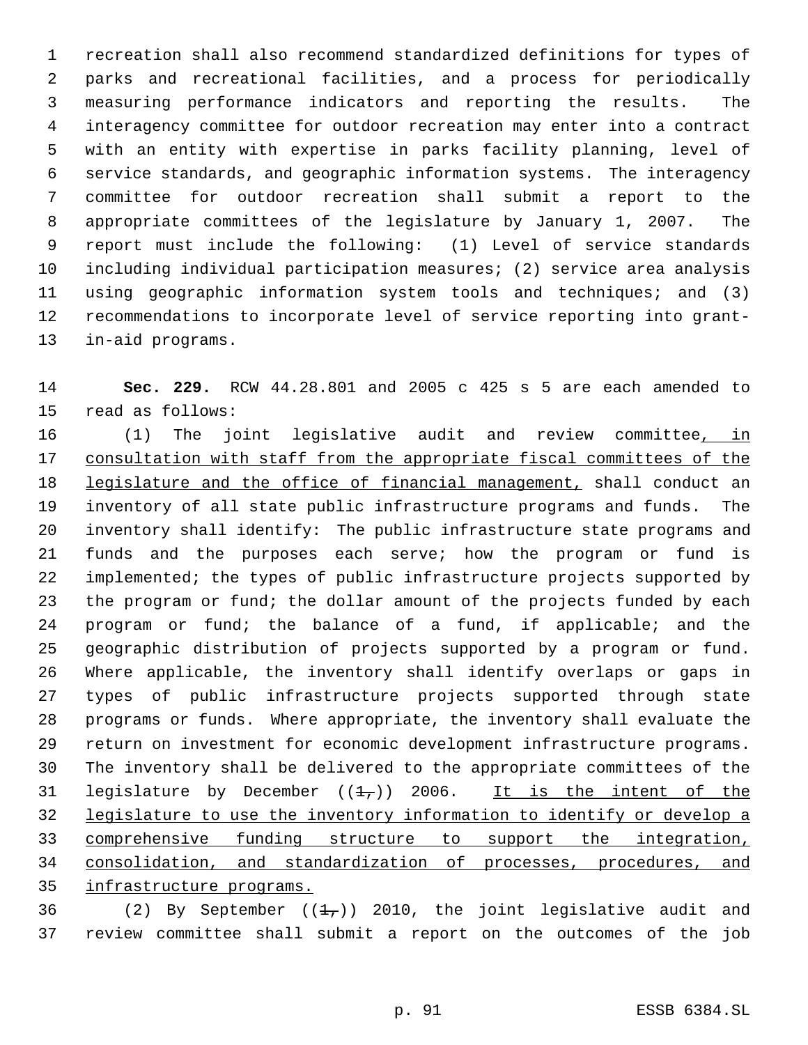recreation shall also recommend standardized definitions for types of parks and recreational facilities, and a process for periodically measuring performance indicators and reporting the results. The interagency committee for outdoor recreation may enter into a contract with an entity with expertise in parks facility planning, level of service standards, and geographic information systems. The interagency committee for outdoor recreation shall submit a report to the appropriate committees of the legislature by January 1, 2007. The report must include the following: (1) Level of service standards including individual participation measures; (2) service area analysis using geographic information system tools and techniques; and (3) recommendations to incorporate level of service reporting into grant-in-aid programs.

 **Sec. 229.** RCW 44.28.801 and 2005 c 425 s 5 are each amended to read as follows:

16 (1) The joint legislative audit and review committee, in 17 consultation with staff from the appropriate fiscal committees of the legislature and the office of financial management, shall conduct an inventory of all state public infrastructure programs and funds. The inventory shall identify: The public infrastructure state programs and funds and the purposes each serve; how the program or fund is implemented; the types of public infrastructure projects supported by the program or fund; the dollar amount of the projects funded by each program or fund; the balance of a fund, if applicable; and the geographic distribution of projects supported by a program or fund. Where applicable, the inventory shall identify overlaps or gaps in types of public infrastructure projects supported through state programs or funds. Where appropriate, the inventory shall evaluate the return on investment for economic development infrastructure programs. The inventory shall be delivered to the appropriate committees of the 31 legislature by December  $((1)$ , 2006. It is the intent of the legislature to use the inventory information to identify or develop a comprehensive funding structure to support the integration, consolidation, and standardization of processes, procedures, and infrastructure programs.

36 (2) By September  $((1,))$  2010, the joint legislative audit and review committee shall submit a report on the outcomes of the job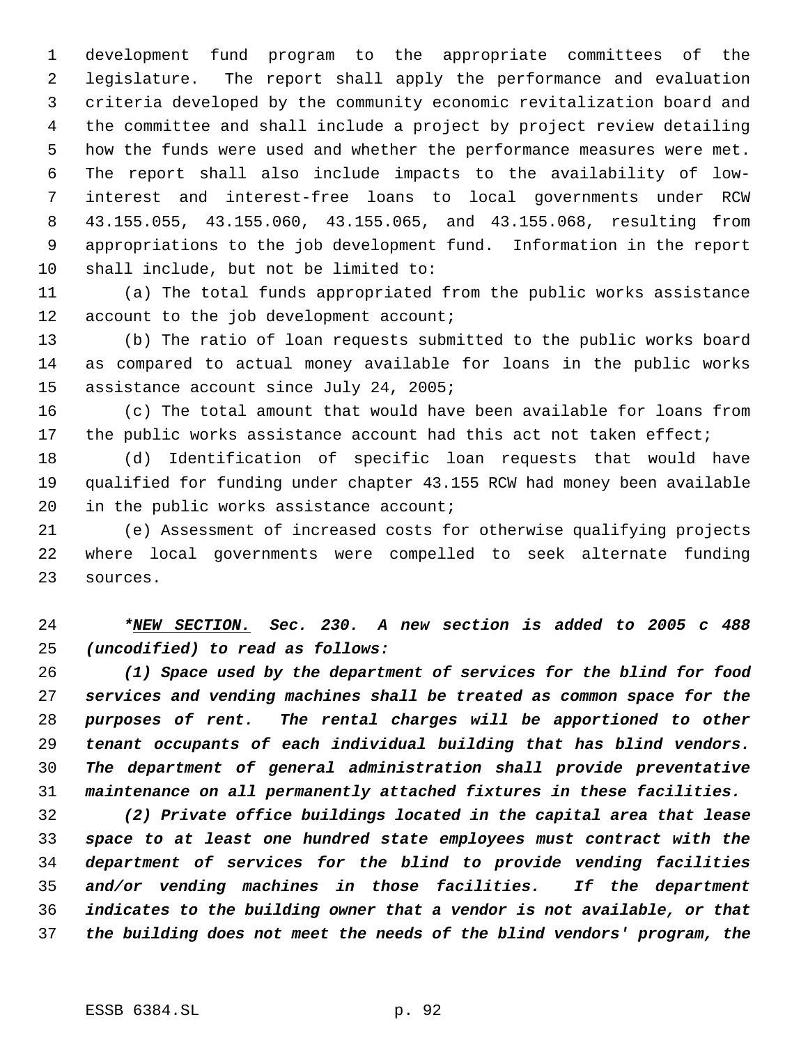development fund program to the appropriate committees of the legislature. The report shall apply the performance and evaluation criteria developed by the community economic revitalization board and the committee and shall include a project by project review detailing how the funds were used and whether the performance measures were met. The report shall also include impacts to the availability of low- interest and interest-free loans to local governments under RCW 43.155.055, 43.155.060, 43.155.065, and 43.155.068, resulting from appropriations to the job development fund. Information in the report shall include, but not be limited to:

 (a) The total funds appropriated from the public works assistance 12 account to the job development account;

 (b) The ratio of loan requests submitted to the public works board as compared to actual money available for loans in the public works assistance account since July 24, 2005;

 (c) The total amount that would have been available for loans from the public works assistance account had this act not taken effect;

 (d) Identification of specific loan requests that would have qualified for funding under chapter 43.155 RCW had money been available 20 in the public works assistance account;

 (e) Assessment of increased costs for otherwise qualifying projects where local governments were compelled to seek alternate funding sources.

 *\*NEW SECTION. Sec. 230. A new section is added to 2005 c 488 (uncodified) to read as follows:*

 *(1) Space used by the department of services for the blind for food services and vending machines shall be treated as common space for the purposes of rent. The rental charges will be apportioned to other tenant occupants of each individual building that has blind vendors. The department of general administration shall provide preventative maintenance on all permanently attached fixtures in these facilities.*

 *(2) Private office buildings located in the capital area that lease space to at least one hundred state employees must contract with the department of services for the blind to provide vending facilities and/or vending machines in those facilities. If the department indicates to the building owner that a vendor is not available, or that the building does not meet the needs of the blind vendors' program, the*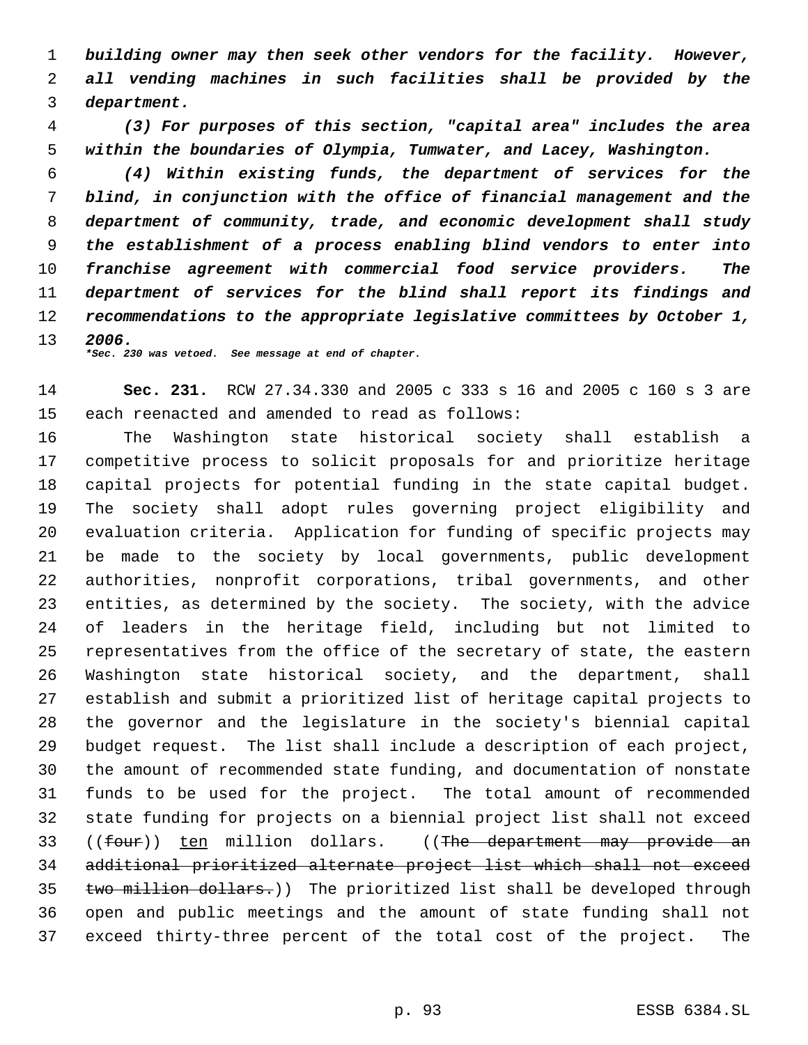*building owner may then seek other vendors for the facility. However, all vending machines in such facilities shall be provided by the department.*

 *(3) For purposes of this section, "capital area" includes the area within the boundaries of Olympia, Tumwater, and Lacey, Washington.*

 *(4) Within existing funds, the department of services for the blind, in conjunction with the office of financial management and the department of community, trade, and economic development shall study the establishment of a process enabling blind vendors to enter into franchise agreement with commercial food service providers. The department of services for the blind shall report its findings and recommendations to the appropriate legislative committees by October 1, 2006.*

*\*Sec. 230 was vetoed. See message at end of chapter.*

 **Sec. 231.** RCW 27.34.330 and 2005 c 333 s 16 and 2005 c 160 s 3 are each reenacted and amended to read as follows:

 The Washington state historical society shall establish a competitive process to solicit proposals for and prioritize heritage capital projects for potential funding in the state capital budget. The society shall adopt rules governing project eligibility and evaluation criteria. Application for funding of specific projects may be made to the society by local governments, public development authorities, nonprofit corporations, tribal governments, and other entities, as determined by the society. The society, with the advice of leaders in the heritage field, including but not limited to representatives from the office of the secretary of state, the eastern Washington state historical society, and the department, shall establish and submit a prioritized list of heritage capital projects to the governor and the legislature in the society's biennial capital budget request. The list shall include a description of each project, the amount of recommended state funding, and documentation of nonstate funds to be used for the project. The total amount of recommended state funding for projects on a biennial project list shall not exceed 33 ((four)) ten million dollars. ((The department may provide an additional prioritized alternate project list which shall not exceed 35 two million dollars.)) The prioritized list shall be developed through open and public meetings and the amount of state funding shall not exceed thirty-three percent of the total cost of the project. The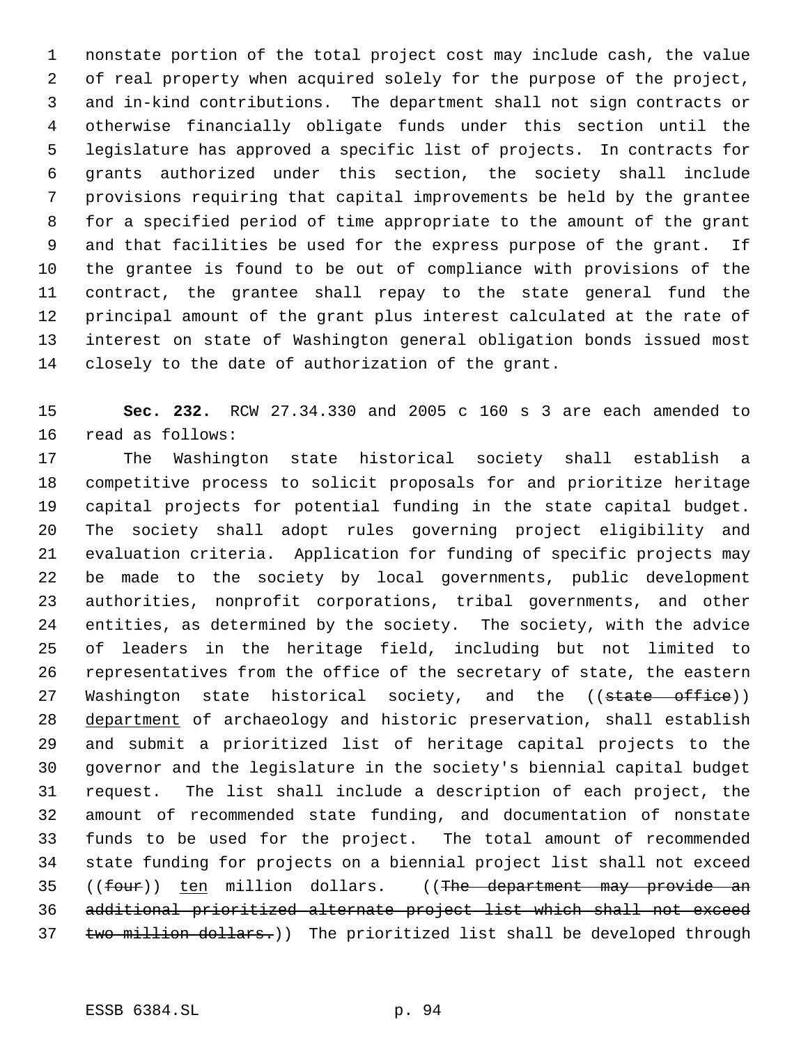nonstate portion of the total project cost may include cash, the value of real property when acquired solely for the purpose of the project, and in-kind contributions. The department shall not sign contracts or otherwise financially obligate funds under this section until the legislature has approved a specific list of projects. In contracts for grants authorized under this section, the society shall include provisions requiring that capital improvements be held by the grantee for a specified period of time appropriate to the amount of the grant and that facilities be used for the express purpose of the grant. If the grantee is found to be out of compliance with provisions of the contract, the grantee shall repay to the state general fund the principal amount of the grant plus interest calculated at the rate of interest on state of Washington general obligation bonds issued most closely to the date of authorization of the grant.

 **Sec. 232.** RCW 27.34.330 and 2005 c 160 s 3 are each amended to read as follows:

 The Washington state historical society shall establish a competitive process to solicit proposals for and prioritize heritage capital projects for potential funding in the state capital budget. The society shall adopt rules governing project eligibility and evaluation criteria. Application for funding of specific projects may be made to the society by local governments, public development authorities, nonprofit corporations, tribal governments, and other entities, as determined by the society. The society, with the advice of leaders in the heritage field, including but not limited to representatives from the office of the secretary of state, the eastern 27 Washington state historical society, and the ((state office)) 28 department of archaeology and historic preservation, shall establish and submit a prioritized list of heritage capital projects to the governor and the legislature in the society's biennial capital budget request. The list shall include a description of each project, the amount of recommended state funding, and documentation of nonstate funds to be used for the project. The total amount of recommended state funding for projects on a biennial project list shall not exceed 35 ((four)) ten million dollars. ((The department may provide an additional prioritized alternate project list which shall not exceed 37 two million dollars.)) The prioritized list shall be developed through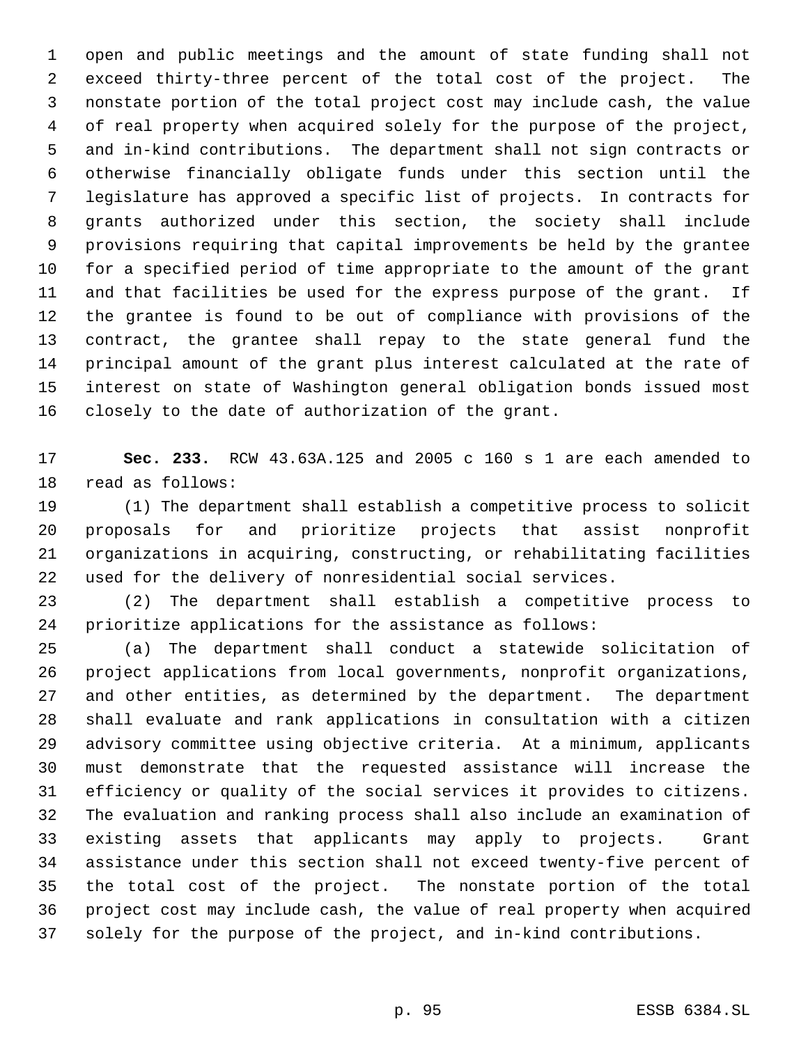open and public meetings and the amount of state funding shall not exceed thirty-three percent of the total cost of the project. The nonstate portion of the total project cost may include cash, the value of real property when acquired solely for the purpose of the project, and in-kind contributions. The department shall not sign contracts or otherwise financially obligate funds under this section until the legislature has approved a specific list of projects. In contracts for grants authorized under this section, the society shall include provisions requiring that capital improvements be held by the grantee for a specified period of time appropriate to the amount of the grant and that facilities be used for the express purpose of the grant. If the grantee is found to be out of compliance with provisions of the contract, the grantee shall repay to the state general fund the principal amount of the grant plus interest calculated at the rate of interest on state of Washington general obligation bonds issued most closely to the date of authorization of the grant.

 **Sec. 233.** RCW 43.63A.125 and 2005 c 160 s 1 are each amended to read as follows:

 (1) The department shall establish a competitive process to solicit proposals for and prioritize projects that assist nonprofit organizations in acquiring, constructing, or rehabilitating facilities used for the delivery of nonresidential social services.

 (2) The department shall establish a competitive process to prioritize applications for the assistance as follows:

 (a) The department shall conduct a statewide solicitation of project applications from local governments, nonprofit organizations, and other entities, as determined by the department. The department shall evaluate and rank applications in consultation with a citizen advisory committee using objective criteria. At a minimum, applicants must demonstrate that the requested assistance will increase the efficiency or quality of the social services it provides to citizens. The evaluation and ranking process shall also include an examination of existing assets that applicants may apply to projects. Grant assistance under this section shall not exceed twenty-five percent of the total cost of the project. The nonstate portion of the total project cost may include cash, the value of real property when acquired solely for the purpose of the project, and in-kind contributions.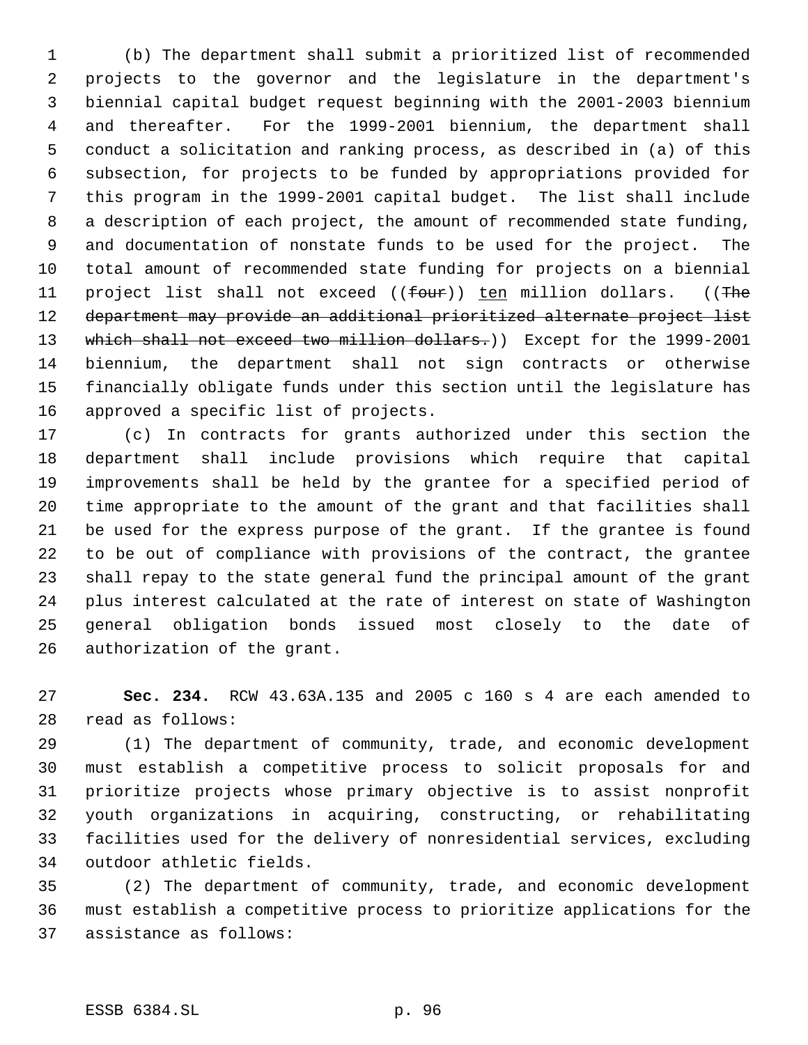(b) The department shall submit a prioritized list of recommended projects to the governor and the legislature in the department's biennial capital budget request beginning with the 2001-2003 biennium and thereafter. For the 1999-2001 biennium, the department shall conduct a solicitation and ranking process, as described in (a) of this subsection, for projects to be funded by appropriations provided for this program in the 1999-2001 capital budget. The list shall include a description of each project, the amount of recommended state funding, and documentation of nonstate funds to be used for the project. The total amount of recommended state funding for projects on a biennial 11 project list shall not exceed ((four)) ten million dollars. ((The department may provide an additional prioritized alternate project list 13 which shall not exceed two million dollars.)) Except for the 1999-2001 biennium, the department shall not sign contracts or otherwise financially obligate funds under this section until the legislature has approved a specific list of projects.

 (c) In contracts for grants authorized under this section the department shall include provisions which require that capital improvements shall be held by the grantee for a specified period of time appropriate to the amount of the grant and that facilities shall be used for the express purpose of the grant. If the grantee is found to be out of compliance with provisions of the contract, the grantee shall repay to the state general fund the principal amount of the grant plus interest calculated at the rate of interest on state of Washington general obligation bonds issued most closely to the date of authorization of the grant.

 **Sec. 234.** RCW 43.63A.135 and 2005 c 160 s 4 are each amended to read as follows:

 (1) The department of community, trade, and economic development must establish a competitive process to solicit proposals for and prioritize projects whose primary objective is to assist nonprofit youth organizations in acquiring, constructing, or rehabilitating facilities used for the delivery of nonresidential services, excluding outdoor athletic fields.

 (2) The department of community, trade, and economic development must establish a competitive process to prioritize applications for the assistance as follows: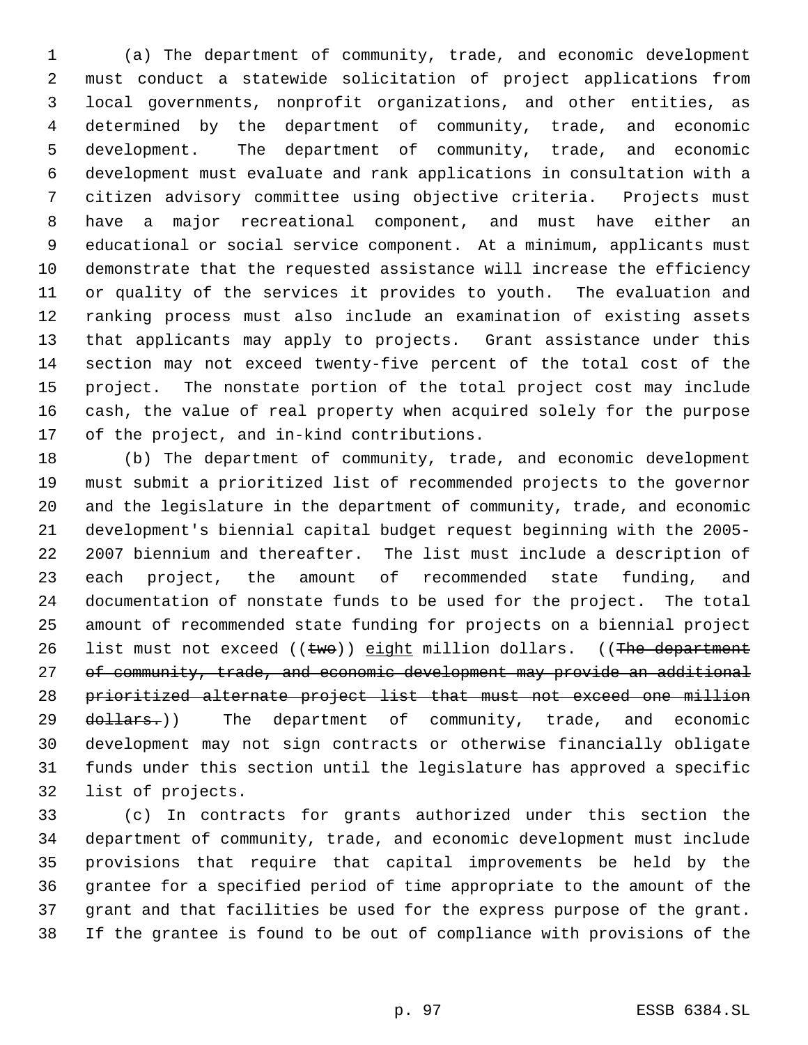(a) The department of community, trade, and economic development must conduct a statewide solicitation of project applications from local governments, nonprofit organizations, and other entities, as determined by the department of community, trade, and economic development. The department of community, trade, and economic development must evaluate and rank applications in consultation with a citizen advisory committee using objective criteria. Projects must have a major recreational component, and must have either an educational or social service component. At a minimum, applicants must demonstrate that the requested assistance will increase the efficiency or quality of the services it provides to youth. The evaluation and ranking process must also include an examination of existing assets that applicants may apply to projects. Grant assistance under this section may not exceed twenty-five percent of the total cost of the project. The nonstate portion of the total project cost may include cash, the value of real property when acquired solely for the purpose of the project, and in-kind contributions.

 (b) The department of community, trade, and economic development must submit a prioritized list of recommended projects to the governor and the legislature in the department of community, trade, and economic development's biennial capital budget request beginning with the 2005- 2007 biennium and thereafter. The list must include a description of each project, the amount of recommended state funding, and documentation of nonstate funds to be used for the project. The total amount of recommended state funding for projects on a biennial project 26 list must not exceed  $((two))$  eight million dollars.  $((The *department*)$ 27 of community, trade, and economic development may provide an additional prioritized alternate project list that must not exceed one million 29 <del>dollars.</del>)) The department of community, trade, and economic development may not sign contracts or otherwise financially obligate funds under this section until the legislature has approved a specific list of projects.

 (c) In contracts for grants authorized under this section the department of community, trade, and economic development must include provisions that require that capital improvements be held by the grantee for a specified period of time appropriate to the amount of the grant and that facilities be used for the express purpose of the grant. If the grantee is found to be out of compliance with provisions of the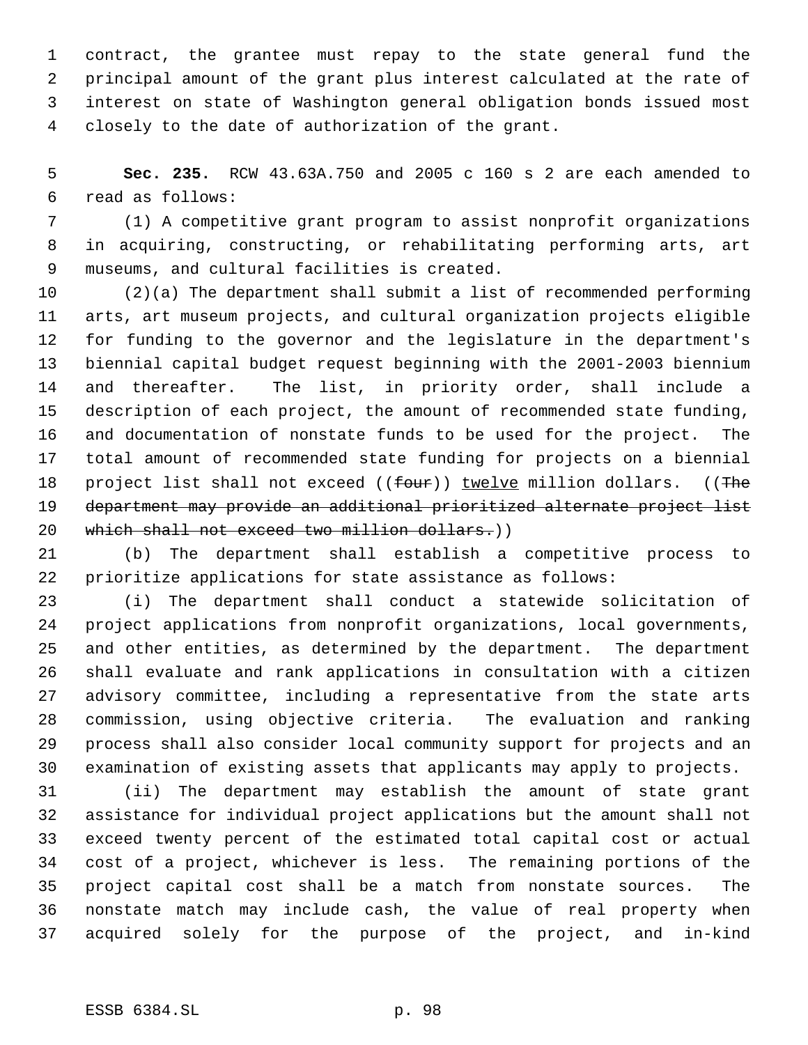contract, the grantee must repay to the state general fund the principal amount of the grant plus interest calculated at the rate of interest on state of Washington general obligation bonds issued most closely to the date of authorization of the grant.

 **Sec. 235.** RCW 43.63A.750 and 2005 c 160 s 2 are each amended to read as follows:

 (1) A competitive grant program to assist nonprofit organizations in acquiring, constructing, or rehabilitating performing arts, art museums, and cultural facilities is created.

 (2)(a) The department shall submit a list of recommended performing arts, art museum projects, and cultural organization projects eligible for funding to the governor and the legislature in the department's biennial capital budget request beginning with the 2001-2003 biennium and thereafter. The list, in priority order, shall include a description of each project, the amount of recommended state funding, and documentation of nonstate funds to be used for the project. The total amount of recommended state funding for projects on a biennial 18 project list shall not exceed ((four)) twelve million dollars. ((The department may provide an additional prioritized alternate project list 20 which shall not exceed two million dollars.))

 (b) The department shall establish a competitive process to prioritize applications for state assistance as follows:

 (i) The department shall conduct a statewide solicitation of project applications from nonprofit organizations, local governments, and other entities, as determined by the department. The department shall evaluate and rank applications in consultation with a citizen advisory committee, including a representative from the state arts commission, using objective criteria. The evaluation and ranking process shall also consider local community support for projects and an examination of existing assets that applicants may apply to projects.

 (ii) The department may establish the amount of state grant assistance for individual project applications but the amount shall not exceed twenty percent of the estimated total capital cost or actual cost of a project, whichever is less. The remaining portions of the project capital cost shall be a match from nonstate sources. The nonstate match may include cash, the value of real property when acquired solely for the purpose of the project, and in-kind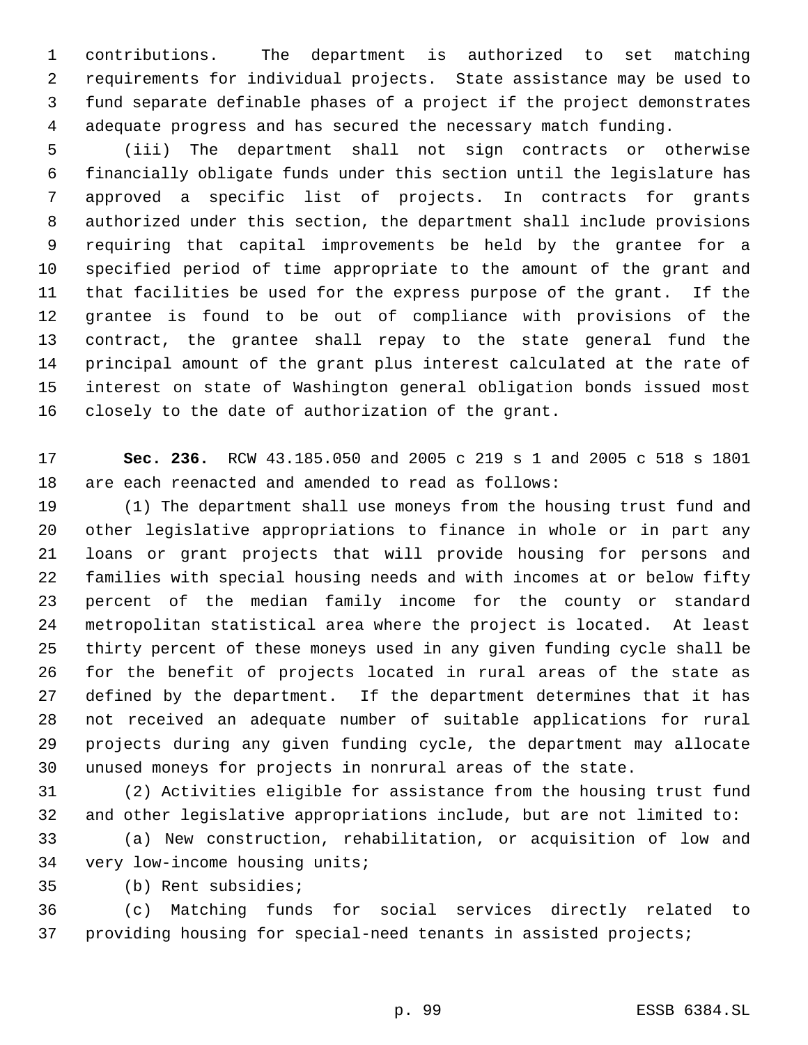contributions. The department is authorized to set matching requirements for individual projects. State assistance may be used to fund separate definable phases of a project if the project demonstrates adequate progress and has secured the necessary match funding.

 (iii) The department shall not sign contracts or otherwise financially obligate funds under this section until the legislature has approved a specific list of projects. In contracts for grants authorized under this section, the department shall include provisions requiring that capital improvements be held by the grantee for a specified period of time appropriate to the amount of the grant and that facilities be used for the express purpose of the grant. If the grantee is found to be out of compliance with provisions of the contract, the grantee shall repay to the state general fund the principal amount of the grant plus interest calculated at the rate of interest on state of Washington general obligation bonds issued most closely to the date of authorization of the grant.

 **Sec. 236.** RCW 43.185.050 and 2005 c 219 s 1 and 2005 c 518 s 1801 are each reenacted and amended to read as follows:

 (1) The department shall use moneys from the housing trust fund and other legislative appropriations to finance in whole or in part any loans or grant projects that will provide housing for persons and families with special housing needs and with incomes at or below fifty percent of the median family income for the county or standard metropolitan statistical area where the project is located. At least thirty percent of these moneys used in any given funding cycle shall be for the benefit of projects located in rural areas of the state as defined by the department. If the department determines that it has not received an adequate number of suitable applications for rural projects during any given funding cycle, the department may allocate unused moneys for projects in nonrural areas of the state.

 (2) Activities eligible for assistance from the housing trust fund and other legislative appropriations include, but are not limited to: (a) New construction, rehabilitation, or acquisition of low and

very low-income housing units;

(b) Rent subsidies;

 (c) Matching funds for social services directly related to providing housing for special-need tenants in assisted projects;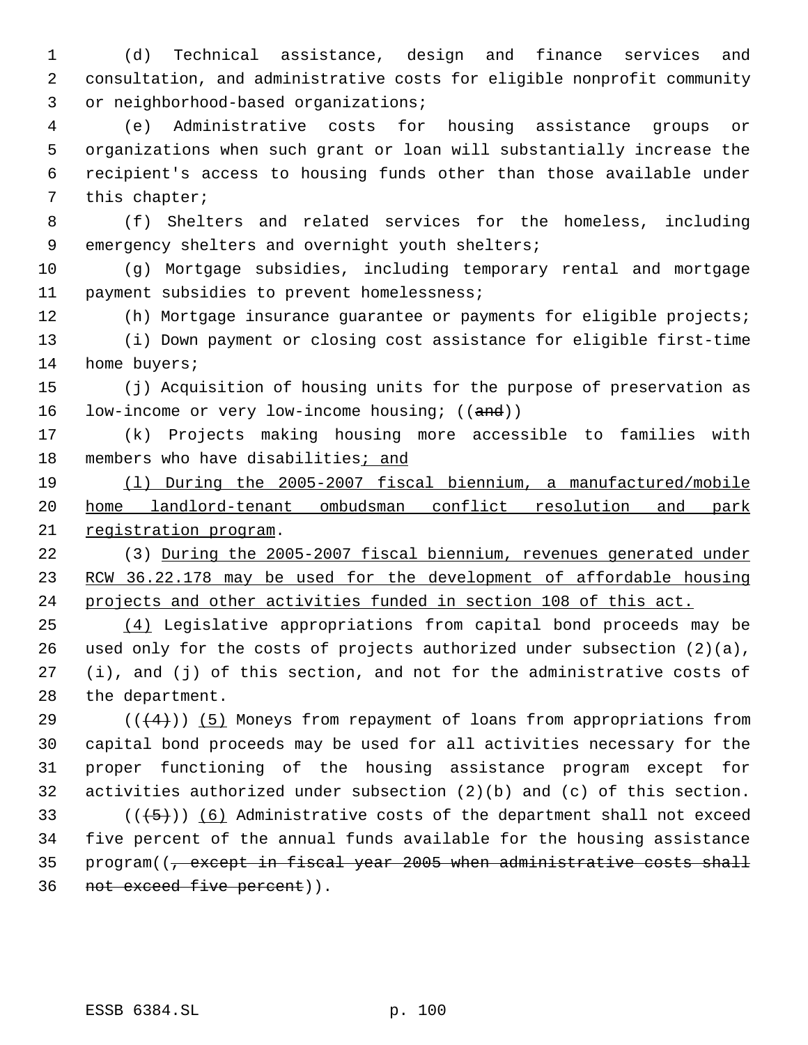(d) Technical assistance, design and finance services and consultation, and administrative costs for eligible nonprofit community or neighborhood-based organizations;

 (e) Administrative costs for housing assistance groups or organizations when such grant or loan will substantially increase the recipient's access to housing funds other than those available under this chapter;

 (f) Shelters and related services for the homeless, including 9 emergency shelters and overnight youth shelters;

 (g) Mortgage subsidies, including temporary rental and mortgage payment subsidies to prevent homelessness;

 (h) Mortgage insurance guarantee or payments for eligible projects; (i) Down payment or closing cost assistance for eligible first-time 14 home buyers;

 (j) Acquisition of housing units for the purpose of preservation as 16 low-income or very low-income housing; ((and))

 (k) Projects making housing more accessible to families with members who have disabilities; and

 (l) During the 2005-2007 fiscal biennium, a manufactured/mobile home landlord-tenant ombudsman conflict resolution and park registration program.

 (3) During the 2005-2007 fiscal biennium, revenues generated under RCW 36.22.178 may be used for the development of affordable housing projects and other activities funded in section 108 of this act.

 (4) Legislative appropriations from capital bond proceeds may be used only for the costs of projects authorized under subsection (2)(a), (i), and (j) of this section, and not for the administrative costs of the department.

 $((4+))$  (5) Moneys from repayment of loans from appropriations from capital bond proceeds may be used for all activities necessary for the proper functioning of the housing assistance program except for activities authorized under subsection (2)(b) and (c) of this section.

33 ( $(\overline{5})$ ) (6) Administrative costs of the department shall not exceed five percent of the annual funds available for the housing assistance 35 program((, except in fiscal year 2005 when administrative costs shall not exceed five percent)).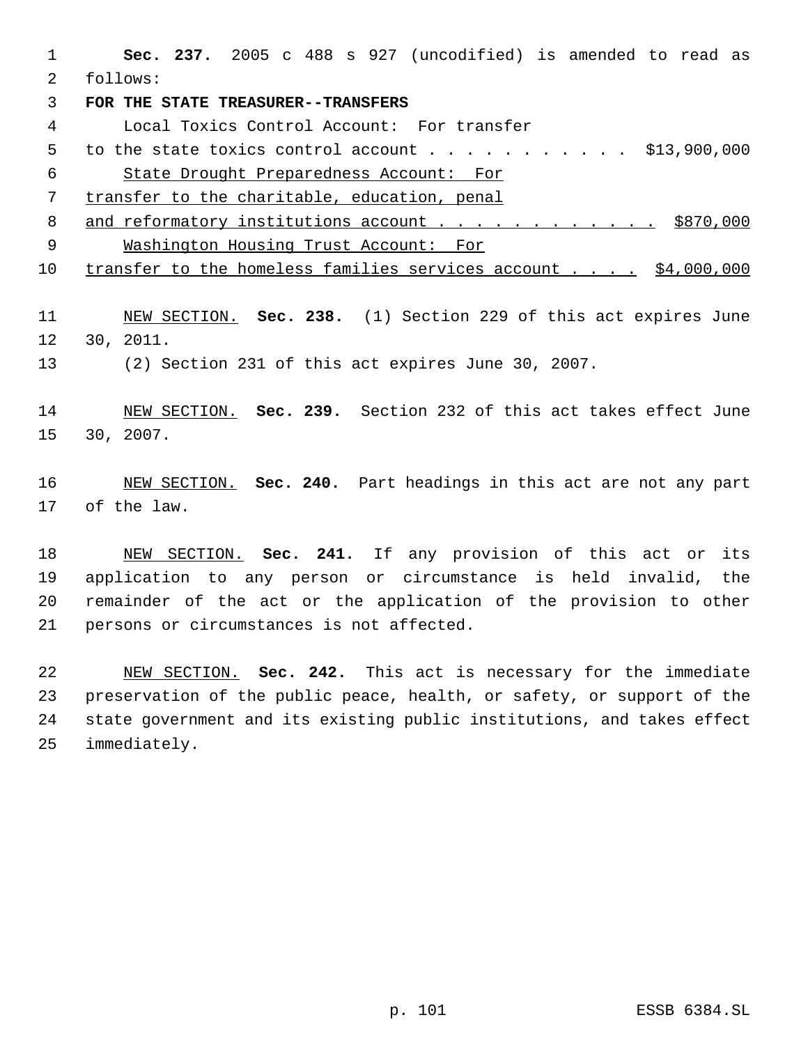**Sec. 237.** 2005 c 488 s 927 (uncodified) is amended to read as follows:

**FOR THE STATE TREASURER--TRANSFERS**

Local Toxics Control Account: For transfer

5 to the state toxics control account . . . . . . . . . . . \$13,900,000 State Drought Preparedness Account: For

transfer to the charitable, education, penal

8 and reformatory institutions account . . . . . . . . . . . \$870,000 Washington Housing Trust Account: For

transfer to the homeless families services account . . . . \$4,000,000

 NEW SECTION. **Sec. 238.** (1) Section 229 of this act expires June 30, 2011.

(2) Section 231 of this act expires June 30, 2007.

 NEW SECTION. **Sec. 239.** Section 232 of this act takes effect June 30, 2007.

 NEW SECTION. **Sec. 240.** Part headings in this act are not any part of the law.

 NEW SECTION. **Sec. 241.** If any provision of this act or its application to any person or circumstance is held invalid, the remainder of the act or the application of the provision to other persons or circumstances is not affected.

 NEW SECTION. **Sec. 242.** This act is necessary for the immediate preservation of the public peace, health, or safety, or support of the state government and its existing public institutions, and takes effect immediately.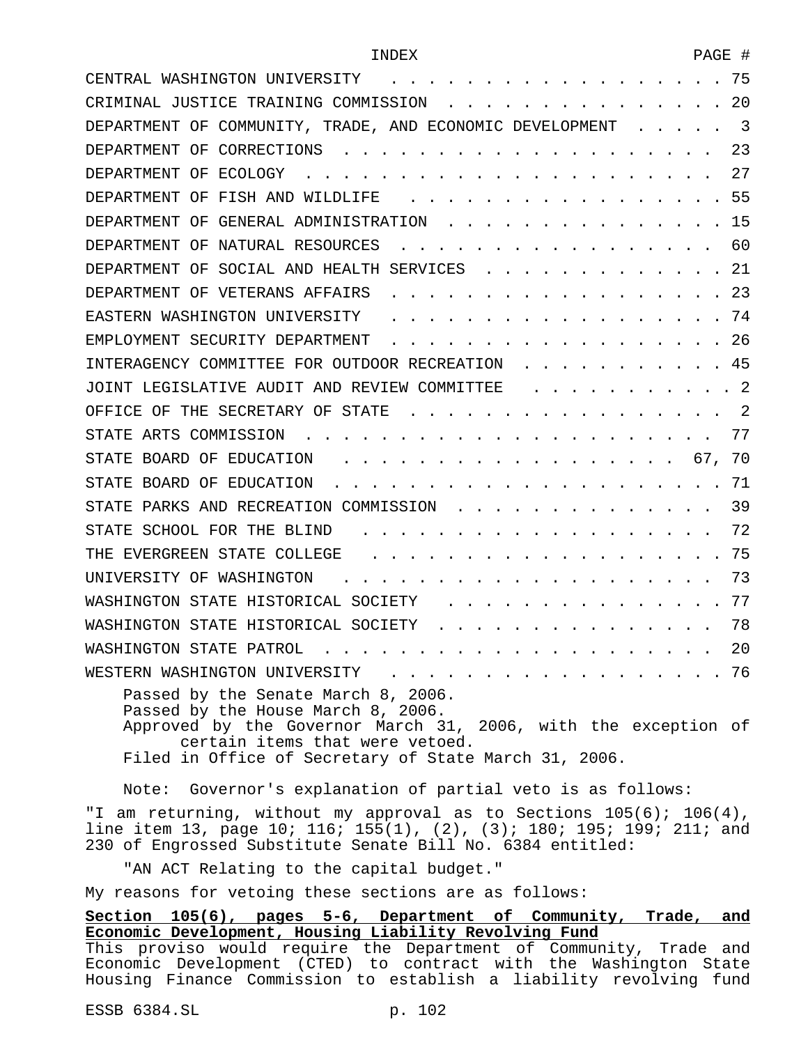| CENTRAL WASHINGTON UNIVERSITY                                                                                                                                                                                                           | 75 |
|-----------------------------------------------------------------------------------------------------------------------------------------------------------------------------------------------------------------------------------------|----|
| CRIMINAL JUSTICE TRAINING COMMISSION                                                                                                                                                                                                    | 20 |
| DEPARTMENT OF COMMUNITY, TRADE, AND ECONOMIC DEVELOPMENT                                                                                                                                                                                | 3  |
| DEPARTMENT OF CORRECTIONS                                                                                                                                                                                                               | 23 |
| DEPARTMENT OF<br>ECOLOGY                                                                                                                                                                                                                | 27 |
| DEPARTMENT OF FISH AND WILDLIFE                                                                                                                                                                                                         | 55 |
| GENERAL ADMINISTRATION<br>DEPARTMENT OF                                                                                                                                                                                                 | 15 |
| DEPARTMENT OF NATURAL RESOURCES                                                                                                                                                                                                         | 60 |
| DEPARTMENT OF<br>SOCIAL AND HEALTH SERVICES                                                                                                                                                                                             | 21 |
| DEPARTMENT OF VETERANS AFFAIRS                                                                                                                                                                                                          | 23 |
| EASTERN WASHINGTON UNIVERSITY                                                                                                                                                                                                           | 74 |
| EMPLOYMENT SECURITY DEPARTMENT                                                                                                                                                                                                          | 26 |
| INTERAGENCY COMMITTEE FOR OUTDOOR RECREATION                                                                                                                                                                                            | 45 |
| JOINT LEGISLATIVE AUDIT AND REVIEW COMMITTEE                                                                                                                                                                                            | -2 |
| OFFICE OF THE SECRETARY OF<br>STATE                                                                                                                                                                                                     | 2  |
| STATE ARTS COMMISSION                                                                                                                                                                                                                   | 77 |
| STATE BOARD OF<br>EDUCATION                                                                                                                                                                                                             | 70 |
| STATE BOARD OF<br>EDUCATION                                                                                                                                                                                                             | 71 |
| STATE PARKS AND RECREATION COMMISSION                                                                                                                                                                                                   | 39 |
| STATE SCHOOL FOR THE BLIND                                                                                                                                                                                                              | 72 |
| THE EVERGREEN STATE COLLEGE                                                                                                                                                                                                             | 75 |
| UNIVERSITY OF WASHINGTON                                                                                                                                                                                                                | 73 |
| WASHINGTON STATE HISTORICAL SOCIETY                                                                                                                                                                                                     | 77 |
| WASHINGTON STATE HISTORICAL SOCIETY                                                                                                                                                                                                     | 78 |
| WASHINGTON STATE PATROL                                                                                                                                                                                                                 | 20 |
| WESTERN WASHINGTON UNIVERSITY<br>. 76                                                                                                                                                                                                   |    |
| Passed by the Senate March 8, 2006.<br>Passed by the House March 8, 2006.<br>Approved by the Governor March 31, 2006, with the exception of<br>certain items that were vetoed.<br>Filed in Office of Secretary of State March 31, 2006. |    |
| Governor's explanation of partial veto is as follows:<br>Note:                                                                                                                                                                          |    |

"I am returning, without my approval as to Sections 105(6); 106(4), line item 13, page 10; 116; 155(1), (2), (3); 180; 195; 199; 211; and 230 of Engrossed Substitute Senate Bill No. 6384 entitled:

"AN ACT Relating to the capital budget."

My reasons for vetoing these sections are as follows:

**Section 105(6), pages 5-6, Department of Community, Trade, and Economic Development, Housing Liability Revolving Fund** This proviso would require the Department of Community, Trade and Economic Development (CTED) to contract with the Washington State Housing Finance Commission to establish a liability revolving fund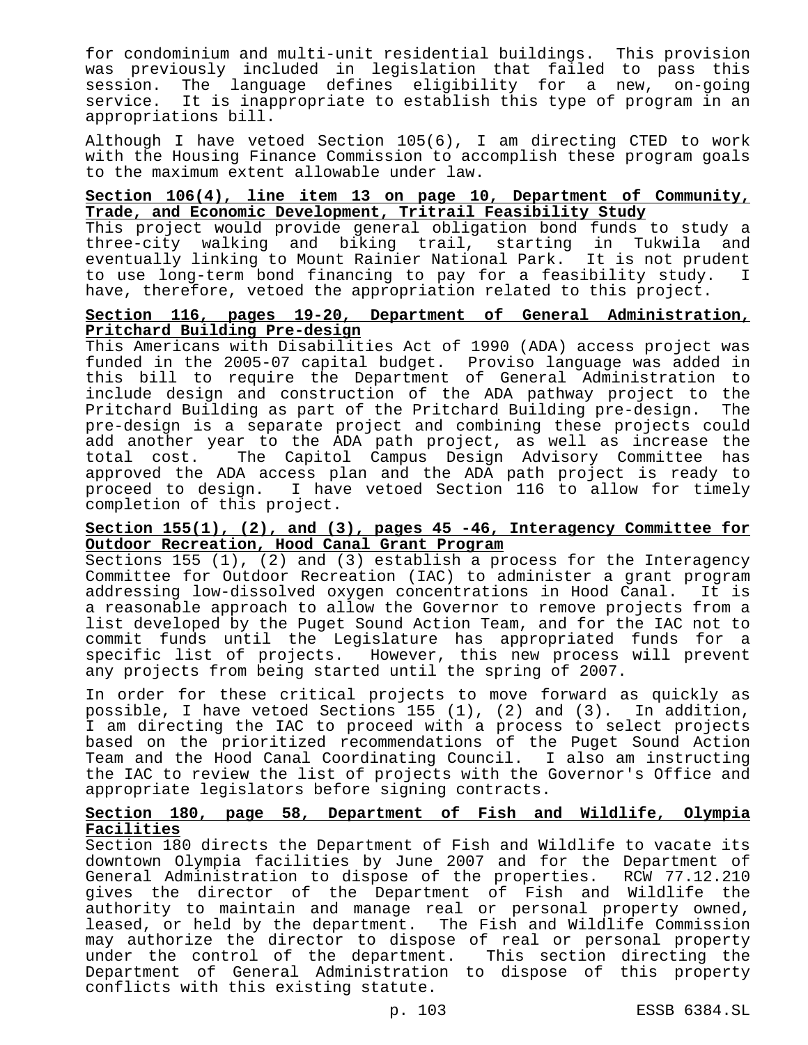for condominium and multi-unit residential buildings. This provision was previously included in legislation that failed to pass this session. The language defines eligibility for a new, on-going service. It is inappropriate to establish this type of program in an appropriations bill.

Although I have vetoed Section 105(6), I am directing CTED to work with the Housing Finance Commission to accomplish these program goals to the maximum extent allowable under law.

#### **Section 106(4), line item 13 on page 10, Department of Community, Trade, and Economic Development, Tritrail Feasibility Study**

This project would provide general obligation bond funds to study a three-city walking and biking trail, starting in Tukwila and eventually linking to Mount Rainier National Park. It is not prudent to use long-term bond financing to pay for a feasibility study. I have, therefore, vetoed the appropriation related to this project.

# **Section 116, pages 19-20, Department of General Administration, Pritchard Building Pre-design**

This Americans with Disabilities Act of 1990 (ADA) access project was funded in the 2005-07 capital budget. Proviso language was added in this bill to require the Department of General Administration to include design and construction of the ADA pathway project to the Pritchard Building as part of the Pritchard Building pre-design. The pre-design is a separate project and combining these projects could add another year to the ADA path project, as well as increase the<br>total cost. The Capitol Campus Design Advisory Committee has The Capitol Campus Design Advisory Committee has approved the ADA access plan and the ADA path project is ready to proceed to design. I have vetoed Section 116 to allow for timely completion of this project.

## **Section 155(1), (2), and (3), pages 45 -46, Interagency Committee for Outdoor Recreation, Hood Canal Grant Program**

Sections 155 (1), (2) and (3) establish a process for the Interagency Committee for Outdoor Recreation (IAC) to administer a grant program addressing low-dissolved oxygen concentrations in Hood Canal. It is a reasonable approach to allow the Governor to remove projects from a list developed by the Puget Sound Action Team, and for the IAC not to commit funds until the Legislature has appropriated funds for a specific list of projects. However, this new process will prevent any projects from being started until the spring of 2007.

In order for these critical projects to move forward as quickly as possible, I have vetoed Sections 155 (1), (2) and (3). In addition, I am directing the IAC to proceed with a process to select projects based on the prioritized recommendations of the Puget Sound Action Team and the Hood Canal Coordinating Council. I also am instructing the IAC to review the list of projects with the Governor's Office and appropriate legislators before signing contracts.

# **Section 180, page 58, Department of Fish and Wildlife, Olympia Facilities**

Section 180 directs the Department of Fish and Wildlife to vacate its downtown Olympia facilities by June 2007 and for the Department of General Administration to dispose of the properties. RCW 77.12.210 gives the director of the Department of Fish and Wildlife the authority to maintain and manage real or personal property owned, leased, or held by the department. The Fish and Wildlife Commission may authorize the director to dispose of real or personal property under the control of the department. This section directing the Department of General Administration to dispose of this property conflicts with this existing statute.